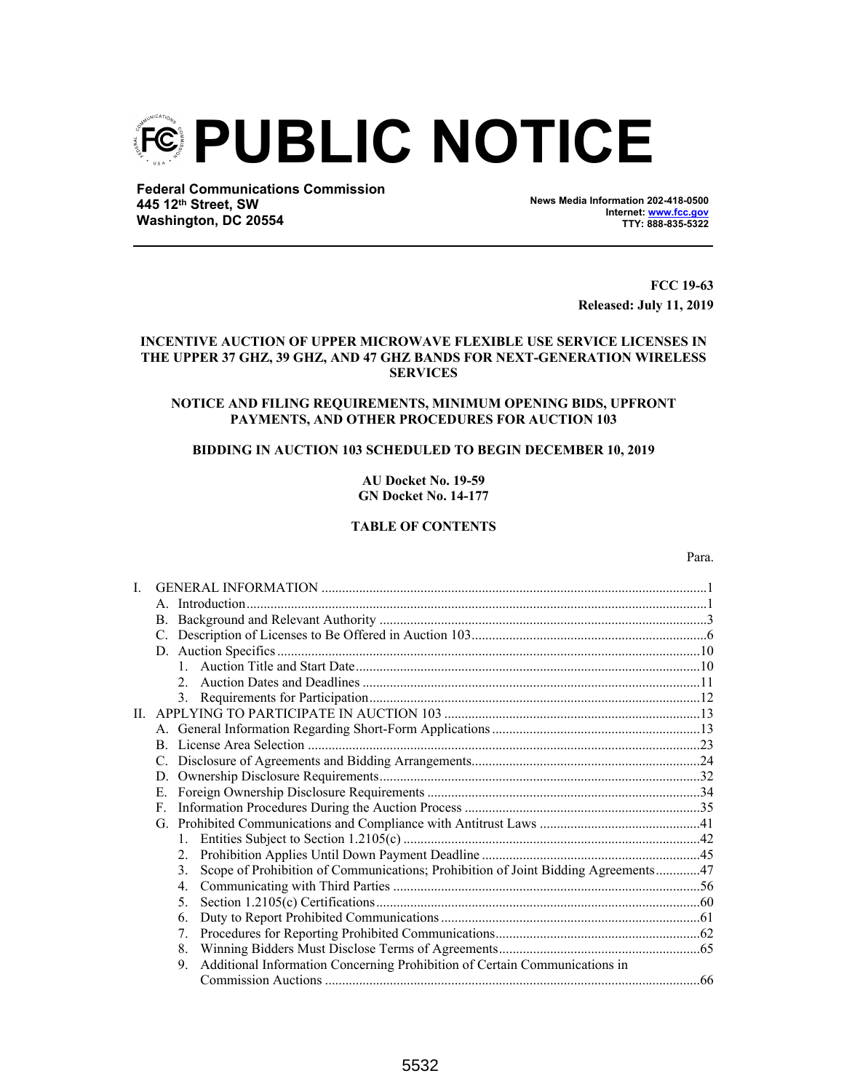

**Federal Communications Commission 445 12th Street, SW Washington, DC 20554**

**News Media Information 202-418-0500 Internet: www.fcc.gov TTY: 888-835-5322**

> **FCC 19-63 Released: July 11, 2019**

# **INCENTIVE AUCTION OF UPPER MICROWAVE FLEXIBLE USE SERVICE LICENSES IN THE UPPER 37 GHZ, 39 GHZ, AND 47 GHZ BANDS FOR NEXT-GENERATION WIRELESS SERVICES**

## **NOTICE AND FILING REQUIREMENTS, MINIMUM OPENING BIDS, UPFRONT PAYMENTS, AND OTHER PROCEDURES FOR AUCTION 103**

# **BIDDING IN AUCTION 103 SCHEDULED TO BEGIN DECEMBER 10, 2019**

**AU Docket No. 19-59 GN Docket No. 14-177** 

# **TABLE OF CONTENTS**

| L   |                |                                                                                         |  |
|-----|----------------|-----------------------------------------------------------------------------------------|--|
|     |                |                                                                                         |  |
|     |                |                                                                                         |  |
|     |                |                                                                                         |  |
|     |                |                                                                                         |  |
|     |                |                                                                                         |  |
|     |                | $\mathcal{D}_{\mathcal{L}}$                                                             |  |
|     |                |                                                                                         |  |
| II. |                |                                                                                         |  |
|     |                |                                                                                         |  |
|     |                |                                                                                         |  |
|     |                |                                                                                         |  |
|     |                |                                                                                         |  |
|     | Е.             |                                                                                         |  |
|     | $F_{\rm{eff}}$ |                                                                                         |  |
|     |                |                                                                                         |  |
|     |                |                                                                                         |  |
|     |                | 2.                                                                                      |  |
|     |                | Scope of Prohibition of Communications; Prohibition of Joint Bidding Agreements47<br>3. |  |
|     |                | 4.                                                                                      |  |
|     |                | 5.                                                                                      |  |
|     |                | 6.                                                                                      |  |
|     |                | 7.                                                                                      |  |
|     |                | 8.                                                                                      |  |
|     |                | Additional Information Concerning Prohibition of Certain Communications in<br>9.        |  |
|     |                |                                                                                         |  |
|     |                |                                                                                         |  |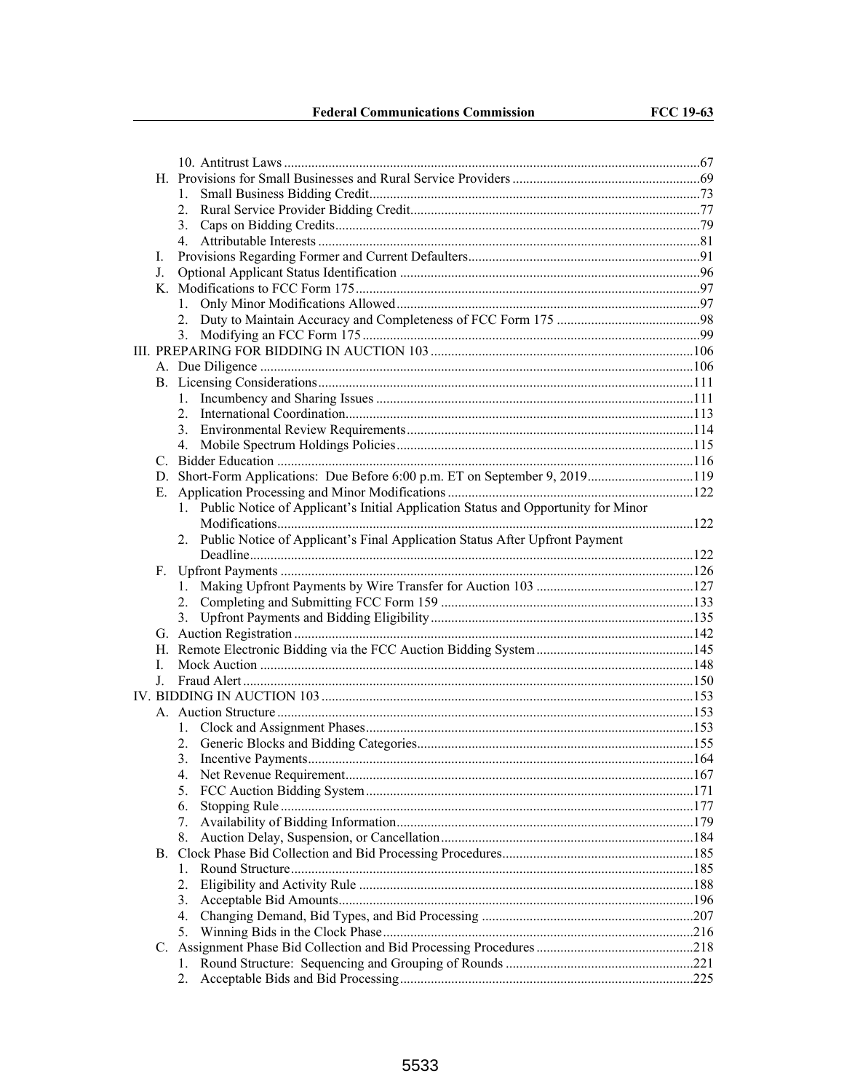|              | 1.                                                                                   |       |
|--------------|--------------------------------------------------------------------------------------|-------|
|              | 2.                                                                                   |       |
|              | 3.                                                                                   |       |
|              |                                                                                      |       |
| L            |                                                                                      |       |
| J.           |                                                                                      |       |
|              |                                                                                      |       |
|              |                                                                                      |       |
|              |                                                                                      |       |
|              |                                                                                      |       |
|              |                                                                                      |       |
|              |                                                                                      |       |
|              |                                                                                      |       |
|              |                                                                                      |       |
|              |                                                                                      |       |
|              |                                                                                      |       |
|              |                                                                                      |       |
|              |                                                                                      |       |
|              |                                                                                      |       |
|              |                                                                                      |       |
| Е.           |                                                                                      |       |
|              | 1. Public Notice of Applicant's Initial Application Status and Opportunity for Minor |       |
|              |                                                                                      |       |
|              | 2. Public Notice of Applicant's Final Application Status After Upfront Payment       |       |
|              |                                                                                      |       |
|              |                                                                                      |       |
|              |                                                                                      |       |
|              |                                                                                      |       |
|              |                                                                                      |       |
|              |                                                                                      |       |
|              |                                                                                      |       |
|              |                                                                                      |       |
| L.           |                                                                                      |       |
| $\mathbf{I}$ |                                                                                      |       |
|              |                                                                                      |       |
|              |                                                                                      |       |
|              |                                                                                      |       |
|              |                                                                                      |       |
|              |                                                                                      |       |
|              |                                                                                      | . 167 |
|              | 5.                                                                                   |       |
|              | 6.                                                                                   |       |
|              | 7.                                                                                   |       |
|              | 8.                                                                                   |       |
|              |                                                                                      |       |
|              | $\mathbf{1}$                                                                         |       |
|              | 2.                                                                                   |       |
|              | 3 <sub>1</sub>                                                                       |       |
|              | 4.                                                                                   |       |
|              |                                                                                      |       |
|              | 5.                                                                                   |       |
|              |                                                                                      |       |
|              | 1.                                                                                   |       |
|              | 2.                                                                                   |       |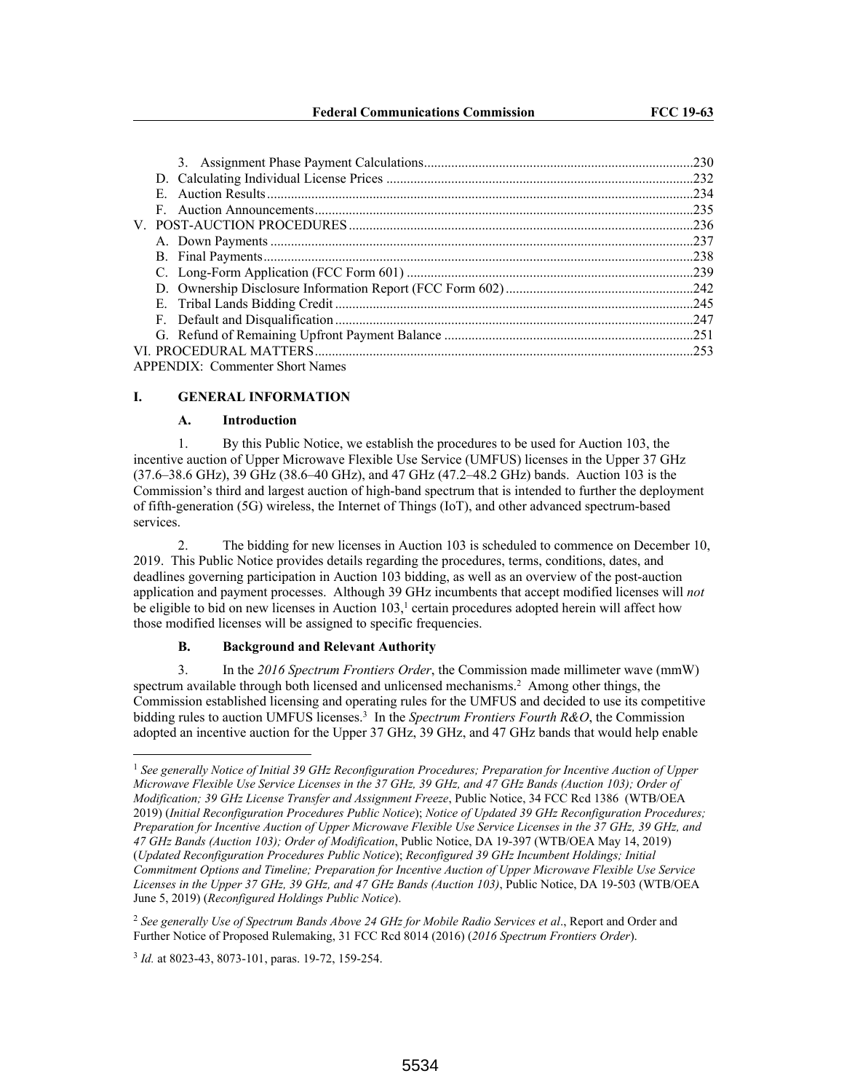|  |                                        | .230 |  |  |
|--|----------------------------------------|------|--|--|
|  |                                        |      |  |  |
|  | E.                                     |      |  |  |
|  |                                        |      |  |  |
|  |                                        |      |  |  |
|  |                                        |      |  |  |
|  |                                        |      |  |  |
|  |                                        |      |  |  |
|  |                                        |      |  |  |
|  |                                        |      |  |  |
|  |                                        |      |  |  |
|  |                                        |      |  |  |
|  |                                        |      |  |  |
|  | <b>APPENDIX: Commenter Short Names</b> |      |  |  |

## **I. GENERAL INFORMATION**

### **A. Introduction**

1. By this Public Notice, we establish the procedures to be used for Auction 103, the incentive auction of Upper Microwave Flexible Use Service (UMFUS) licenses in the Upper 37 GHz (37.6–38.6 GHz), 39 GHz (38.6–40 GHz), and 47 GHz (47.2–48.2 GHz) bands. Auction 103 is the Commission's third and largest auction of high-band spectrum that is intended to further the deployment of fifth-generation (5G) wireless, the Internet of Things (IoT), and other advanced spectrum-based services.

2. The bidding for new licenses in Auction 103 is scheduled to commence on December 10, 2019. This Public Notice provides details regarding the procedures, terms, conditions, dates, and deadlines governing participation in Auction 103 bidding, as well as an overview of the post-auction application and payment processes. Although 39 GHz incumbents that accept modified licenses will *not* be eligible to bid on new licenses in Auction  $103$ ,<sup>1</sup> certain procedures adopted herein will affect how those modified licenses will be assigned to specific frequencies.

### **B. Background and Relevant Authority**

3. In the *2016 Spectrum Frontiers Order*, the Commission made millimeter wave (mmW) spectrum available through both licensed and unlicensed mechanisms.<sup>2</sup> Among other things, the Commission established licensing and operating rules for the UMFUS and decided to use its competitive bidding rules to auction UMFUS licenses.<sup>3</sup> In the *Spectrum Frontiers Fourth R&O*, the Commission adopted an incentive auction for the Upper 37 GHz, 39 GHz, and 47 GHz bands that would help enable

<sup>1</sup> *See generally Notice of Initial 39 GHz Reconfiguration Procedures; Preparation for Incentive Auction of Upper Microwave Flexible Use Service Licenses in the 37 GHz, 39 GHz, and 47 GHz Bands (Auction 103); Order of Modification; 39 GHz License Transfer and Assignment Freeze*, Public Notice, 34 FCC Rcd 1386 (WTB/OEA 2019) (*Initial Reconfiguration Procedures Public Notice*); *Notice of Updated 39 GHz Reconfiguration Procedures; Preparation for Incentive Auction of Upper Microwave Flexible Use Service Licenses in the 37 GHz, 39 GHz, and 47 GHz Bands (Auction 103); Order of Modification*, Public Notice, DA 19-397 (WTB/OEA May 14, 2019) (*Updated Reconfiguration Procedures Public Notice*); *Reconfigured 39 GHz Incumbent Holdings; Initial Commitment Options and Timeline; Preparation for Incentive Auction of Upper Microwave Flexible Use Service Licenses in the Upper 37 GHz, 39 GHz, and 47 GHz Bands (Auction 103)*, Public Notice, DA 19-503 (WTB/OEA June 5, 2019) (*Reconfigured Holdings Public Notice*).

<sup>2</sup> *See generally Use of Spectrum Bands Above 24 GHz for Mobile Radio Services et al*., Report and Order and Further Notice of Proposed Rulemaking, 31 FCC Rcd 8014 (2016) (*2016 Spectrum Frontiers Order*).

<sup>3</sup> *Id.* at 8023-43, 8073-101, paras. 19-72, 159-254.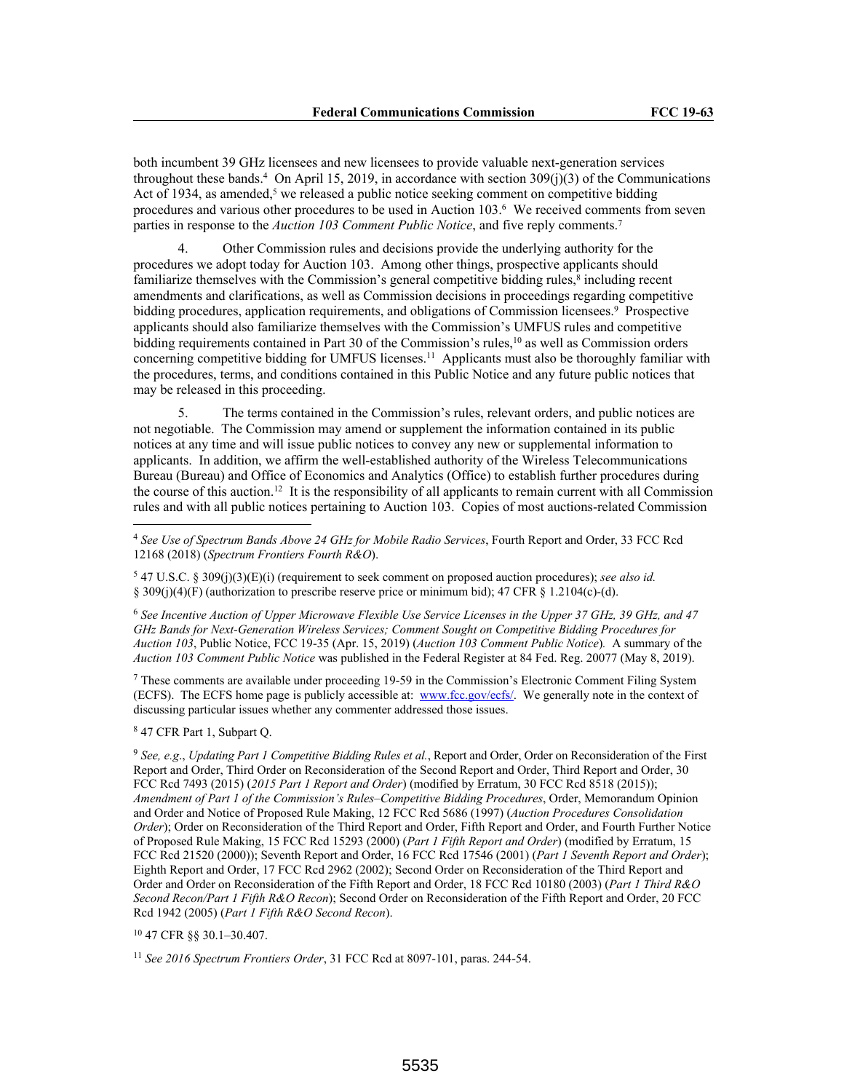both incumbent 39 GHz licensees and new licensees to provide valuable next-generation services throughout these bands.<sup>4</sup> On April 15, 2019, in accordance with section 309(j)(3) of the Communications Act of 1934, as amended,<sup>5</sup> we released a public notice seeking comment on competitive bidding procedures and various other procedures to be used in Auction 103.<sup>6</sup> We received comments from seven parties in response to the *Auction 103 Comment Public Notice*, and five reply comments.<sup>7</sup>

4. Other Commission rules and decisions provide the underlying authority for the procedures we adopt today for Auction 103. Among other things, prospective applicants should familiarize themselves with the Commission's general competitive bidding rules,<sup>8</sup> including recent amendments and clarifications, as well as Commission decisions in proceedings regarding competitive bidding procedures, application requirements, and obligations of Commission licensees.<sup>9</sup> Prospective applicants should also familiarize themselves with the Commission's UMFUS rules and competitive bidding requirements contained in Part 30 of the Commission's rules,<sup>10</sup> as well as Commission orders concerning competitive bidding for UMFUS licenses.<sup>11</sup> Applicants must also be thoroughly familiar with the procedures, terms, and conditions contained in this Public Notice and any future public notices that may be released in this proceeding.

5. The terms contained in the Commission's rules, relevant orders, and public notices are not negotiable. The Commission may amend or supplement the information contained in its public notices at any time and will issue public notices to convey any new or supplemental information to applicants. In addition, we affirm the well-established authority of the Wireless Telecommunications Bureau (Bureau) and Office of Economics and Analytics (Office) to establish further procedures during the course of this auction.<sup>12</sup> It is the responsibility of all applicants to remain current with all Commission rules and with all public notices pertaining to Auction 103. Copies of most auctions-related Commission

5 47 U.S.C. § 309(j)(3)(E)(i) (requirement to seek comment on proposed auction procedures); *see also id.* § 309(j)(4)(F) (authorization to prescribe reserve price or minimum bid); 47 CFR § 1.2104(c)-(d).

<sup>6</sup> *See Incentive Auction of Upper Microwave Flexible Use Service Licenses in the Upper 37 GHz, 39 GHz, and 47 GHz Bands for Next-Generation Wireless Services; Comment Sought on Competitive Bidding Procedures for Auction 103*, Public Notice, FCC 19-35 (Apr. 15, 2019) (*Auction 103 Comment Public Notice*)*.* A summary of the *Auction 103 Comment Public Notice* was published in the Federal Register at 84 Fed. Reg. 20077 (May 8, 2019).

7 These comments are available under proceeding 19-59 in the Commission's Electronic Comment Filing System (ECFS). The ECFS home page is publicly accessible at: www.fcc.gov/ecfs/. We generally note in the context of discussing particular issues whether any commenter addressed those issues.

8 47 CFR Part 1, Subpart Q.

<sup>9</sup> *See, e.g*., *Updating Part 1 Competitive Bidding Rules et al.*, Report and Order, Order on Reconsideration of the First Report and Order, Third Order on Reconsideration of the Second Report and Order, Third Report and Order, 30 FCC Rcd 7493 (2015) (*2015 Part 1 Report and Order*) (modified by Erratum, 30 FCC Rcd 8518 (2015)); *Amendment of Part 1 of the Commission's Rules–Competitive Bidding Procedures*, Order, Memorandum Opinion and Order and Notice of Proposed Rule Making, 12 FCC Rcd 5686 (1997) (*Auction Procedures Consolidation Order*); Order on Reconsideration of the Third Report and Order, Fifth Report and Order, and Fourth Further Notice of Proposed Rule Making, 15 FCC Rcd 15293 (2000) (*Part 1 Fifth Report and Order*) (modified by Erratum, 15 FCC Rcd 21520 (2000)); Seventh Report and Order, 16 FCC Rcd 17546 (2001) (*Part 1 Seventh Report and Order*); Eighth Report and Order, 17 FCC Rcd 2962 (2002); Second Order on Reconsideration of the Third Report and Order and Order on Reconsideration of the Fifth Report and Order, 18 FCC Rcd 10180 (2003) (*Part 1 Third R&O Second Recon/Part 1 Fifth R&O Recon*); Second Order on Reconsideration of the Fifth Report and Order, 20 FCC Rcd 1942 (2005) (*Part 1 Fifth R&O Second Recon*).

<sup>10</sup> 47 CFR §§ 30.1–30.407.

<sup>11</sup> *See 2016 Spectrum Frontiers Order*, 31 FCC Rcd at 8097-101, paras. 244-54.

<sup>4</sup> *See Use of Spectrum Bands Above 24 GHz for Mobile Radio Services*, Fourth Report and Order, 33 FCC Rcd 12168 (2018) (*Spectrum Frontiers Fourth R&O*).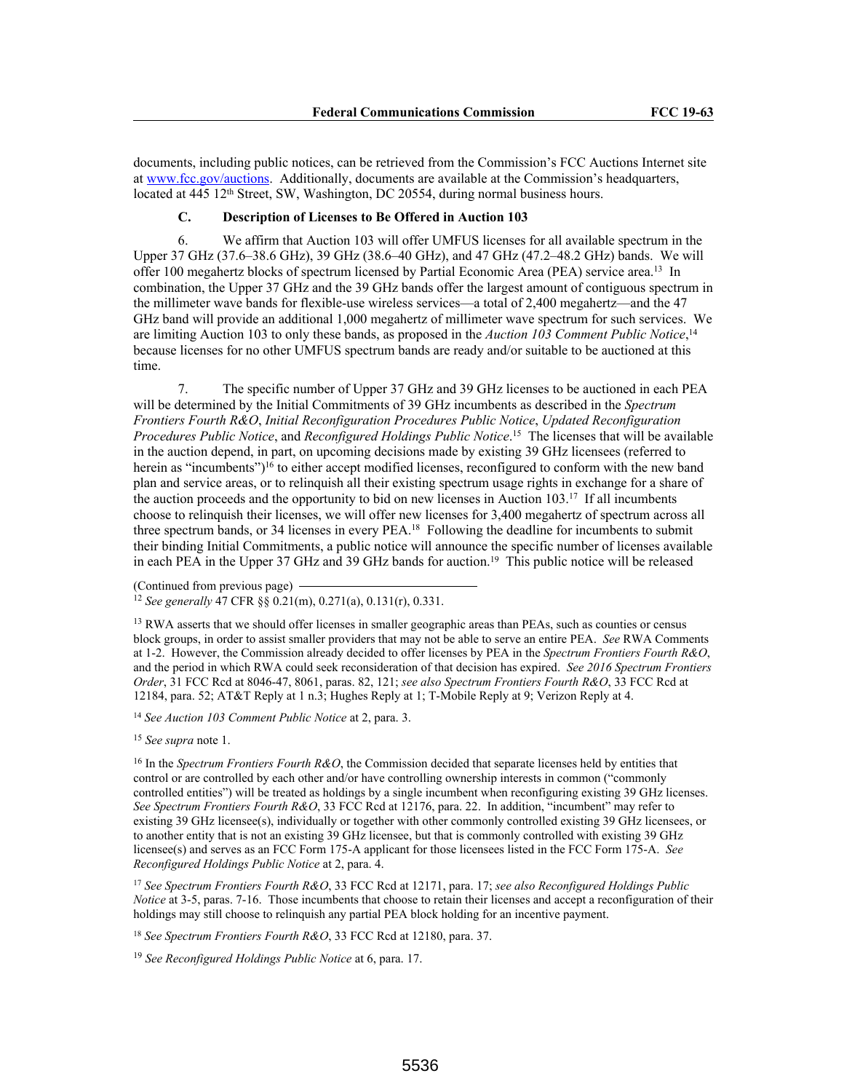documents, including public notices, can be retrieved from the Commission's FCC Auctions Internet site at www.fcc.gov/auctions. Additionally, documents are available at the Commission's headquarters, located at 445 12<sup>th</sup> Street, SW, Washington, DC 20554, during normal business hours.

### **C. Description of Licenses to Be Offered in Auction 103**

6. We affirm that Auction 103 will offer UMFUS licenses for all available spectrum in the Upper 37 GHz (37.6–38.6 GHz), 39 GHz (38.6–40 GHz), and 47 GHz (47.2–48.2 GHz) bands. We will offer 100 megahertz blocks of spectrum licensed by Partial Economic Area (PEA) service area.<sup>13</sup> In combination, the Upper 37 GHz and the 39 GHz bands offer the largest amount of contiguous spectrum in the millimeter wave bands for flexible-use wireless services—a total of 2,400 megahertz—and the 47 GHz band will provide an additional 1,000 megahertz of millimeter wave spectrum for such services. We are limiting Auction 103 to only these bands, as proposed in the *Auction 103 Comment Public Notice*, 14 because licenses for no other UMFUS spectrum bands are ready and/or suitable to be auctioned at this time.

7. The specific number of Upper 37 GHz and 39 GHz licenses to be auctioned in each PEA will be determined by the Initial Commitments of 39 GHz incumbents as described in the *Spectrum Frontiers Fourth R&O*, *Initial Reconfiguration Procedures Public Notice*, *Updated Reconfiguration Procedures Public Notice*, and *Reconfigured Holdings Public Notice*. <sup>15</sup> The licenses that will be available in the auction depend, in part, on upcoming decisions made by existing 39 GHz licensees (referred to herein as "incumbents")<sup>16</sup> to either accept modified licenses, reconfigured to conform with the new band plan and service areas, or to relinquish all their existing spectrum usage rights in exchange for a share of the auction proceeds and the opportunity to bid on new licenses in Auction 103.<sup>17</sup> If all incumbents choose to relinquish their licenses, we will offer new licenses for 3,400 megahertz of spectrum across all three spectrum bands, or 34 licenses in every PEA.<sup>18</sup> Following the deadline for incumbents to submit their binding Initial Commitments, a public notice will announce the specific number of licenses available in each PEA in the Upper 37 GHz and 39 GHz bands for auction.<sup>19</sup> This public notice will be released

(Continued from previous page) <sup>12</sup> *See generally* 47 CFR §§ 0.21(m), 0.271(a), 0.131(r), 0.331.

<sup>13</sup> RWA asserts that we should offer licenses in smaller geographic areas than PEAs, such as counties or census block groups, in order to assist smaller providers that may not be able to serve an entire PEA. *See* RWA Comments at 1-2. However, the Commission already decided to offer licenses by PEA in the *Spectrum Frontiers Fourth R&O*, and the period in which RWA could seek reconsideration of that decision has expired. *See 2016 Spectrum Frontiers Order*, 31 FCC Rcd at 8046-47, 8061, paras. 82, 121; *see also Spectrum Frontiers Fourth R&O*, 33 FCC Rcd at 12184, para. 52; AT&T Reply at 1 n.3; Hughes Reply at 1; T-Mobile Reply at 9; Verizon Reply at 4.

<sup>14</sup> *See Auction 103 Comment Public Notice* at 2, para. 3.

<sup>15</sup> *See supra* note 1.

<sup>16</sup> In the *Spectrum Frontiers Fourth R&O*, the Commission decided that separate licenses held by entities that control or are controlled by each other and/or have controlling ownership interests in common ("commonly controlled entities") will be treated as holdings by a single incumbent when reconfiguring existing 39 GHz licenses. *See Spectrum Frontiers Fourth R&O*, 33 FCC Rcd at 12176, para. 22. In addition, "incumbent" may refer to existing 39 GHz licensee(s), individually or together with other commonly controlled existing 39 GHz licensees, or to another entity that is not an existing 39 GHz licensee, but that is commonly controlled with existing 39 GHz licensee(s) and serves as an FCC Form 175-A applicant for those licensees listed in the FCC Form 175-A. *See Reconfigured Holdings Public Notice* at 2, para. 4.

<sup>17</sup> *See Spectrum Frontiers Fourth R&O*, 33 FCC Rcd at 12171, para. 17; *see also Reconfigured Holdings Public Notice* at 3-5, paras. 7-16. Those incumbents that choose to retain their licenses and accept a reconfiguration of their holdings may still choose to relinquish any partial PEA block holding for an incentive payment.

<sup>18</sup> *See Spectrum Frontiers Fourth R&O*, 33 FCC Rcd at 12180, para. 37.

<sup>19</sup> *See Reconfigured Holdings Public Notice* at 6, para. 17.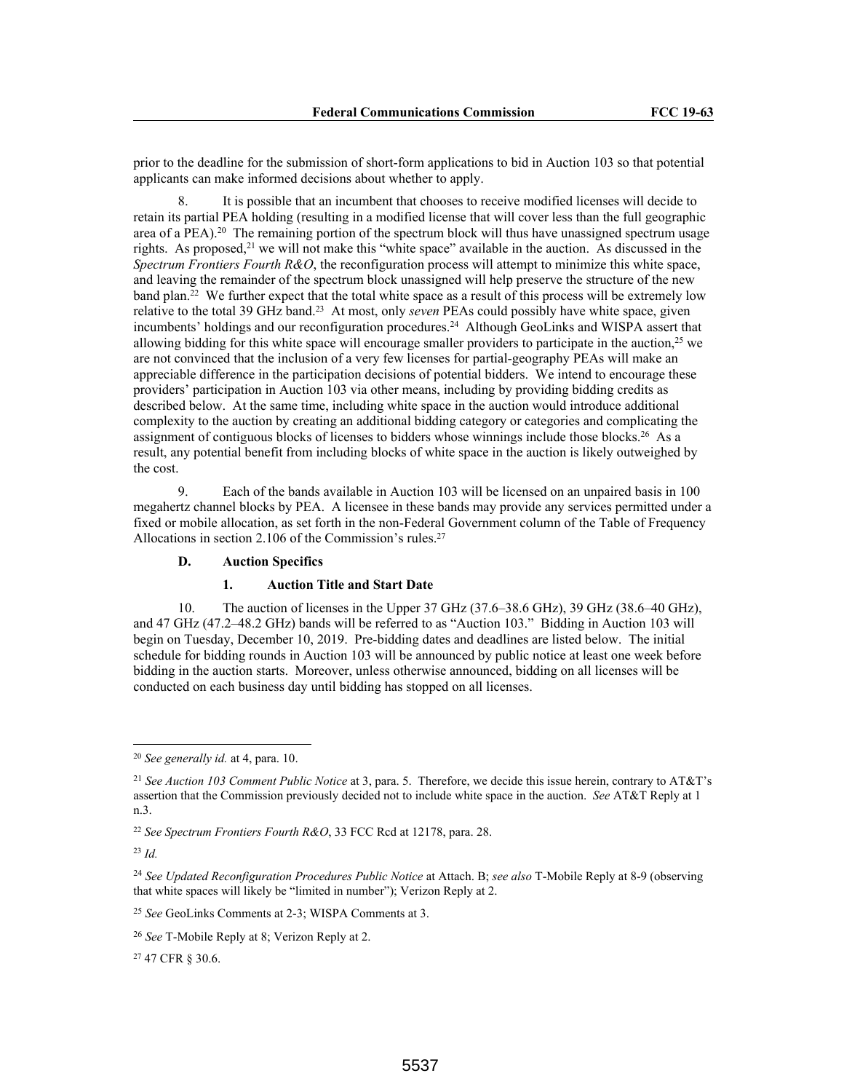prior to the deadline for the submission of short-form applications to bid in Auction 103 so that potential applicants can make informed decisions about whether to apply.

8. It is possible that an incumbent that chooses to receive modified licenses will decide to retain its partial PEA holding (resulting in a modified license that will cover less than the full geographic area of a PEA).<sup>20</sup> The remaining portion of the spectrum block will thus have unassigned spectrum usage rights. As proposed,<sup>21</sup> we will not make this "white space" available in the auction. As discussed in the *Spectrum Frontiers Fourth R&O*, the reconfiguration process will attempt to minimize this white space, and leaving the remainder of the spectrum block unassigned will help preserve the structure of the new band plan.<sup>22</sup> We further expect that the total white space as a result of this process will be extremely low relative to the total 39 GHz band.<sup>23</sup> At most, only *seven* PEAs could possibly have white space, given incumbents' holdings and our reconfiguration procedures.<sup>24</sup> Although GeoLinks and WISPA assert that allowing bidding for this white space will encourage smaller providers to participate in the auction, $25$  we are not convinced that the inclusion of a very few licenses for partial-geography PEAs will make an appreciable difference in the participation decisions of potential bidders. We intend to encourage these providers' participation in Auction 103 via other means, including by providing bidding credits as described below. At the same time, including white space in the auction would introduce additional complexity to the auction by creating an additional bidding category or categories and complicating the assignment of contiguous blocks of licenses to bidders whose winnings include those blocks.<sup>26</sup> As a result, any potential benefit from including blocks of white space in the auction is likely outweighed by the cost.

9. Each of the bands available in Auction 103 will be licensed on an unpaired basis in 100 megahertz channel blocks by PEA. A licensee in these bands may provide any services permitted under a fixed or mobile allocation, as set forth in the non-Federal Government column of the Table of Frequency Allocations in section 2.106 of the Commission's rules.<sup>27</sup>

# **D. Auction Specifics**

# **1. Auction Title and Start Date**

10. The auction of licenses in the Upper 37 GHz (37.6–38.6 GHz), 39 GHz (38.6–40 GHz), and 47 GHz (47.2–48.2 GHz) bands will be referred to as "Auction 103." Bidding in Auction 103 will begin on Tuesday, December 10, 2019. Pre-bidding dates and deadlines are listed below. The initial schedule for bidding rounds in Auction 103 will be announced by public notice at least one week before bidding in the auction starts. Moreover, unless otherwise announced, bidding on all licenses will be conducted on each business day until bidding has stopped on all licenses.

<sup>27</sup> 47 CFR § 30.6.

<sup>20</sup> *See generally id.* at 4, para. 10.

<sup>21</sup> *See Auction 103 Comment Public Notice* at 3, para. 5. Therefore, we decide this issue herein, contrary to AT&T's assertion that the Commission previously decided not to include white space in the auction. *See* AT&T Reply at 1 n.3.

<sup>22</sup> *See Spectrum Frontiers Fourth R&O*, 33 FCC Rcd at 12178, para. 28.

<sup>23</sup> *Id.*

<sup>24</sup> *See Updated Reconfiguration Procedures Public Notice* at Attach. B; *see also* T-Mobile Reply at 8-9 (observing that white spaces will likely be "limited in number"); Verizon Reply at 2.

<sup>25</sup> *See* GeoLinks Comments at 2-3; WISPA Comments at 3.

<sup>26</sup> *See* T-Mobile Reply at 8; Verizon Reply at 2.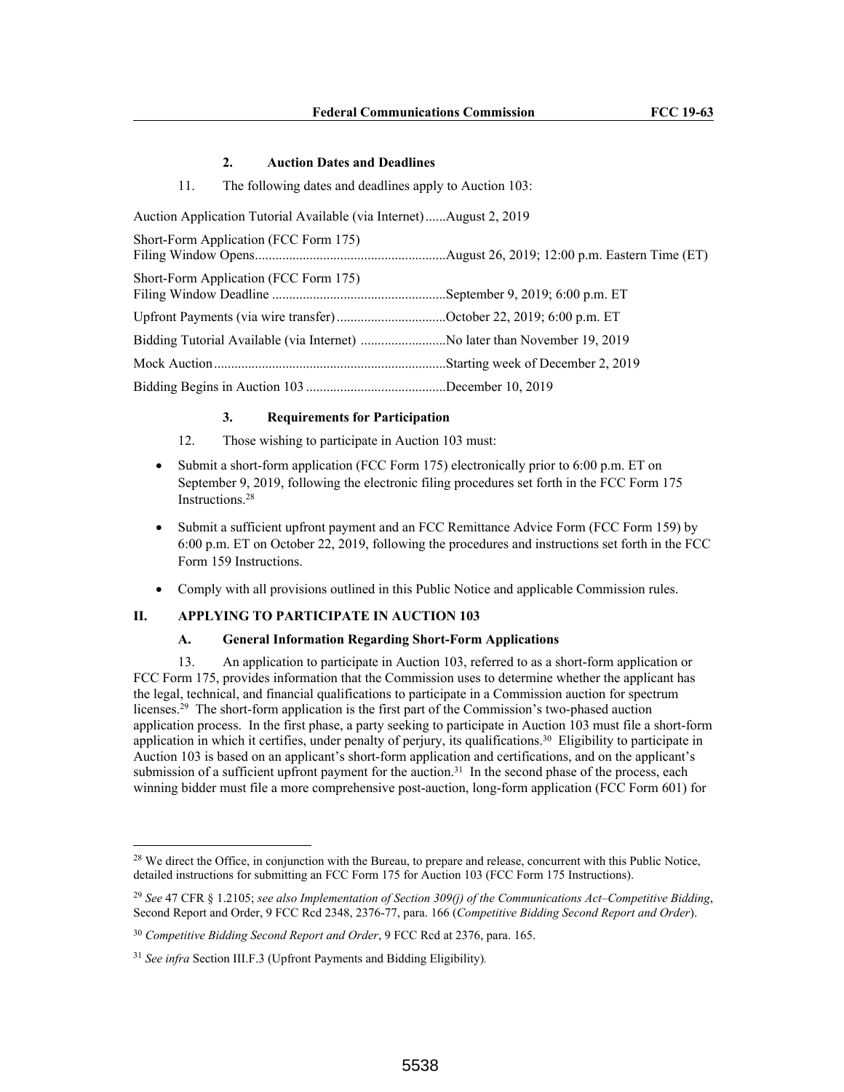## **2. Auction Dates and Deadlines**

11. The following dates and deadlines apply to Auction 103:

Auction Application Tutorial Available (via Internet)......August 2, 2019

| Short-Form Application (FCC Form 175)                                     |  |
|---------------------------------------------------------------------------|--|
| Short-Form Application (FCC Form 175)                                     |  |
| Upfront Payments (via wire transfer) October 22, 2019; 6:00 p.m. ET       |  |
| Bidding Tutorial Available (via Internet) No later than November 19, 2019 |  |
|                                                                           |  |
|                                                                           |  |

# **3. Requirements for Participation**

12. Those wishing to participate in Auction 103 must:

- Submit a short-form application (FCC Form 175) electronically prior to 6:00 p.m. ET on September 9, 2019, following the electronic filing procedures set forth in the FCC Form 175 Instructions.<sup>28</sup>
- Submit a sufficient upfront payment and an FCC Remittance Advice Form (FCC Form 159) by 6:00 p.m. ET on October 22, 2019, following the procedures and instructions set forth in the FCC Form 159 Instructions.
- Comply with all provisions outlined in this Public Notice and applicable Commission rules.

# **II. APPLYING TO PARTICIPATE IN AUCTION 103**

## **A. General Information Regarding Short-Form Applications**

13. An application to participate in Auction 103, referred to as a short-form application or FCC Form 175, provides information that the Commission uses to determine whether the applicant has the legal, technical, and financial qualifications to participate in a Commission auction for spectrum licenses.<sup>29</sup> The short-form application is the first part of the Commission's two-phased auction application process. In the first phase, a party seeking to participate in Auction 103 must file a short-form application in which it certifies, under penalty of perjury, its qualifications.<sup>30</sup> Eligibility to participate in Auction 103 is based on an applicant's short-form application and certifications, and on the applicant's submission of a sufficient upfront payment for the auction.<sup>31</sup> In the second phase of the process, each winning bidder must file a more comprehensive post-auction, long-form application (FCC Form 601) for

<sup>&</sup>lt;sup>28</sup> We direct the Office, in conjunction with the Bureau, to prepare and release, concurrent with this Public Notice, detailed instructions for submitting an FCC Form 175 for Auction 103 (FCC Form 175 Instructions).

<sup>29</sup> *See* 47 CFR § 1.2105; *see also Implementation of Section 309(j) of the Communications Act–Competitive Bidding*, Second Report and Order, 9 FCC Rcd 2348, 2376-77, para. 166 (*Competitive Bidding Second Report and Order*).

<sup>30</sup> *Competitive Bidding Second Report and Order*, 9 FCC Rcd at 2376, para. 165.

<sup>31</sup> *See infra* Section III.F.3 (Upfront Payments and Bidding Eligibility)*.*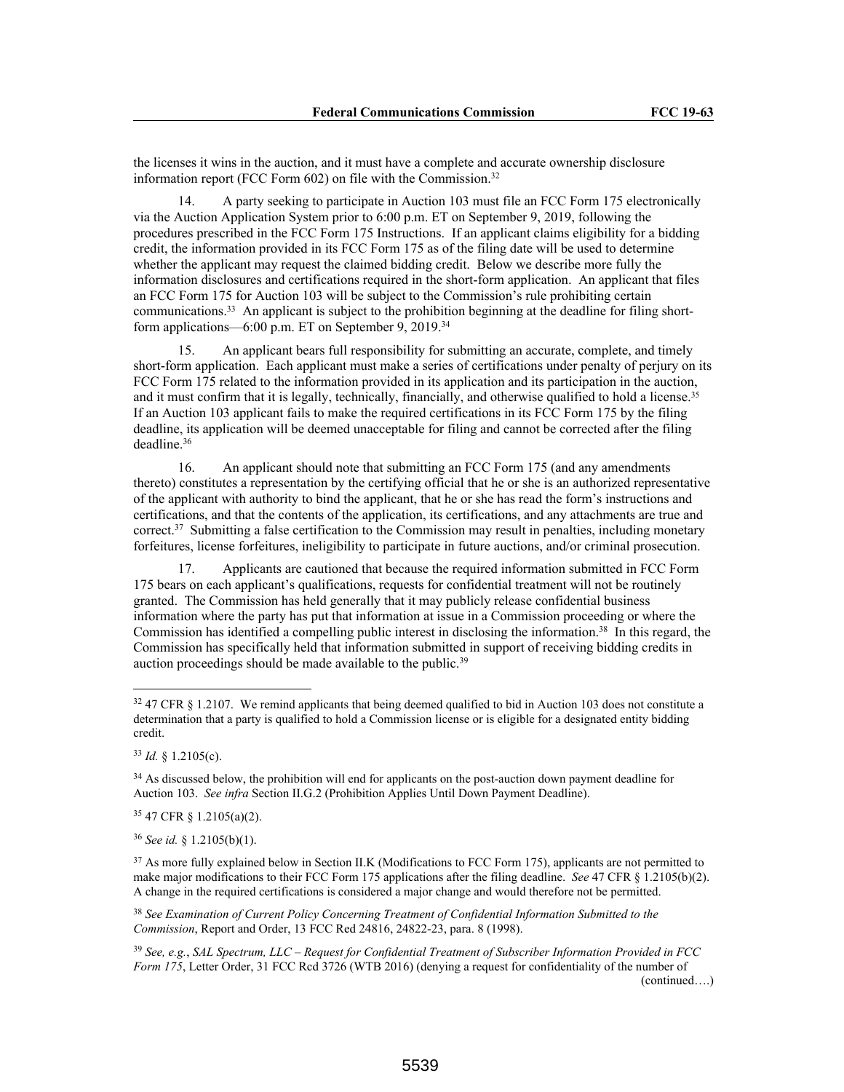the licenses it wins in the auction, and it must have a complete and accurate ownership disclosure information report (FCC Form 602) on file with the Commission.<sup>32</sup>

14. A party seeking to participate in Auction 103 must file an FCC Form 175 electronically via the Auction Application System prior to 6:00 p.m. ET on September 9, 2019, following the procedures prescribed in the FCC Form 175 Instructions. If an applicant claims eligibility for a bidding credit, the information provided in its FCC Form 175 as of the filing date will be used to determine whether the applicant may request the claimed bidding credit. Below we describe more fully the information disclosures and certifications required in the short-form application. An applicant that files an FCC Form 175 for Auction 103 will be subject to the Commission's rule prohibiting certain communications.33 An applicant is subject to the prohibition beginning at the deadline for filing shortform applications—6:00 p.m. ET on September 9, 2019.<sup>34</sup>

15. An applicant bears full responsibility for submitting an accurate, complete, and timely short-form application. Each applicant must make a series of certifications under penalty of perjury on its FCC Form 175 related to the information provided in its application and its participation in the auction, and it must confirm that it is legally, technically, financially, and otherwise qualified to hold a license.<sup>35</sup> If an Auction 103 applicant fails to make the required certifications in its FCC Form 175 by the filing deadline, its application will be deemed unacceptable for filing and cannot be corrected after the filing deadline.<sup>36</sup>

16. An applicant should note that submitting an FCC Form 175 (and any amendments thereto) constitutes a representation by the certifying official that he or she is an authorized representative of the applicant with authority to bind the applicant, that he or she has read the form's instructions and certifications, and that the contents of the application, its certifications, and any attachments are true and correct.<sup>37</sup> Submitting a false certification to the Commission may result in penalties, including monetary forfeitures, license forfeitures, ineligibility to participate in future auctions, and/or criminal prosecution.

17. Applicants are cautioned that because the required information submitted in FCC Form 175 bears on each applicant's qualifications, requests for confidential treatment will not be routinely granted. The Commission has held generally that it may publicly release confidential business information where the party has put that information at issue in a Commission proceeding or where the Commission has identified a compelling public interest in disclosing the information.<sup>38</sup> In this regard, the Commission has specifically held that information submitted in support of receiving bidding credits in auction proceedings should be made available to the public.<sup>39</sup>

<sup>33</sup> *Id.* § 1.2105(c).

<sup>34</sup> As discussed below, the prohibition will end for applicants on the post-auction down payment deadline for Auction 103. *See infra* Section II.G.2 (Prohibition Applies Until Down Payment Deadline).

<sup>35</sup> 47 CFR § 1.2105(a)(2).

<sup>36</sup> *See id.* § 1.2105(b)(1).

<sup>37</sup> As more fully explained below in Section II.K (Modifications to FCC Form 175), applicants are not permitted to make major modifications to their FCC Form 175 applications after the filing deadline. *See* 47 CFR § 1.2105(b)(2). A change in the required certifications is considered a major change and would therefore not be permitted.

<sup>38</sup> *See Examination of Current Policy Concerning Treatment of Confidential Information Submitted to the Commission*, Report and Order, 13 FCC Red 24816, 24822-23, para. 8 (1998).

<sup>39</sup> *See, e.g.*, *SAL Spectrum, LLC – Request for Confidential Treatment of Subscriber Information Provided in FCC Form 175*, Letter Order, 31 FCC Rcd 3726 (WTB 2016) (denying a request for confidentiality of the number of (continued….)

<sup>&</sup>lt;sup>32</sup> 47 CFR § 1.2107. We remind applicants that being deemed qualified to bid in Auction 103 does not constitute a determination that a party is qualified to hold a Commission license or is eligible for a designated entity bidding credit.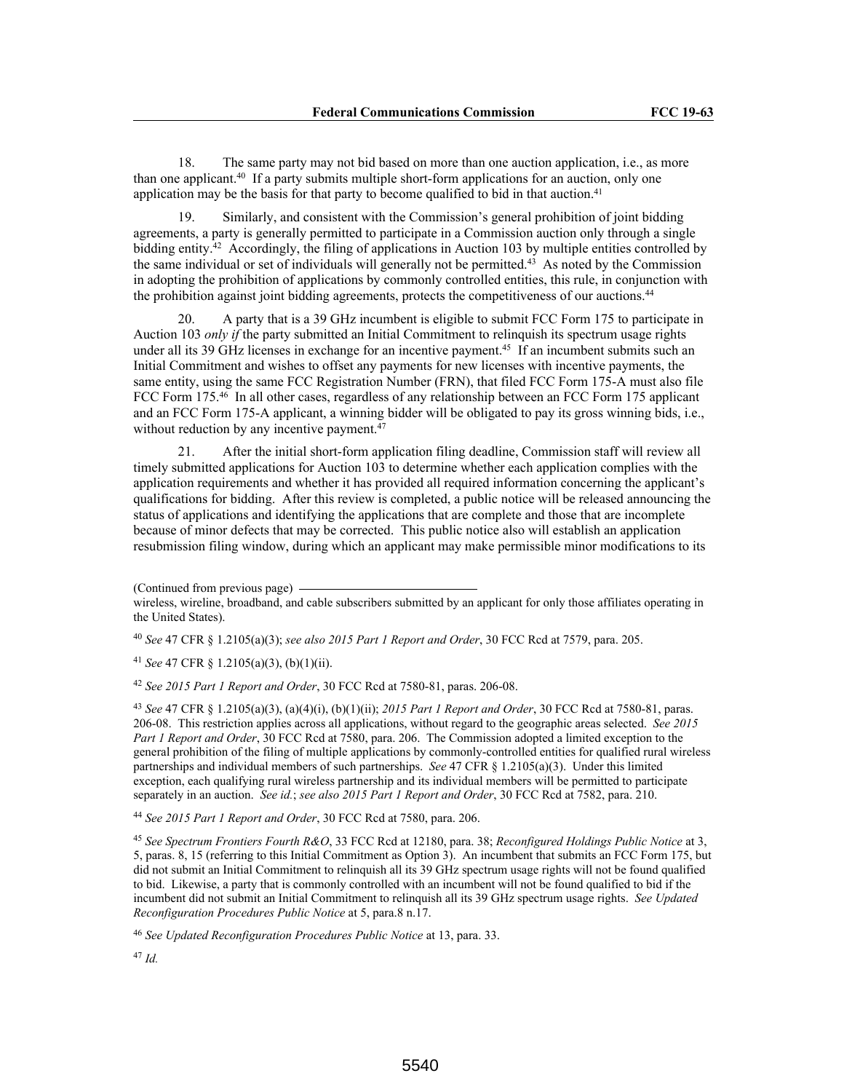18. The same party may not bid based on more than one auction application, i.e., as more than one applicant.<sup>40</sup> If a party submits multiple short-form applications for an auction, only one application may be the basis for that party to become qualified to bid in that auction. $41$ 

19. Similarly, and consistent with the Commission's general prohibition of joint bidding agreements, a party is generally permitted to participate in a Commission auction only through a single bidding entity.<sup>42</sup> Accordingly, the filing of applications in Auction 103 by multiple entities controlled by the same individual or set of individuals will generally not be permitted.<sup>43</sup> As noted by the Commission in adopting the prohibition of applications by commonly controlled entities, this rule, in conjunction with the prohibition against joint bidding agreements, protects the competitiveness of our auctions.<sup>44</sup>

20. A party that is a 39 GHz incumbent is eligible to submit FCC Form 175 to participate in Auction 103 *only if* the party submitted an Initial Commitment to relinquish its spectrum usage rights under all its 39 GHz licenses in exchange for an incentive payment.<sup>45</sup> If an incumbent submits such an Initial Commitment and wishes to offset any payments for new licenses with incentive payments, the same entity, using the same FCC Registration Number (FRN), that filed FCC Form 175-A must also file FCC Form 175.<sup>46</sup> In all other cases, regardless of any relationship between an FCC Form 175 applicant and an FCC Form 175-A applicant, a winning bidder will be obligated to pay its gross winning bids, i.e., without reduction by any incentive payment.<sup>47</sup>

21. After the initial short-form application filing deadline, Commission staff will review all timely submitted applications for Auction 103 to determine whether each application complies with the application requirements and whether it has provided all required information concerning the applicant's qualifications for bidding. After this review is completed, a public notice will be released announcing the status of applications and identifying the applications that are complete and those that are incomplete because of minor defects that may be corrected. This public notice also will establish an application resubmission filing window, during which an applicant may make permissible minor modifications to its

<sup>40</sup> *See* 47 CFR § 1.2105(a)(3); *see also 2015 Part 1 Report and Order*, 30 FCC Rcd at 7579, para. 205.

<sup>41</sup> *See* 47 CFR § 1.2105(a)(3), (b)(1)(ii).

<sup>42</sup> *See 2015 Part 1 Report and Order*, 30 FCC Rcd at 7580-81, paras. 206-08.

<sup>43</sup> *See* 47 CFR § 1.2105(a)(3), (a)(4)(i), (b)(1)(ii); *2015 Part 1 Report and Order*, 30 FCC Rcd at 7580-81, paras. 206-08. This restriction applies across all applications, without regard to the geographic areas selected. *See 2015 Part 1 Report and Order*, 30 FCC Rcd at 7580, para. 206. The Commission adopted a limited exception to the general prohibition of the filing of multiple applications by commonly-controlled entities for qualified rural wireless partnerships and individual members of such partnerships. *See* 47 CFR § 1.2105(a)(3). Under this limited exception, each qualifying rural wireless partnership and its individual members will be permitted to participate separately in an auction. *See id.*; *see also 2015 Part 1 Report and Order*, 30 FCC Rcd at 7582, para. 210.

<sup>44</sup> *See 2015 Part 1 Report and Order*, 30 FCC Rcd at 7580, para. 206.

<sup>45</sup> *See Spectrum Frontiers Fourth R&O*, 33 FCC Rcd at 12180, para. 38; *Reconfigured Holdings Public Notice* at 3, 5, paras. 8, 15 (referring to this Initial Commitment as Option 3). An incumbent that submits an FCC Form 175, but did not submit an Initial Commitment to relinquish all its 39 GHz spectrum usage rights will not be found qualified to bid. Likewise, a party that is commonly controlled with an incumbent will not be found qualified to bid if the incumbent did not submit an Initial Commitment to relinquish all its 39 GHz spectrum usage rights. *See Updated Reconfiguration Procedures Public Notice* at 5, para.8 n.17.

<sup>46</sup> *See Updated Reconfiguration Procedures Public Notice* at 13, para. 33.

<sup>47</sup> *Id.*

<sup>(</sup>Continued from previous page)

wireless, wireline, broadband, and cable subscribers submitted by an applicant for only those affiliates operating in the United States).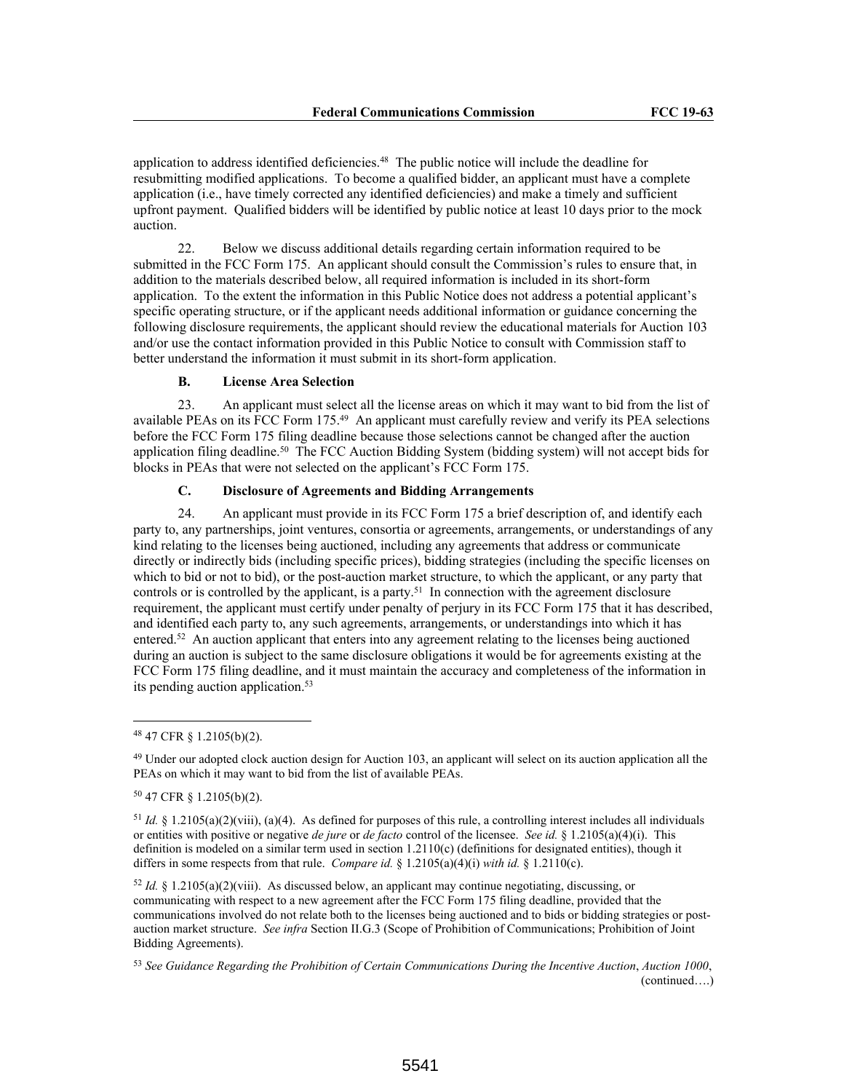application to address identified deficiencies.<sup>48</sup> The public notice will include the deadline for resubmitting modified applications. To become a qualified bidder, an applicant must have a complete application (i.e., have timely corrected any identified deficiencies) and make a timely and sufficient upfront payment. Qualified bidders will be identified by public notice at least 10 days prior to the mock auction.

22. Below we discuss additional details regarding certain information required to be submitted in the FCC Form 175. An applicant should consult the Commission's rules to ensure that, in addition to the materials described below, all required information is included in its short-form application. To the extent the information in this Public Notice does not address a potential applicant's specific operating structure, or if the applicant needs additional information or guidance concerning the following disclosure requirements, the applicant should review the educational materials for Auction 103 and/or use the contact information provided in this Public Notice to consult with Commission staff to better understand the information it must submit in its short-form application.

### **B. License Area Selection**

23. An applicant must select all the license areas on which it may want to bid from the list of available PEAs on its FCC Form 175.<sup>49</sup> An applicant must carefully review and verify its PEA selections before the FCC Form 175 filing deadline because those selections cannot be changed after the auction application filing deadline.<sup>50</sup> The FCC Auction Bidding System (bidding system) will not accept bids for blocks in PEAs that were not selected on the applicant's FCC Form 175.

### **C. Disclosure of Agreements and Bidding Arrangements**

24. An applicant must provide in its FCC Form 175 a brief description of, and identify each party to, any partnerships, joint ventures, consortia or agreements, arrangements, or understandings of any kind relating to the licenses being auctioned, including any agreements that address or communicate directly or indirectly bids (including specific prices), bidding strategies (including the specific licenses on which to bid or not to bid), or the post-auction market structure, to which the applicant, or any party that controls or is controlled by the applicant, is a party.<sup>51</sup> In connection with the agreement disclosure requirement, the applicant must certify under penalty of perjury in its FCC Form 175 that it has described, and identified each party to, any such agreements, arrangements, or understandings into which it has entered.<sup>52</sup> An auction applicant that enters into any agreement relating to the licenses being auctioned during an auction is subject to the same disclosure obligations it would be for agreements existing at the FCC Form 175 filing deadline, and it must maintain the accuracy and completeness of the information in its pending auction application.<sup>53</sup>

<sup>52</sup> *Id.* § 1.2105(a)(2)(viii). As discussed below, an applicant may continue negotiating, discussing, or communicating with respect to a new agreement after the FCC Form 175 filing deadline, provided that the communications involved do not relate both to the licenses being auctioned and to bids or bidding strategies or postauction market structure. *See infra* Section II.G.3 (Scope of Prohibition of Communications; Prohibition of Joint Bidding Agreements).

<sup>53</sup> *See Guidance Regarding the Prohibition of Certain Communications During the Incentive Auction*, *Auction 1000*, (continued….)

<sup>48</sup> 47 CFR § 1.2105(b)(2).

 $49$  Under our adopted clock auction design for Auction 103, an applicant will select on its auction application all the PEAs on which it may want to bid from the list of available PEAs.

<sup>50</sup> 47 CFR § 1.2105(b)(2).

 $51$  *Id.* § 1.2105(a)(2)(viii), (a)(4). As defined for purposes of this rule, a controlling interest includes all individuals or entities with positive or negative *de jure* or *de facto* control of the licensee. *See id.* § 1.2105(a)(4)(i). This definition is modeled on a similar term used in section 1.2110(c) (definitions for designated entities), though it differs in some respects from that rule. *Compare id.* § 1.2105(a)(4)(i) *with id.* § 1.2110(c).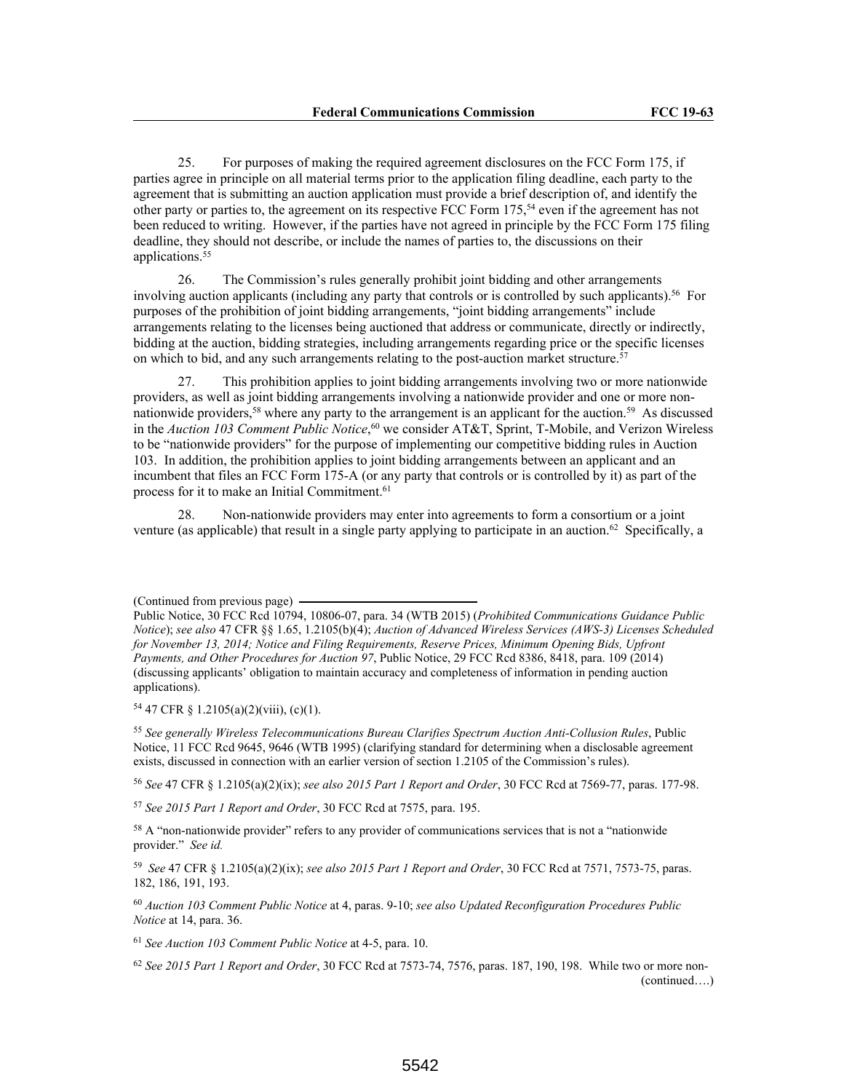25. For purposes of making the required agreement disclosures on the FCC Form 175, if parties agree in principle on all material terms prior to the application filing deadline, each party to the agreement that is submitting an auction application must provide a brief description of, and identify the other party or parties to, the agreement on its respective FCC Form  $175<sup>54</sup>$  even if the agreement has not been reduced to writing. However, if the parties have not agreed in principle by the FCC Form 175 filing deadline, they should not describe, or include the names of parties to, the discussions on their applications.<sup>55</sup>

26. The Commission's rules generally prohibit joint bidding and other arrangements involving auction applicants (including any party that controls or is controlled by such applicants).<sup>56</sup> For purposes of the prohibition of joint bidding arrangements, "joint bidding arrangements" include arrangements relating to the licenses being auctioned that address or communicate, directly or indirectly, bidding at the auction, bidding strategies, including arrangements regarding price or the specific licenses on which to bid, and any such arrangements relating to the post-auction market structure.<sup>57</sup>

27. This prohibition applies to joint bidding arrangements involving two or more nationwide providers, as well as joint bidding arrangements involving a nationwide provider and one or more nonnationwide providers,<sup>58</sup> where any party to the arrangement is an applicant for the auction.<sup>59</sup> As discussed in the *Auction 103 Comment Public Notice*, <sup>60</sup> we consider AT&T, Sprint, T-Mobile, and Verizon Wireless to be "nationwide providers" for the purpose of implementing our competitive bidding rules in Auction 103. In addition, the prohibition applies to joint bidding arrangements between an applicant and an incumbent that files an FCC Form 175-A (or any party that controls or is controlled by it) as part of the process for it to make an Initial Commitment.<sup>61</sup>

28. Non-nationwide providers may enter into agreements to form a consortium or a joint venture (as applicable) that result in a single party applying to participate in an auction.<sup>62</sup> Specifically, a

<sup>54</sup> 47 CFR § 1.2105(a)(2)(viii), (c)(1).

<sup>55</sup> *See generally Wireless Telecommunications Bureau Clarifies Spectrum Auction Anti-Collusion Rules*, Public Notice, 11 FCC Rcd 9645, 9646 (WTB 1995) (clarifying standard for determining when a disclosable agreement exists, discussed in connection with an earlier version of section 1.2105 of the Commission's rules).

<sup>56</sup> *See* 47 CFR § 1.2105(a)(2)(ix); *see also 2015 Part 1 Report and Order*, 30 FCC Rcd at 7569-77, paras. 177-98.

<sup>57</sup> *See 2015 Part 1 Report and Order*, 30 FCC Rcd at 7575, para. 195.

<sup>58</sup> A "non-nationwide provider" refers to any provider of communications services that is not a "nationwide provider." *See id.*

<sup>59</sup> *See* 47 CFR § 1.2105(a)(2)(ix); *see also 2015 Part 1 Report and Order*, 30 FCC Rcd at 7571, 7573-75, paras. 182, 186, 191, 193.

<sup>60</sup> *Auction 103 Comment Public Notice* at 4, paras. 9-10; *see also Updated Reconfiguration Procedures Public Notice* at 14, para. 36.

<sup>61</sup> *See Auction 103 Comment Public Notice* at 4-5, para. 10.

<sup>62</sup> *See 2015 Part 1 Report and Order*, 30 FCC Rcd at 7573-74, 7576, paras. 187, 190, 198. While two or more non- (continued….)

<sup>(</sup>Continued from previous page)

Public Notice, 30 FCC Rcd 10794, 10806-07, para. 34 (WTB 2015) (*Prohibited Communications Guidance Public Notice*); *see also* 47 CFR §§ 1.65, 1.2105(b)(4); *Auction of Advanced Wireless Services (AWS-3) Licenses Scheduled for November 13, 2014; Notice and Filing Requirements, Reserve Prices, Minimum Opening Bids, Upfront Payments, and Other Procedures for Auction 97*, Public Notice, 29 FCC Rcd 8386, 8418, para. 109 (2014) (discussing applicants' obligation to maintain accuracy and completeness of information in pending auction applications).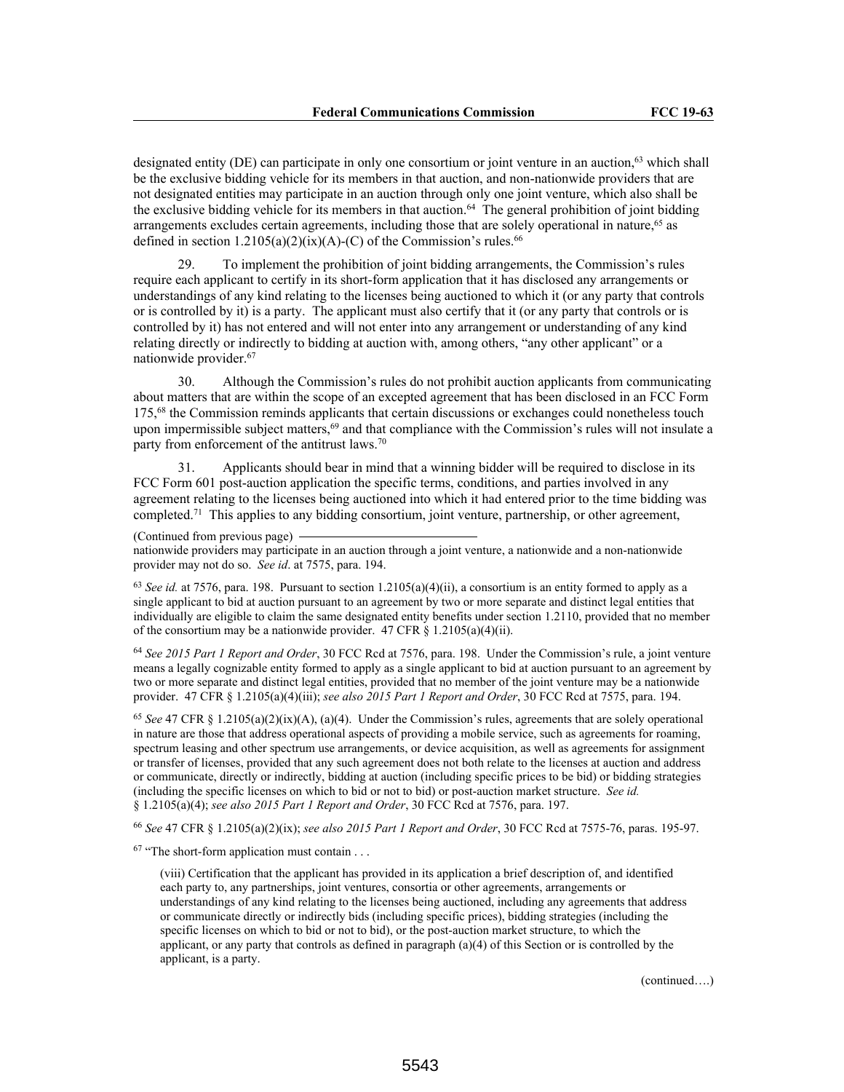designated entity (DE) can participate in only one consortium or joint venture in an auction,<sup>63</sup> which shall be the exclusive bidding vehicle for its members in that auction, and non-nationwide providers that are not designated entities may participate in an auction through only one joint venture, which also shall be the exclusive bidding vehicle for its members in that auction. $64$  The general prohibition of joint bidding arrangements excludes certain agreements, including those that are solely operational in nature,<sup>65</sup> as defined in section  $1.2105(a)(2)(ix)(A)-(C)$  of the Commission's rules.<sup>66</sup>

29. To implement the prohibition of joint bidding arrangements, the Commission's rules require each applicant to certify in its short-form application that it has disclosed any arrangements or understandings of any kind relating to the licenses being auctioned to which it (or any party that controls or is controlled by it) is a party. The applicant must also certify that it (or any party that controls or is controlled by it) has not entered and will not enter into any arrangement or understanding of any kind relating directly or indirectly to bidding at auction with, among others, "any other applicant" or a nationwide provider.<sup>67</sup>

30. Although the Commission's rules do not prohibit auction applicants from communicating about matters that are within the scope of an excepted agreement that has been disclosed in an FCC Form 175,<sup>68</sup> the Commission reminds applicants that certain discussions or exchanges could nonetheless touch upon impermissible subject matters,<sup>69</sup> and that compliance with the Commission's rules will not insulate a party from enforcement of the antitrust laws.<sup>70</sup>

31. Applicants should bear in mind that a winning bidder will be required to disclose in its FCC Form 601 post-auction application the specific terms, conditions, and parties involved in any agreement relating to the licenses being auctioned into which it had entered prior to the time bidding was completed.<sup>71</sup> This applies to any bidding consortium, joint venture, partnership, or other agreement,

```
(Continued from previous page)
```
nationwide providers may participate in an auction through a joint venture, a nationwide and a non-nationwide provider may not do so. *See id*. at 7575, para. 194.

<sup>63</sup> *See id.* at 7576, para. 198. Pursuant to section  $1.2105(a)(4)(ii)$ , a consortium is an entity formed to apply as a single applicant to bid at auction pursuant to an agreement by two or more separate and distinct legal entities that individually are eligible to claim the same designated entity benefits under section 1.2110, provided that no member of the consortium may be a nationwide provider.  $47 \text{ CFR } \frac{8}{9}$  1.2105(a)(4)(ii).

<sup>64</sup> *See 2015 Part 1 Report and Order*, 30 FCC Rcd at 7576, para. 198. Under the Commission's rule, a joint venture means a legally cognizable entity formed to apply as a single applicant to bid at auction pursuant to an agreement by two or more separate and distinct legal entities, provided that no member of the joint venture may be a nationwide provider. 47 CFR § 1.2105(a)(4)(iii); *see also 2015 Part 1 Report and Order*, 30 FCC Rcd at 7575, para. 194.

<sup>65</sup> *See* 47 CFR § 1.2105(a)(2)(ix)(A), (a)(4). Under the Commission's rules, agreements that are solely operational in nature are those that address operational aspects of providing a mobile service, such as agreements for roaming, spectrum leasing and other spectrum use arrangements, or device acquisition, as well as agreements for assignment or transfer of licenses, provided that any such agreement does not both relate to the licenses at auction and address or communicate, directly or indirectly, bidding at auction (including specific prices to be bid) or bidding strategies (including the specific licenses on which to bid or not to bid) or post-auction market structure. *See id.*  § 1.2105(a)(4); *see also 2015 Part 1 Report and Order*, 30 FCC Rcd at 7576, para. 197.

<sup>66</sup> *See* 47 CFR § 1.2105(a)(2)(ix); *see also 2015 Part 1 Report and Order*, 30 FCC Rcd at 7575-76, paras. 195-97.

 $67$  "The short-form application must contain . . .

(viii) Certification that the applicant has provided in its application a brief description of, and identified each party to, any partnerships, joint ventures, consortia or other agreements, arrangements or understandings of any kind relating to the licenses being auctioned, including any agreements that address or communicate directly or indirectly bids (including specific prices), bidding strategies (including the specific licenses on which to bid or not to bid), or the post-auction market structure, to which the applicant, or any party that controls as defined in paragraph (a)(4) of this Section or is controlled by the applicant, is a party.

(continued….)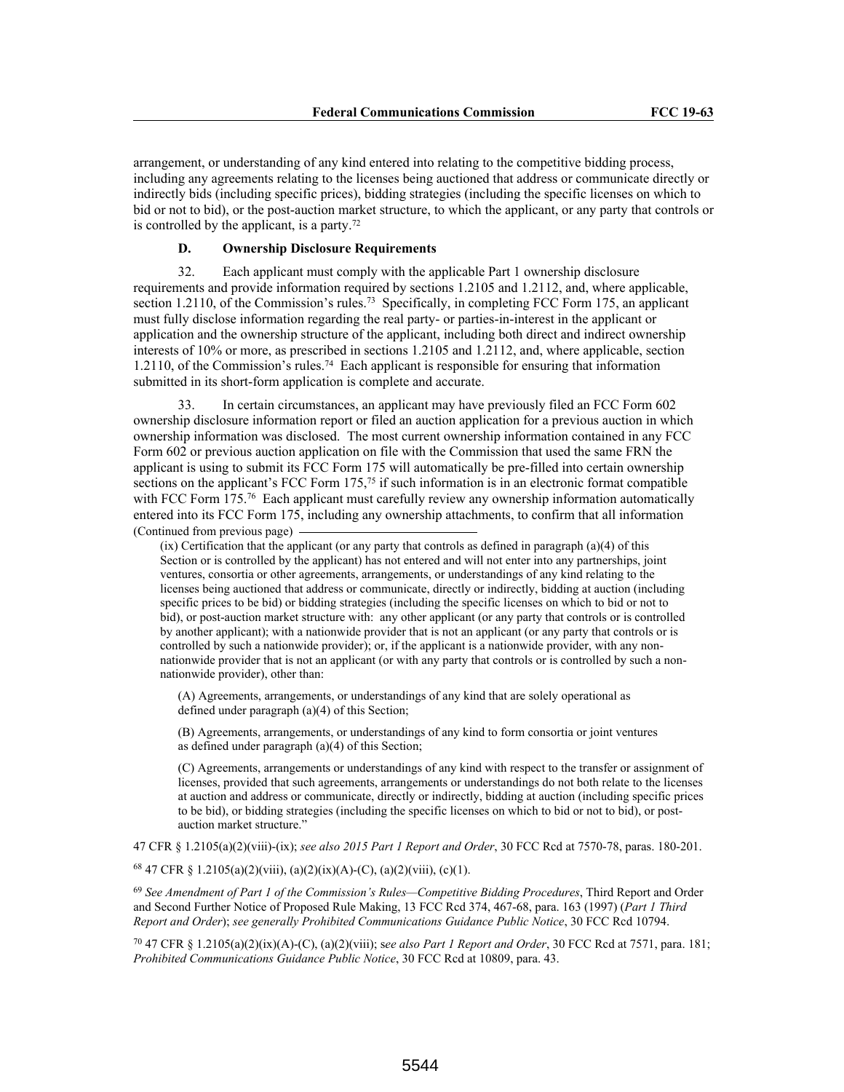arrangement, or understanding of any kind entered into relating to the competitive bidding process, including any agreements relating to the licenses being auctioned that address or communicate directly or indirectly bids (including specific prices), bidding strategies (including the specific licenses on which to bid or not to bid), or the post-auction market structure, to which the applicant, or any party that controls or is controlled by the applicant, is a party.<sup>72</sup>

# **D. Ownership Disclosure Requirements**

32. Each applicant must comply with the applicable Part 1 ownership disclosure requirements and provide information required by sections 1.2105 and 1.2112, and, where applicable, section 1.2110, of the Commission's rules.<sup>73</sup> Specifically, in completing FCC Form 175, an applicant must fully disclose information regarding the real party- or parties-in-interest in the applicant or application and the ownership structure of the applicant, including both direct and indirect ownership interests of 10% or more, as prescribed in sections 1.2105 and 1.2112, and, where applicable, section 1.2110, of the Commission's rules.<sup>74</sup> Each applicant is responsible for ensuring that information submitted in its short-form application is complete and accurate.

In certain circumstances, an applicant may have previously filed an FCC Form 602 ownership disclosure information report or filed an auction application for a previous auction in which ownership information was disclosed. The most current ownership information contained in any FCC Form 602 or previous auction application on file with the Commission that used the same FRN the applicant is using to submit its FCC Form 175 will automatically be pre-filled into certain ownership sections on the applicant's FCC Form 175,<sup>75</sup> if such information is in an electronic format compatible with FCC Form 175.<sup>76</sup> Each applicant must carefully review any ownership information automatically entered into its FCC Form 175, including any ownership attachments, to confirm that all information (Continued from previous page)

(ix) Certification that the applicant (or any party that controls as defined in paragraph (a)(4) of this Section or is controlled by the applicant) has not entered and will not enter into any partnerships, joint ventures, consortia or other agreements, arrangements, or understandings of any kind relating to the licenses being auctioned that address or communicate, directly or indirectly, bidding at auction (including specific prices to be bid) or bidding strategies (including the specific licenses on which to bid or not to bid), or post-auction market structure with: any other applicant (or any party that controls or is controlled by another applicant); with a nationwide provider that is not an applicant (or any party that controls or is controlled by such a nationwide provider); or, if the applicant is a nationwide provider, with any nonnationwide provider that is not an applicant (or with any party that controls or is controlled by such a nonnationwide provider), other than:

(A) Agreements, arrangements, or understandings of any kind that are solely operational as defined under paragraph (a)(4) of this Section;

(B) Agreements, arrangements, or understandings of any kind to form consortia or joint ventures as defined under paragraph (a)(4) of this Section;

(C) Agreements, arrangements or understandings of any kind with respect to the transfer or assignment of licenses, provided that such agreements, arrangements or understandings do not both relate to the licenses at auction and address or communicate, directly or indirectly, bidding at auction (including specific prices to be bid), or bidding strategies (including the specific licenses on which to bid or not to bid), or postauction market structure."

47 CFR § 1.2105(a)(2)(viii)-(ix); *see also 2015 Part 1 Report and Order*, 30 FCC Rcd at 7570-78, paras. 180-201.

<sup>68</sup> 47 CFR § 1.2105(a)(2)(viii), (a)(2)(ix)(A)-(C), (a)(2)(viii), (c)(1).

<sup>69</sup> *See Amendment of Part 1 of the Commission's Rules—Competitive Bidding Procedures*, Third Report and Order and Second Further Notice of Proposed Rule Making, 13 FCC Rcd 374, 467-68, para. 163 (1997) (*Part 1 Third Report and Order*); *see generally Prohibited Communications Guidance Public Notice*, 30 FCC Rcd 10794.

<sup>70</sup> 47 CFR § 1.2105(a)(2)(ix)(A)-(C), (a)(2)(viii); s*ee also Part 1 Report and Order*, 30 FCC Rcd at 7571, para. 181; *Prohibited Communications Guidance Public Notice*, 30 FCC Rcd at 10809, para. 43.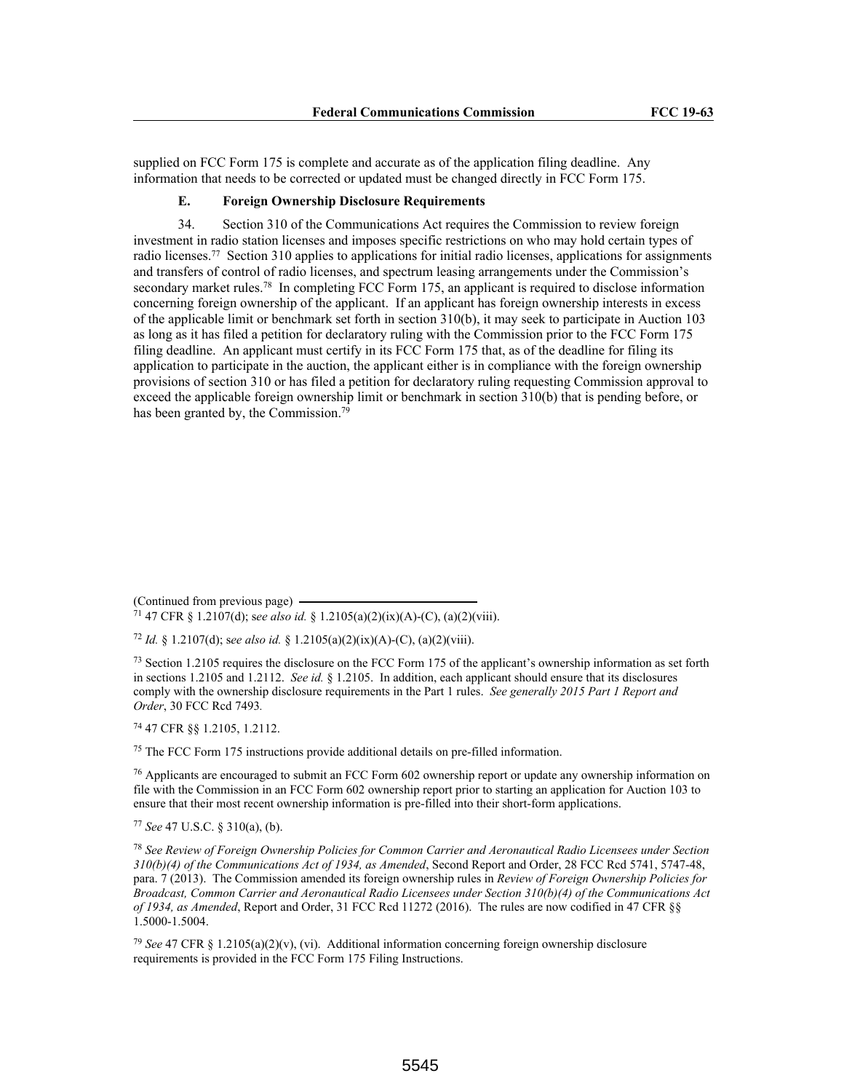supplied on FCC Form 175 is complete and accurate as of the application filing deadline. Any information that needs to be corrected or updated must be changed directly in FCC Form 175.

## **E. Foreign Ownership Disclosure Requirements**

34. Section 310 of the Communications Act requires the Commission to review foreign investment in radio station licenses and imposes specific restrictions on who may hold certain types of radio licenses.<sup>77</sup> Section 310 applies to applications for initial radio licenses, applications for assignments and transfers of control of radio licenses, and spectrum leasing arrangements under the Commission's secondary market rules.<sup>78</sup> In completing FCC Form 175, an applicant is required to disclose information concerning foreign ownership of the applicant. If an applicant has foreign ownership interests in excess of the applicable limit or benchmark set forth in section 310(b), it may seek to participate in Auction 103 as long as it has filed a petition for declaratory ruling with the Commission prior to the FCC Form 175 filing deadline. An applicant must certify in its FCC Form 175 that, as of the deadline for filing its application to participate in the auction, the applicant either is in compliance with the foreign ownership provisions of section 310 or has filed a petition for declaratory ruling requesting Commission approval to exceed the applicable foreign ownership limit or benchmark in section 310(b) that is pending before, or has been granted by, the Commission.<sup>79</sup>

(Continued from previous page)

<sup>71</sup> 47 CFR § 1.2107(d); s*ee also id.* § 1.2105(a)(2)(ix)(A)-(C), (a)(2)(viii).

<sup>72</sup> *Id.* § 1.2107(d); s*ee also id.* § 1.2105(a)(2)(ix)(A)-(C), (a)(2)(viii).

<sup>73</sup> Section 1.2105 requires the disclosure on the FCC Form 175 of the applicant's ownership information as set forth in sections 1.2105 and 1.2112. *See id.* § 1.2105. In addition, each applicant should ensure that its disclosures comply with the ownership disclosure requirements in the Part 1 rules. *See generally 2015 Part 1 Report and Order*, 30 FCC Rcd 7493*.*

<sup>74</sup> 47 CFR §§ 1.2105, 1.2112.

<sup>75</sup> The FCC Form 175 instructions provide additional details on pre-filled information.

<sup>76</sup> Applicants are encouraged to submit an FCC Form 602 ownership report or update any ownership information on file with the Commission in an FCC Form 602 ownership report prior to starting an application for Auction 103 to ensure that their most recent ownership information is pre-filled into their short-form applications.

<sup>77</sup> *See* 47 U.S.C. § 310(a), (b).

<sup>78</sup> *See Review of Foreign Ownership Policies for Common Carrier and Aeronautical Radio Licensees under Section 310(b)(4) of the Communications Act of 1934, as Amended*, Second Report and Order, 28 FCC Rcd 5741, 5747-48, para. 7 (2013). The Commission amended its foreign ownership rules in *Review of Foreign Ownership Policies for Broadcast, Common Carrier and Aeronautical Radio Licensees under Section 310(b)(4) of the Communications Act of 1934, as Amended*, Report and Order, 31 FCC Rcd 11272 (2016). The rules are now codified in 47 CFR §§ 1.5000-1.5004.

<sup>79</sup> *See* 47 CFR § 1.2105(a)(2)(v), (vi). Additional information concerning foreign ownership disclosure requirements is provided in the FCC Form 175 Filing Instructions.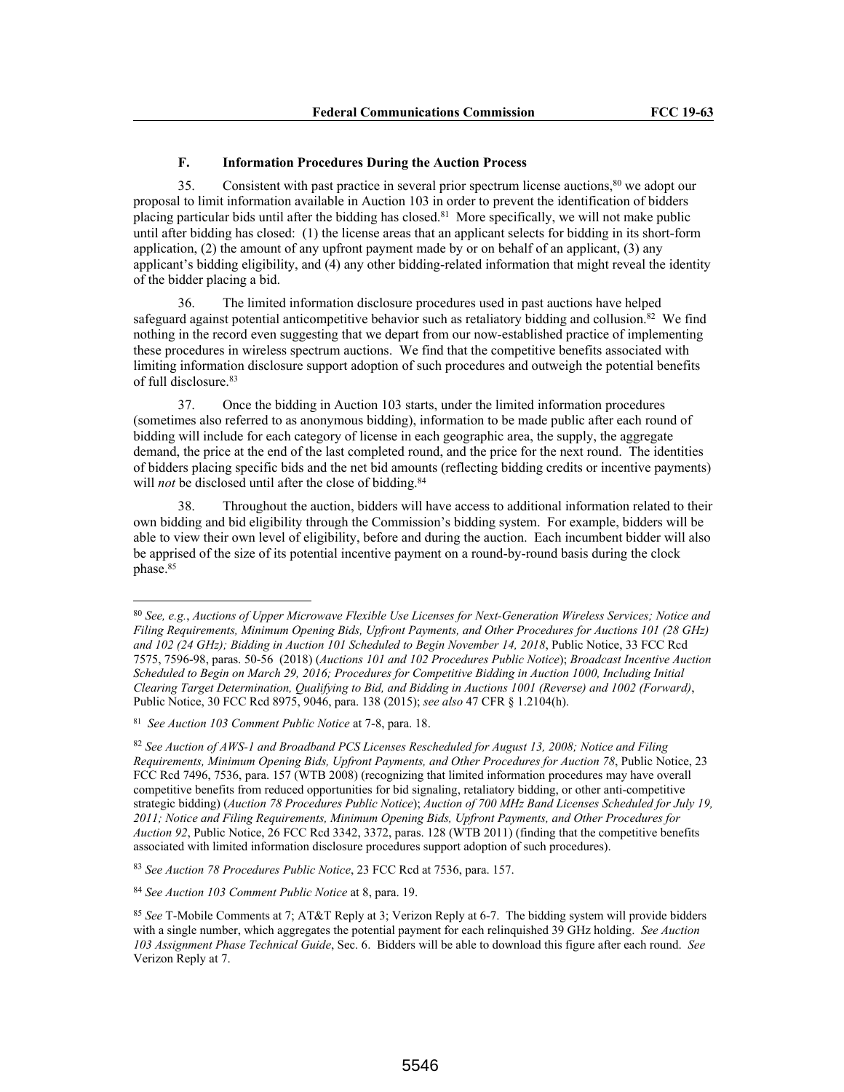### **F. Information Procedures During the Auction Process**

35. Consistent with past practice in several prior spectrum license auctions,<sup>80</sup> we adopt our proposal to limit information available in Auction 103 in order to prevent the identification of bidders placing particular bids until after the bidding has closed.<sup>81</sup> More specifically, we will not make public until after bidding has closed: (1) the license areas that an applicant selects for bidding in its short-form application, (2) the amount of any upfront payment made by or on behalf of an applicant, (3) any applicant's bidding eligibility, and (4) any other bidding-related information that might reveal the identity of the bidder placing a bid.

36. The limited information disclosure procedures used in past auctions have helped safeguard against potential anticompetitive behavior such as retaliatory bidding and collusion.<sup>82</sup> We find nothing in the record even suggesting that we depart from our now-established practice of implementing these procedures in wireless spectrum auctions. We find that the competitive benefits associated with limiting information disclosure support adoption of such procedures and outweigh the potential benefits of full disclosure.<sup>83</sup>

37. Once the bidding in Auction 103 starts, under the limited information procedures (sometimes also referred to as anonymous bidding), information to be made public after each round of bidding will include for each category of license in each geographic area, the supply, the aggregate demand, the price at the end of the last completed round, and the price for the next round. The identities of bidders placing specific bids and the net bid amounts (reflecting bidding credits or incentive payments) will *not* be disclosed until after the close of bidding.<sup>84</sup>

38. Throughout the auction, bidders will have access to additional information related to their own bidding and bid eligibility through the Commission's bidding system. For example, bidders will be able to view their own level of eligibility, before and during the auction. Each incumbent bidder will also be apprised of the size of its potential incentive payment on a round-by-round basis during the clock phase.<sup>85</sup>

81 *See Auction 103 Comment Public Notice* at 7-8, para. 18.

<sup>83</sup> *See Auction 78 Procedures Public Notice*, 23 FCC Rcd at 7536, para. 157.

<sup>84</sup> *See Auction 103 Comment Public Notice* at 8, para. 19.

<sup>80</sup> *See, e.g.*, *Auctions of Upper Microwave Flexible Use Licenses for Next-Generation Wireless Services; Notice and Filing Requirements, Minimum Opening Bids, Upfront Payments, and Other Procedures for Auctions 101 (28 GHz) and 102 (24 GHz); Bidding in Auction 101 Scheduled to Begin November 14, 2018*, Public Notice, 33 FCC Rcd 7575, 7596-98, paras. 50-56 (2018) (*Auctions 101 and 102 Procedures Public Notice*); *Broadcast Incentive Auction Scheduled to Begin on March 29, 2016; Procedures for Competitive Bidding in Auction 1000, Including Initial Clearing Target Determination, Qualifying to Bid, and Bidding in Auctions 1001 (Reverse) and 1002 (Forward)*, Public Notice, 30 FCC Rcd 8975, 9046, para. 138 (2015); *see also* 47 CFR § 1.2104(h).

<sup>82</sup> *See Auction of AWS-1 and Broadband PCS Licenses Rescheduled for August 13, 2008; Notice and Filing Requirements, Minimum Opening Bids, Upfront Payments, and Other Procedures for Auction 78*, Public Notice, 23 FCC Rcd 7496, 7536, para. 157 (WTB 2008) (recognizing that limited information procedures may have overall competitive benefits from reduced opportunities for bid signaling, retaliatory bidding, or other anti-competitive strategic bidding) (*Auction 78 Procedures Public Notice*); *Auction of 700 MHz Band Licenses Scheduled for July 19, 2011; Notice and Filing Requirements, Minimum Opening Bids, Upfront Payments, and Other Procedures for Auction 92*, Public Notice, 26 FCC Rcd 3342, 3372, paras. 128 (WTB 2011) (finding that the competitive benefits associated with limited information disclosure procedures support adoption of such procedures).

<sup>85</sup> *See* T-Mobile Comments at 7; AT&T Reply at 3; Verizon Reply at 6-7. The bidding system will provide bidders with a single number, which aggregates the potential payment for each relinquished 39 GHz holding. *See Auction 103 Assignment Phase Technical Guide*, Sec. 6. Bidders will be able to download this figure after each round. *See*  Verizon Reply at 7.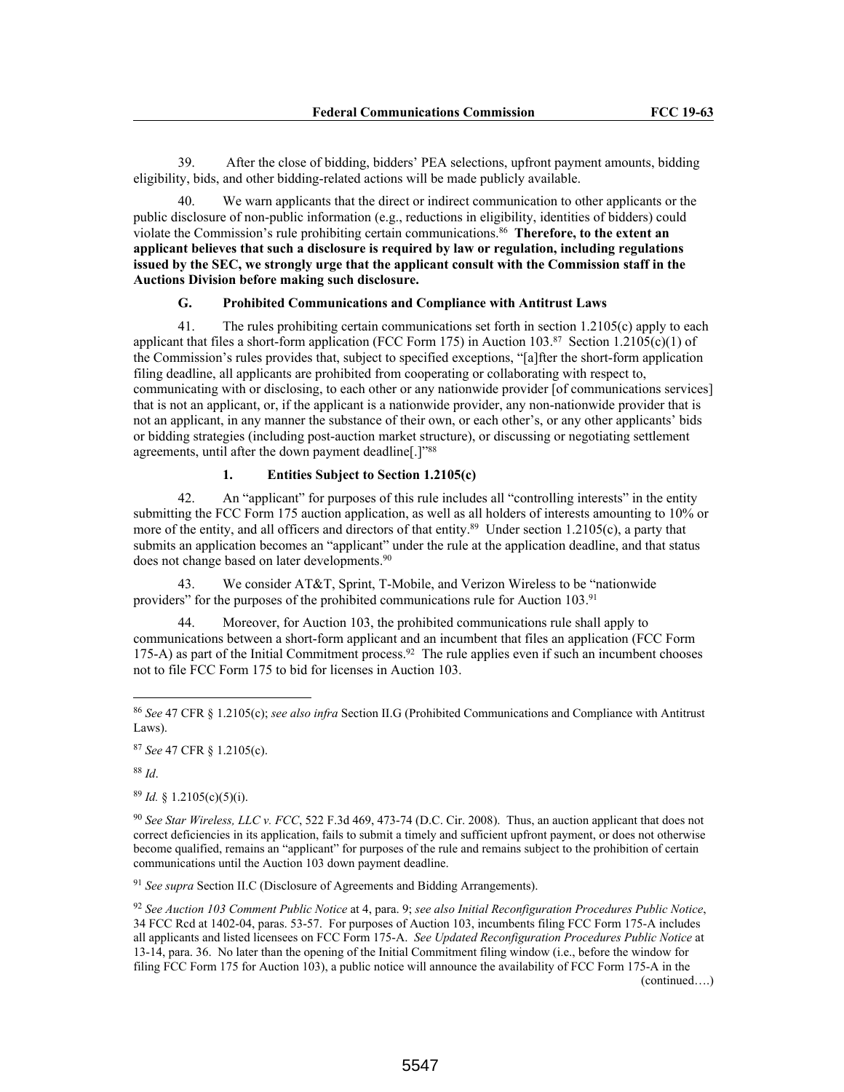39. After the close of bidding, bidders' PEA selections, upfront payment amounts, bidding eligibility, bids, and other bidding-related actions will be made publicly available.

We warn applicants that the direct or indirect communication to other applicants or the public disclosure of non-public information (e.g., reductions in eligibility, identities of bidders) could violate the Commission's rule prohibiting certain communications.<sup>86</sup> **Therefore, to the extent an applicant believes that such a disclosure is required by law or regulation, including regulations issued by the SEC, we strongly urge that the applicant consult with the Commission staff in the Auctions Division before making such disclosure.**

# **G. Prohibited Communications and Compliance with Antitrust Laws**

41. The rules prohibiting certain communications set forth in section 1.2105(c) apply to each applicant that files a short-form application (FCC Form 175) in Auction 103.87 Section 1.2105(c)(1) of the Commission's rules provides that, subject to specified exceptions, "[a]fter the short-form application filing deadline, all applicants are prohibited from cooperating or collaborating with respect to, communicating with or disclosing, to each other or any nationwide provider [of communications services] that is not an applicant, or, if the applicant is a nationwide provider, any non-nationwide provider that is not an applicant, in any manner the substance of their own, or each other's, or any other applicants' bids or bidding strategies (including post-auction market structure), or discussing or negotiating settlement agreements, until after the down payment deadline[.]"<sup>88</sup>

# **1. Entities Subject to Section 1.2105(c)**

42. An "applicant" for purposes of this rule includes all "controlling interests" in the entity submitting the FCC Form 175 auction application, as well as all holders of interests amounting to 10% or more of the entity, and all officers and directors of that entity.<sup>89</sup> Under section 1.2105(c), a party that submits an application becomes an "applicant" under the rule at the application deadline, and that status does not change based on later developments.<sup>90</sup>

43. We consider AT&T, Sprint, T-Mobile, and Verizon Wireless to be "nationwide providers" for the purposes of the prohibited communications rule for Auction 103.<sup>91</sup>

44. Moreover, for Auction 103, the prohibited communications rule shall apply to communications between a short-form applicant and an incumbent that files an application (FCC Form 175-A) as part of the Initial Commitment process.<sup>92</sup> The rule applies even if such an incumbent chooses not to file FCC Form 175 to bid for licenses in Auction 103.

<sup>88</sup> *Id*.

<sup>89</sup> *Id.* § 1.2105(c)(5)(i).

<sup>90</sup> *See Star Wireless, LLC v. FCC*, 522 F.3d 469, 473-74 (D.C. Cir. 2008). Thus, an auction applicant that does not correct deficiencies in its application, fails to submit a timely and sufficient upfront payment, or does not otherwise become qualified, remains an "applicant" for purposes of the rule and remains subject to the prohibition of certain communications until the Auction 103 down payment deadline.

<sup>91</sup> *See supra* Section II.C (Disclosure of Agreements and Bidding Arrangements).

<sup>92</sup> *See Auction 103 Comment Public Notice* at 4, para. 9; *see also Initial Reconfiguration Procedures Public Notice*, 34 FCC Rcd at 1402-04, paras. 53-57. For purposes of Auction 103, incumbents filing FCC Form 175-A includes all applicants and listed licensees on FCC Form 175-A. *See Updated Reconfiguration Procedures Public Notice* at 13-14, para. 36. No later than the opening of the Initial Commitment filing window (i.e., before the window for filing FCC Form 175 for Auction 103), a public notice will announce the availability of FCC Form 175-A in the (continued….)

<sup>86</sup> *See* 47 CFR § 1.2105(c); *see also infra* Section II.G (Prohibited Communications and Compliance with Antitrust Laws).

<sup>87</sup> *See* 47 CFR § 1.2105(c).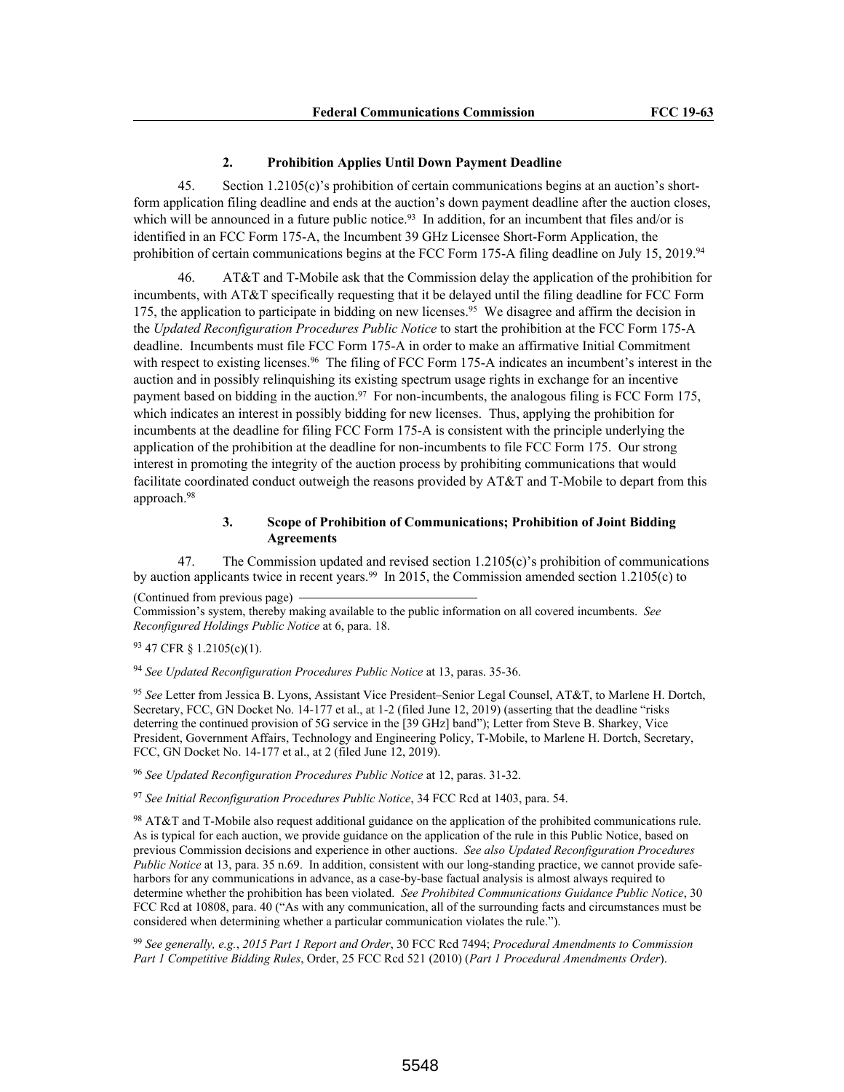### **2. Prohibition Applies Until Down Payment Deadline**

45. Section 1.2105(c)'s prohibition of certain communications begins at an auction's shortform application filing deadline and ends at the auction's down payment deadline after the auction closes, which will be announced in a future public notice.<sup>93</sup> In addition, for an incumbent that files and/or is identified in an FCC Form 175-A, the Incumbent 39 GHz Licensee Short-Form Application, the prohibition of certain communications begins at the FCC Form 175-A filing deadline on July 15, 2019.<sup>94</sup>

46. AT&T and T-Mobile ask that the Commission delay the application of the prohibition for incumbents, with AT&T specifically requesting that it be delayed until the filing deadline for FCC Form 175, the application to participate in bidding on new licenses.<sup>95</sup> We disagree and affirm the decision in the *Updated Reconfiguration Procedures Public Notice* to start the prohibition at the FCC Form 175-A deadline. Incumbents must file FCC Form 175-A in order to make an affirmative Initial Commitment with respect to existing licenses.<sup>96</sup> The filing of FCC Form 175-A indicates an incumbent's interest in the auction and in possibly relinquishing its existing spectrum usage rights in exchange for an incentive payment based on bidding in the auction.<sup>97</sup> For non-incumbents, the analogous filing is FCC Form 175, which indicates an interest in possibly bidding for new licenses. Thus, applying the prohibition for incumbents at the deadline for filing FCC Form 175-A is consistent with the principle underlying the application of the prohibition at the deadline for non-incumbents to file FCC Form 175. Our strong interest in promoting the integrity of the auction process by prohibiting communications that would facilitate coordinated conduct outweigh the reasons provided by AT&T and T-Mobile to depart from this approach.<sup>98</sup>

## **3. Scope of Prohibition of Communications; Prohibition of Joint Bidding Agreements**

47. The Commission updated and revised section 1.2105(c)'s prohibition of communications by auction applicants twice in recent years.<sup>99</sup> In 2015, the Commission amended section 1.2105(c) to

<sup>93</sup> 47 CFR § 1.2105(c)(1).

<sup>94</sup> *See Updated Reconfiguration Procedures Public Notice* at 13, paras. 35-36.

<sup>95</sup> *See* Letter from Jessica B. Lyons, Assistant Vice President–Senior Legal Counsel, AT&T, to Marlene H. Dortch, Secretary, FCC, GN Docket No. 14-177 et al., at 1-2 (filed June 12, 2019) (asserting that the deadline "risks deterring the continued provision of 5G service in the [39 GHz] band"); Letter from Steve B. Sharkey, Vice President, Government Affairs, Technology and Engineering Policy, T-Mobile, to Marlene H. Dortch, Secretary, FCC, GN Docket No. 14-177 et al., at 2 (filed June 12, 2019).

<sup>96</sup> *See Updated Reconfiguration Procedures Public Notice* at 12, paras. 31-32.

<sup>97</sup> *See Initial Reconfiguration Procedures Public Notice*, 34 FCC Rcd at 1403, para. 54.

<sup>98</sup> AT&T and T-Mobile also request additional guidance on the application of the prohibited communications rule. As is typical for each auction, we provide guidance on the application of the rule in this Public Notice, based on previous Commission decisions and experience in other auctions. *See also Updated Reconfiguration Procedures Public Notice* at 13, para. 35 n.69. In addition, consistent with our long-standing practice, we cannot provide safeharbors for any communications in advance, as a case-by-base factual analysis is almost always required to determine whether the prohibition has been violated. *See Prohibited Communications Guidance Public Notice*, 30 FCC Rcd at 10808, para. 40 ("As with any communication, all of the surrounding facts and circumstances must be considered when determining whether a particular communication violates the rule.").

<sup>99</sup> *See generally, e.g.*, *2015 Part 1 Report and Order*, 30 FCC Rcd 7494; *Procedural Amendments to Commission Part 1 Competitive Bidding Rules*, Order, 25 FCC Rcd 521 (2010) (*Part 1 Procedural Amendments Order*).

<sup>(</sup>Continued from previous page)

Commission's system, thereby making available to the public information on all covered incumbents. *See Reconfigured Holdings Public Notice* at 6, para. 18.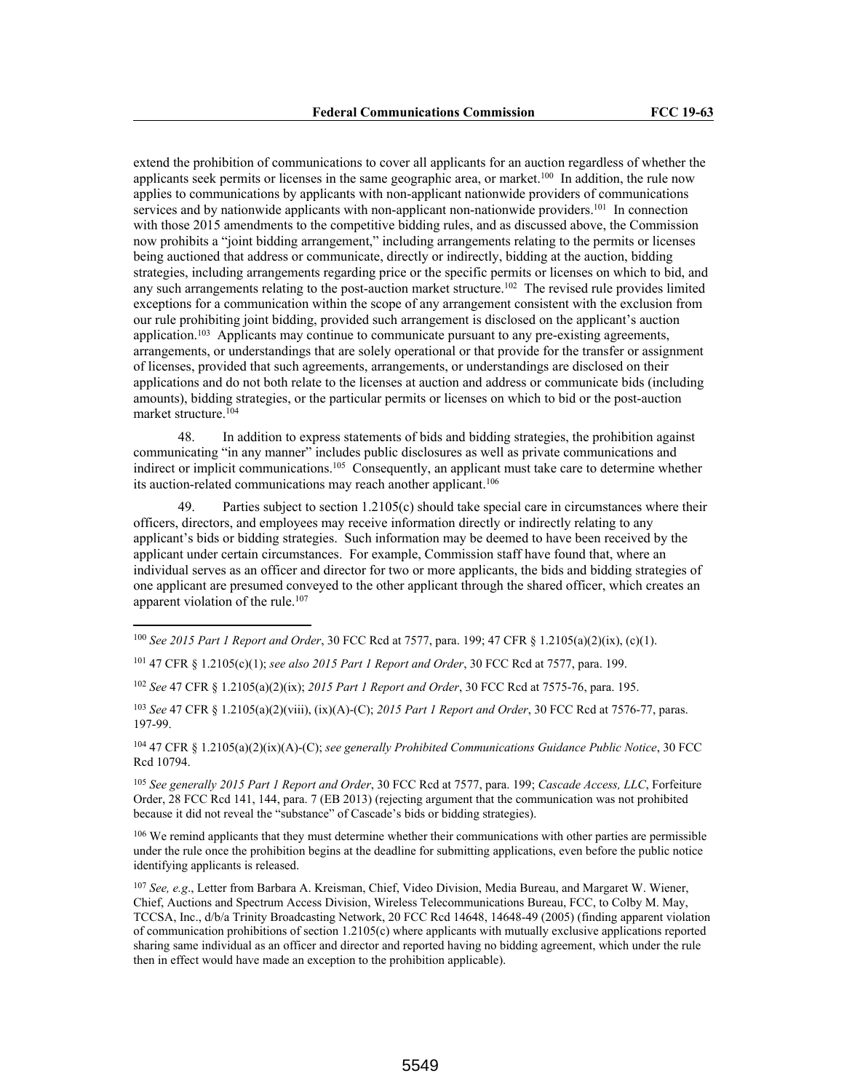extend the prohibition of communications to cover all applicants for an auction regardless of whether the applicants seek permits or licenses in the same geographic area, or market.<sup>100</sup> In addition, the rule now applies to communications by applicants with non-applicant nationwide providers of communications services and by nationwide applicants with non-applicant non-nationwide providers.<sup>101</sup> In connection with those 2015 amendments to the competitive bidding rules, and as discussed above, the Commission now prohibits a "joint bidding arrangement," including arrangements relating to the permits or licenses being auctioned that address or communicate, directly or indirectly, bidding at the auction, bidding strategies, including arrangements regarding price or the specific permits or licenses on which to bid, and any such arrangements relating to the post-auction market structure.<sup>102</sup> The revised rule provides limited exceptions for a communication within the scope of any arrangement consistent with the exclusion from our rule prohibiting joint bidding, provided such arrangement is disclosed on the applicant's auction application.<sup>103</sup> Applicants may continue to communicate pursuant to any pre-existing agreements, arrangements, or understandings that are solely operational or that provide for the transfer or assignment of licenses, provided that such agreements, arrangements, or understandings are disclosed on their applications and do not both relate to the licenses at auction and address or communicate bids (including amounts), bidding strategies, or the particular permits or licenses on which to bid or the post-auction market structure.<sup>104</sup>

48. In addition to express statements of bids and bidding strategies, the prohibition against communicating "in any manner" includes public disclosures as well as private communications and indirect or implicit communications.<sup>105</sup> Consequently, an applicant must take care to determine whether its auction-related communications may reach another applicant.<sup>106</sup>

Parties subject to section  $1.2105(c)$  should take special care in circumstances where their officers, directors, and employees may receive information directly or indirectly relating to any applicant's bids or bidding strategies. Such information may be deemed to have been received by the applicant under certain circumstances. For example, Commission staff have found that, where an individual serves as an officer and director for two or more applicants, the bids and bidding strategies of one applicant are presumed conveyed to the other applicant through the shared officer, which creates an apparent violation of the rule.<sup>107</sup>

<sup>104</sup> 47 CFR § 1.2105(a)(2)(ix)(A)-(C); *see generally Prohibited Communications Guidance Public Notice*, 30 FCC Rcd 10794.

<sup>105</sup> *See generally 2015 Part 1 Report and Order*, 30 FCC Rcd at 7577, para. 199; *Cascade Access, LLC*, Forfeiture Order, 28 FCC Rcd 141, 144, para. 7 (EB 2013) (rejecting argument that the communication was not prohibited because it did not reveal the "substance" of Cascade's bids or bidding strategies).

<sup>106</sup> We remind applicants that they must determine whether their communications with other parties are permissible under the rule once the prohibition begins at the deadline for submitting applications, even before the public notice identifying applicants is released.

<sup>107</sup> *See, e.g*., Letter from Barbara A. Kreisman, Chief, Video Division, Media Bureau, and Margaret W. Wiener, Chief, Auctions and Spectrum Access Division, Wireless Telecommunications Bureau, FCC, to Colby M. May, TCCSA, Inc., d/b/a Trinity Broadcasting Network, 20 FCC Rcd 14648, 14648-49 (2005) (finding apparent violation of communication prohibitions of section 1.2105(c) where applicants with mutually exclusive applications reported sharing same individual as an officer and director and reported having no bidding agreement, which under the rule then in effect would have made an exception to the prohibition applicable).

<sup>100</sup> *See 2015 Part 1 Report and Order*, 30 FCC Rcd at 7577, para. 199; 47 CFR § 1.2105(a)(2)(ix), (c)(1).

<sup>101</sup> 47 CFR § 1.2105(c)(1); *see also 2015 Part 1 Report and Order*, 30 FCC Rcd at 7577, para. 199.

<sup>102</sup> *See* 47 CFR § 1.2105(a)(2)(ix); *2015 Part 1 Report and Order*, 30 FCC Rcd at 7575-76, para. 195.

<sup>103</sup> *See* 47 CFR § 1.2105(a)(2)(viii), (ix)(A)-(C); *2015 Part 1 Report and Order*, 30 FCC Rcd at 7576-77, paras. 197-99.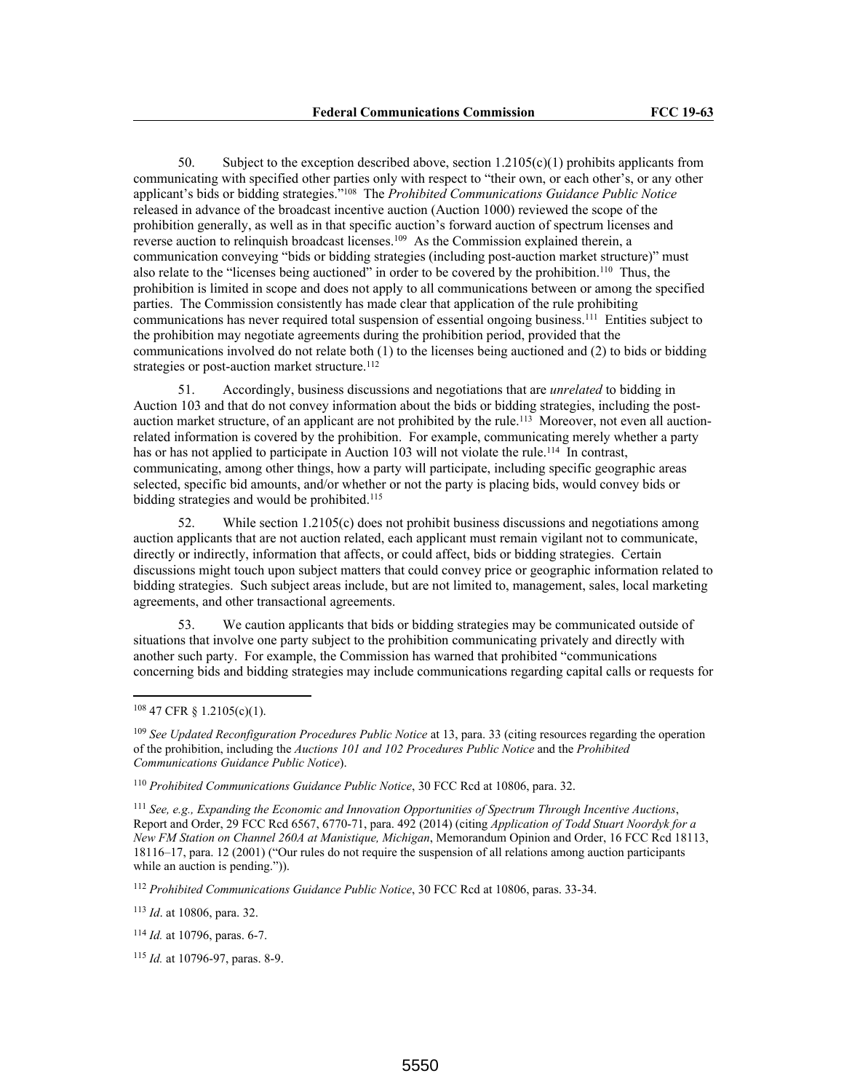50. Subject to the exception described above, section  $1.2105(c)(1)$  prohibits applicants from communicating with specified other parties only with respect to "their own, or each other's, or any other applicant's bids or bidding strategies."<sup>108</sup> The *Prohibited Communications Guidance Public Notice*  released in advance of the broadcast incentive auction (Auction 1000) reviewed the scope of the prohibition generally, as well as in that specific auction's forward auction of spectrum licenses and reverse auction to relinquish broadcast licenses.<sup>109</sup> As the Commission explained therein, a communication conveying "bids or bidding strategies (including post-auction market structure)" must also relate to the "licenses being auctioned" in order to be covered by the prohibition.<sup>110</sup> Thus, the prohibition is limited in scope and does not apply to all communications between or among the specified parties. The Commission consistently has made clear that application of the rule prohibiting communications has never required total suspension of essential ongoing business.<sup>111</sup> Entities subject to the prohibition may negotiate agreements during the prohibition period, provided that the communications involved do not relate both (1) to the licenses being auctioned and (2) to bids or bidding strategies or post-auction market structure.<sup>112</sup>

51. Accordingly, business discussions and negotiations that are *unrelated* to bidding in Auction 103 and that do not convey information about the bids or bidding strategies, including the postauction market structure, of an applicant are not prohibited by the rule.<sup>113</sup> Moreover, not even all auctionrelated information is covered by the prohibition. For example, communicating merely whether a party has or has not applied to participate in Auction 103 will not violate the rule.<sup>114</sup> In contrast, communicating, among other things, how a party will participate, including specific geographic areas selected, specific bid amounts, and/or whether or not the party is placing bids, would convey bids or bidding strategies and would be prohibited.<sup>115</sup>

52. While section 1.2105(c) does not prohibit business discussions and negotiations among auction applicants that are not auction related, each applicant must remain vigilant not to communicate, directly or indirectly, information that affects, or could affect, bids or bidding strategies. Certain discussions might touch upon subject matters that could convey price or geographic information related to bidding strategies. Such subject areas include, but are not limited to, management, sales, local marketing agreements, and other transactional agreements.

53. We caution applicants that bids or bidding strategies may be communicated outside of situations that involve one party subject to the prohibition communicating privately and directly with another such party. For example, the Commission has warned that prohibited "communications concerning bids and bidding strategies may include communications regarding capital calls or requests for

<sup>112</sup> *Prohibited Communications Guidance Public Notice*, 30 FCC Rcd at 10806, paras. 33-34.

<sup>113</sup> *Id*. at 10806, para. 32.

 $108$  47 CFR  $\S$  1.2105(c)(1).

<sup>109</sup> *See Updated Reconfiguration Procedures Public Notice* at 13, para. 33 (citing resources regarding the operation of the prohibition, including the *Auctions 101 and 102 Procedures Public Notice* and the *Prohibited Communications Guidance Public Notice*).

<sup>110</sup> *Prohibited Communications Guidance Public Notice*, 30 FCC Rcd at 10806, para. 32.

<sup>111</sup> *See, e.g., Expanding the Economic and Innovation Opportunities of Spectrum Through Incentive Auctions*, Report and Order, 29 FCC Rcd 6567, 6770-71, para. 492 (2014) (citing *Application of Todd Stuart Noordyk for a New FM Station on Channel 260A at Manistique, Michigan*, Memorandum Opinion and Order, 16 FCC Rcd 18113, 18116–17, para. 12 (2001) ("Our rules do not require the suspension of all relations among auction participants while an auction is pending.")).

<sup>114</sup> *Id.* at 10796, paras. 6-7.

<sup>115</sup> *Id.* at 10796-97, paras. 8-9.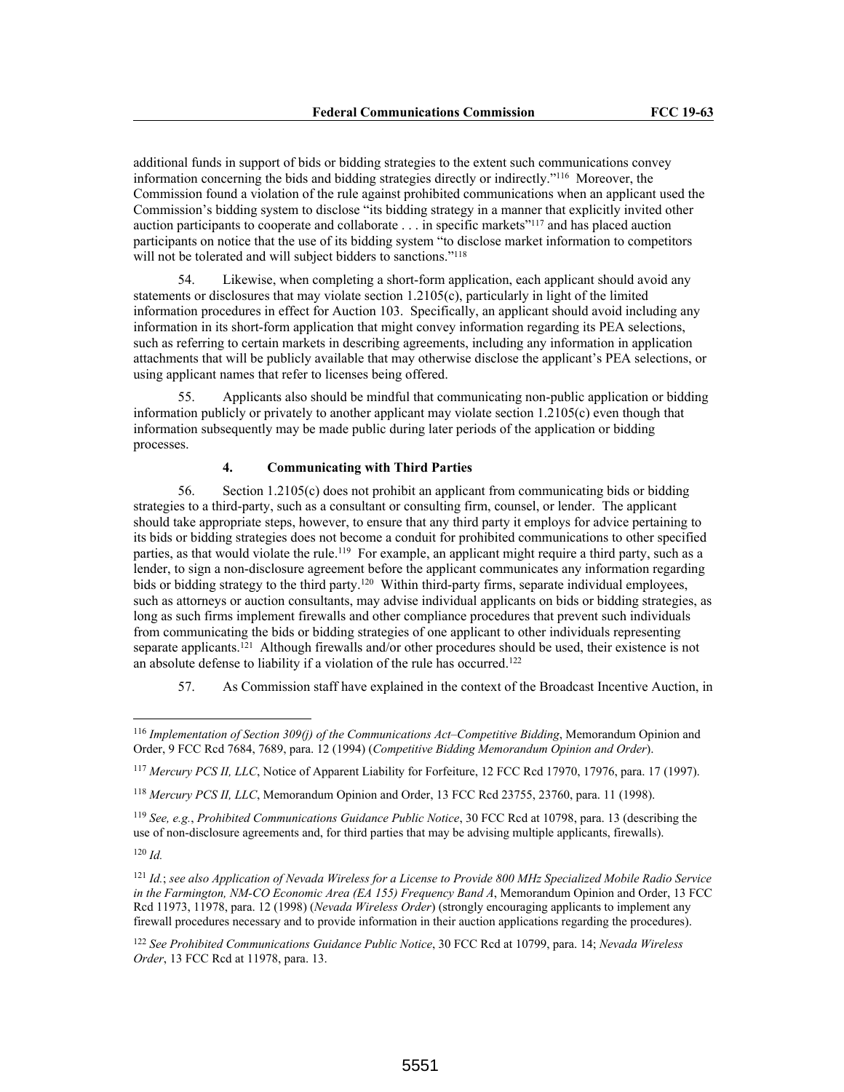additional funds in support of bids or bidding strategies to the extent such communications convey information concerning the bids and bidding strategies directly or indirectly."<sup>116</sup> Moreover, the Commission found a violation of the rule against prohibited communications when an applicant used the Commission's bidding system to disclose "its bidding strategy in a manner that explicitly invited other auction participants to cooperate and collaborate . . . in specific markets"<sup>117</sup> and has placed auction participants on notice that the use of its bidding system "to disclose market information to competitors will not be tolerated and will subject bidders to sanctions."<sup>118</sup>

54. Likewise, when completing a short-form application, each applicant should avoid any statements or disclosures that may violate section 1.2105(c), particularly in light of the limited information procedures in effect for Auction 103. Specifically, an applicant should avoid including any information in its short-form application that might convey information regarding its PEA selections, such as referring to certain markets in describing agreements, including any information in application attachments that will be publicly available that may otherwise disclose the applicant's PEA selections, or using applicant names that refer to licenses being offered.

55. Applicants also should be mindful that communicating non-public application or bidding information publicly or privately to another applicant may violate section 1.2105(c) even though that information subsequently may be made public during later periods of the application or bidding processes.

# **4. Communicating with Third Parties**

56. Section 1.2105(c) does not prohibit an applicant from communicating bids or bidding strategies to a third-party, such as a consultant or consulting firm, counsel, or lender. The applicant should take appropriate steps, however, to ensure that any third party it employs for advice pertaining to its bids or bidding strategies does not become a conduit for prohibited communications to other specified parties, as that would violate the rule.<sup>119</sup> For example, an applicant might require a third party, such as a lender, to sign a non-disclosure agreement before the applicant communicates any information regarding bids or bidding strategy to the third party.<sup>120</sup> Within third-party firms, separate individual employees, such as attorneys or auction consultants, may advise individual applicants on bids or bidding strategies, as long as such firms implement firewalls and other compliance procedures that prevent such individuals from communicating the bids or bidding strategies of one applicant to other individuals representing separate applicants.<sup>121</sup> Although firewalls and/or other procedures should be used, their existence is not an absolute defense to liability if a violation of the rule has occurred.<sup>122</sup>

57. As Commission staff have explained in the context of the Broadcast Incentive Auction, in

<sup>116</sup> *Implementation of Section 309(j) of the Communications Act–Competitive Bidding*, Memorandum Opinion and Order, 9 FCC Rcd 7684, 7689, para. 12 (1994) (*Competitive Bidding Memorandum Opinion and Order*).

<sup>117</sup> *Mercury PCS II, LLC*, Notice of Apparent Liability for Forfeiture, 12 FCC Rcd 17970, 17976, para. 17 (1997).

<sup>118</sup> *Mercury PCS II, LLC*, Memorandum Opinion and Order, 13 FCC Rcd 23755, 23760, para. 11 (1998).

<sup>119</sup> *See, e.g.*, *Prohibited Communications Guidance Public Notice*, 30 FCC Rcd at 10798, para. 13 (describing the use of non-disclosure agreements and, for third parties that may be advising multiple applicants, firewalls).

<sup>120</sup> *Id.*

<sup>121</sup> *Id.*; *see also Application of Nevada Wireless for a License to Provide 800 MHz Specialized Mobile Radio Service in the Farmington, NM-CO Economic Area (EA 155) Frequency Band A*, Memorandum Opinion and Order, 13 FCC Rcd 11973, 11978, para. 12 (1998) (*Nevada Wireless Order*) (strongly encouraging applicants to implement any firewall procedures necessary and to provide information in their auction applications regarding the procedures).

<sup>122</sup> *See Prohibited Communications Guidance Public Notice*, 30 FCC Rcd at 10799, para. 14; *Nevada Wireless Order*, 13 FCC Rcd at 11978, para. 13.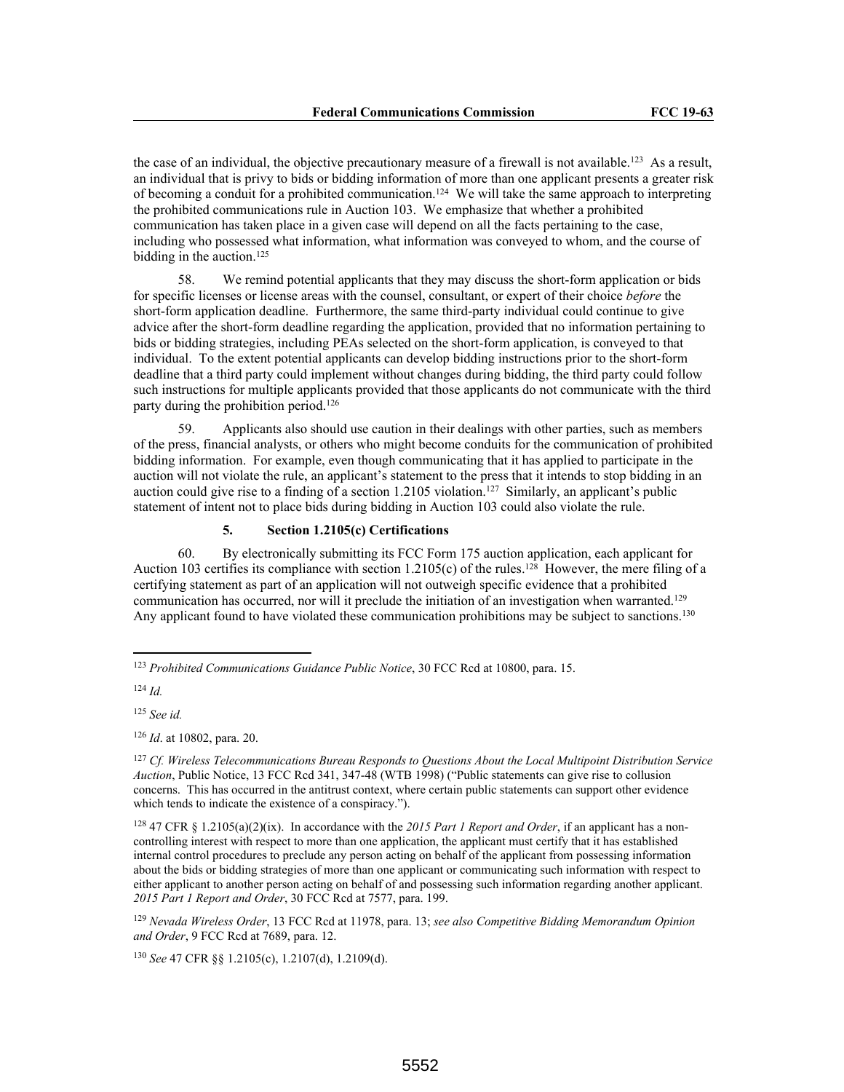the case of an individual, the objective precautionary measure of a firewall is not available.<sup>123</sup> As a result, an individual that is privy to bids or bidding information of more than one applicant presents a greater risk of becoming a conduit for a prohibited communication.<sup>124</sup> We will take the same approach to interpreting the prohibited communications rule in Auction 103. We emphasize that whether a prohibited communication has taken place in a given case will depend on all the facts pertaining to the case, including who possessed what information, what information was conveyed to whom, and the course of bidding in the auction.<sup>125</sup>

58. We remind potential applicants that they may discuss the short-form application or bids for specific licenses or license areas with the counsel, consultant, or expert of their choice *before* the short-form application deadline. Furthermore, the same third-party individual could continue to give advice after the short-form deadline regarding the application, provided that no information pertaining to bids or bidding strategies, including PEAs selected on the short-form application, is conveyed to that individual. To the extent potential applicants can develop bidding instructions prior to the short-form deadline that a third party could implement without changes during bidding, the third party could follow such instructions for multiple applicants provided that those applicants do not communicate with the third party during the prohibition period.<sup>126</sup>

59. Applicants also should use caution in their dealings with other parties, such as members of the press, financial analysts, or others who might become conduits for the communication of prohibited bidding information. For example, even though communicating that it has applied to participate in the auction will not violate the rule, an applicant's statement to the press that it intends to stop bidding in an auction could give rise to a finding of a section 1.2105 violation.<sup>127</sup> Similarly, an applicant's public statement of intent not to place bids during bidding in Auction 103 could also violate the rule.

# **5. Section 1.2105(c) Certifications**

60. By electronically submitting its FCC Form 175 auction application, each applicant for Auction 103 certifies its compliance with section 1.2105(c) of the rules.<sup>128</sup> However, the mere filing of a certifying statement as part of an application will not outweigh specific evidence that a prohibited communication has occurred, nor will it preclude the initiation of an investigation when warranted.<sup>129</sup> Any applicant found to have violated these communication prohibitions may be subject to sanctions.<sup>130</sup>

<sup>124</sup> *Id.*

<sup>126</sup> *Id*. at 10802, para. 20.

128 47 CFR § 1.2105(a)(2)(ix). In accordance with the *2015 Part 1 Report and Order*, if an applicant has a noncontrolling interest with respect to more than one application, the applicant must certify that it has established internal control procedures to preclude any person acting on behalf of the applicant from possessing information about the bids or bidding strategies of more than one applicant or communicating such information with respect to either applicant to another person acting on behalf of and possessing such information regarding another applicant. *2015 Part 1 Report and Order*, 30 FCC Rcd at 7577, para. 199.

<sup>129</sup> *Nevada Wireless Order*, 13 FCC Rcd at 11978, para. 13; *see also Competitive Bidding Memorandum Opinion and Order*, 9 FCC Rcd at 7689, para. 12.

<sup>130</sup> *See* 47 CFR §§ 1.2105(c), 1.2107(d), 1.2109(d).

<sup>123</sup> *Prohibited Communications Guidance Public Notice*, 30 FCC Rcd at 10800, para. 15.

<sup>125</sup> *See id.*

<sup>127</sup> *Cf. Wireless Telecommunications Bureau Responds to Questions About the Local Multipoint Distribution Service Auction*, Public Notice, 13 FCC Rcd 341, 347-48 (WTB 1998) ("Public statements can give rise to collusion concerns. This has occurred in the antitrust context, where certain public statements can support other evidence which tends to indicate the existence of a conspiracy.").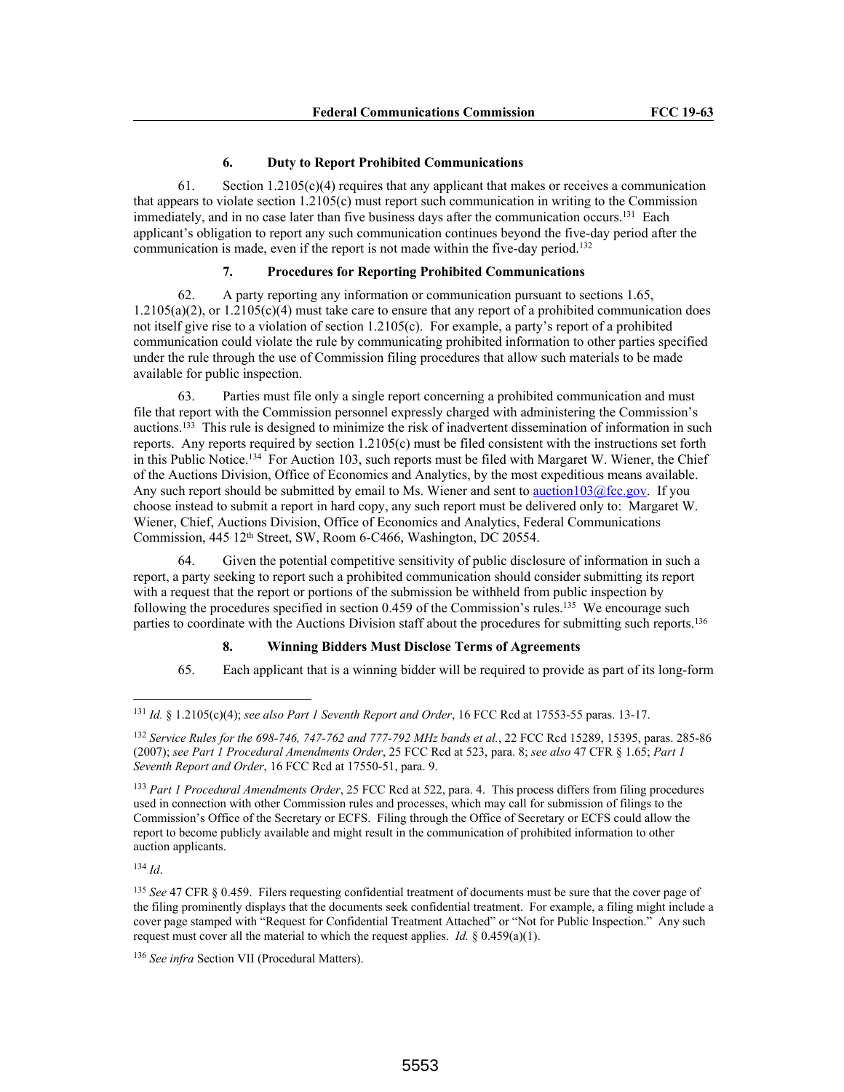### **6. Duty to Report Prohibited Communications**

61. Section  $1.2105(c)(4)$  requires that any applicant that makes or receives a communication that appears to violate section 1.2105(c) must report such communication in writing to the Commission immediately, and in no case later than five business days after the communication occurs.<sup>131</sup> Each applicant's obligation to report any such communication continues beyond the five-day period after the communication is made, even if the report is not made within the five-day period.<sup>132</sup>

## **7. Procedures for Reporting Prohibited Communications**

62. A party reporting any information or communication pursuant to sections 1.65, 1.2105(a)(2), or 1.2105(c)(4) must take care to ensure that any report of a prohibited communication does not itself give rise to a violation of section 1.2105(c). For example, a party's report of a prohibited communication could violate the rule by communicating prohibited information to other parties specified under the rule through the use of Commission filing procedures that allow such materials to be made available for public inspection.

63. Parties must file only a single report concerning a prohibited communication and must file that report with the Commission personnel expressly charged with administering the Commission's auctions.<sup>133</sup> This rule is designed to minimize the risk of inadvertent dissemination of information in such reports. Any reports required by section 1.2105(c) must be filed consistent with the instructions set forth in this Public Notice.<sup>134</sup> For Auction 103, such reports must be filed with Margaret W. Wiener, the Chief of the Auctions Division, Office of Economics and Analytics, by the most expeditious means available. Any such report should be submitted by email to Ms. Wiener and sent to auction103@fcc.gov. If you choose instead to submit a report in hard copy, any such report must be delivered only to: Margaret W. Wiener, Chief, Auctions Division, Office of Economics and Analytics, Federal Communications Commission, 445 12th Street, SW, Room 6-C466, Washington, DC 20554.

64. Given the potential competitive sensitivity of public disclosure of information in such a report, a party seeking to report such a prohibited communication should consider submitting its report with a request that the report or portions of the submission be withheld from public inspection by following the procedures specified in section 0.459 of the Commission's rules.<sup>135</sup> We encourage such parties to coordinate with the Auctions Division staff about the procedures for submitting such reports.<sup>136</sup>

### **8. Winning Bidders Must Disclose Terms of Agreements**

65. Each applicant that is a winning bidder will be required to provide as part of its long-form

<sup>134</sup> *Id*.

<sup>131</sup> *Id.* § 1.2105(c)(4); *see also Part 1 Seventh Report and Order*, 16 FCC Rcd at 17553-55 paras. 13-17.

<sup>132</sup> *Service Rules for the 698-746, 747-762 and 777-792 MHz bands et al.*, 22 FCC Rcd 15289, 15395, paras. 285-86 (2007); *see Part 1 Procedural Amendments Order*, 25 FCC Rcd at 523, para. 8; *see also* 47 CFR § 1.65; *Part 1 Seventh Report and Order*, 16 FCC Rcd at 17550-51, para. 9.

<sup>133</sup> *Part 1 Procedural Amendments Order*, 25 FCC Rcd at 522, para. 4. This process differs from filing procedures used in connection with other Commission rules and processes, which may call for submission of filings to the Commission's Office of the Secretary or ECFS. Filing through the Office of Secretary or ECFS could allow the report to become publicly available and might result in the communication of prohibited information to other auction applicants.

<sup>135</sup> *See* 47 CFR § 0.459. Filers requesting confidential treatment of documents must be sure that the cover page of the filing prominently displays that the documents seek confidential treatment. For example, a filing might include a cover page stamped with "Request for Confidential Treatment Attached" or "Not for Public Inspection." Any such request must cover all the material to which the request applies. *Id.* § 0.459(a)(1).

<sup>136</sup> *See infra* Section VII (Procedural Matters).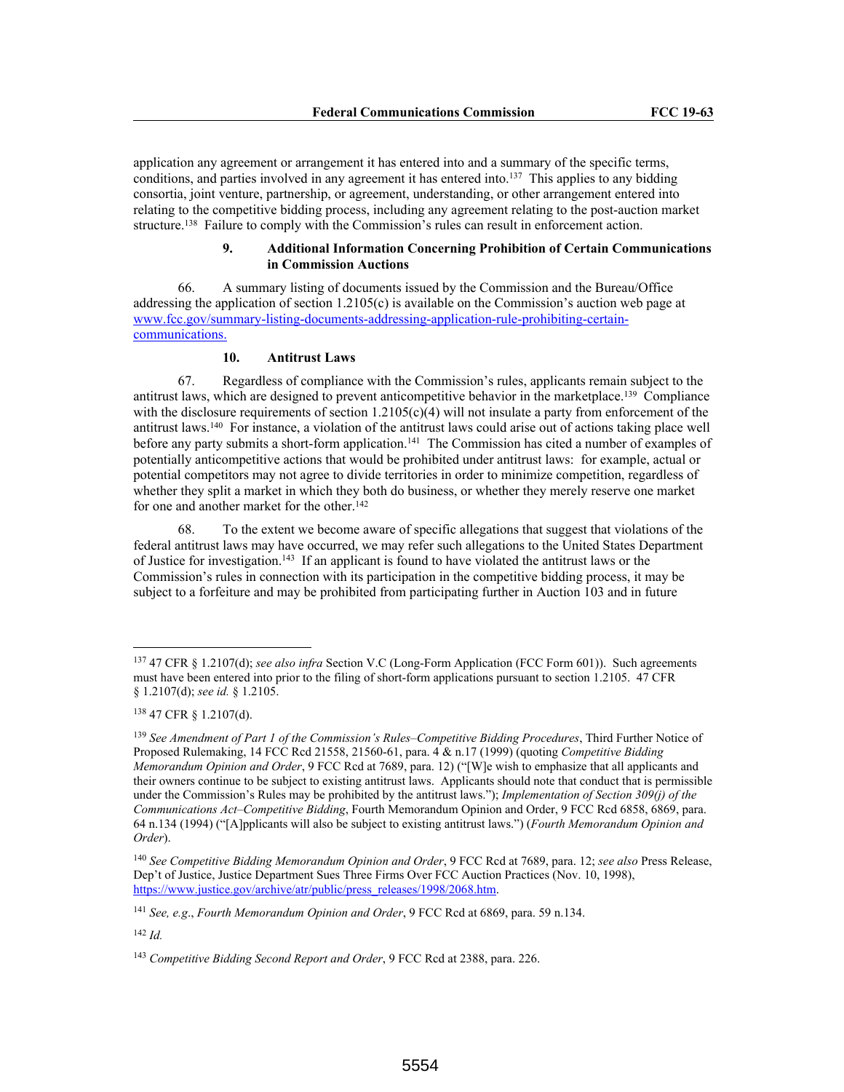application any agreement or arrangement it has entered into and a summary of the specific terms, conditions, and parties involved in any agreement it has entered into.<sup>137</sup> This applies to any bidding consortia, joint venture, partnership, or agreement, understanding, or other arrangement entered into relating to the competitive bidding process, including any agreement relating to the post-auction market structure.<sup>138</sup> Failure to comply with the Commission's rules can result in enforcement action.

### **9. Additional Information Concerning Prohibition of Certain Communications in Commission Auctions**

66. A summary listing of documents issued by the Commission and the Bureau/Office addressing the application of section 1.2105(c) is available on the Commission's auction web page at www.fcc.gov/summary-listing-documents-addressing-application-rule-prohibiting-certaincommunications.

# **10. Antitrust Laws**

67. Regardless of compliance with the Commission's rules, applicants remain subject to the antitrust laws, which are designed to prevent anticompetitive behavior in the marketplace.<sup>139</sup> Compliance with the disclosure requirements of section  $1.2105(c)(4)$  will not insulate a party from enforcement of the antitrust laws.<sup>140</sup> For instance, a violation of the antitrust laws could arise out of actions taking place well before any party submits a short-form application.<sup>141</sup> The Commission has cited a number of examples of potentially anticompetitive actions that would be prohibited under antitrust laws: for example, actual or potential competitors may not agree to divide territories in order to minimize competition, regardless of whether they split a market in which they both do business, or whether they merely reserve one market for one and another market for the other.<sup>142</sup>

68. To the extent we become aware of specific allegations that suggest that violations of the federal antitrust laws may have occurred, we may refer such allegations to the United States Department of Justice for investigation.<sup>143</sup> If an applicant is found to have violated the antitrust laws or the Commission's rules in connection with its participation in the competitive bidding process, it may be subject to a forfeiture and may be prohibited from participating further in Auction 103 and in future

<sup>137</sup> 47 CFR § 1.2107(d); *see also infra* Section V.C (Long-Form Application (FCC Form 601)). Such agreements must have been entered into prior to the filing of short-form applications pursuant to section 1.2105. 47 CFR § 1.2107(d); *see id.* § 1.2105.

<sup>138</sup> 47 CFR § 1.2107(d).

<sup>139</sup> *See Amendment of Part 1 of the Commission's Rules–Competitive Bidding Procedures*, Third Further Notice of Proposed Rulemaking, 14 FCC Rcd 21558, 21560-61, para. 4 & n.17 (1999) (quoting *Competitive Bidding Memorandum Opinion and Order*, 9 FCC Rcd at 7689, para. 12) ("[W]e wish to emphasize that all applicants and their owners continue to be subject to existing antitrust laws. Applicants should note that conduct that is permissible under the Commission's Rules may be prohibited by the antitrust laws."); *Implementation of Section 309(j) of the Communications Act–Competitive Bidding*, Fourth Memorandum Opinion and Order, 9 FCC Rcd 6858, 6869, para. 64 n.134 (1994) ("[A]pplicants will also be subject to existing antitrust laws.") (*Fourth Memorandum Opinion and Order*).

<sup>140</sup> *See Competitive Bidding Memorandum Opinion and Order*, 9 FCC Rcd at 7689, para. 12; *see also* Press Release, Dep't of Justice, Justice Department Sues Three Firms Over FCC Auction Practices (Nov. 10, 1998), https://www.justice.gov/archive/atr/public/press\_releases/1998/2068.htm.

<sup>141</sup> *See, e.g*., *Fourth Memorandum Opinion and Order*, 9 FCC Rcd at 6869, para. 59 n.134.

<sup>142</sup> *Id.*

<sup>143</sup> *Competitive Bidding Second Report and Order*, 9 FCC Rcd at 2388, para. 226.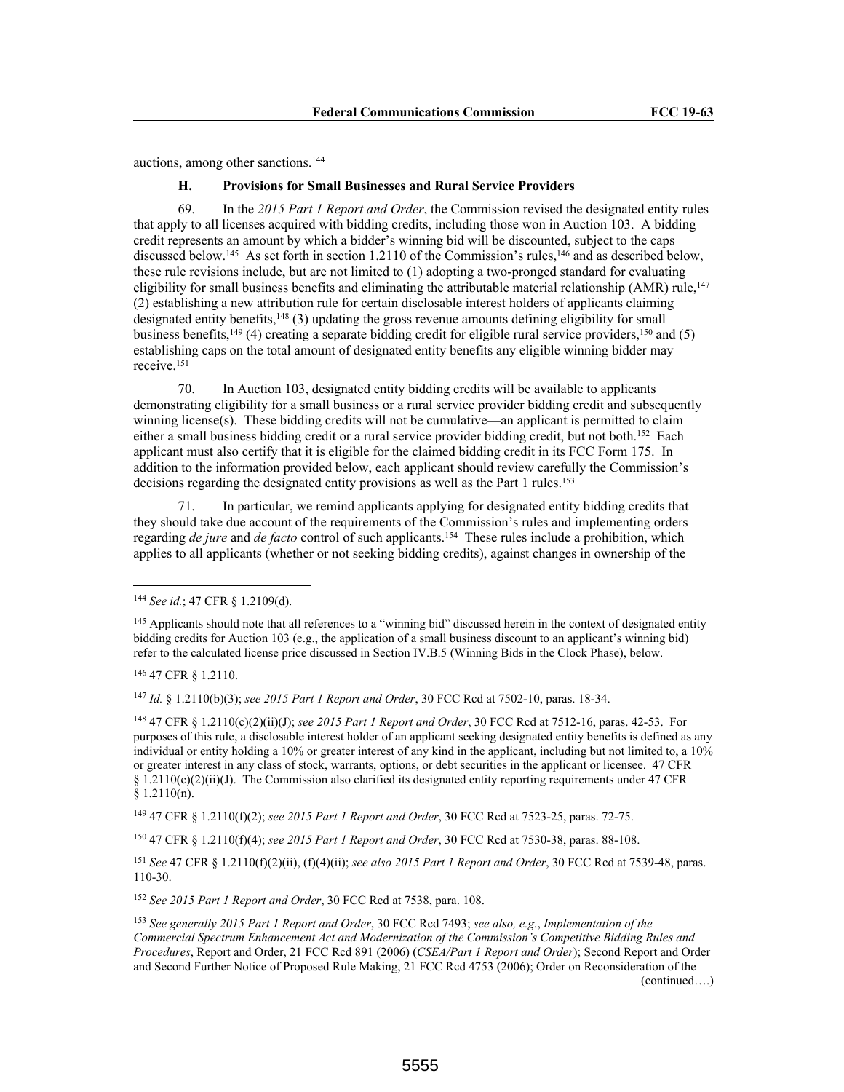auctions, among other sanctions.<sup>144</sup>

### **H. Provisions for Small Businesses and Rural Service Providers**

69. In the *2015 Part 1 Report and Order*, the Commission revised the designated entity rules that apply to all licenses acquired with bidding credits, including those won in Auction 103. A bidding credit represents an amount by which a bidder's winning bid will be discounted, subject to the caps discussed below.<sup>145</sup> As set forth in section 1.2110 of the Commission's rules,<sup>146</sup> and as described below, these rule revisions include, but are not limited to (1) adopting a two-pronged standard for evaluating eligibility for small business benefits and eliminating the attributable material relationship (AMR) rule,<sup>147</sup> (2) establishing a new attribution rule for certain disclosable interest holders of applicants claiming designated entity benefits,<sup>148</sup> (3) updating the gross revenue amounts defining eligibility for small business benefits,<sup>149</sup> (4) creating a separate bidding credit for eligible rural service providers,<sup>150</sup> and (5) establishing caps on the total amount of designated entity benefits any eligible winning bidder may receive.<sup>151</sup>

70. In Auction 103, designated entity bidding credits will be available to applicants demonstrating eligibility for a small business or a rural service provider bidding credit and subsequently winning license(s). These bidding credits will not be cumulative—an applicant is permitted to claim either a small business bidding credit or a rural service provider bidding credit, but not both.<sup>152</sup> Each applicant must also certify that it is eligible for the claimed bidding credit in its FCC Form 175. In addition to the information provided below, each applicant should review carefully the Commission's decisions regarding the designated entity provisions as well as the Part 1 rules.<sup>153</sup>

71. In particular, we remind applicants applying for designated entity bidding credits that they should take due account of the requirements of the Commission's rules and implementing orders regarding *de jure* and *de facto* control of such applicants.<sup>154</sup> These rules include a prohibition, which applies to all applicants (whether or not seeking bidding credits), against changes in ownership of the

<sup>146</sup> 47 CFR § 1.2110.

<sup>147</sup> *Id.* § 1.2110(b)(3); *see 2015 Part 1 Report and Order*, 30 FCC Rcd at 7502-10, paras. 18-34.

<sup>148</sup> 47 CFR § 1.2110(c)(2)(ii)(J); *see 2015 Part 1 Report and Order*, 30 FCC Rcd at 7512-16, paras. 42-53. For purposes of this rule, a disclosable interest holder of an applicant seeking designated entity benefits is defined as any individual or entity holding a 10% or greater interest of any kind in the applicant, including but not limited to, a 10% or greater interest in any class of stock, warrants, options, or debt securities in the applicant or licensee. 47 CFR  $§$  1.2110(c)(2)(ii)(J). The Commission also clarified its designated entity reporting requirements under 47 CFR § 1.2110(n).

<sup>149</sup> 47 CFR § 1.2110(f)(2); *see 2015 Part 1 Report and Order*, 30 FCC Rcd at 7523-25, paras. 72-75.

<sup>150</sup> 47 CFR § 1.2110(f)(4); *see 2015 Part 1 Report and Order*, 30 FCC Rcd at 7530-38, paras. 88-108.

<sup>151</sup> *See* 47 CFR § 1.2110(f)(2)(ii), (f)(4)(ii); *see also 2015 Part 1 Report and Order*, 30 FCC Rcd at 7539-48, paras. 110-30.

<sup>152</sup> *See 2015 Part 1 Report and Order*, 30 FCC Rcd at 7538, para. 108.

<sup>144</sup> *See id.*; 47 CFR § 1.2109(d).

<sup>&</sup>lt;sup>145</sup> Applicants should note that all references to a "winning bid" discussed herein in the context of designated entity bidding credits for Auction 103 (e.g., the application of a small business discount to an applicant's winning bid) refer to the calculated license price discussed in Section IV.B.5 (Winning Bids in the Clock Phase), below.

<sup>153</sup> *See generally 2015 Part 1 Report and Order*, 30 FCC Rcd 7493; *see also, e.g.*, *Implementation of the Commercial Spectrum Enhancement Act and Modernization of the Commission's Competitive Bidding Rules and Procedures*, Report and Order, 21 FCC Rcd 891 (2006) (*CSEA/Part 1 Report and Order*); Second Report and Order and Second Further Notice of Proposed Rule Making, 21 FCC Rcd 4753 (2006); Order on Reconsideration of the (continued….)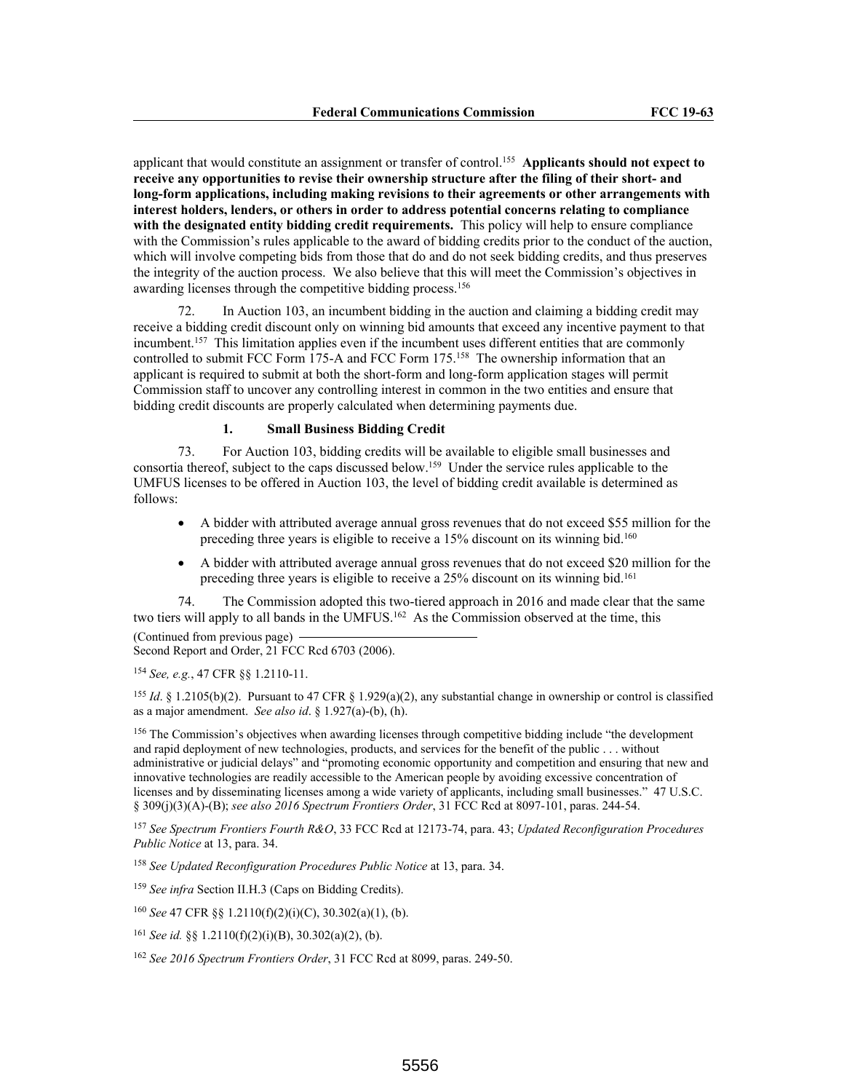applicant that would constitute an assignment or transfer of control.<sup>155</sup> **Applicants should not expect to receive any opportunities to revise their ownership structure after the filing of their short- and long-form applications, including making revisions to their agreements or other arrangements with interest holders, lenders, or others in order to address potential concerns relating to compliance with the designated entity bidding credit requirements.** This policy will help to ensure compliance with the Commission's rules applicable to the award of bidding credits prior to the conduct of the auction, which will involve competing bids from those that do and do not seek bidding credits, and thus preserves the integrity of the auction process. We also believe that this will meet the Commission's objectives in awarding licenses through the competitive bidding process.<sup>156</sup>

In Auction 103, an incumbent bidding in the auction and claiming a bidding credit may receive a bidding credit discount only on winning bid amounts that exceed any incentive payment to that incumbent.<sup>157</sup> This limitation applies even if the incumbent uses different entities that are commonly controlled to submit FCC Form 175-A and FCC Form 175.<sup>158</sup> The ownership information that an applicant is required to submit at both the short-form and long-form application stages will permit Commission staff to uncover any controlling interest in common in the two entities and ensure that bidding credit discounts are properly calculated when determining payments due.

### **1. Small Business Bidding Credit**

73. For Auction 103, bidding credits will be available to eligible small businesses and consortia thereof, subject to the caps discussed below.<sup>159</sup> Under the service rules applicable to the UMFUS licenses to be offered in Auction 103, the level of bidding credit available is determined as follows:

- A bidder with attributed average annual gross revenues that do not exceed \$55 million for the preceding three years is eligible to receive a 15% discount on its winning bid.<sup>160</sup>
- A bidder with attributed average annual gross revenues that do not exceed \$20 million for the preceding three years is eligible to receive a 25% discount on its winning bid.<sup>161</sup>

74. The Commission adopted this two-tiered approach in 2016 and made clear that the same two tiers will apply to all bands in the UMFUS.<sup>162</sup> As the Commission observed at the time, this

(Continued from previous page) Second Report and Order, 21 FCC Rcd 6703 (2006).

<sup>154</sup> *See, e.g.*, 47 CFR §§ 1.2110-11.

<sup>155</sup> *Id.* § 1.2105(b)(2). Pursuant to 47 CFR § 1.929(a)(2), any substantial change in ownership or control is classified as a major amendment. *See also id*. § 1.927(a)-(b), (h).

<sup>156</sup> The Commission's objectives when awarding licenses through competitive bidding include "the development" and rapid deployment of new technologies, products, and services for the benefit of the public . . . without administrative or judicial delays" and "promoting economic opportunity and competition and ensuring that new and innovative technologies are readily accessible to the American people by avoiding excessive concentration of licenses and by disseminating licenses among a wide variety of applicants, including small businesses." 47 U.S.C. § 309(j)(3)(A)-(B); *see also 2016 Spectrum Frontiers Order*, 31 FCC Rcd at 8097-101, paras. 244-54.

<sup>157</sup> *See Spectrum Frontiers Fourth R&O*, 33 FCC Rcd at 12173-74, para. 43; *Updated Reconfiguration Procedures Public Notice* at 13, para. 34.

<sup>158</sup> *See Updated Reconfiguration Procedures Public Notice* at 13, para. 34.

<sup>159</sup> *See infra* Section II.H.3 (Caps on Bidding Credits).

<sup>160</sup> *See* 47 CFR §§ 1.2110(f)(2)(i)(C), 30.302(a)(1), (b).

<sup>161</sup> *See id.* §§ 1.2110(f)(2)(i)(B), 30.302(a)(2), (b).

<sup>162</sup> *See 2016 Spectrum Frontiers Order*, 31 FCC Rcd at 8099, paras. 249-50.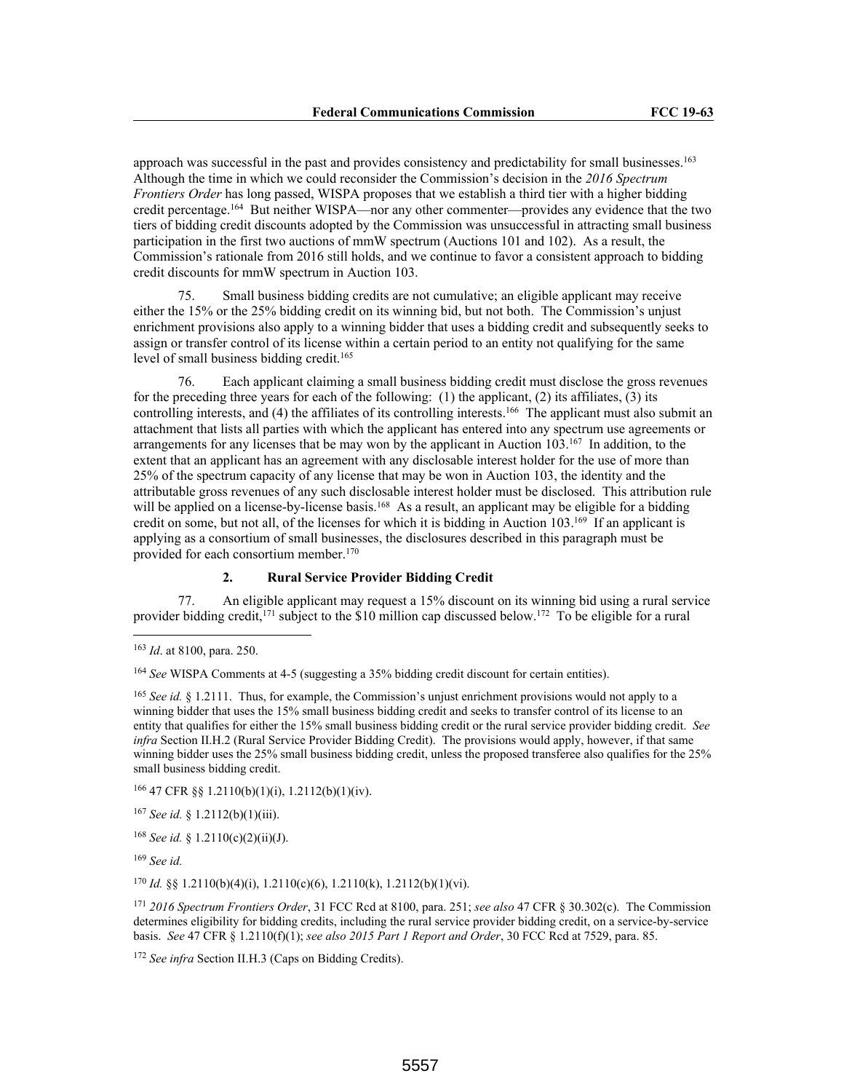approach was successful in the past and provides consistency and predictability for small businesses.<sup>163</sup> Although the time in which we could reconsider the Commission's decision in the *2016 Spectrum Frontiers Order* has long passed, WISPA proposes that we establish a third tier with a higher bidding credit percentage.<sup>164</sup> But neither WISPA—nor any other commenter—provides any evidence that the two tiers of bidding credit discounts adopted by the Commission was unsuccessful in attracting small business participation in the first two auctions of mmW spectrum (Auctions 101 and 102). As a result, the Commission's rationale from 2016 still holds, and we continue to favor a consistent approach to bidding credit discounts for mmW spectrum in Auction 103.

75. Small business bidding credits are not cumulative; an eligible applicant may receive either the 15% or the 25% bidding credit on its winning bid, but not both. The Commission's unjust enrichment provisions also apply to a winning bidder that uses a bidding credit and subsequently seeks to assign or transfer control of its license within a certain period to an entity not qualifying for the same level of small business bidding credit.<sup>165</sup>

76. Each applicant claiming a small business bidding credit must disclose the gross revenues for the preceding three years for each of the following: (1) the applicant, (2) its affiliates, (3) its controlling interests, and (4) the affiliates of its controlling interests.<sup>166</sup> The applicant must also submit an attachment that lists all parties with which the applicant has entered into any spectrum use agreements or arrangements for any licenses that be may won by the applicant in Auction 103.<sup>167</sup> In addition, to the extent that an applicant has an agreement with any disclosable interest holder for the use of more than 25% of the spectrum capacity of any license that may be won in Auction 103, the identity and the attributable gross revenues of any such disclosable interest holder must be disclosed. This attribution rule will be applied on a license-by-license basis.<sup>168</sup> As a result, an applicant may be eligible for a bidding credit on some, but not all, of the licenses for which it is bidding in Auction 103.<sup>169</sup> If an applicant is applying as a consortium of small businesses, the disclosures described in this paragraph must be provided for each consortium member.<sup>170</sup>

## **2. Rural Service Provider Bidding Credit**

77. An eligible applicant may request a 15% discount on its winning bid using a rural service provider bidding credit,<sup>171</sup> subject to the \$10 million cap discussed below.<sup>172</sup> To be eligible for a rural

<sup>166</sup> 47 CFR §§ 1.2110(b)(1)(i), 1.2112(b)(1)(iv).

<sup>167</sup> *See id.* § 1.2112(b)(1)(iii).

<sup>168</sup> *See id.* § 1.2110(c)(2)(ii)(J).

<sup>169</sup> *See id.*

<sup>170</sup> *Id.* §§ 1.2110(b)(4)(i), 1.2110(c)(6), 1.2110(k), 1.2112(b)(1)(vi).

<sup>171</sup> *2016 Spectrum Frontiers Order*, 31 FCC Rcd at 8100, para. 251; *see also* 47 CFR § 30.302(c). The Commission determines eligibility for bidding credits, including the rural service provider bidding credit, on a service-by-service basis. *See* 47 CFR § 1.2110(f)(1); *see also 2015 Part 1 Report and Order*, 30 FCC Rcd at 7529, para. 85.

<sup>172</sup> *See infra* Section II.H.3 (Caps on Bidding Credits).

<sup>163</sup> *Id*. at 8100, para. 250.

<sup>164</sup> *See* WISPA Comments at 4-5 (suggesting a 35% bidding credit discount for certain entities).

<sup>&</sup>lt;sup>165</sup> See id. § 1.2111. Thus, for example, the Commission's unjust enrichment provisions would not apply to a winning bidder that uses the 15% small business bidding credit and seeks to transfer control of its license to an entity that qualifies for either the 15% small business bidding credit or the rural service provider bidding credit. *See infra* Section II.H.2 (Rural Service Provider Bidding Credit). The provisions would apply, however, if that same winning bidder uses the 25% small business bidding credit, unless the proposed transferee also qualifies for the 25% small business bidding credit.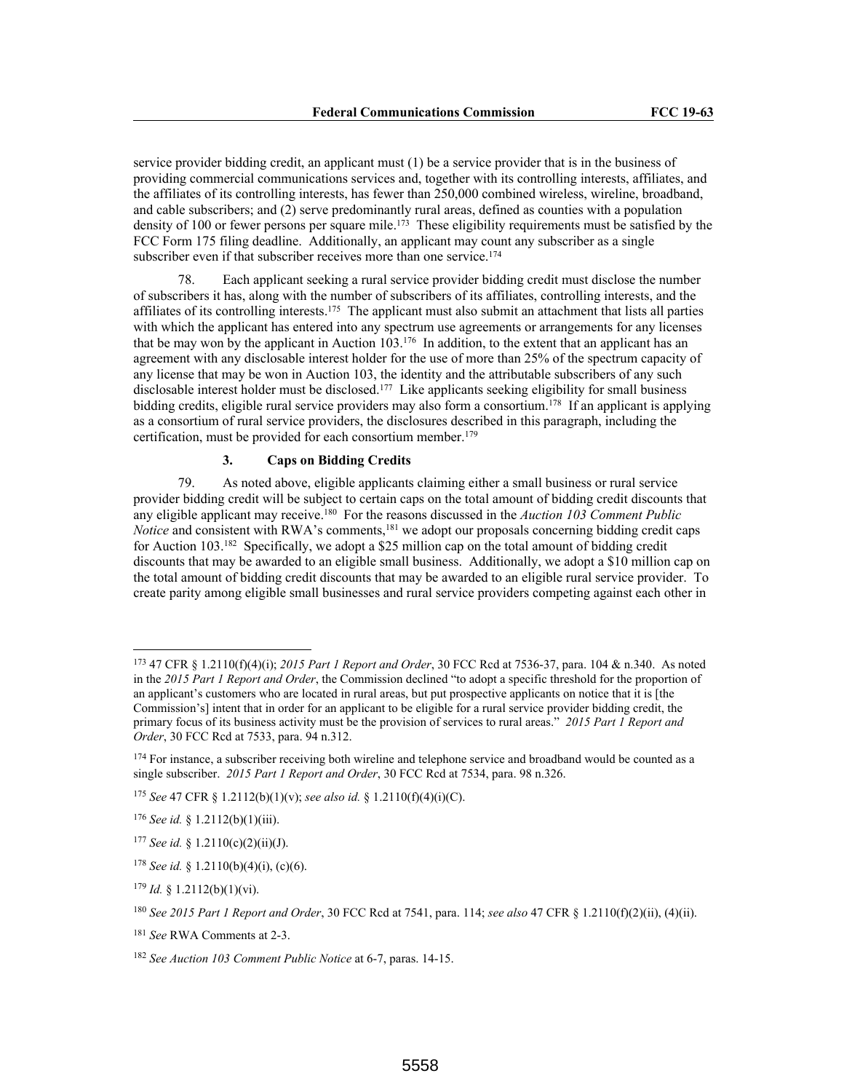service provider bidding credit, an applicant must (1) be a service provider that is in the business of providing commercial communications services and, together with its controlling interests, affiliates, and the affiliates of its controlling interests, has fewer than 250,000 combined wireless, wireline, broadband, and cable subscribers; and (2) serve predominantly rural areas, defined as counties with a population density of 100 or fewer persons per square mile.<sup>173</sup> These eligibility requirements must be satisfied by the FCC Form 175 filing deadline. Additionally, an applicant may count any subscriber as a single subscriber even if that subscriber receives more than one service.<sup>174</sup>

78. Each applicant seeking a rural service provider bidding credit must disclose the number of subscribers it has, along with the number of subscribers of its affiliates, controlling interests, and the affiliates of its controlling interests.<sup>175</sup> The applicant must also submit an attachment that lists all parties with which the applicant has entered into any spectrum use agreements or arrangements for any licenses that be may won by the applicant in Auction 103.<sup>176</sup> In addition, to the extent that an applicant has an agreement with any disclosable interest holder for the use of more than 25% of the spectrum capacity of any license that may be won in Auction 103, the identity and the attributable subscribers of any such disclosable interest holder must be disclosed.<sup>177</sup> Like applicants seeking eligibility for small business bidding credits, eligible rural service providers may also form a consortium.<sup>178</sup> If an applicant is applying as a consortium of rural service providers, the disclosures described in this paragraph, including the certification, must be provided for each consortium member.<sup>179</sup>

# **3. Caps on Bidding Credits**

79. As noted above, eligible applicants claiming either a small business or rural service provider bidding credit will be subject to certain caps on the total amount of bidding credit discounts that any eligible applicant may receive.<sup>180</sup> For the reasons discussed in the *Auction 103 Comment Public Notice* and consistent with RWA's comments,<sup>181</sup> we adopt our proposals concerning bidding credit caps for Auction 103.<sup>182</sup> Specifically, we adopt a \$25 million cap on the total amount of bidding credit discounts that may be awarded to an eligible small business. Additionally, we adopt a \$10 million cap on the total amount of bidding credit discounts that may be awarded to an eligible rural service provider. To create parity among eligible small businesses and rural service providers competing against each other in

<sup>173</sup> 47 CFR § 1.2110(f)(4)(i); *2015 Part 1 Report and Order*, 30 FCC Rcd at 7536-37, para. 104 & n.340. As noted in the *2015 Part 1 Report and Order*, the Commission declined "to adopt a specific threshold for the proportion of an applicant's customers who are located in rural areas, but put prospective applicants on notice that it is [the Commission's] intent that in order for an applicant to be eligible for a rural service provider bidding credit, the primary focus of its business activity must be the provision of services to rural areas." *2015 Part 1 Report and Order*, 30 FCC Rcd at 7533, para. 94 n.312.

<sup>&</sup>lt;sup>174</sup> For instance, a subscriber receiving both wireline and telephone service and broadband would be counted as a single subscriber. *2015 Part 1 Report and Order*, 30 FCC Rcd at 7534, para. 98 n.326.

<sup>175</sup> *See* 47 CFR § 1.2112(b)(1)(v); *see also id.* § 1.2110(f)(4)(i)(C).

<sup>176</sup> *See id.* § 1.2112(b)(1)(iii).

<sup>177</sup> *See id.* § 1.2110(c)(2)(ii)(J).

<sup>178</sup> *See id.* § 1.2110(b)(4)(i), (c)(6).

<sup>179</sup> *Id.* § 1.2112(b)(1)(vi).

<sup>180</sup> *See 2015 Part 1 Report and Order*, 30 FCC Rcd at 7541, para. 114; *see also* 47 CFR § 1.2110(f)(2)(ii), (4)(ii).

<sup>181</sup> *See* RWA Comments at 2-3.

<sup>182</sup> *See Auction 103 Comment Public Notice* at 6-7, paras. 14-15.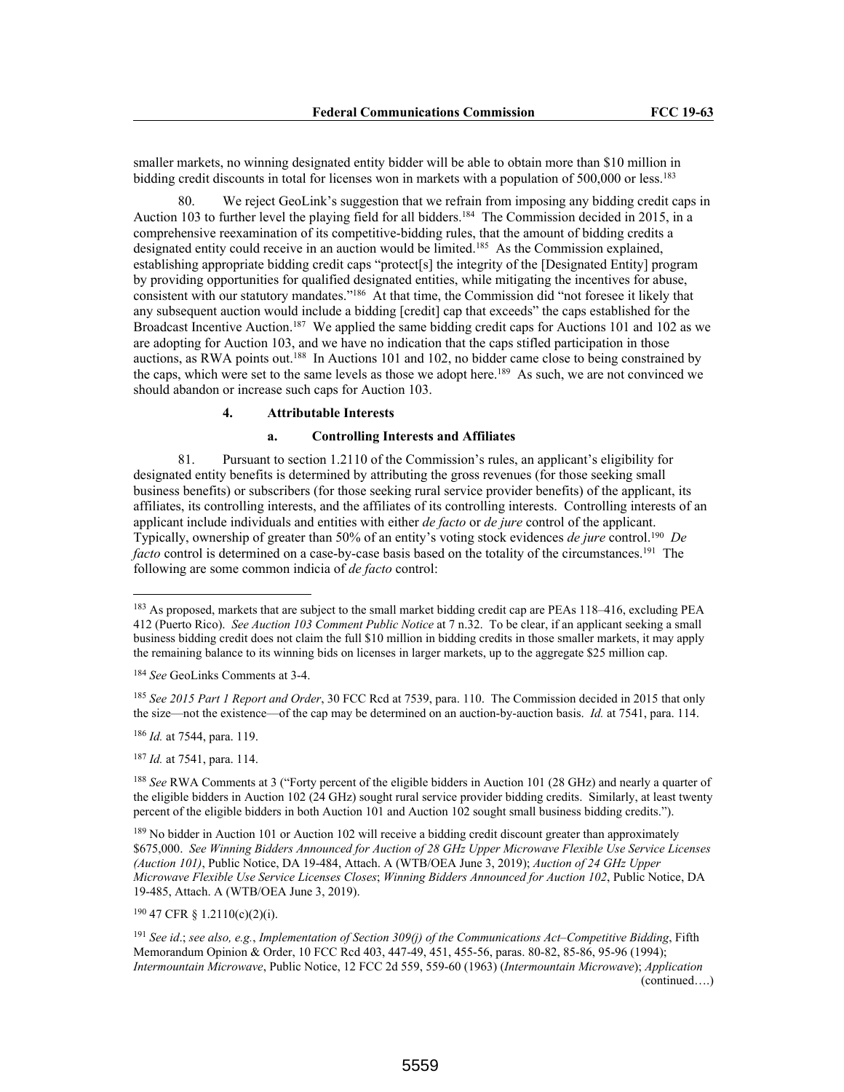smaller markets, no winning designated entity bidder will be able to obtain more than \$10 million in bidding credit discounts in total for licenses won in markets with a population of 500,000 or less.<sup>183</sup>

We reject GeoLink's suggestion that we refrain from imposing any bidding credit caps in Auction 103 to further level the playing field for all bidders.<sup>184</sup> The Commission decided in 2015, in a comprehensive reexamination of its competitive-bidding rules, that the amount of bidding credits a designated entity could receive in an auction would be limited.<sup>185</sup> As the Commission explained, establishing appropriate bidding credit caps "protect[s] the integrity of the [Designated Entity] program by providing opportunities for qualified designated entities, while mitigating the incentives for abuse, consistent with our statutory mandates."<sup>186</sup> At that time, the Commission did "not foresee it likely that any subsequent auction would include a bidding [credit] cap that exceeds" the caps established for the Broadcast Incentive Auction.<sup>187</sup> We applied the same bidding credit caps for Auctions 101 and 102 as we are adopting for Auction 103, and we have no indication that the caps stifled participation in those auctions, as RWA points out.<sup>188</sup> In Auctions 101 and 102, no bidder came close to being constrained by the caps, which were set to the same levels as those we adopt here.<sup>189</sup> As such, we are not convinced we should abandon or increase such caps for Auction 103.

### **4. Attributable Interests**

### **a. Controlling Interests and Affiliates**

81. Pursuant to section 1.2110 of the Commission's rules, an applicant's eligibility for designated entity benefits is determined by attributing the gross revenues (for those seeking small business benefits) or subscribers (for those seeking rural service provider benefits) of the applicant, its affiliates, its controlling interests, and the affiliates of its controlling interests. Controlling interests of an applicant include individuals and entities with either *de facto* or *de jure* control of the applicant. Typically, ownership of greater than 50% of an entity's voting stock evidences *de jure* control.<sup>190</sup> *De facto* control is determined on a case-by-case basis based on the totality of the circumstances.<sup>191</sup> The following are some common indicia of *de facto* control:

<sup>186</sup> *Id.* at 7544, para. 119.

<sup>187</sup> *Id.* at 7541, para. 114.

<sup>188</sup> *See* RWA Comments at 3 ("Forty percent of the eligible bidders in Auction 101 (28 GHz) and nearly a quarter of the eligible bidders in Auction 102 (24 GHz) sought rural service provider bidding credits. Similarly, at least twenty percent of the eligible bidders in both Auction 101 and Auction 102 sought small business bidding credits.").

<sup>190</sup> 47 CFR § 1.2110(c)(2)(i).

<sup>&</sup>lt;sup>183</sup> As proposed, markets that are subject to the small market bidding credit cap are PEAs 118–416, excluding PEA 412 (Puerto Rico). *See Auction 103 Comment Public Notice* at 7 n.32. To be clear, if an applicant seeking a small business bidding credit does not claim the full \$10 million in bidding credits in those smaller markets, it may apply the remaining balance to its winning bids on licenses in larger markets, up to the aggregate \$25 million cap.

<sup>184</sup> *See* GeoLinks Comments at 3-4.

<sup>185</sup> *See 2015 Part 1 Report and Order*, 30 FCC Rcd at 7539, para. 110. The Commission decided in 2015 that only the size—not the existence—of the cap may be determined on an auction-by-auction basis. *Id.* at 7541, para. 114.

<sup>&</sup>lt;sup>189</sup> No bidder in Auction 101 or Auction 102 will receive a bidding credit discount greater than approximately \$675,000. *See Winning Bidders Announced for Auction of 28 GHz Upper Microwave Flexible Use Service Licenses (Auction 101)*, Public Notice, DA 19-484, Attach. A (WTB/OEA June 3, 2019); *Auction of 24 GHz Upper Microwave Flexible Use Service Licenses Closes*; *Winning Bidders Announced for Auction 102*, Public Notice, DA 19-485, Attach. A (WTB/OEA June 3, 2019).

<sup>191</sup> *See id*.; *see also, e.g.*, *Implementation of Section 309(j) of the Communications Act–Competitive Bidding*, Fifth Memorandum Opinion & Order, 10 FCC Rcd 403, 447-49, 451, 455-56, paras. 80-82, 85-86, 95-96 (1994); *Intermountain Microwave*, Public Notice, 12 FCC 2d 559, 559-60 (1963) (*Intermountain Microwave*); *Application*  (continued….)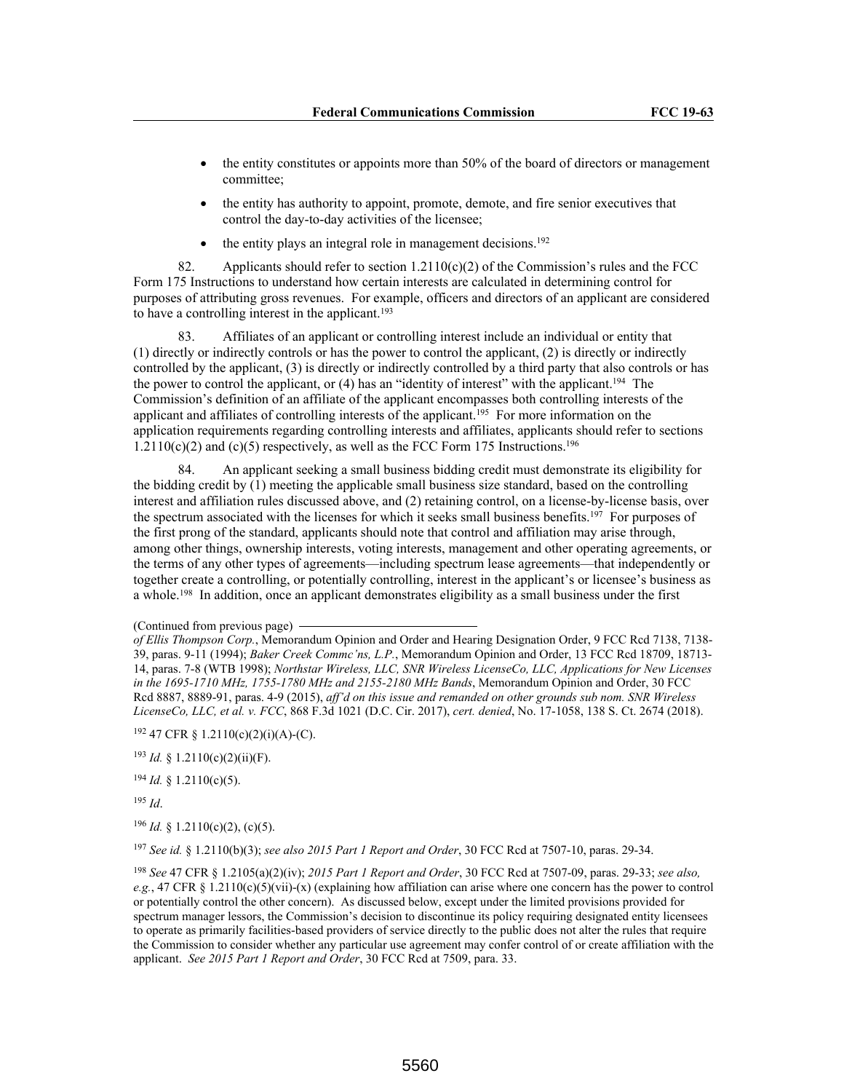- the entity constitutes or appoints more than 50% of the board of directors or management committee;
- the entity has authority to appoint, promote, demote, and fire senior executives that control the day-to-day activities of the licensee;
- the entity plays an integral role in management decisions.<sup>192</sup>

82. Applicants should refer to section  $1.2110(c)(2)$  of the Commission's rules and the FCC Form 175 Instructions to understand how certain interests are calculated in determining control for purposes of attributing gross revenues. For example, officers and directors of an applicant are considered to have a controlling interest in the applicant.<sup>193</sup>

83. Affiliates of an applicant or controlling interest include an individual or entity that (1) directly or indirectly controls or has the power to control the applicant, (2) is directly or indirectly controlled by the applicant, (3) is directly or indirectly controlled by a third party that also controls or has the power to control the applicant, or (4) has an "identity of interest" with the applicant.<sup>194</sup> The Commission's definition of an affiliate of the applicant encompasses both controlling interests of the applicant and affiliates of controlling interests of the applicant.<sup>195</sup> For more information on the application requirements regarding controlling interests and affiliates, applicants should refer to sections  $1.2110(c)(2)$  and  $(c)(5)$  respectively, as well as the FCC Form 175 Instructions.<sup>196</sup>

84. An applicant seeking a small business bidding credit must demonstrate its eligibility for the bidding credit by (1) meeting the applicable small business size standard, based on the controlling interest and affiliation rules discussed above, and (2) retaining control, on a license-by-license basis, over the spectrum associated with the licenses for which it seeks small business benefits.<sup>197</sup> For purposes of the first prong of the standard, applicants should note that control and affiliation may arise through, among other things, ownership interests, voting interests, management and other operating agreements, or the terms of any other types of agreements—including spectrum lease agreements—that independently or together create a controlling, or potentially controlling, interest in the applicant's or licensee's business as a whole.<sup>198</sup> In addition, once an applicant demonstrates eligibility as a small business under the first

<sup>195</sup> *Id*.

<sup>196</sup> *Id.* § 1.2110(c)(2), (c)(5).

<sup>197</sup> *See id.* § 1.2110(b)(3); *see also 2015 Part 1 Report and Order*, 30 FCC Rcd at 7507-10, paras. 29-34.

<sup>(</sup>Continued from previous page)

*of Ellis Thompson Corp.*, Memorandum Opinion and Order and Hearing Designation Order, 9 FCC Rcd 7138, 7138- 39, paras. 9-11 (1994); *Baker Creek Commc'ns, L.P.*, Memorandum Opinion and Order, 13 FCC Rcd 18709, 18713- 14, paras. 7-8 (WTB 1998); *Northstar Wireless, LLC, SNR Wireless LicenseCo, LLC, Applications for New Licenses in the 1695-1710 MHz, 1755-1780 MHz and 2155-2180 MHz Bands*, Memorandum Opinion and Order, 30 FCC Rcd 8887, 8889-91, paras. 4-9 (2015), *aff'd on this issue and remanded on other grounds sub nom. SNR Wireless LicenseCo, LLC, et al. v. FCC*, 868 F.3d 1021 (D.C. Cir. 2017), *cert. denied*, No. 17-1058, 138 S. Ct. 2674 (2018).

<sup>192</sup> 47 CFR § 1.2110(c)(2)(i)(A)-(C).

<sup>193</sup> *Id.* § 1.2110(c)(2)(ii)(F).

 $194$  *Id.* § 1.2110(c)(5).

<sup>198</sup> *See* 47 CFR § 1.2105(a)(2)(iv); *2015 Part 1 Report and Order*, 30 FCC Rcd at 7507-09, paras. 29-33; *see also, e.g.*, 47 CFR § 1.2110(c)(5)(vii)-(x) (explaining how affiliation can arise where one concern has the power to control or potentially control the other concern). As discussed below, except under the limited provisions provided for spectrum manager lessors, the Commission's decision to discontinue its policy requiring designated entity licensees to operate as primarily facilities-based providers of service directly to the public does not alter the rules that require the Commission to consider whether any particular use agreement may confer control of or create affiliation with the applicant. *See 2015 Part 1 Report and Order*, 30 FCC Rcd at 7509, para. 33.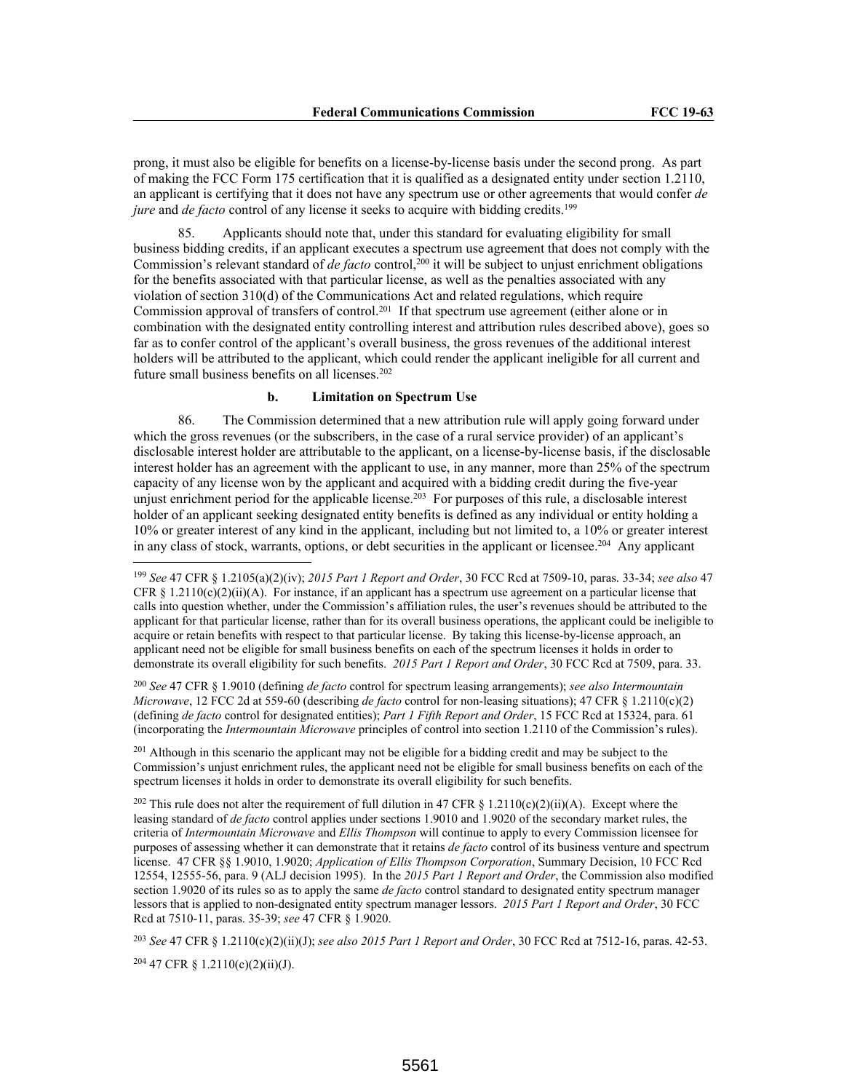prong, it must also be eligible for benefits on a license-by-license basis under the second prong. As part of making the FCC Form 175 certification that it is qualified as a designated entity under section 1.2110, an applicant is certifying that it does not have any spectrum use or other agreements that would confer *de jure* and *de facto* control of any license it seeks to acquire with bidding credits.<sup>199</sup>

85. Applicants should note that, under this standard for evaluating eligibility for small business bidding credits, if an applicant executes a spectrum use agreement that does not comply with the Commission's relevant standard of *de facto* control,<sup>200</sup> it will be subject to unjust enrichment obligations for the benefits associated with that particular license, as well as the penalties associated with any violation of section 310(d) of the Communications Act and related regulations, which require Commission approval of transfers of control.<sup>201</sup> If that spectrum use agreement (either alone or in combination with the designated entity controlling interest and attribution rules described above), goes so far as to confer control of the applicant's overall business, the gross revenues of the additional interest holders will be attributed to the applicant, which could render the applicant ineligible for all current and future small business benefits on all licenses.<sup>202</sup>

### **b. Limitation on Spectrum Use**

86. The Commission determined that a new attribution rule will apply going forward under which the gross revenues (or the subscribers, in the case of a rural service provider) of an applicant's disclosable interest holder are attributable to the applicant, on a license-by-license basis, if the disclosable interest holder has an agreement with the applicant to use, in any manner, more than 25% of the spectrum capacity of any license won by the applicant and acquired with a bidding credit during the five-year unjust enrichment period for the applicable license.<sup>203</sup> For purposes of this rule, a disclosable interest holder of an applicant seeking designated entity benefits is defined as any individual or entity holding a 10% or greater interest of any kind in the applicant, including but not limited to, a 10% or greater interest in any class of stock, warrants, options, or debt securities in the applicant or licensee.<sup>204</sup> Any applicant

<sup>200</sup> *See* 47 CFR § 1.9010 (defining *de facto* control for spectrum leasing arrangements); *see also Intermountain Microwave*, 12 FCC 2d at 559-60 (describing *de facto* control for non-leasing situations); 47 CFR § 1.2110(c)(2) (defining *de facto* control for designated entities); *Part 1 Fifth Report and Order*, 15 FCC Rcd at 15324, para. 61 (incorporating the *Intermountain Microwave* principles of control into section 1.2110 of the Commission's rules).

<sup>201</sup> Although in this scenario the applicant may not be eligible for a bidding credit and may be subject to the Commission's unjust enrichment rules, the applicant need not be eligible for small business benefits on each of the spectrum licenses it holds in order to demonstrate its overall eligibility for such benefits.

<sup>202</sup> This rule does not alter the requirement of full dilution in 47 CFR § 1.2110(c)(2)(ii)(A). Except where the leasing standard of *de facto* control applies under sections 1.9010 and 1.9020 of the secondary market rules, the criteria of *Intermountain Microwave* and *Ellis Thompson* will continue to apply to every Commission licensee for purposes of assessing whether it can demonstrate that it retains *de facto* control of its business venture and spectrum license. 47 CFR §§ 1.9010, 1.9020; *Application of Ellis Thompson Corporation*, Summary Decision, 10 FCC Rcd 12554, 12555-56, para. 9 (ALJ decision 1995). In the *2015 Part 1 Report and Order*, the Commission also modified section 1.9020 of its rules so as to apply the same *de facto* control standard to designated entity spectrum manager lessors that is applied to non-designated entity spectrum manager lessors. *2015 Part 1 Report and Order*, 30 FCC Rcd at 7510-11, paras. 35-39; *see* 47 CFR § 1.9020.

<sup>203</sup> *See* 47 CFR § 1.2110(c)(2)(ii)(J); *see also 2015 Part 1 Report and Order*, 30 FCC Rcd at 7512-16, paras. 42-53.

<sup>204</sup> 47 CFR § 1.2110(c)(2)(ii)(J).

<sup>199</sup> *See* 47 CFR § 1.2105(a)(2)(iv); *2015 Part 1 Report and Order*, 30 FCC Rcd at 7509-10, paras. 33-34; *see also* 47 CFR  $\S 1.2110(c)(2)(ii)(A)$ . For instance, if an applicant has a spectrum use agreement on a particular license that calls into question whether, under the Commission's affiliation rules, the user's revenues should be attributed to the applicant for that particular license, rather than for its overall business operations, the applicant could be ineligible to acquire or retain benefits with respect to that particular license. By taking this license-by-license approach, an applicant need not be eligible for small business benefits on each of the spectrum licenses it holds in order to demonstrate its overall eligibility for such benefits. *2015 Part 1 Report and Order*, 30 FCC Rcd at 7509, para. 33.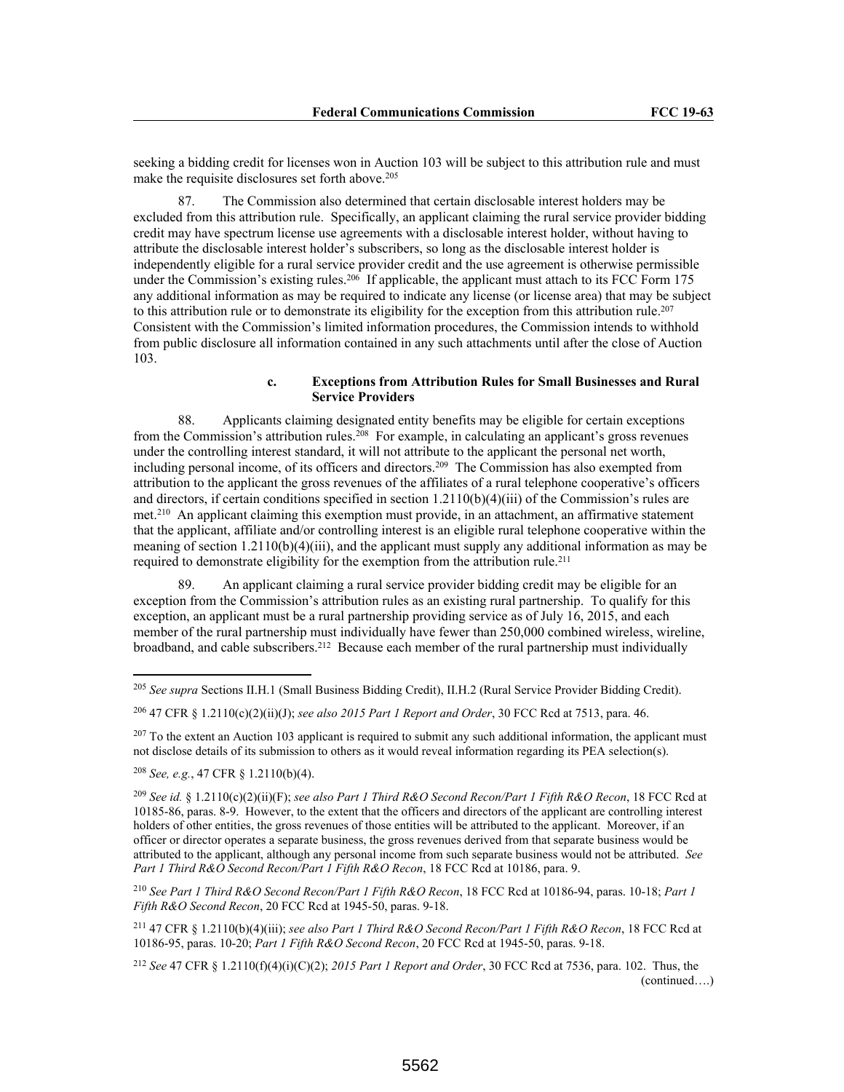seeking a bidding credit for licenses won in Auction 103 will be subject to this attribution rule and must make the requisite disclosures set forth above.<sup>205</sup>

87. The Commission also determined that certain disclosable interest holders may be excluded from this attribution rule. Specifically, an applicant claiming the rural service provider bidding credit may have spectrum license use agreements with a disclosable interest holder, without having to attribute the disclosable interest holder's subscribers, so long as the disclosable interest holder is independently eligible for a rural service provider credit and the use agreement is otherwise permissible under the Commission's existing rules.<sup>206</sup> If applicable, the applicant must attach to its FCC Form 175 any additional information as may be required to indicate any license (or license area) that may be subject to this attribution rule or to demonstrate its eligibility for the exception from this attribution rule.<sup>207</sup> Consistent with the Commission's limited information procedures, the Commission intends to withhold from public disclosure all information contained in any such attachments until after the close of Auction 103.

## **c. Exceptions from Attribution Rules for Small Businesses and Rural Service Providers**

88. Applicants claiming designated entity benefits may be eligible for certain exceptions from the Commission's attribution rules.<sup>208</sup> For example, in calculating an applicant's gross revenues under the controlling interest standard, it will not attribute to the applicant the personal net worth, including personal income, of its officers and directors.<sup>209</sup> The Commission has also exempted from attribution to the applicant the gross revenues of the affiliates of a rural telephone cooperative's officers and directors, if certain conditions specified in section 1.2110(b)(4)(iii) of the Commission's rules are met.<sup>210</sup> An applicant claiming this exemption must provide, in an attachment, an affirmative statement that the applicant, affiliate and/or controlling interest is an eligible rural telephone cooperative within the meaning of section 1.2110(b)(4)(iii), and the applicant must supply any additional information as may be required to demonstrate eligibility for the exemption from the attribution rule.<sup>211</sup>

89. An applicant claiming a rural service provider bidding credit may be eligible for an exception from the Commission's attribution rules as an existing rural partnership. To qualify for this exception, an applicant must be a rural partnership providing service as of July 16, 2015, and each member of the rural partnership must individually have fewer than 250,000 combined wireless, wireline, broadband, and cable subscribers.<sup>212</sup> Because each member of the rural partnership must individually

 $207$  To the extent an Auction 103 applicant is required to submit any such additional information, the applicant must not disclose details of its submission to others as it would reveal information regarding its PEA selection(s).

<sup>208</sup> *See, e.g.*, 47 CFR § 1.2110(b)(4).

<sup>210</sup> *See Part 1 Third R&O Second Recon/Part 1 Fifth R&O Recon*, 18 FCC Rcd at 10186-94, paras. 10-18; *Part 1 Fifth R&O Second Recon*, 20 FCC Rcd at 1945-50, paras. 9-18.

<sup>205</sup> *See supra* Sections II.H.1 (Small Business Bidding Credit), II.H.2 (Rural Service Provider Bidding Credit).

<sup>206</sup> 47 CFR § 1.2110(c)(2)(ii)(J); *see also 2015 Part 1 Report and Order*, 30 FCC Rcd at 7513, para. 46.

<sup>209</sup> *See id.* § 1.2110(c)(2)(ii)(F); *see also Part 1 Third R&O Second Recon/Part 1 Fifth R&O Recon*, 18 FCC Rcd at 10185-86, paras. 8-9. However, to the extent that the officers and directors of the applicant are controlling interest holders of other entities, the gross revenues of those entities will be attributed to the applicant. Moreover, if an officer or director operates a separate business, the gross revenues derived from that separate business would be attributed to the applicant, although any personal income from such separate business would not be attributed. *See Part 1 Third R&O Second Recon/Part 1 Fifth R&O Recon*, 18 FCC Rcd at 10186, para. 9.

<sup>211</sup> 47 CFR § 1.2110(b)(4)(iii); *see also Part 1 Third R&O Second Recon/Part 1 Fifth R&O Recon*, 18 FCC Rcd at 10186-95, paras. 10-20; *Part 1 Fifth R&O Second Recon*, 20 FCC Rcd at 1945-50, paras. 9-18.

<sup>212</sup> *See* 47 CFR § 1.2110(f)(4)(i)(C)(2); *2015 Part 1 Report and Order*, 30 FCC Rcd at 7536, para. 102. Thus, the (continued….)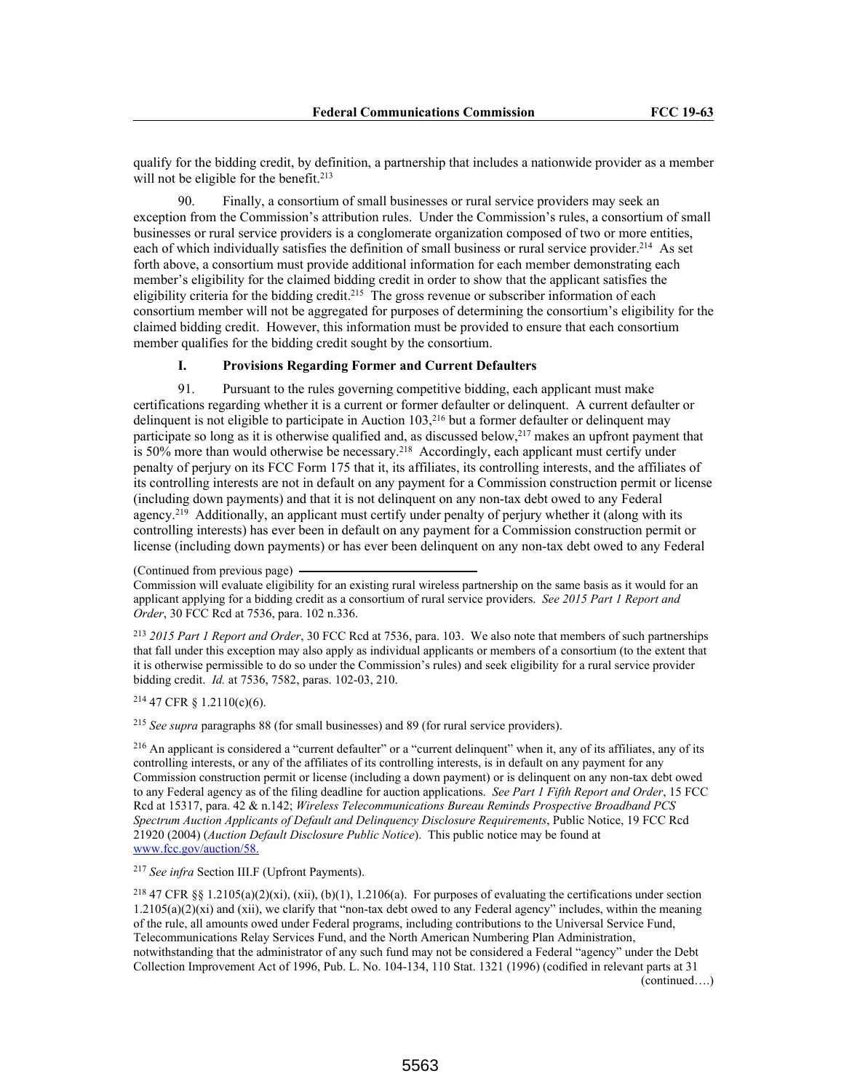qualify for the bidding credit, by definition, a partnership that includes a nationwide provider as a member will not be eligible for the benefit.<sup>213</sup>

90. Finally, a consortium of small businesses or rural service providers may seek an exception from the Commission's attribution rules. Under the Commission's rules, a consortium of small businesses or rural service providers is a conglomerate organization composed of two or more entities, each of which individually satisfies the definition of small business or rural service provider.<sup>214</sup> As set forth above, a consortium must provide additional information for each member demonstrating each member's eligibility for the claimed bidding credit in order to show that the applicant satisfies the eligibility criteria for the bidding credit.<sup>215</sup> The gross revenue or subscriber information of each consortium member will not be aggregated for purposes of determining the consortium's eligibility for the claimed bidding credit. However, this information must be provided to ensure that each consortium member qualifies for the bidding credit sought by the consortium.

# **I. Provisions Regarding Former and Current Defaulters**

91. Pursuant to the rules governing competitive bidding, each applicant must make certifications regarding whether it is a current or former defaulter or delinquent. A current defaulter or delinquent is not eligible to participate in Auction 103,<sup>216</sup> but a former defaulter or delinquent may participate so long as it is otherwise qualified and, as discussed below,<sup>217</sup> makes an upfront payment that is 50% more than would otherwise be necessary.<sup>218</sup> Accordingly, each applicant must certify under penalty of perjury on its FCC Form 175 that it, its affiliates, its controlling interests, and the affiliates of its controlling interests are not in default on any payment for a Commission construction permit or license (including down payments) and that it is not delinquent on any non-tax debt owed to any Federal agency.<sup>219</sup> Additionally, an applicant must certify under penalty of perjury whether it (along with its controlling interests) has ever been in default on any payment for a Commission construction permit or license (including down payments) or has ever been delinquent on any non-tax debt owed to any Federal

<sup>213</sup> *2015 Part 1 Report and Order*, 30 FCC Rcd at 7536, para. 103. We also note that members of such partnerships that fall under this exception may also apply as individual applicants or members of a consortium (to the extent that it is otherwise permissible to do so under the Commission's rules) and seek eligibility for a rural service provider bidding credit. *Id.* at 7536, 7582, paras. 102-03, 210.

<sup>214</sup> 47 CFR § 1.2110(c)(6).

<sup>215</sup> *See supra* paragraphs 88 (for small businesses) and 89 (for rural service providers).

<sup>216</sup> An applicant is considered a "current defaulter" or a "current delinquent" when it, any of its affiliates, any of its controlling interests, or any of the affiliates of its controlling interests, is in default on any payment for any Commission construction permit or license (including a down payment) or is delinquent on any non-tax debt owed to any Federal agency as of the filing deadline for auction applications. *See Part 1 Fifth Report and Order*, 15 FCC Rcd at 15317, para. 42 & n.142; *Wireless Telecommunications Bureau Reminds Prospective Broadband PCS Spectrum Auction Applicants of Default and Delinquency Disclosure Requirements*, Public Notice, 19 FCC Rcd 21920 (2004) (*Auction Default Disclosure Public Notice*). This public notice may be found at www.fcc.gov/auction/58.

<sup>217</sup> *See infra* Section III.F (Upfront Payments).

<sup>218</sup> 47 CFR §§ 1.2105(a)(2)(xi), (xii), (b)(1), 1.2106(a). For purposes of evaluating the certifications under section 1.2105(a)(2)(xi) and (xii), we clarify that "non-tax debt owed to any Federal agency" includes, within the meaning of the rule, all amounts owed under Federal programs, including contributions to the Universal Service Fund, Telecommunications Relay Services Fund, and the North American Numbering Plan Administration, notwithstanding that the administrator of any such fund may not be considered a Federal "agency" under the Debt Collection Improvement Act of 1996, Pub. L. No. 104-134, 110 Stat. 1321 (1996) (codified in relevant parts at 31 (continued….)

<sup>(</sup>Continued from previous page)

Commission will evaluate eligibility for an existing rural wireless partnership on the same basis as it would for an applicant applying for a bidding credit as a consortium of rural service providers. *See 2015 Part 1 Report and Order*, 30 FCC Rcd at 7536, para. 102 n.336.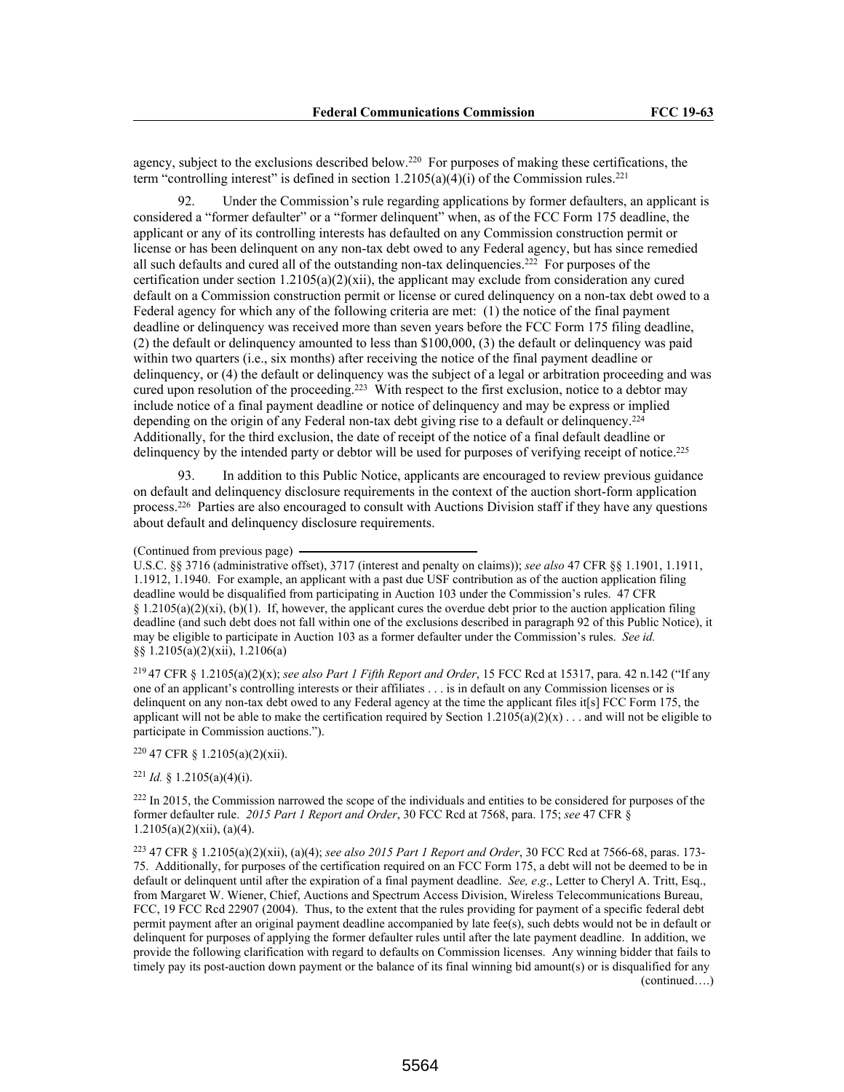agency, subject to the exclusions described below.<sup>220</sup> For purposes of making these certifications, the term "controlling interest" is defined in section  $1.2105(a)(4)(i)$  of the Commission rules.<sup>221</sup>

Under the Commission's rule regarding applications by former defaulters, an applicant is considered a "former defaulter" or a "former delinquent" when, as of the FCC Form 175 deadline, the applicant or any of its controlling interests has defaulted on any Commission construction permit or license or has been delinquent on any non-tax debt owed to any Federal agency, but has since remedied all such defaults and cured all of the outstanding non-tax delinquencies.<sup>222</sup> For purposes of the certification under section  $1.2105(a)(2)(xii)$ , the applicant may exclude from consideration any cured default on a Commission construction permit or license or cured delinquency on a non-tax debt owed to a Federal agency for which any of the following criteria are met: (1) the notice of the final payment deadline or delinquency was received more than seven years before the FCC Form 175 filing deadline, (2) the default or delinquency amounted to less than \$100,000, (3) the default or delinquency was paid within two quarters (i.e., six months) after receiving the notice of the final payment deadline or delinquency, or (4) the default or delinquency was the subject of a legal or arbitration proceeding and was cured upon resolution of the proceeding.<sup>223</sup> With respect to the first exclusion, notice to a debtor may include notice of a final payment deadline or notice of delinquency and may be express or implied depending on the origin of any Federal non-tax debt giving rise to a default or delinquency.<sup>224</sup> Additionally, for the third exclusion, the date of receipt of the notice of a final default deadline or delinquency by the intended party or debtor will be used for purposes of verifying receipt of notice.<sup>225</sup>

93. In addition to this Public Notice, applicants are encouraged to review previous guidance on default and delinquency disclosure requirements in the context of the auction short-form application process.<sup>226</sup> Parties are also encouraged to consult with Auctions Division staff if they have any questions about default and delinquency disclosure requirements.

U.S.C. §§ 3716 (administrative offset), 3717 (interest and penalty on claims)); *see also* 47 CFR §§ 1.1901, 1.1911, 1.1912, 1.1940. For example, an applicant with a past due USF contribution as of the auction application filing deadline would be disqualified from participating in Auction 103 under the Commission's rules. 47 CFR § 1.2105(a)(2)(xi), (b)(1). If, however, the applicant cures the overdue debt prior to the auction application filing deadline (and such debt does not fall within one of the exclusions described in paragraph 92 of this Public Notice), it may be eligible to participate in Auction 103 as a former defaulter under the Commission's rules. *See id.*  §§ 1.2105(a)(2)(xii), 1.2106(a)

<sup>219</sup>47 CFR § 1.2105(a)(2)(x); *see also Part 1 Fifth Report and Order*, 15 FCC Rcd at 15317, para. 42 n.142 ("If any one of an applicant's controlling interests or their affiliates . . . is in default on any Commission licenses or is delinguent on any non-tax debt owed to any Federal agency at the time the applicant files it[s] FCC Form 175, the applicant will not be able to make the certification required by Section  $1.2105(a)(2)(x)$ ... and will not be eligible to participate in Commission auctions.").

<sup>220</sup> 47 CFR § 1.2105(a)(2)(xii).

 $221$  *Id.* § 1.2105(a)(4)(i).

<sup>222</sup> In 2015, the Commission narrowed the scope of the individuals and entities to be considered for purposes of the former defaulter rule. *2015 Part 1 Report and Order*, 30 FCC Rcd at 7568, para. 175; *see* 47 CFR §  $1.2105(a)(2)(xii)$ ,  $(a)(4)$ .

<sup>223</sup> 47 CFR § 1.2105(a)(2)(xii), (a)(4); *see also 2015 Part 1 Report and Order*, 30 FCC Rcd at 7566-68, paras. 173- 75. Additionally, for purposes of the certification required on an FCC Form 175, a debt will not be deemed to be in default or delinquent until after the expiration of a final payment deadline. *See, e*.*g*., Letter to Cheryl A. Tritt, Esq., from Margaret W. Wiener, Chief, Auctions and Spectrum Access Division, Wireless Telecommunications Bureau, FCC, 19 FCC Rcd 22907 (2004). Thus, to the extent that the rules providing for payment of a specific federal debt permit payment after an original payment deadline accompanied by late fee(s), such debts would not be in default or delinquent for purposes of applying the former defaulter rules until after the late payment deadline. In addition, we provide the following clarification with regard to defaults on Commission licenses. Any winning bidder that fails to timely pay its post-auction down payment or the balance of its final winning bid amount(s) or is disqualified for any (continued….)

<sup>(</sup>Continued from previous page)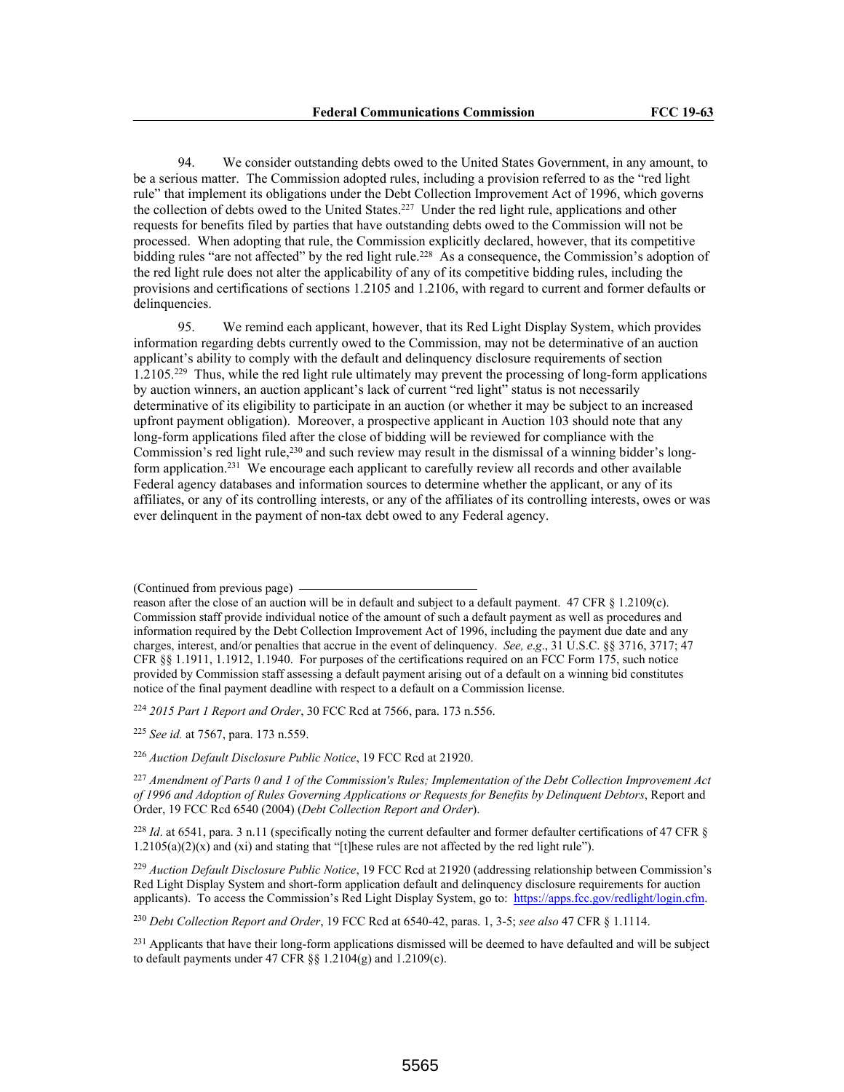94. We consider outstanding debts owed to the United States Government, in any amount, to be a serious matter. The Commission adopted rules, including a provision referred to as the "red light rule" that implement its obligations under the Debt Collection Improvement Act of 1996, which governs the collection of debts owed to the United States.<sup>227</sup> Under the red light rule, applications and other requests for benefits filed by parties that have outstanding debts owed to the Commission will not be processed. When adopting that rule, the Commission explicitly declared, however, that its competitive bidding rules "are not affected" by the red light rule.<sup>228</sup> As a consequence, the Commission's adoption of the red light rule does not alter the applicability of any of its competitive bidding rules, including the provisions and certifications of sections 1.2105 and 1.2106, with regard to current and former defaults or delinquencies.

95. We remind each applicant, however, that its Red Light Display System, which provides information regarding debts currently owed to the Commission, may not be determinative of an auction applicant's ability to comply with the default and delinquency disclosure requirements of section 1.2105.<sup>229</sup> Thus, while the red light rule ultimately may prevent the processing of long-form applications by auction winners, an auction applicant's lack of current "red light" status is not necessarily determinative of its eligibility to participate in an auction (or whether it may be subject to an increased upfront payment obligation). Moreover, a prospective applicant in Auction 103 should note that any long-form applications filed after the close of bidding will be reviewed for compliance with the Commission's red light rule,<sup>230</sup> and such review may result in the dismissal of a winning bidder's longform application.<sup>231</sup> We encourage each applicant to carefully review all records and other available Federal agency databases and information sources to determine whether the applicant, or any of its affiliates, or any of its controlling interests, or any of the affiliates of its controlling interests, owes or was ever delinquent in the payment of non-tax debt owed to any Federal agency.

<sup>224</sup> *2015 Part 1 Report and Order*, 30 FCC Rcd at 7566, para. 173 n.556.

<sup>225</sup> *See id.* at 7567, para. 173 n.559.

<sup>226</sup> *Auction Default Disclosure Public Notice*, 19 FCC Rcd at 21920.

<sup>228</sup> *Id.* at 6541, para. 3 n.11 (specifically noting the current defaulter and former defaulter certifications of 47 CFR  $\S$  $1.2105(a)(2)(x)$  and (xi) and stating that "[t]hese rules are not affected by the red light rule").

<sup>229</sup> *Auction Default Disclosure Public Notice*, 19 FCC Rcd at 21920 (addressing relationship between Commission's Red Light Display System and short-form application default and delinquency disclosure requirements for auction applicants). To access the Commission's Red Light Display System, go to: https://apps.fcc.gov/redlight/login.cfm.

<sup>230</sup> *Debt Collection Report and Order*, 19 FCC Rcd at 6540-42, paras. 1, 3-5; *see also* 47 CFR § 1.1114.

 $^{231}$  Applicants that have their long-form applications dismissed will be deemed to have defaulted and will be subject to default payments under 47 CFR  $\S$ § 1.2104(g) and 1.2109(c).

<sup>(</sup>Continued from previous page)

reason after the close of an auction will be in default and subject to a default payment. 47 CFR § 1.2109(c). Commission staff provide individual notice of the amount of such a default payment as well as procedures and information required by the Debt Collection Improvement Act of 1996, including the payment due date and any charges, interest, and/or penalties that accrue in the event of delinquency. *See, e*.*g*., 31 U.S.C. §§ 3716, 3717; 47 CFR §§ 1.1911, 1.1912, 1.1940. For purposes of the certifications required on an FCC Form 175, such notice provided by Commission staff assessing a default payment arising out of a default on a winning bid constitutes notice of the final payment deadline with respect to a default on a Commission license.

<sup>227</sup> *Amendment of Parts 0 and 1 of the Commission's Rules; Implementation of the Debt Collection Improvement Act of 1996 and Adoption of Rules Governing Applications or Requests for Benefits by Delinquent Debtors*, Report and Order, 19 FCC Rcd 6540 (2004) (*Debt Collection Report and Order*).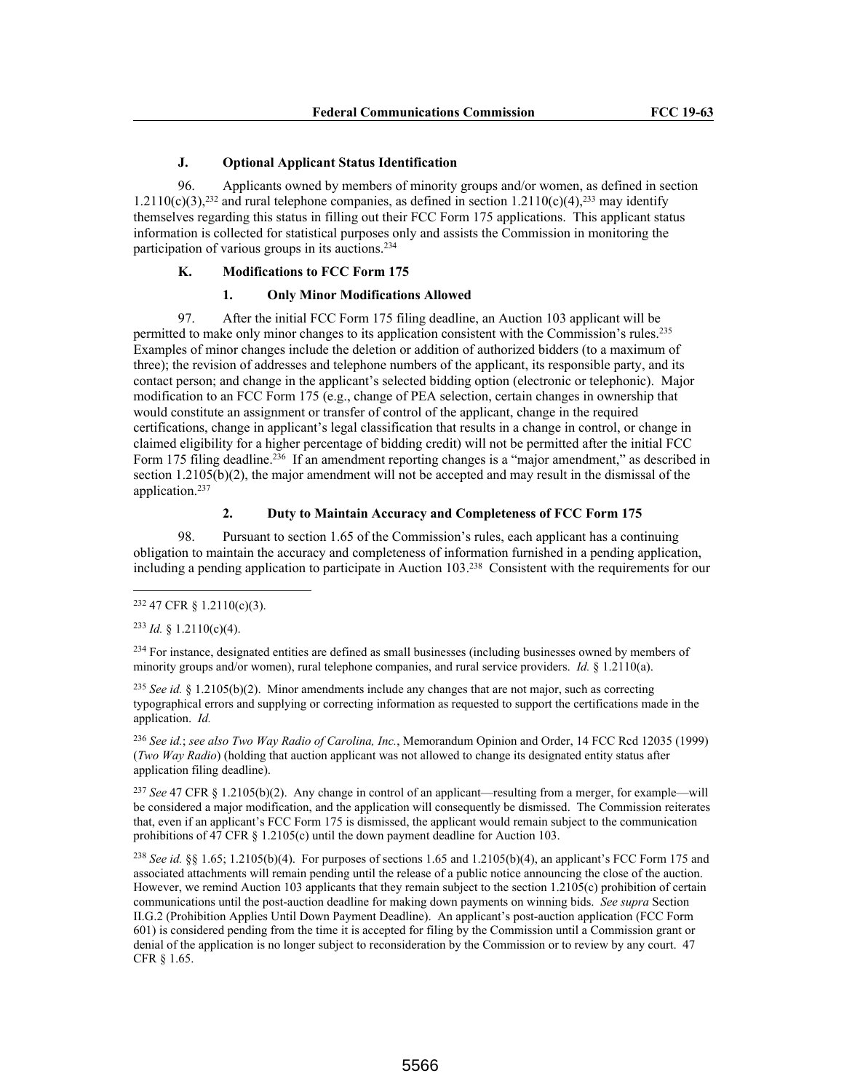### **J. Optional Applicant Status Identification**

96. Applicants owned by members of minority groups and/or women, as defined in section  $1.2110(c)(3)$ ,<sup>232</sup> and rural telephone companies, as defined in section  $1.2110(c)(4)$ ,<sup>233</sup> may identify themselves regarding this status in filling out their FCC Form 175 applications. This applicant status information is collected for statistical purposes only and assists the Commission in monitoring the participation of various groups in its auctions.<sup>234</sup>

### **K. Modifications to FCC Form 175**

## **1. Only Minor Modifications Allowed**

97. After the initial FCC Form 175 filing deadline, an Auction 103 applicant will be permitted to make only minor changes to its application consistent with the Commission's rules.<sup>235</sup> Examples of minor changes include the deletion or addition of authorized bidders (to a maximum of three); the revision of addresses and telephone numbers of the applicant, its responsible party, and its contact person; and change in the applicant's selected bidding option (electronic or telephonic). Major modification to an FCC Form 175 (e.g., change of PEA selection, certain changes in ownership that would constitute an assignment or transfer of control of the applicant, change in the required certifications, change in applicant's legal classification that results in a change in control, or change in claimed eligibility for a higher percentage of bidding credit) will not be permitted after the initial FCC Form 175 filing deadline.<sup>236</sup> If an amendment reporting changes is a "major amendment," as described in section 1.2105(b)(2), the major amendment will not be accepted and may result in the dismissal of the application.<sup>237</sup>

### **2. Duty to Maintain Accuracy and Completeness of FCC Form 175**

98. Pursuant to section 1.65 of the Commission's rules, each applicant has a continuing obligation to maintain the accuracy and completeness of information furnished in a pending application, including a pending application to participate in Auction 103.<sup>238</sup> Consistent with the requirements for our

<sup>232</sup> 47 CFR § 1.2110(c)(3).

 $233$  *Id.* § 1.2110(c)(4).

<sup>234</sup> For instance, designated entities are defined as small businesses (including businesses owned by members of minority groups and/or women), rural telephone companies, and rural service providers. *Id.* § 1.2110(a).

<sup>235</sup> *See id.* § 1.2105(b)(2). Minor amendments include any changes that are not major, such as correcting typographical errors and supplying or correcting information as requested to support the certifications made in the application. *Id.*

<sup>236</sup> *See id.*; *see also Two Way Radio of Carolina, Inc.*, Memorandum Opinion and Order, 14 FCC Rcd 12035 (1999) (*Two Way Radio*) (holding that auction applicant was not allowed to change its designated entity status after application filing deadline).

<sup>237</sup> *See* 47 CFR § 1.2105(b)(2). Any change in control of an applicant—resulting from a merger, for example—will be considered a major modification, and the application will consequently be dismissed. The Commission reiterates that, even if an applicant's FCC Form 175 is dismissed, the applicant would remain subject to the communication prohibitions of 47 CFR § 1.2105(c) until the down payment deadline for Auction 103.

<sup>238</sup> *See id.* §§ 1.65; 1.2105(b)(4). For purposes of sections 1.65 and 1.2105(b)(4), an applicant's FCC Form 175 and associated attachments will remain pending until the release of a public notice announcing the close of the auction. However, we remind Auction 103 applicants that they remain subject to the section 1.2105(c) prohibition of certain communications until the post-auction deadline for making down payments on winning bids. *See supra* Section II.G.2 (Prohibition Applies Until Down Payment Deadline). An applicant's post-auction application (FCC Form 601) is considered pending from the time it is accepted for filing by the Commission until a Commission grant or denial of the application is no longer subject to reconsideration by the Commission or to review by any court. 47 CFR § 1.65.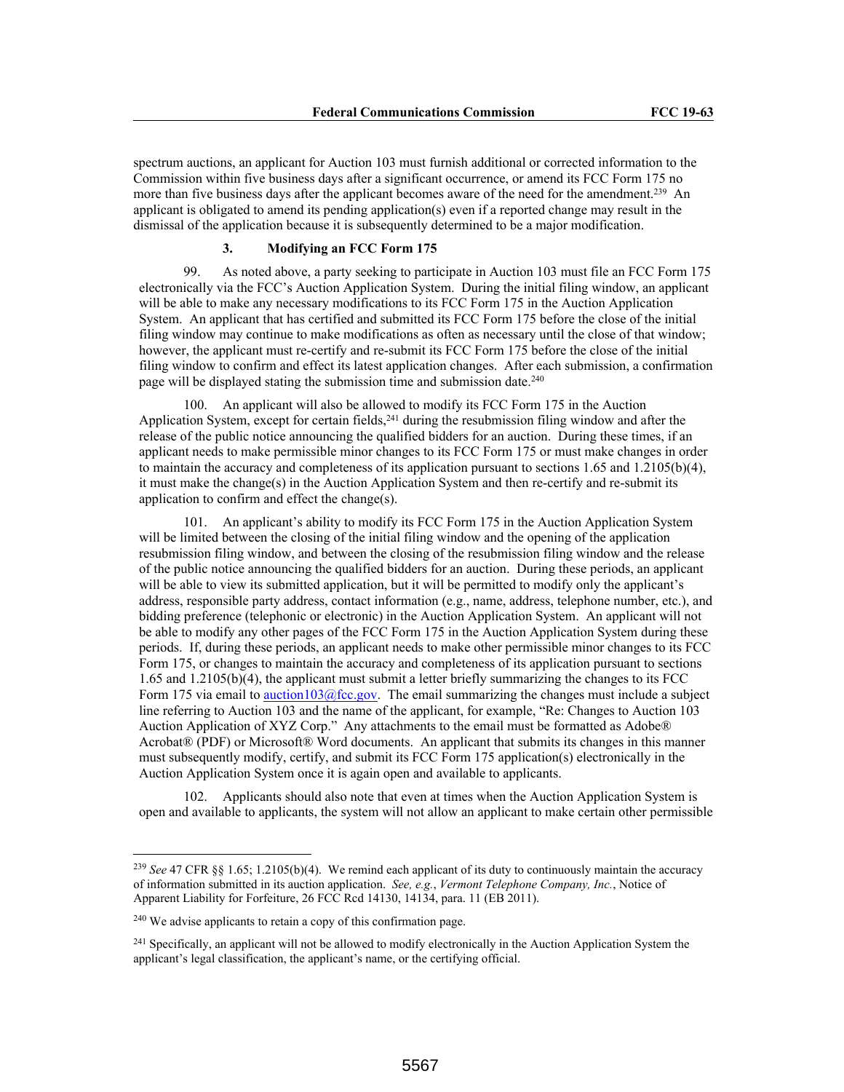spectrum auctions, an applicant for Auction 103 must furnish additional or corrected information to the Commission within five business days after a significant occurrence, or amend its FCC Form 175 no more than five business days after the applicant becomes aware of the need for the amendment.<sup>239</sup> An applicant is obligated to amend its pending application(s) even if a reported change may result in the dismissal of the application because it is subsequently determined to be a major modification.

# **3. Modifying an FCC Form 175**

99. As noted above, a party seeking to participate in Auction 103 must file an FCC Form 175 electronically via the FCC's Auction Application System. During the initial filing window, an applicant will be able to make any necessary modifications to its FCC Form 175 in the Auction Application System. An applicant that has certified and submitted its FCC Form 175 before the close of the initial filing window may continue to make modifications as often as necessary until the close of that window; however, the applicant must re-certify and re-submit its FCC Form 175 before the close of the initial filing window to confirm and effect its latest application changes. After each submission, a confirmation page will be displayed stating the submission time and submission date.<sup>240</sup>

100. An applicant will also be allowed to modify its FCC Form 175 in the Auction Application System, except for certain fields,<sup>241</sup> during the resubmission filing window and after the release of the public notice announcing the qualified bidders for an auction. During these times, if an applicant needs to make permissible minor changes to its FCC Form 175 or must make changes in order to maintain the accuracy and completeness of its application pursuant to sections 1.65 and 1.2105(b)(4), it must make the change(s) in the Auction Application System and then re-certify and re-submit its application to confirm and effect the change(s).

101. An applicant's ability to modify its FCC Form 175 in the Auction Application System will be limited between the closing of the initial filing window and the opening of the application resubmission filing window, and between the closing of the resubmission filing window and the release of the public notice announcing the qualified bidders for an auction. During these periods, an applicant will be able to view its submitted application, but it will be permitted to modify only the applicant's address, responsible party address, contact information (e.g., name, address, telephone number, etc.), and bidding preference (telephonic or electronic) in the Auction Application System. An applicant will not be able to modify any other pages of the FCC Form 175 in the Auction Application System during these periods. If, during these periods, an applicant needs to make other permissible minor changes to its FCC Form 175, or changes to maintain the accuracy and completeness of its application pursuant to sections 1.65 and 1.2105(b)(4), the applicant must submit a letter briefly summarizing the changes to its FCC Form 175 via email to auction103@fcc.gov. The email summarizing the changes must include a subject line referring to Auction 103 and the name of the applicant, for example, "Re: Changes to Auction 103 Auction Application of XYZ Corp." Any attachments to the email must be formatted as Adobe® Acrobat® (PDF) or Microsoft® Word documents. An applicant that submits its changes in this manner must subsequently modify, certify, and submit its FCC Form 175 application(s) electronically in the Auction Application System once it is again open and available to applicants.

102. Applicants should also note that even at times when the Auction Application System is open and available to applicants, the system will not allow an applicant to make certain other permissible

<sup>239</sup> *See* 47 CFR §§ 1.65; 1.2105(b)(4). We remind each applicant of its duty to continuously maintain the accuracy of information submitted in its auction application. *See, e.g.*, *Vermont Telephone Company, Inc.*, Notice of Apparent Liability for Forfeiture, 26 FCC Rcd 14130, 14134, para. 11 (EB 2011).

<sup>240</sup> We advise applicants to retain a copy of this confirmation page.

<sup>&</sup>lt;sup>241</sup> Specifically, an applicant will not be allowed to modify electronically in the Auction Application System the applicant's legal classification, the applicant's name, or the certifying official.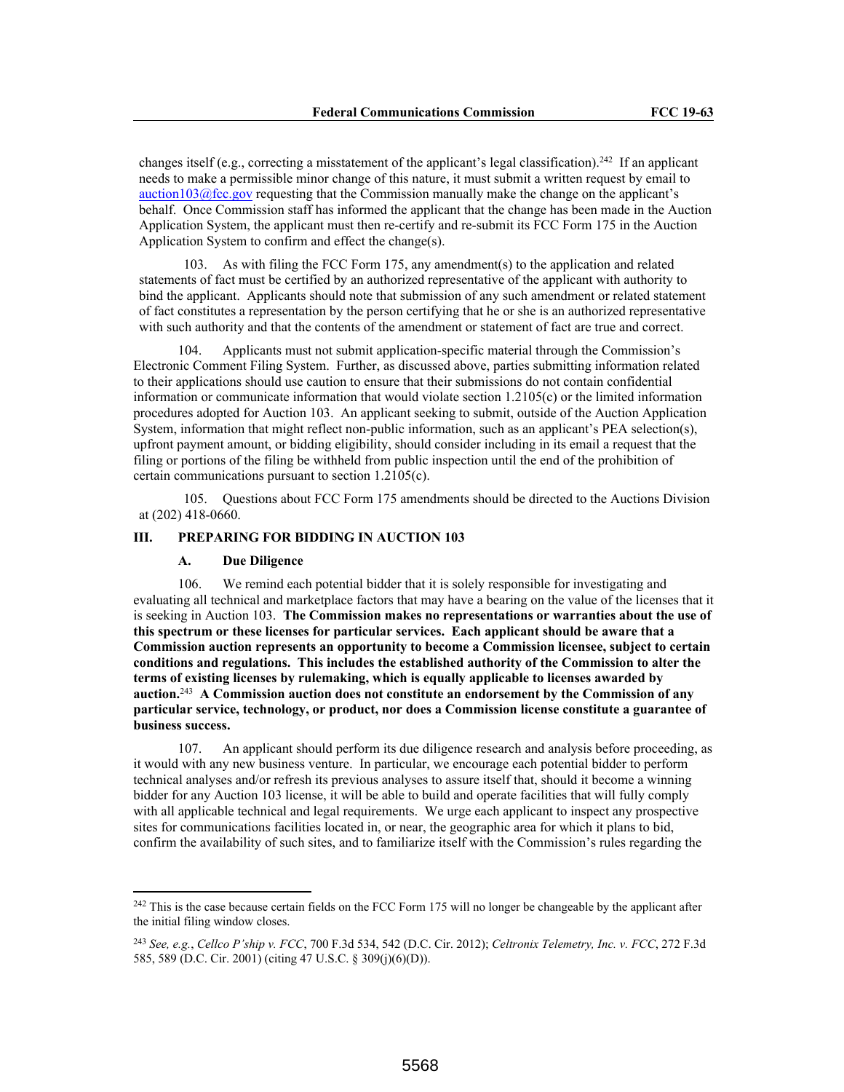changes itself (e.g., correcting a misstatement of the applicant's legal classification).<sup>242</sup> If an applicant needs to make a permissible minor change of this nature, it must submit a written request by email to auction103@fcc.gov requesting that the Commission manually make the change on the applicant's behalf. Once Commission staff has informed the applicant that the change has been made in the Auction Application System, the applicant must then re-certify and re-submit its FCC Form 175 in the Auction Application System to confirm and effect the change(s).

103. As with filing the FCC Form 175, any amendment(s) to the application and related statements of fact must be certified by an authorized representative of the applicant with authority to bind the applicant. Applicants should note that submission of any such amendment or related statement of fact constitutes a representation by the person certifying that he or she is an authorized representative with such authority and that the contents of the amendment or statement of fact are true and correct.

104. Applicants must not submit application-specific material through the Commission's Electronic Comment Filing System. Further, as discussed above, parties submitting information related to their applications should use caution to ensure that their submissions do not contain confidential information or communicate information that would violate section 1.2105(c) or the limited information procedures adopted for Auction 103. An applicant seeking to submit, outside of the Auction Application System, information that might reflect non-public information, such as an applicant's PEA selection(s), upfront payment amount, or bidding eligibility, should consider including in its email a request that the filing or portions of the filing be withheld from public inspection until the end of the prohibition of certain communications pursuant to section 1.2105(c).

105. Questions about FCC Form 175 amendments should be directed to the Auctions Division at (202) 418-0660.

# **III. PREPARING FOR BIDDING IN AUCTION 103**

# **A. Due Diligence**

106. We remind each potential bidder that it is solely responsible for investigating and evaluating all technical and marketplace factors that may have a bearing on the value of the licenses that it is seeking in Auction 103. **The Commission makes no representations or warranties about the use of this spectrum or these licenses for particular services. Each applicant should be aware that a Commission auction represents an opportunity to become a Commission licensee, subject to certain conditions and regulations. This includes the established authority of the Commission to alter the terms of existing licenses by rulemaking, which is equally applicable to licenses awarded by auction.**<sup>243</sup> **A Commission auction does not constitute an endorsement by the Commission of any particular service, technology, or product, nor does a Commission license constitute a guarantee of business success.**

107. An applicant should perform its due diligence research and analysis before proceeding, as it would with any new business venture. In particular, we encourage each potential bidder to perform technical analyses and/or refresh its previous analyses to assure itself that, should it become a winning bidder for any Auction 103 license, it will be able to build and operate facilities that will fully comply with all applicable technical and legal requirements. We urge each applicant to inspect any prospective sites for communications facilities located in, or near, the geographic area for which it plans to bid, confirm the availability of such sites, and to familiarize itself with the Commission's rules regarding the

<sup>&</sup>lt;sup>242</sup> This is the case because certain fields on the FCC Form 175 will no longer be changeable by the applicant after the initial filing window closes.

<sup>243</sup> *See, e.g.*, *Cellco P'ship v. FCC*, 700 F.3d 534, 542 (D.C. Cir. 2012); *Celtronix Telemetry, Inc. v. FCC*, 272 F.3d 585, 589 (D.C. Cir. 2001) (citing 47 U.S.C. § 309(j)(6)(D)).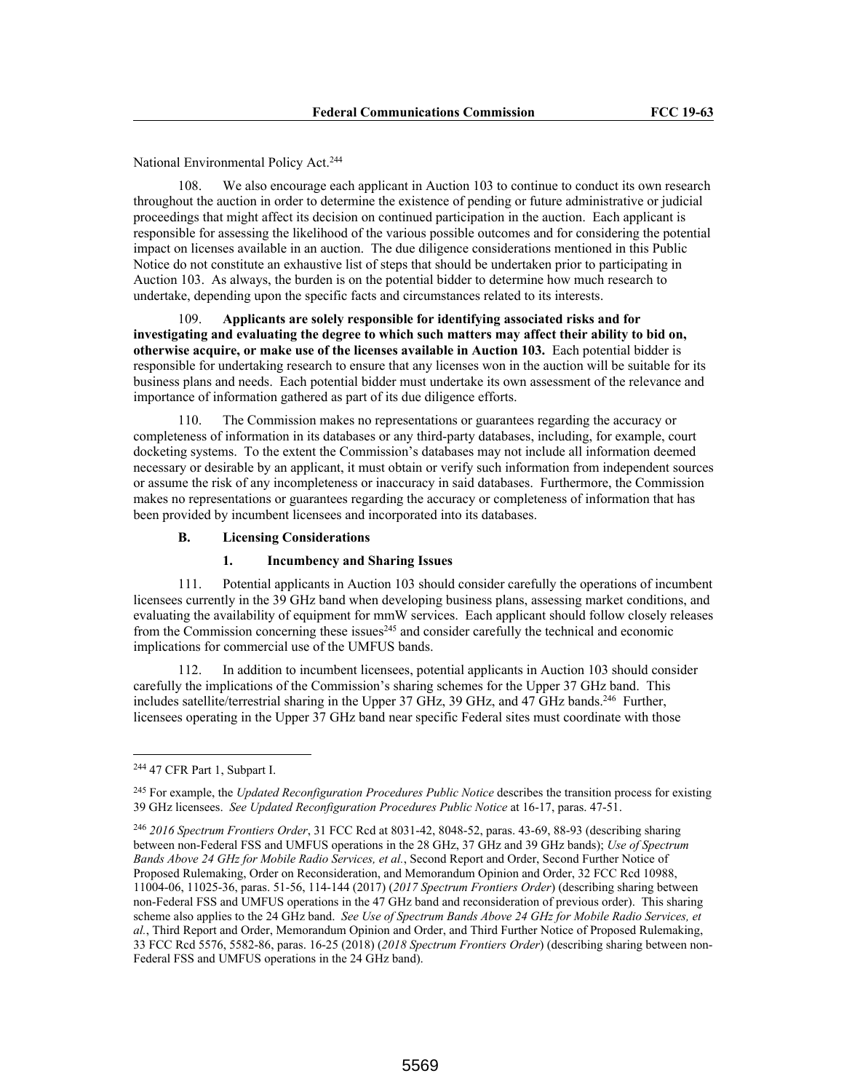National Environmental Policy Act.<sup>244</sup>

108. We also encourage each applicant in Auction 103 to continue to conduct its own research throughout the auction in order to determine the existence of pending or future administrative or judicial proceedings that might affect its decision on continued participation in the auction. Each applicant is responsible for assessing the likelihood of the various possible outcomes and for considering the potential impact on licenses available in an auction. The due diligence considerations mentioned in this Public Notice do not constitute an exhaustive list of steps that should be undertaken prior to participating in Auction 103. As always, the burden is on the potential bidder to determine how much research to undertake, depending upon the specific facts and circumstances related to its interests.

109. **Applicants are solely responsible for identifying associated risks and for investigating and evaluating the degree to which such matters may affect their ability to bid on, otherwise acquire, or make use of the licenses available in Auction 103.** Each potential bidder is responsible for undertaking research to ensure that any licenses won in the auction will be suitable for its business plans and needs. Each potential bidder must undertake its own assessment of the relevance and importance of information gathered as part of its due diligence efforts.

110. The Commission makes no representations or guarantees regarding the accuracy or completeness of information in its databases or any third-party databases, including, for example, court docketing systems. To the extent the Commission's databases may not include all information deemed necessary or desirable by an applicant, it must obtain or verify such information from independent sources or assume the risk of any incompleteness or inaccuracy in said databases. Furthermore, the Commission makes no representations or guarantees regarding the accuracy or completeness of information that has been provided by incumbent licensees and incorporated into its databases.

#### **B. Licensing Considerations**

# **1. Incumbency and Sharing Issues**

111. Potential applicants in Auction 103 should consider carefully the operations of incumbent licensees currently in the 39 GHz band when developing business plans, assessing market conditions, and evaluating the availability of equipment for mmW services. Each applicant should follow closely releases from the Commission concerning these issues<sup>245</sup> and consider carefully the technical and economic implications for commercial use of the UMFUS bands.

112. In addition to incumbent licensees, potential applicants in Auction 103 should consider carefully the implications of the Commission's sharing schemes for the Upper 37 GHz band. This includes satellite/terrestrial sharing in the Upper 37 GHz, 39 GHz, and 47 GHz bands.<sup>246</sup> Further, licensees operating in the Upper 37 GHz band near specific Federal sites must coordinate with those

<sup>244</sup> 47 CFR Part 1, Subpart I.

<sup>245</sup> For example, the *Updated Reconfiguration Procedures Public Notice* describes the transition process for existing 39 GHz licensees. *See Updated Reconfiguration Procedures Public Notice* at 16-17, paras. 47-51.

<sup>246</sup> *2016 Spectrum Frontiers Order*, 31 FCC Rcd at 8031-42, 8048-52, paras. 43-69, 88-93 (describing sharing between non-Federal FSS and UMFUS operations in the 28 GHz, 37 GHz and 39 GHz bands); *Use of Spectrum Bands Above 24 GHz for Mobile Radio Services, et al.*, Second Report and Order, Second Further Notice of Proposed Rulemaking, Order on Reconsideration, and Memorandum Opinion and Order, 32 FCC Rcd 10988, 11004-06, 11025-36, paras. 51-56, 114-144 (2017) (*2017 Spectrum Frontiers Order*) (describing sharing between non-Federal FSS and UMFUS operations in the 47 GHz band and reconsideration of previous order). This sharing scheme also applies to the 24 GHz band. *See Use of Spectrum Bands Above 24 GHz for Mobile Radio Services, et al.*, Third Report and Order, Memorandum Opinion and Order, and Third Further Notice of Proposed Rulemaking, 33 FCC Rcd 5576, 5582-86, paras. 16-25 (2018) (*2018 Spectrum Frontiers Order*) (describing sharing between non-Federal FSS and UMFUS operations in the 24 GHz band).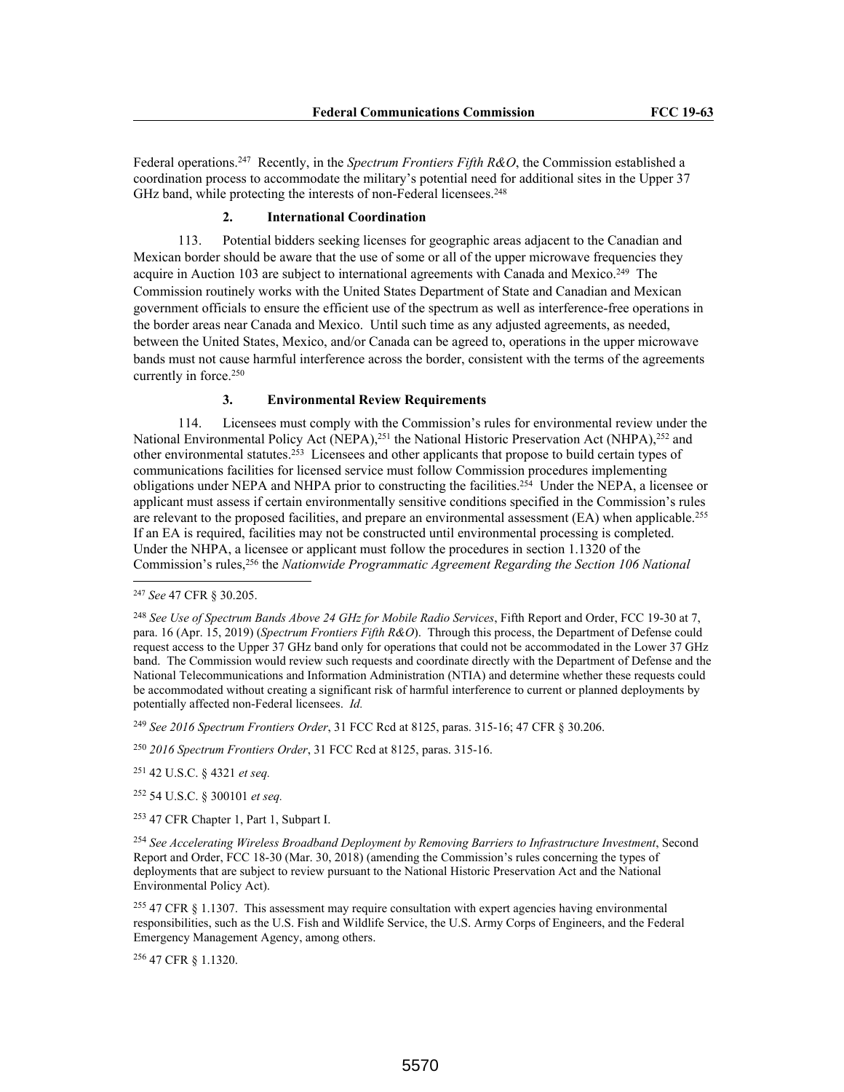Federal operations.<sup>247</sup> Recently, in the *Spectrum Frontiers Fifth R&O*, the Commission established a coordination process to accommodate the military's potential need for additional sites in the Upper 37 GHz band, while protecting the interests of non-Federal licensees.<sup>248</sup>

### **2. International Coordination**

113. Potential bidders seeking licenses for geographic areas adjacent to the Canadian and Mexican border should be aware that the use of some or all of the upper microwave frequencies they acquire in Auction 103 are subject to international agreements with Canada and Mexico.<sup>249</sup> The Commission routinely works with the United States Department of State and Canadian and Mexican government officials to ensure the efficient use of the spectrum as well as interference-free operations in the border areas near Canada and Mexico. Until such time as any adjusted agreements, as needed, between the United States, Mexico, and/or Canada can be agreed to, operations in the upper microwave bands must not cause harmful interference across the border, consistent with the terms of the agreements currently in force.<sup>250</sup>

#### **3. Environmental Review Requirements**

114. Licensees must comply with the Commission's rules for environmental review under the National Environmental Policy Act (NEPA),<sup>251</sup> the National Historic Preservation Act (NHPA),<sup>252</sup> and other environmental statutes.<sup>253</sup> Licensees and other applicants that propose to build certain types of communications facilities for licensed service must follow Commission procedures implementing obligations under NEPA and NHPA prior to constructing the facilities.<sup>254</sup> Under the NEPA, a licensee or applicant must assess if certain environmentally sensitive conditions specified in the Commission's rules are relevant to the proposed facilities, and prepare an environmental assessment (EA) when applicable.<sup>255</sup> If an EA is required, facilities may not be constructed until environmental processing is completed. Under the NHPA, a licensee or applicant must follow the procedures in section 1.1320 of the Commission's rules,<sup>256</sup> the *Nationwide Programmatic Agreement Regarding the Section 106 National* 

<sup>249</sup> *See 2016 Spectrum Frontiers Order*, 31 FCC Rcd at 8125, paras. 315-16; 47 CFR § 30.206.

<sup>250</sup> *2016 Spectrum Frontiers Order*, 31 FCC Rcd at 8125, paras. 315-16.

<sup>251</sup> 42 U.S.C. § 4321 *et seq.*

<sup>252</sup> 54 U.S.C. § 300101 *et seq.*

<sup>253</sup> 47 CFR Chapter 1, Part 1, Subpart I.

<sup>254</sup> *See Accelerating Wireless Broadband Deployment by Removing Barriers to Infrastructure Investment*, Second Report and Order, FCC 18-30 (Mar. 30, 2018) (amending the Commission's rules concerning the types of deployments that are subject to review pursuant to the National Historic Preservation Act and the National Environmental Policy Act).

<sup>255</sup> 47 CFR § 1.1307. This assessment may require consultation with expert agencies having environmental responsibilities, such as the U.S. Fish and Wildlife Service, the U.S. Army Corps of Engineers, and the Federal Emergency Management Agency, among others.

<sup>256</sup> 47 CFR § 1.1320.

<sup>247</sup> *See* 47 CFR § 30.205.

<sup>248</sup> *See Use of Spectrum Bands Above 24 GHz for Mobile Radio Services*, Fifth Report and Order, FCC 19-30 at 7, para. 16 (Apr. 15, 2019) (*Spectrum Frontiers Fifth R&O*). Through this process, the Department of Defense could request access to the Upper 37 GHz band only for operations that could not be accommodated in the Lower 37 GHz band. The Commission would review such requests and coordinate directly with the Department of Defense and the National Telecommunications and Information Administration (NTIA) and determine whether these requests could be accommodated without creating a significant risk of harmful interference to current or planned deployments by potentially affected non-Federal licensees. *Id.*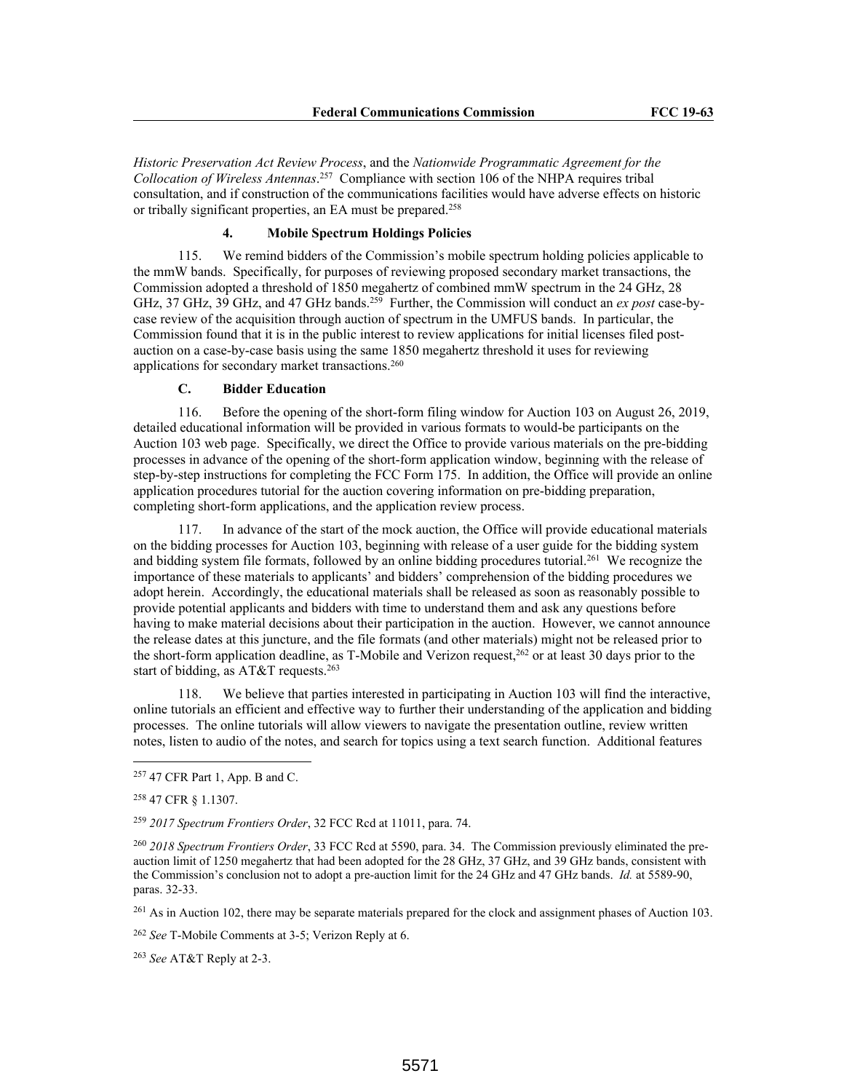*Historic Preservation Act Review Process*, and the *Nationwide Programmatic Agreement for the Collocation of Wireless Antennas*. <sup>257</sup> Compliance with section 106 of the NHPA requires tribal consultation, and if construction of the communications facilities would have adverse effects on historic or tribally significant properties, an EA must be prepared.<sup>258</sup>

## **4. Mobile Spectrum Holdings Policies**

115. We remind bidders of the Commission's mobile spectrum holding policies applicable to the mmW bands. Specifically, for purposes of reviewing proposed secondary market transactions, the Commission adopted a threshold of 1850 megahertz of combined mmW spectrum in the 24 GHz, 28 GHz, 37 GHz, 39 GHz, and 47 GHz bands.259 Further, the Commission will conduct an *ex post* case-bycase review of the acquisition through auction of spectrum in the UMFUS bands. In particular, the Commission found that it is in the public interest to review applications for initial licenses filed postauction on a case-by-case basis using the same 1850 megahertz threshold it uses for reviewing applications for secondary market transactions.<sup>260</sup>

#### **C. Bidder Education**

116. Before the opening of the short-form filing window for Auction 103 on August 26, 2019, detailed educational information will be provided in various formats to would-be participants on the Auction 103 web page. Specifically, we direct the Office to provide various materials on the pre-bidding processes in advance of the opening of the short-form application window, beginning with the release of step-by-step instructions for completing the FCC Form 175. In addition, the Office will provide an online application procedures tutorial for the auction covering information on pre-bidding preparation, completing short-form applications, and the application review process.

117. In advance of the start of the mock auction, the Office will provide educational materials on the bidding processes for Auction 103, beginning with release of a user guide for the bidding system and bidding system file formats, followed by an online bidding procedures tutorial.<sup>261</sup> We recognize the importance of these materials to applicants' and bidders' comprehension of the bidding procedures we adopt herein. Accordingly, the educational materials shall be released as soon as reasonably possible to provide potential applicants and bidders with time to understand them and ask any questions before having to make material decisions about their participation in the auction. However, we cannot announce the release dates at this juncture, and the file formats (and other materials) might not be released prior to the short-form application deadline, as T-Mobile and Verizon request,<sup>262</sup> or at least 30 days prior to the start of bidding, as AT&T requests.<sup>263</sup>

118. We believe that parties interested in participating in Auction 103 will find the interactive, online tutorials an efficient and effective way to further their understanding of the application and bidding processes. The online tutorials will allow viewers to navigate the presentation outline, review written notes, listen to audio of the notes, and search for topics using a text search function. Additional features

<sup>261</sup> As in Auction 102, there may be separate materials prepared for the clock and assignment phases of Auction 103.

<sup>263</sup> *See* AT&T Reply at 2-3.

<sup>257</sup> 47 CFR Part 1, App. B and C.

<sup>258</sup> 47 CFR § 1.1307.

<sup>259</sup> *2017 Spectrum Frontiers Order*, 32 FCC Rcd at 11011, para. 74.

<sup>260</sup> *2018 Spectrum Frontiers Order*, 33 FCC Rcd at 5590, para. 34. The Commission previously eliminated the preauction limit of 1250 megahertz that had been adopted for the 28 GHz, 37 GHz, and 39 GHz bands, consistent with the Commission's conclusion not to adopt a pre-auction limit for the 24 GHz and 47 GHz bands. *Id.* at 5589-90, paras. 32-33.

<sup>262</sup> *See* T-Mobile Comments at 3-5; Verizon Reply at 6.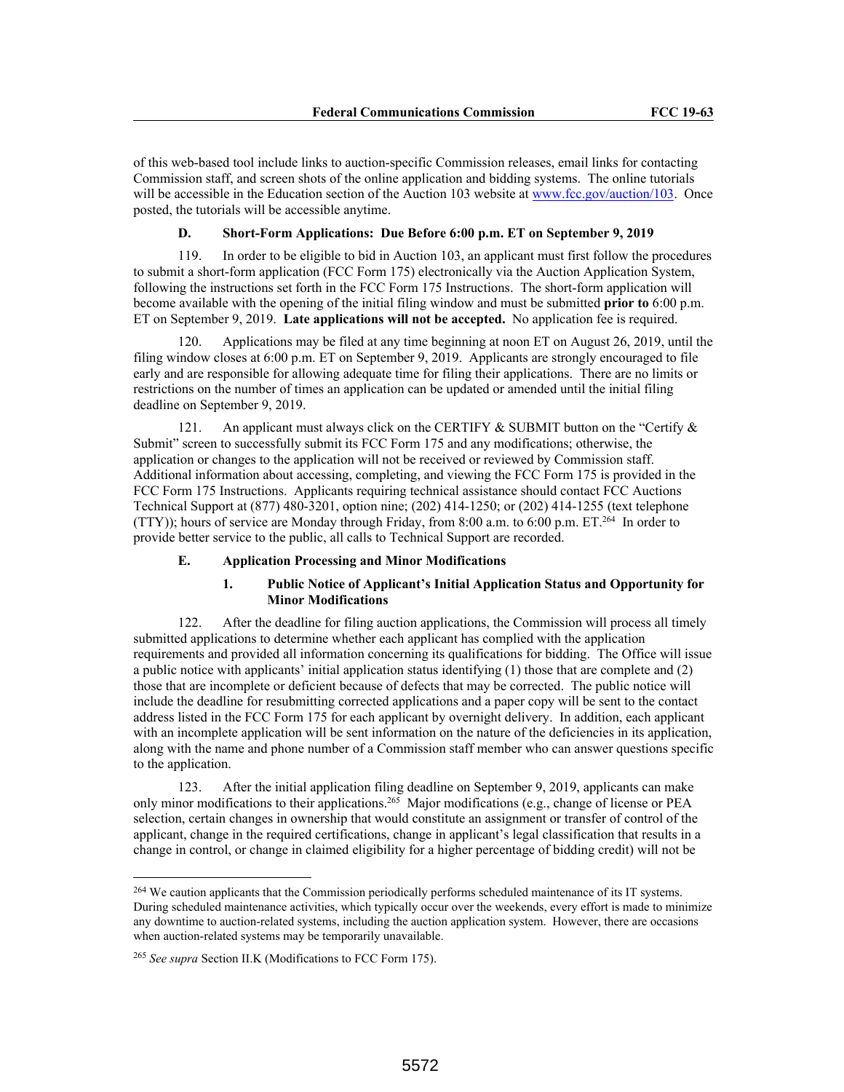of this web-based tool include links to auction-specific Commission releases, email links for contacting Commission staff, and screen shots of the online application and bidding systems. The online tutorials will be accessible in the Education section of the Auction 103 website at www.fcc.gov/auction/103. Once posted, the tutorials will be accessible anytime.

### **D. Short-Form Applications: Due Before 6:00 p.m. ET on September 9, 2019**

119. In order to be eligible to bid in Auction 103, an applicant must first follow the procedures to submit a short-form application (FCC Form 175) electronically via the Auction Application System, following the instructions set forth in the FCC Form 175 Instructions. The short-form application will become available with the opening of the initial filing window and must be submitted **prior to** 6:00 p.m. ET on September 9, 2019. **Late applications will not be accepted.** No application fee is required.

120. Applications may be filed at any time beginning at noon ET on August 26, 2019, until the filing window closes at 6:00 p.m. ET on September 9, 2019. Applicants are strongly encouraged to file early and are responsible for allowing adequate time for filing their applications. There are no limits or restrictions on the number of times an application can be updated or amended until the initial filing deadline on September 9, 2019.

121. An applicant must always click on the CERTIFY & SUBMIT button on the "Certify & Submit" screen to successfully submit its FCC Form 175 and any modifications; otherwise, the application or changes to the application will not be received or reviewed by Commission staff. Additional information about accessing, completing, and viewing the FCC Form 175 is provided in the FCC Form 175 Instructions. Applicants requiring technical assistance should contact FCC Auctions Technical Support at (877) 480-3201, option nine; (202) 414-1250; or (202) 414-1255 (text telephone (TTY)); hours of service are Monday through Friday, from 8:00 a.m. to 6:00 p.m. ET.<sup>264</sup> In order to provide better service to the public, all calls to Technical Support are recorded.

# **E. Application Processing and Minor Modifications**

# **1. Public Notice of Applicant's Initial Application Status and Opportunity for Minor Modifications**

122. After the deadline for filing auction applications, the Commission will process all timely submitted applications to determine whether each applicant has complied with the application requirements and provided all information concerning its qualifications for bidding. The Office will issue a public notice with applicants' initial application status identifying (1) those that are complete and (2) those that are incomplete or deficient because of defects that may be corrected. The public notice will include the deadline for resubmitting corrected applications and a paper copy will be sent to the contact address listed in the FCC Form 175 for each applicant by overnight delivery. In addition, each applicant with an incomplete application will be sent information on the nature of the deficiencies in its application, along with the name and phone number of a Commission staff member who can answer questions specific to the application.

123. After the initial application filing deadline on September 9, 2019, applicants can make only minor modifications to their applications.<sup>265</sup> Major modifications (e.g., change of license or PEA selection, certain changes in ownership that would constitute an assignment or transfer of control of the applicant, change in the required certifications, change in applicant's legal classification that results in a change in control, or change in claimed eligibility for a higher percentage of bidding credit) will not be

<sup>&</sup>lt;sup>264</sup> We caution applicants that the Commission periodically performs scheduled maintenance of its IT systems. During scheduled maintenance activities, which typically occur over the weekends, every effort is made to minimize any downtime to auction-related systems, including the auction application system. However, there are occasions when auction-related systems may be temporarily unavailable.

<sup>265</sup> *See supra* Section II.K (Modifications to FCC Form 175).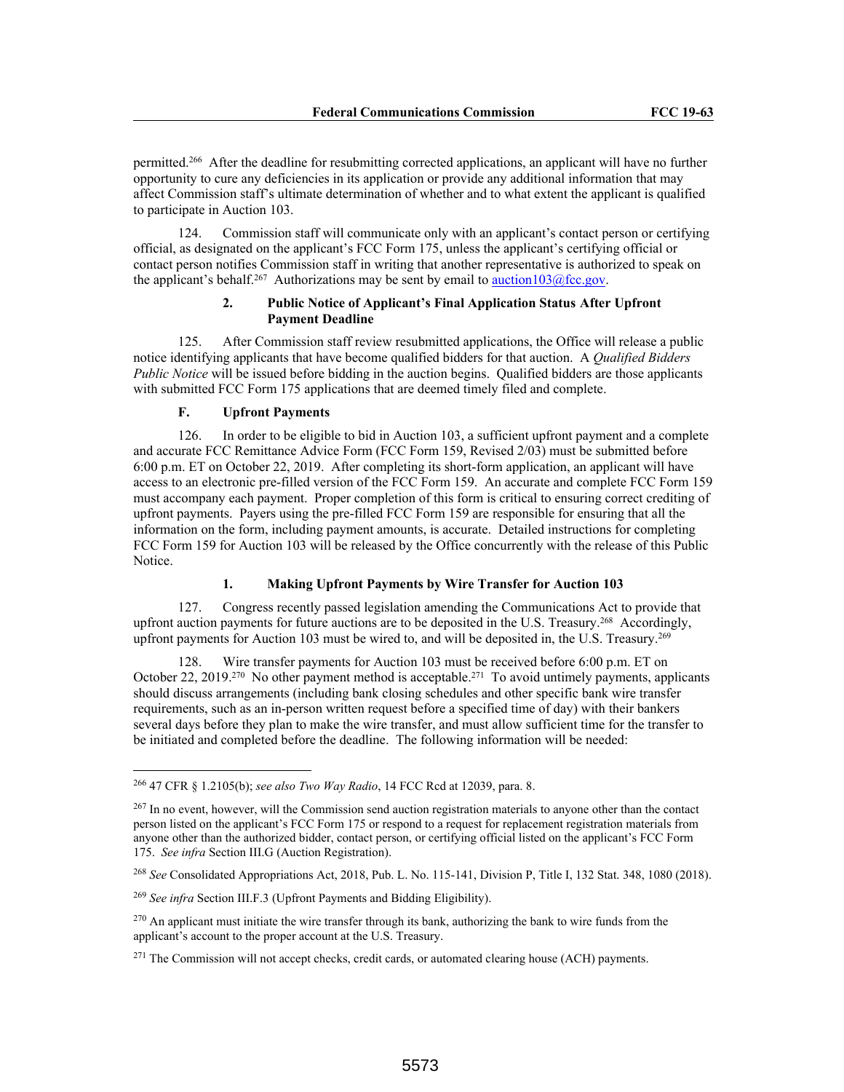permitted.<sup>266</sup> After the deadline for resubmitting corrected applications, an applicant will have no further opportunity to cure any deficiencies in its application or provide any additional information that may affect Commission staff's ultimate determination of whether and to what extent the applicant is qualified to participate in Auction 103.

124. Commission staff will communicate only with an applicant's contact person or certifying official, as designated on the applicant's FCC Form 175, unless the applicant's certifying official or contact person notifies Commission staff in writing that another representative is authorized to speak on the applicant's behalf.<sup>267</sup> Authorizations may be sent by email to auction103@fcc.gov.

# **2. Public Notice of Applicant's Final Application Status After Upfront Payment Deadline**

125. After Commission staff review resubmitted applications, the Office will release a public notice identifying applicants that have become qualified bidders for that auction. A *Qualified Bidders Public Notice* will be issued before bidding in the auction begins. Qualified bidders are those applicants with submitted FCC Form 175 applications that are deemed timely filed and complete.

# **F. Upfront Payments**

126. In order to be eligible to bid in Auction 103, a sufficient upfront payment and a complete and accurate FCC Remittance Advice Form (FCC Form 159, Revised 2/03) must be submitted before 6:00 p.m. ET on October 22, 2019. After completing its short-form application, an applicant will have access to an electronic pre-filled version of the FCC Form 159. An accurate and complete FCC Form 159 must accompany each payment. Proper completion of this form is critical to ensuring correct crediting of upfront payments. Payers using the pre-filled FCC Form 159 are responsible for ensuring that all the information on the form, including payment amounts, is accurate. Detailed instructions for completing FCC Form 159 for Auction 103 will be released by the Office concurrently with the release of this Public Notice.

# **1. Making Upfront Payments by Wire Transfer for Auction 103**

127. Congress recently passed legislation amending the Communications Act to provide that upfront auction payments for future auctions are to be deposited in the U.S. Treasury.<sup>268</sup> Accordingly, upfront payments for Auction 103 must be wired to, and will be deposited in, the U.S. Treasury.<sup>269</sup>

128. Wire transfer payments for Auction 103 must be received before 6:00 p.m. ET on October 22, 2019.<sup>270</sup> No other payment method is acceptable.<sup>271</sup> To avoid untimely payments, applicants should discuss arrangements (including bank closing schedules and other specific bank wire transfer requirements, such as an in-person written request before a specified time of day) with their bankers several days before they plan to make the wire transfer, and must allow sufficient time for the transfer to be initiated and completed before the deadline. The following information will be needed:

<sup>266</sup> 47 CFR § 1.2105(b); *see also Two Way Radio*, 14 FCC Rcd at 12039, para. 8.

<sup>&</sup>lt;sup>267</sup> In no event, however, will the Commission send auction registration materials to anyone other than the contact person listed on the applicant's FCC Form 175 or respond to a request for replacement registration materials from anyone other than the authorized bidder, contact person, or certifying official listed on the applicant's FCC Form 175. *See infra* Section III.G (Auction Registration).

<sup>268</sup> *See* Consolidated Appropriations Act, 2018, Pub. L. No. 115-141, Division P, Title I, 132 Stat. 348, 1080 (2018).

<sup>269</sup> *See infra* Section III.F.3 (Upfront Payments and Bidding Eligibility).

<sup>&</sup>lt;sup>270</sup> An applicant must initiate the wire transfer through its bank, authorizing the bank to wire funds from the applicant's account to the proper account at the U.S. Treasury.

<sup>&</sup>lt;sup>271</sup> The Commission will not accept checks, credit cards, or automated clearing house (ACH) payments.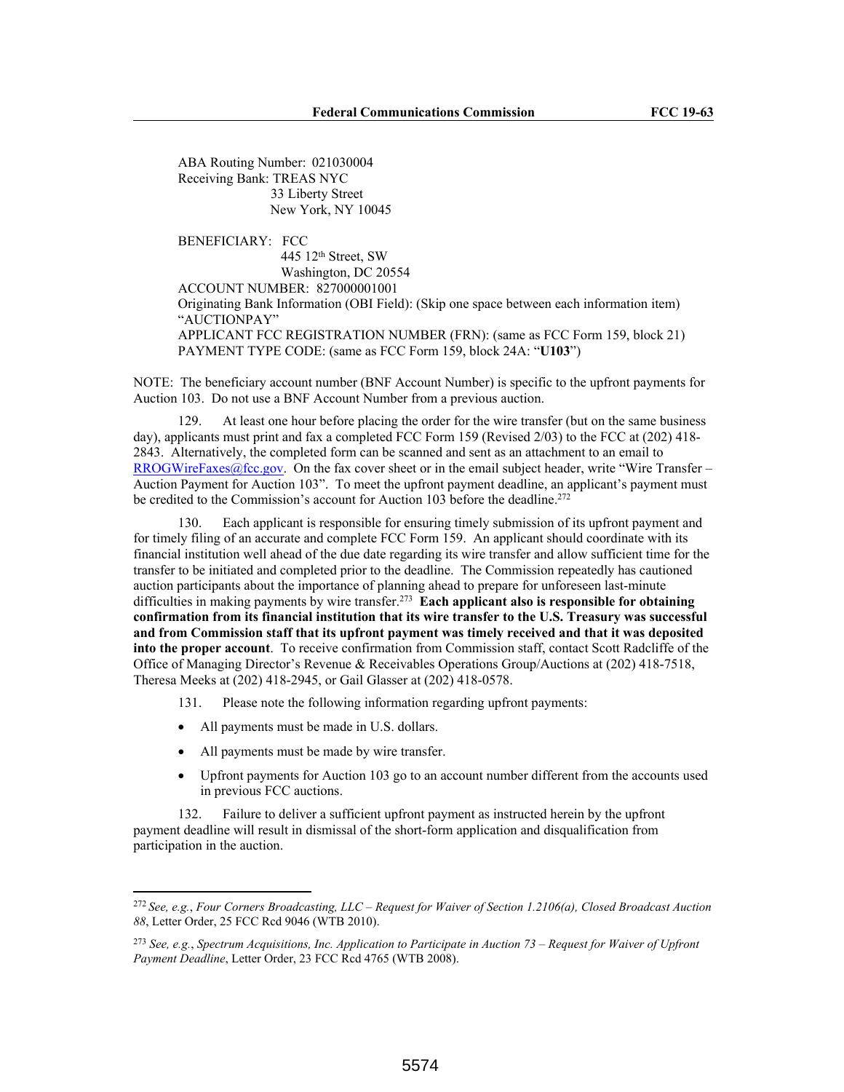ABA Routing Number: 021030004 Receiving Bank: TREAS NYC 33 Liberty Street New York, NY 10045

BENEFICIARY: FCC 445 12th Street, SW Washington, DC 20554 ACCOUNT NUMBER: 827000001001 Originating Bank Information (OBI Field): (Skip one space between each information item) "AUCTIONPAY" APPLICANT FCC REGISTRATION NUMBER (FRN): (same as FCC Form 159, block 21) PAYMENT TYPE CODE: (same as FCC Form 159, block 24A: "**U103**")

NOTE: The beneficiary account number (BNF Account Number) is specific to the upfront payments for Auction 103. Do not use a BNF Account Number from a previous auction.

129. At least one hour before placing the order for the wire transfer (but on the same business day), applicants must print and fax a completed FCC Form 159 (Revised 2/03) to the FCC at (202) 418-2843. Alternatively, the completed form can be scanned and sent as an attachment to an email to  $RROGWireFaxes@fcc.gov$ . On the fax cover sheet or in the email subject header, write "Wire Transfer – Auction Payment for Auction 103". To meet the upfront payment deadline, an applicant's payment must be credited to the Commission's account for Auction 103 before the deadline.<sup>272</sup>

Each applicant is responsible for ensuring timely submission of its upfront payment and for timely filing of an accurate and complete FCC Form 159. An applicant should coordinate with its financial institution well ahead of the due date regarding its wire transfer and allow sufficient time for the transfer to be initiated and completed prior to the deadline. The Commission repeatedly has cautioned auction participants about the importance of planning ahead to prepare for unforeseen last-minute difficulties in making payments by wire transfer.<sup>273</sup> **Each applicant also is responsible for obtaining confirmation from its financial institution that its wire transfer to the U.S. Treasury was successful and from Commission staff that its upfront payment was timely received and that it was deposited into the proper account**. To receive confirmation from Commission staff, contact Scott Radcliffe of the Office of Managing Director's Revenue & Receivables Operations Group/Auctions at (202) 418-7518, Theresa Meeks at (202) 418-2945, or Gail Glasser at (202) 418-0578.

131. Please note the following information regarding upfront payments:

- All payments must be made in U.S. dollars.
- All payments must be made by wire transfer.
- Upfront payments for Auction 103 go to an account number different from the accounts used in previous FCC auctions.

132. Failure to deliver a sufficient upfront payment as instructed herein by the upfront payment deadline will result in dismissal of the short-form application and disqualification from participation in the auction.

<sup>272</sup>*See, e.g.*, *Four Corners Broadcasting, LLC – Request for Waiver of Section 1.2106(a), Closed Broadcast Auction 88*, Letter Order, 25 FCC Rcd 9046 (WTB 2010).

<sup>273</sup> *See, e.g.*, *Spectrum Acquisitions, Inc. Application to Participate in Auction 73 – Request for Waiver of Upfront Payment Deadline*, Letter Order, 23 FCC Rcd 4765 (WTB 2008).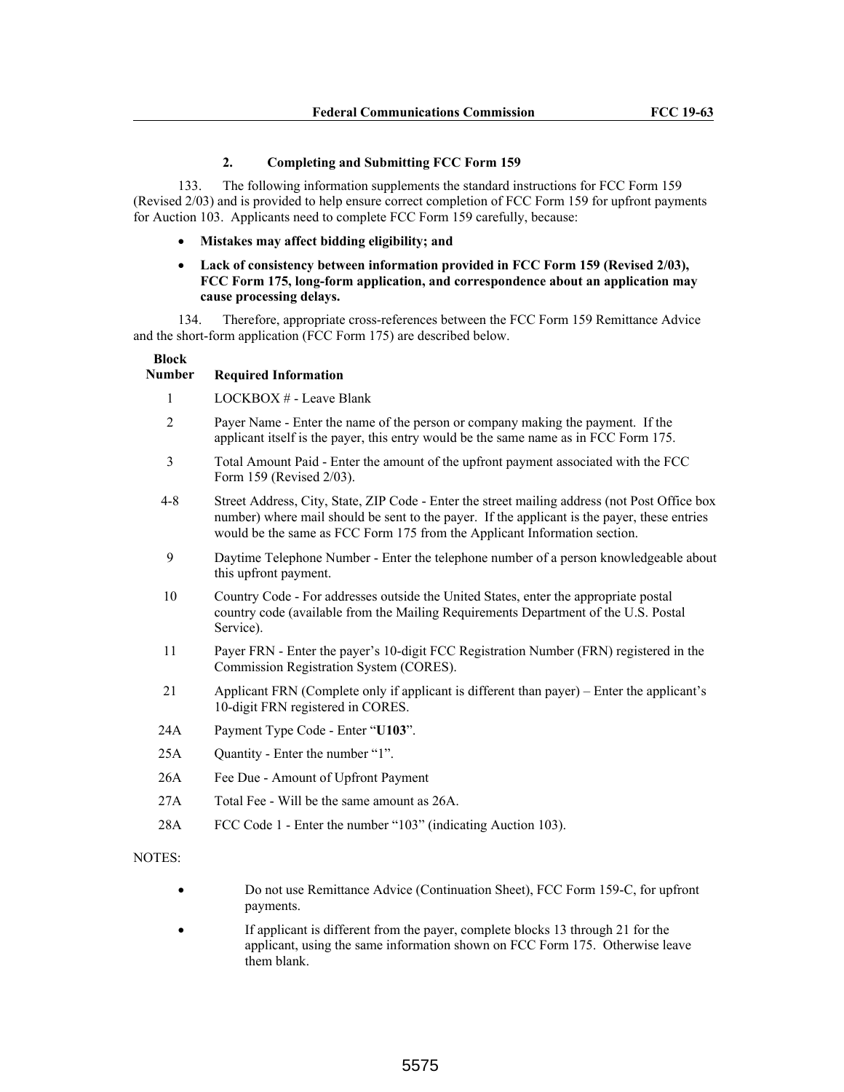#### **2. Completing and Submitting FCC Form 159**

133. The following information supplements the standard instructions for FCC Form 159 (Revised 2/03) and is provided to help ensure correct completion of FCC Form 159 for upfront payments for Auction 103. Applicants need to complete FCC Form 159 carefully, because:

- **Mistakes may affect bidding eligibility; and**
- **Lack of consistency between information provided in FCC Form 159 (Revised 2/03), FCC Form 175, long-form application, and correspondence about an application may cause processing delays.**

134. Therefore, appropriate cross-references between the FCC Form 159 Remittance Advice and the short-form application (FCC Form 175) are described below.

#### **Block**

#### **Number Required Information**

- 1 LOCKBOX # Leave Blank
- 2 Payer Name Enter the name of the person or company making the payment. If the applicant itself is the payer, this entry would be the same name as in FCC Form 175.
- 3 Total Amount Paid Enter the amount of the upfront payment associated with the FCC Form 159 (Revised 2/03).
- 4-8 Street Address, City, State, ZIP Code Enter the street mailing address (not Post Office box number) where mail should be sent to the payer. If the applicant is the payer, these entries would be the same as FCC Form 175 from the Applicant Information section.
- 9 Daytime Telephone Number Enter the telephone number of a person knowledgeable about this upfront payment.
- 10 Country Code For addresses outside the United States, enter the appropriate postal country code (available from the Mailing Requirements Department of the U.S. Postal Service).
- 11 Payer FRN Enter the payer's 10-digit FCC Registration Number (FRN) registered in the Commission Registration System (CORES).
- 21 Applicant FRN (Complete only if applicant is different than payer) Enter the applicant's 10-digit FRN registered in CORES.
- 24A Payment Type Code Enter "**U103**".
- 25A Ouantity Enter the number "1".
- 26A Fee Due Amount of Upfront Payment
- 27A Total Fee Will be the same amount as 26A.
- 28A FCC Code 1 Enter the number "103" (indicating Auction 103).

# NOTES:

- Do not use Remittance Advice (Continuation Sheet), FCC Form 159-C, for upfront payments.
- If applicant is different from the payer, complete blocks 13 through 21 for the applicant, using the same information shown on FCC Form 175. Otherwise leave them blank.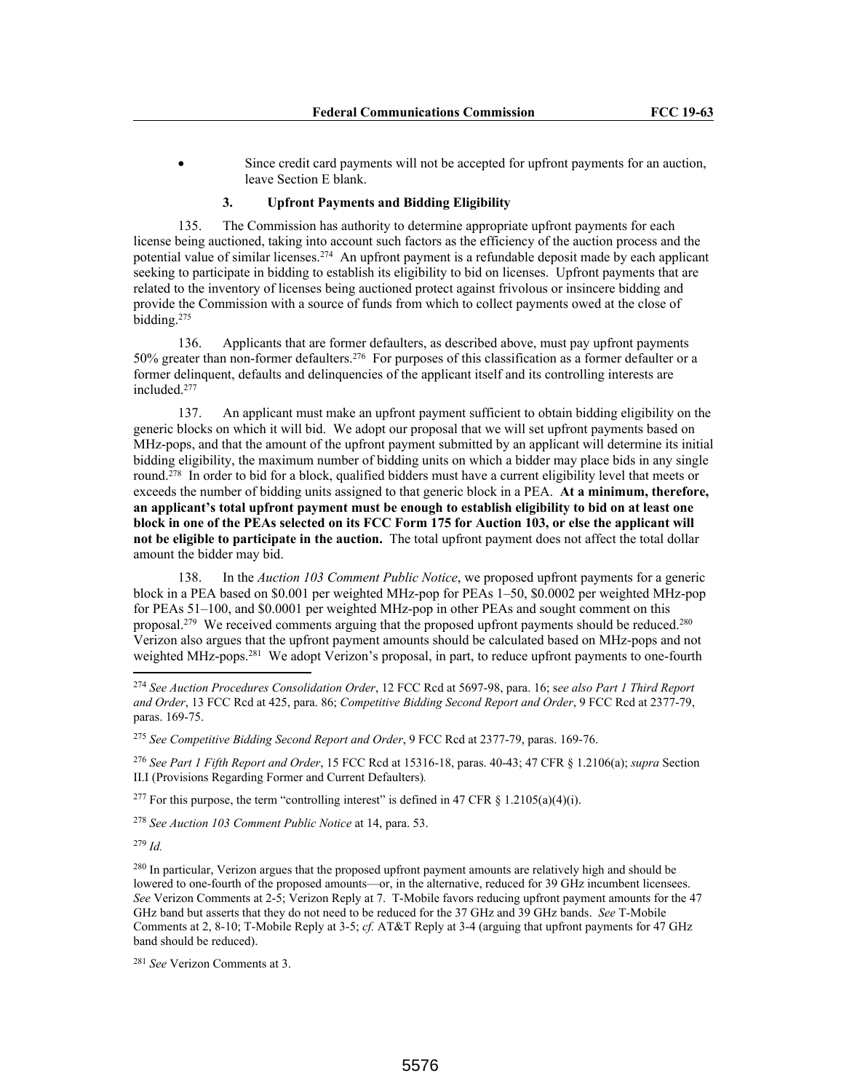Since credit card payments will not be accepted for upfront payments for an auction, leave Section E blank.

# **3. Upfront Payments and Bidding Eligibility**

135. The Commission has authority to determine appropriate upfront payments for each license being auctioned, taking into account such factors as the efficiency of the auction process and the potential value of similar licenses.<sup>274</sup> An upfront payment is a refundable deposit made by each applicant seeking to participate in bidding to establish its eligibility to bid on licenses. Upfront payments that are related to the inventory of licenses being auctioned protect against frivolous or insincere bidding and provide the Commission with a source of funds from which to collect payments owed at the close of bidding.<sup>275</sup>

136. Applicants that are former defaulters, as described above, must pay upfront payments 50% greater than non-former defaulters.<sup>276</sup> For purposes of this classification as a former defaulter or a former delinquent, defaults and delinquencies of the applicant itself and its controlling interests are included.<sup>277</sup>

137. An applicant must make an upfront payment sufficient to obtain bidding eligibility on the generic blocks on which it will bid. We adopt our proposal that we will set upfront payments based on MHz-pops, and that the amount of the upfront payment submitted by an applicant will determine its initial bidding eligibility, the maximum number of bidding units on which a bidder may place bids in any single round.<sup>278</sup> In order to bid for a block, qualified bidders must have a current eligibility level that meets or exceeds the number of bidding units assigned to that generic block in a PEA. **At a minimum, therefore, an applicant's total upfront payment must be enough to establish eligibility to bid on at least one block in one of the PEAs selected on its FCC Form 175 for Auction 103, or else the applicant will not be eligible to participate in the auction.** The total upfront payment does not affect the total dollar amount the bidder may bid.

138. In the *Auction 103 Comment Public Notice*, we proposed upfront payments for a generic block in a PEA based on \$0.001 per weighted MHz-pop for PEAs 1–50, \$0.0002 per weighted MHz-pop for PEAs 51–100, and \$0.0001 per weighted MHz-pop in other PEAs and sought comment on this proposal.<sup>279</sup> We received comments arguing that the proposed upfront payments should be reduced.<sup>280</sup> Verizon also argues that the upfront payment amounts should be calculated based on MHz-pops and not weighted MHz-pops.<sup>281</sup> We adopt Verizon's proposal, in part, to reduce upfront payments to one-fourth

<sup>275</sup> *See Competitive Bidding Second Report and Order*, 9 FCC Rcd at 2377-79, paras. 169-76.

<sup>276</sup> *See Part 1 Fifth Report and Order*, 15 FCC Rcd at 15316-18, paras. 40-43; 47 CFR § 1.2106(a); *supra* Section II.I (Provisions Regarding Former and Current Defaulters)*.* 

<sup>277</sup> For this purpose, the term "controlling interest" is defined in 47 CFR § 1.2105(a)(4)(i).

<sup>278</sup> *See Auction 103 Comment Public Notice* at 14, para. 53.

<sup>279</sup> *Id.*

<sup>280</sup> In particular, Verizon argues that the proposed upfront payment amounts are relatively high and should be lowered to one-fourth of the proposed amounts—or, in the alternative, reduced for 39 GHz incumbent licensees. *See* Verizon Comments at 2-5; Verizon Reply at 7. T-Mobile favors reducing upfront payment amounts for the 47 GHz band but asserts that they do not need to be reduced for the 37 GHz and 39 GHz bands. *See* T-Mobile Comments at 2, 8-10; T-Mobile Reply at 3-5; *cf.* AT&T Reply at 3-4 (arguing that upfront payments for 47 GHz band should be reduced).

<sup>281</sup> *See* Verizon Comments at 3.

<sup>274</sup> *See Auction Procedures Consolidation Order*, 12 FCC Rcd at 5697-98, para. 16; s*ee also Part 1 Third Report and Order*, 13 FCC Rcd at 425, para. 86; *Competitive Bidding Second Report and Order*, 9 FCC Rcd at 2377-79, paras. 169-75.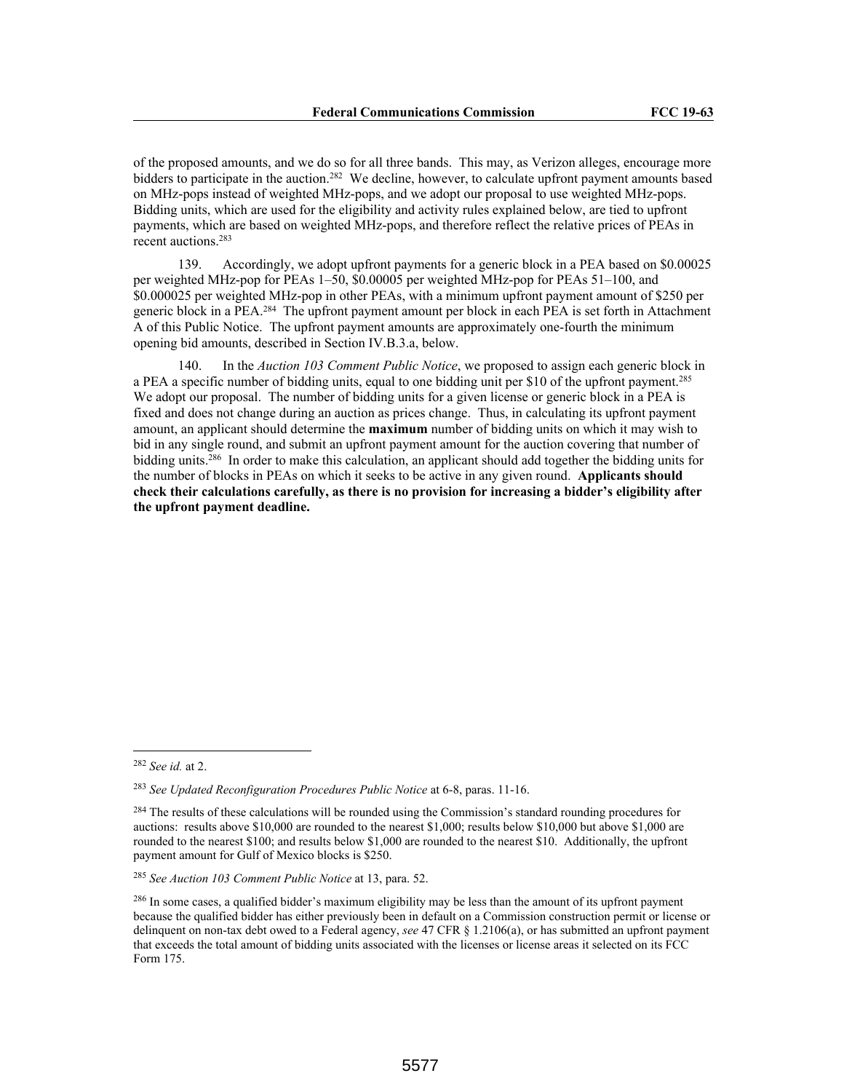of the proposed amounts, and we do so for all three bands. This may, as Verizon alleges, encourage more bidders to participate in the auction.<sup>282</sup> We decline, however, to calculate upfront payment amounts based on MHz-pops instead of weighted MHz-pops, and we adopt our proposal to use weighted MHz-pops. Bidding units, which are used for the eligibility and activity rules explained below, are tied to upfront payments, which are based on weighted MHz-pops, and therefore reflect the relative prices of PEAs in recent auctions.<sup>283</sup>

139. Accordingly, we adopt upfront payments for a generic block in a PEA based on \$0.00025 per weighted MHz-pop for PEAs 1–50, \$0.00005 per weighted MHz-pop for PEAs 51–100, and \$0.000025 per weighted MHz-pop in other PEAs, with a minimum upfront payment amount of \$250 per generic block in a PEA.<sup>284</sup> The upfront payment amount per block in each PEA is set forth in Attachment A of this Public Notice. The upfront payment amounts are approximately one-fourth the minimum opening bid amounts, described in Section IV.B.3.a, below.

140. In the *Auction 103 Comment Public Notice*, we proposed to assign each generic block in a PEA a specific number of bidding units, equal to one bidding unit per \$10 of the upfront payment.<sup>285</sup> We adopt our proposal. The number of bidding units for a given license or generic block in a PEA is fixed and does not change during an auction as prices change. Thus, in calculating its upfront payment amount, an applicant should determine the **maximum** number of bidding units on which it may wish to bid in any single round, and submit an upfront payment amount for the auction covering that number of bidding units.<sup>286</sup> In order to make this calculation, an applicant should add together the bidding units for the number of blocks in PEAs on which it seeks to be active in any given round. **Applicants should check their calculations carefully, as there is no provision for increasing a bidder's eligibility after the upfront payment deadline.** 

<sup>282</sup> *See id.* at 2.

<sup>283</sup> *See Updated Reconfiguration Procedures Public Notice* at 6-8, paras. 11-16.

<sup>&</sup>lt;sup>284</sup> The results of these calculations will be rounded using the Commission's standard rounding procedures for auctions: results above \$10,000 are rounded to the nearest \$1,000; results below \$10,000 but above \$1,000 are rounded to the nearest \$100; and results below \$1,000 are rounded to the nearest \$10. Additionally, the upfront payment amount for Gulf of Mexico blocks is \$250.

<sup>285</sup> *See Auction 103 Comment Public Notice* at 13, para. 52.

<sup>&</sup>lt;sup>286</sup> In some cases, a qualified bidder's maximum eligibility may be less than the amount of its upfront payment because the qualified bidder has either previously been in default on a Commission construction permit or license or delinquent on non-tax debt owed to a Federal agency, *see* 47 CFR § 1.2106(a), or has submitted an upfront payment that exceeds the total amount of bidding units associated with the licenses or license areas it selected on its FCC Form 175.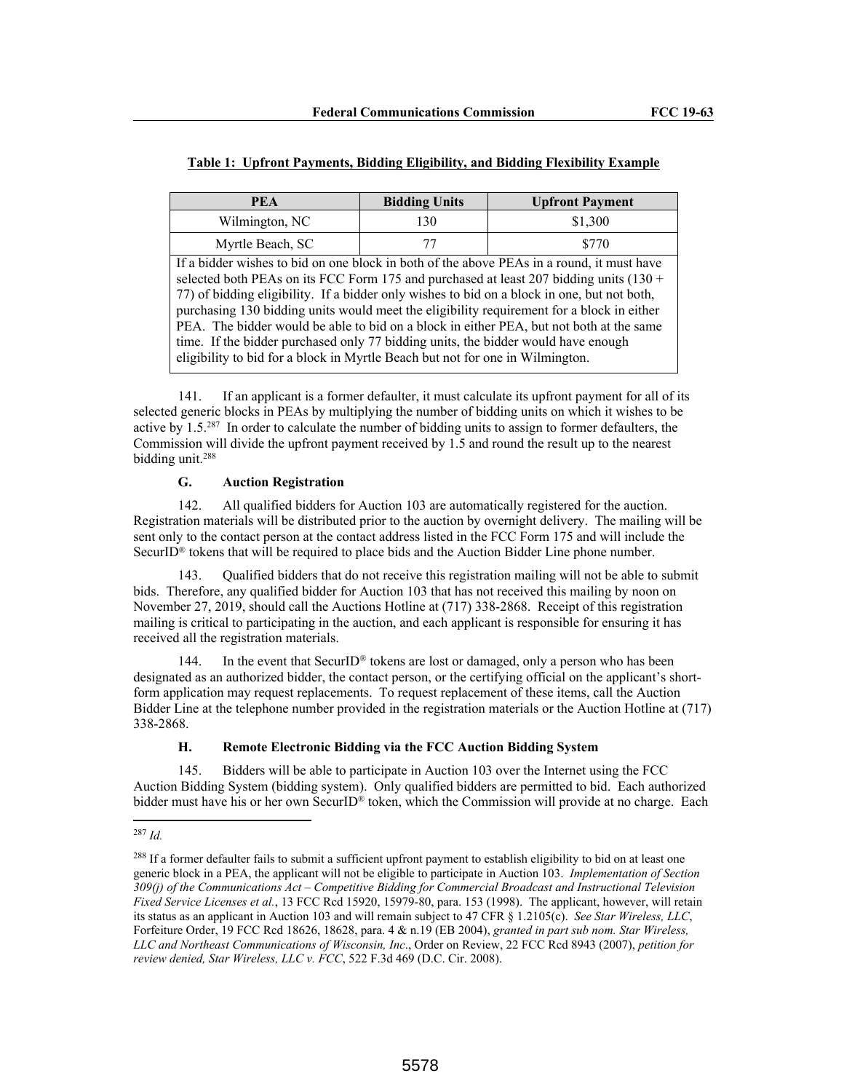| PEA                                                                                                                                                                                                                                                                                                                                                                                                                                                                                                                                                                                                                                              | <b>Bidding Units</b> | <b>Upfront Payment</b> |  |  |
|--------------------------------------------------------------------------------------------------------------------------------------------------------------------------------------------------------------------------------------------------------------------------------------------------------------------------------------------------------------------------------------------------------------------------------------------------------------------------------------------------------------------------------------------------------------------------------------------------------------------------------------------------|----------------------|------------------------|--|--|
| Wilmington, NC                                                                                                                                                                                                                                                                                                                                                                                                                                                                                                                                                                                                                                   | 130                  | \$1,300                |  |  |
| Myrtle Beach, SC                                                                                                                                                                                                                                                                                                                                                                                                                                                                                                                                                                                                                                 | 77                   | \$770                  |  |  |
| If a bidder wishes to bid on one block in both of the above PEAs in a round, it must have<br>selected both PEAs on its FCC Form 175 and purchased at least 207 bidding units (130 +<br>77) of bidding eligibility. If a bidder only wishes to bid on a block in one, but not both,<br>purchasing 130 bidding units would meet the eligibility requirement for a block in either<br>PEA. The bidder would be able to bid on a block in either PEA, but not both at the same<br>time. If the bidder purchased only 77 bidding units, the bidder would have enough<br>eligibility to bid for a block in Myrtle Beach but not for one in Wilmington. |                      |                        |  |  |

|  |  |  | Table 1: Upfront Payments, Bidding Eligibility, and Bidding Flexibility Example |  |
|--|--|--|---------------------------------------------------------------------------------|--|
|--|--|--|---------------------------------------------------------------------------------|--|

141. If an applicant is a former defaulter, it must calculate its upfront payment for all of its selected generic blocks in PEAs by multiplying the number of bidding units on which it wishes to be active by 1.5.<sup>287</sup> In order to calculate the number of bidding units to assign to former defaulters, the Commission will divide the upfront payment received by 1.5 and round the result up to the nearest bidding unit.<sup>288</sup>

### **G. Auction Registration**

142. All qualified bidders for Auction 103 are automatically registered for the auction. Registration materials will be distributed prior to the auction by overnight delivery. The mailing will be sent only to the contact person at the contact address listed in the FCC Form 175 and will include the SecurID® tokens that will be required to place bids and the Auction Bidder Line phone number.

143. Qualified bidders that do not receive this registration mailing will not be able to submit bids. Therefore, any qualified bidder for Auction 103 that has not received this mailing by noon on November 27, 2019, should call the Auctions Hotline at (717) 338-2868. Receipt of this registration mailing is critical to participating in the auction, and each applicant is responsible for ensuring it has received all the registration materials.

144. In the event that SecurID<sup>®</sup> tokens are lost or damaged, only a person who has been designated as an authorized bidder, the contact person, or the certifying official on the applicant's shortform application may request replacements. To request replacement of these items, call the Auction Bidder Line at the telephone number provided in the registration materials or the Auction Hotline at (717) 338-2868.

### **H. Remote Electronic Bidding via the FCC Auction Bidding System**

145. Bidders will be able to participate in Auction 103 over the Internet using the FCC Auction Bidding System (bidding system). Only qualified bidders are permitted to bid. Each authorized bidder must have his or her own SecurID® token, which the Commission will provide at no charge. Each

<sup>287</sup> *Id.*

<sup>&</sup>lt;sup>288</sup> If a former defaulter fails to submit a sufficient upfront payment to establish eligibility to bid on at least one generic block in a PEA, the applicant will not be eligible to participate in Auction 103. *Implementation of Section 309(j) of the Communications Act – Competitive Bidding for Commercial Broadcast and Instructional Television Fixed Service Licenses et al.*, 13 FCC Rcd 15920, 15979-80, para. 153 (1998). The applicant, however, will retain its status as an applicant in Auction 103 and will remain subject to 47 CFR § 1.2105(c). *See Star Wireless, LLC*, Forfeiture Order, 19 FCC Rcd 18626, 18628, para. 4 & n.19 (EB 2004), *granted in part sub nom. Star Wireless, LLC and Northeast Communications of Wisconsin, Inc*., Order on Review, 22 FCC Rcd 8943 (2007), *petition for review denied, Star Wireless, LLC v. FCC*, 522 F.3d 469 (D.C. Cir. 2008).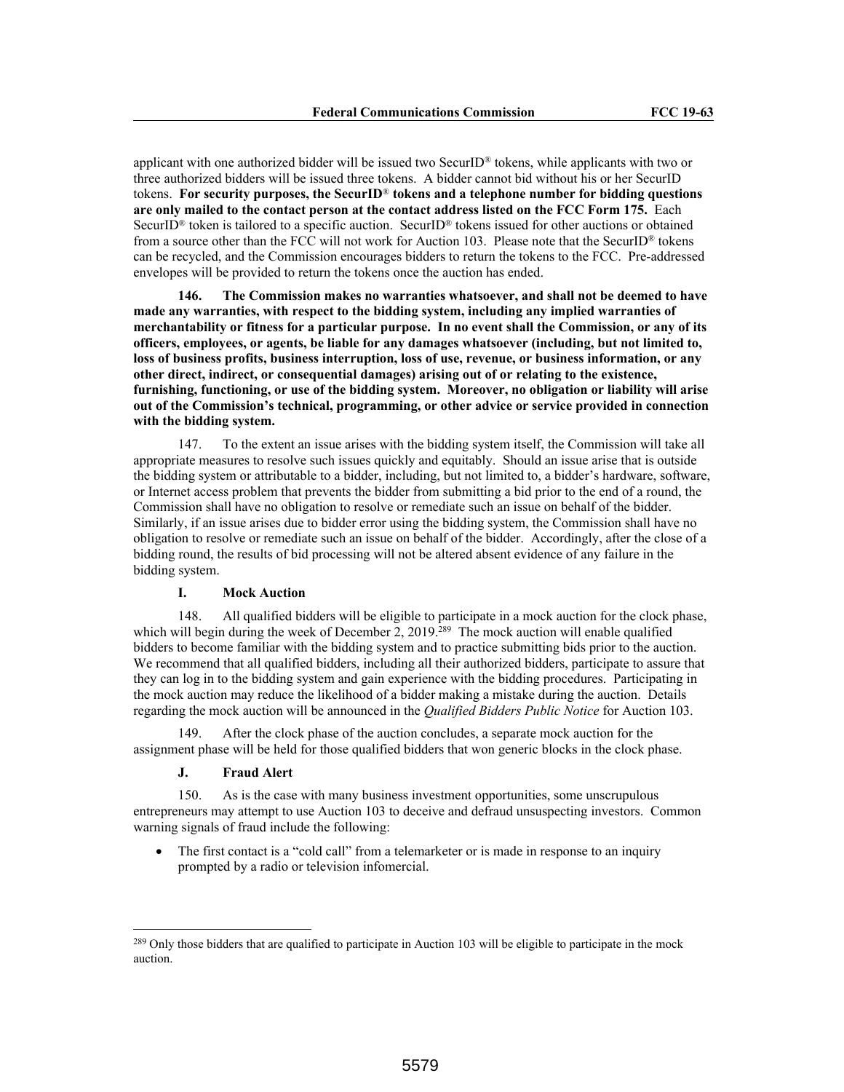applicant with one authorized bidder will be issued two SecurID® tokens, while applicants with two or three authorized bidders will be issued three tokens. A bidder cannot bid without his or her SecurID tokens. **For security purposes, the SecurID**® **tokens and a telephone number for bidding questions are only mailed to the contact person at the contact address listed on the FCC Form 175.** Each SecurID<sup>®</sup> token is tailored to a specific auction. SecurID<sup>®</sup> tokens issued for other auctions or obtained from a source other than the FCC will not work for Auction 103. Please note that the SecurID® tokens can be recycled, and the Commission encourages bidders to return the tokens to the FCC. Pre-addressed envelopes will be provided to return the tokens once the auction has ended.

**146. The Commission makes no warranties whatsoever, and shall not be deemed to have made any warranties, with respect to the bidding system, including any implied warranties of merchantability or fitness for a particular purpose. In no event shall the Commission, or any of its officers, employees, or agents, be liable for any damages whatsoever (including, but not limited to, loss of business profits, business interruption, loss of use, revenue, or business information, or any other direct, indirect, or consequential damages) arising out of or relating to the existence, furnishing, functioning, or use of the bidding system. Moreover, no obligation or liability will arise out of the Commission's technical, programming, or other advice or service provided in connection with the bidding system.**

147. To the extent an issue arises with the bidding system itself, the Commission will take all appropriate measures to resolve such issues quickly and equitably. Should an issue arise that is outside the bidding system or attributable to a bidder, including, but not limited to, a bidder's hardware, software, or Internet access problem that prevents the bidder from submitting a bid prior to the end of a round, the Commission shall have no obligation to resolve or remediate such an issue on behalf of the bidder. Similarly, if an issue arises due to bidder error using the bidding system, the Commission shall have no obligation to resolve or remediate such an issue on behalf of the bidder. Accordingly, after the close of a bidding round, the results of bid processing will not be altered absent evidence of any failure in the bidding system.

# **I. Mock Auction**

148. All qualified bidders will be eligible to participate in a mock auction for the clock phase, which will begin during the week of December 2, 2019.<sup>289</sup> The mock auction will enable qualified bidders to become familiar with the bidding system and to practice submitting bids prior to the auction. We recommend that all qualified bidders, including all their authorized bidders, participate to assure that they can log in to the bidding system and gain experience with the bidding procedures. Participating in the mock auction may reduce the likelihood of a bidder making a mistake during the auction. Details regarding the mock auction will be announced in the *Qualified Bidders Public Notice* for Auction 103.

149. After the clock phase of the auction concludes, a separate mock auction for the assignment phase will be held for those qualified bidders that won generic blocks in the clock phase.

# **J. Fraud Alert**

150. As is the case with many business investment opportunities, some unscrupulous entrepreneurs may attempt to use Auction 103 to deceive and defraud unsuspecting investors. Common warning signals of fraud include the following:

 The first contact is a "cold call" from a telemarketer or is made in response to an inquiry prompted by a radio or television infomercial.

<sup>&</sup>lt;sup>289</sup> Only those bidders that are qualified to participate in Auction 103 will be eligible to participate in the mock auction.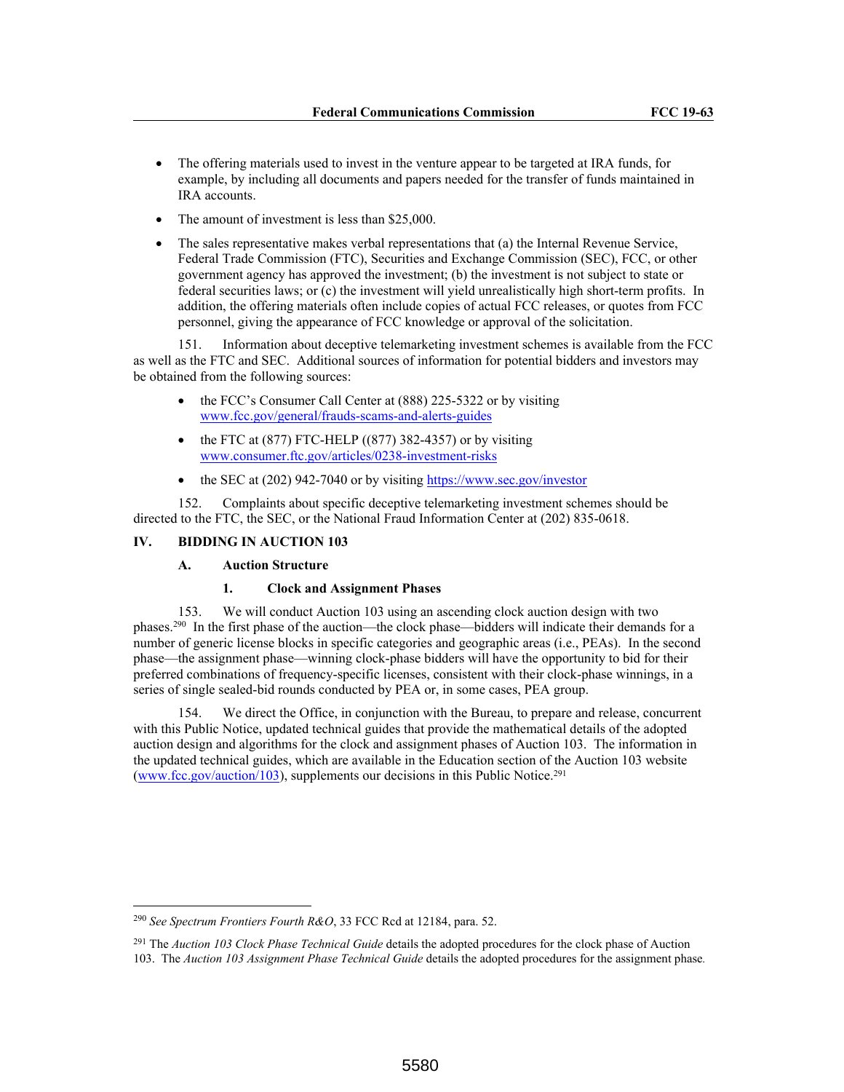- The offering materials used to invest in the venture appear to be targeted at IRA funds, for example, by including all documents and papers needed for the transfer of funds maintained in IRA accounts.
- The amount of investment is less than \$25,000.
- The sales representative makes verbal representations that (a) the Internal Revenue Service, Federal Trade Commission (FTC), Securities and Exchange Commission (SEC), FCC, or other government agency has approved the investment; (b) the investment is not subject to state or federal securities laws; or (c) the investment will yield unrealistically high short-term profits. In addition, the offering materials often include copies of actual FCC releases, or quotes from FCC personnel, giving the appearance of FCC knowledge or approval of the solicitation.

151. Information about deceptive telemarketing investment schemes is available from the FCC as well as the FTC and SEC. Additional sources of information for potential bidders and investors may be obtained from the following sources:

- the FCC's Consumer Call Center at (888) 225-5322 or by visiting www.fcc.gov/general/frauds-scams-and-alerts-guides
- the FTC at (877) FTC-HELP ((877) 382-4357) or by visiting www.consumer.ftc.gov/articles/0238-investment-risks
- the SEC at (202) 942-7040 or by visiting https://www.sec.gov/investor

152. Complaints about specific deceptive telemarketing investment schemes should be directed to the FTC, the SEC, or the National Fraud Information Center at (202) 835-0618.

### **IV. BIDDING IN AUCTION 103**

## **A. Auction Structure**

#### **1. Clock and Assignment Phases**

153. We will conduct Auction 103 using an ascending clock auction design with two phases.<sup>290</sup> In the first phase of the auction—the clock phase—bidders will indicate their demands for a number of generic license blocks in specific categories and geographic areas (i.e., PEAs). In the second phase—the assignment phase—winning clock-phase bidders will have the opportunity to bid for their preferred combinations of frequency-specific licenses, consistent with their clock-phase winnings, in a series of single sealed-bid rounds conducted by PEA or, in some cases, PEA group.

154. We direct the Office, in conjunction with the Bureau, to prepare and release, concurrent with this Public Notice, updated technical guides that provide the mathematical details of the adopted auction design and algorithms for the clock and assignment phases of Auction 103. The information in the updated technical guides, which are available in the Education section of the Auction 103 website (www.fcc.gov/auction/103), supplements our decisions in this Public Notice.<sup>291</sup>

<sup>290</sup> *See Spectrum Frontiers Fourth R&O*, 33 FCC Rcd at 12184, para. 52.

<sup>291</sup> The *Auction 103 Clock Phase Technical Guide* details the adopted procedures for the clock phase of Auction 103. The *Auction 103 Assignment Phase Technical Guide* details the adopted procedures for the assignment phase*.*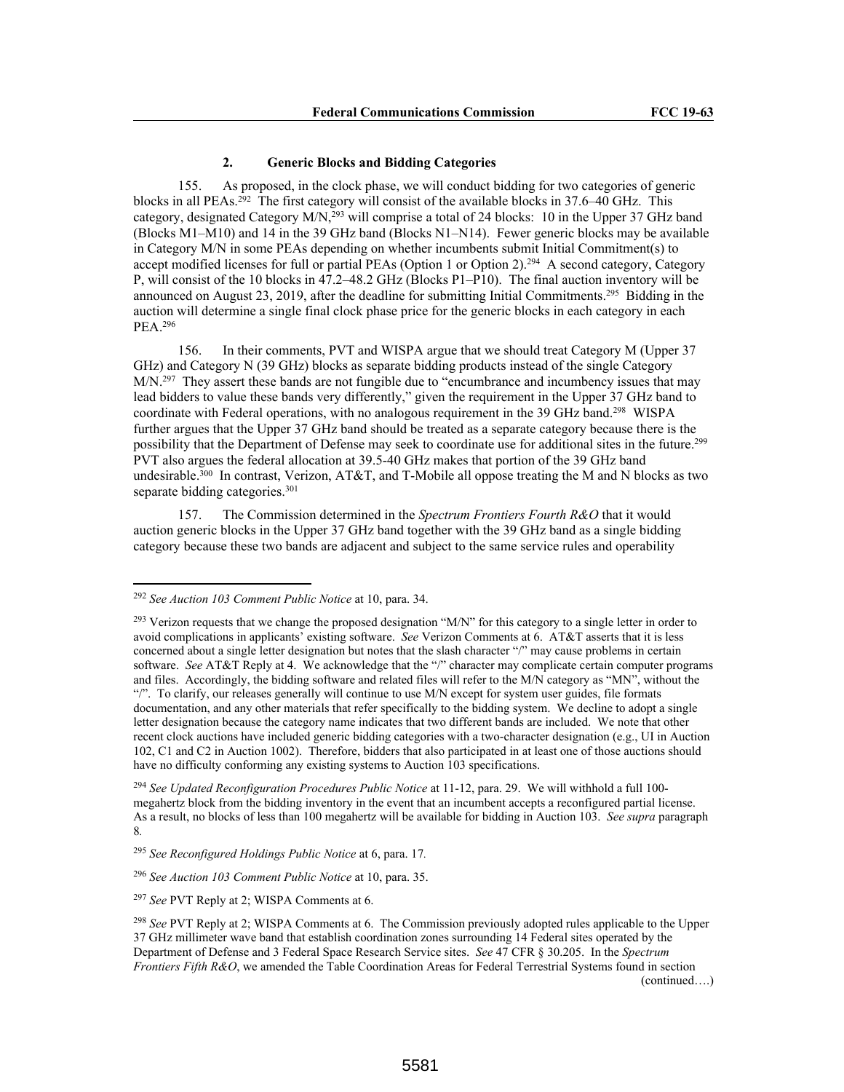#### **2. Generic Blocks and Bidding Categories**

155. As proposed, in the clock phase, we will conduct bidding for two categories of generic blocks in all PEAs.<sup>292</sup> The first category will consist of the available blocks in 37.6–40 GHz. This category, designated Category M/N,<sup>293</sup> will comprise a total of 24 blocks: 10 in the Upper 37 GHz band (Blocks M1–M10) and 14 in the 39 GHz band (Blocks N1–N14). Fewer generic blocks may be available in Category M/N in some PEAs depending on whether incumbents submit Initial Commitment(s) to accept modified licenses for full or partial PEAs (Option 1 or Option 2).<sup>294</sup> A second category, Category P, will consist of the 10 blocks in 47.2–48.2 GHz (Blocks P1–P10). The final auction inventory will be announced on August 23, 2019, after the deadline for submitting Initial Commitments.<sup>295</sup> Bidding in the auction will determine a single final clock phase price for the generic blocks in each category in each PEA.<sup>296</sup>

156. In their comments, PVT and WISPA argue that we should treat Category M (Upper 37 GHz) and Category N (39 GHz) blocks as separate bidding products instead of the single Category M/N.<sup>297</sup> They assert these bands are not fungible due to "encumbrance and incumbency issues that may lead bidders to value these bands very differently," given the requirement in the Upper 37 GHz band to coordinate with Federal operations, with no analogous requirement in the 39 GHz band.<sup>298</sup> WISPA further argues that the Upper 37 GHz band should be treated as a separate category because there is the possibility that the Department of Defense may seek to coordinate use for additional sites in the future.<sup>299</sup> PVT also argues the federal allocation at 39.5-40 GHz makes that portion of the 39 GHz band undesirable.<sup>300</sup> In contrast, Verizon, AT&T, and T-Mobile all oppose treating the M and N blocks as two separate bidding categories.<sup>301</sup>

157. The Commission determined in the *Spectrum Frontiers Fourth R&O* that it would auction generic blocks in the Upper 37 GHz band together with the 39 GHz band as a single bidding category because these two bands are adjacent and subject to the same service rules and operability

<sup>297</sup> *See* PVT Reply at 2; WISPA Comments at 6.

<sup>292</sup> *See Auction 103 Comment Public Notice* at 10, para. 34.

 $^{293}$  Verizon requests that we change the proposed designation "M/N" for this category to a single letter in order to avoid complications in applicants' existing software. *See* Verizon Comments at 6. AT&T asserts that it is less concerned about a single letter designation but notes that the slash character "/" may cause problems in certain software. *See* AT&T Reply at 4. We acknowledge that the "/" character may complicate certain computer programs and files. Accordingly, the bidding software and related files will refer to the M/N category as "MN", without the "/". To clarify, our releases generally will continue to use M/N except for system user guides, file formats documentation, and any other materials that refer specifically to the bidding system. We decline to adopt a single letter designation because the category name indicates that two different bands are included. We note that other recent clock auctions have included generic bidding categories with a two-character designation (e.g., UI in Auction 102, C1 and C2 in Auction 1002). Therefore, bidders that also participated in at least one of those auctions should have no difficulty conforming any existing systems to Auction 103 specifications.

<sup>294</sup> *See Updated Reconfiguration Procedures Public Notice* at 11-12, para. 29. We will withhold a full 100 megahertz block from the bidding inventory in the event that an incumbent accepts a reconfigured partial license. As a result, no blocks of less than 100 megahertz will be available for bidding in Auction 103. *See supra* paragraph 8*.*

<sup>295</sup> *See Reconfigured Holdings Public Notice* at 6, para. 17*.*

<sup>296</sup> *See Auction 103 Comment Public Notice* at 10, para. 35.

<sup>298</sup> *See* PVT Reply at 2; WISPA Comments at 6. The Commission previously adopted rules applicable to the Upper 37 GHz millimeter wave band that establish coordination zones surrounding 14 Federal sites operated by the Department of Defense and 3 Federal Space Research Service sites. *See* 47 CFR § 30.205. In the *Spectrum Frontiers Fifth R&O*, we amended the Table Coordination Areas for Federal Terrestrial Systems found in section (continued….)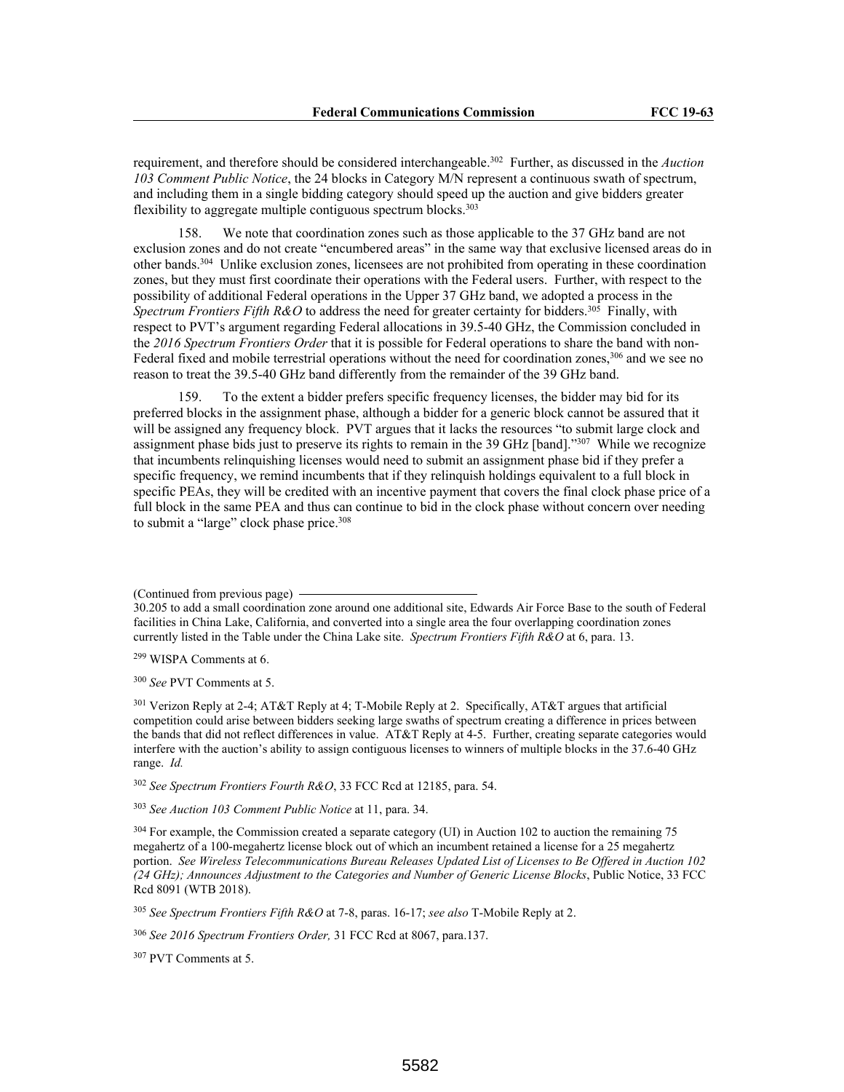requirement, and therefore should be considered interchangeable.<sup>302</sup> Further, as discussed in the *Auction 103 Comment Public Notice*, the 24 blocks in Category M/N represent a continuous swath of spectrum, and including them in a single bidding category should speed up the auction and give bidders greater flexibility to aggregate multiple contiguous spectrum blocks.<sup>303</sup>

158. We note that coordination zones such as those applicable to the 37 GHz band are not exclusion zones and do not create "encumbered areas" in the same way that exclusive licensed areas do in other bands.<sup>304</sup> Unlike exclusion zones, licensees are not prohibited from operating in these coordination zones, but they must first coordinate their operations with the Federal users. Further, with respect to the possibility of additional Federal operations in the Upper 37 GHz band, we adopted a process in the *Spectrum Frontiers Fifth R&O* to address the need for greater certainty for bidders.<sup>305</sup> Finally, with respect to PVT's argument regarding Federal allocations in 39.5-40 GHz, the Commission concluded in the *2016 Spectrum Frontiers Order* that it is possible for Federal operations to share the band with non-Federal fixed and mobile terrestrial operations without the need for coordination zones,<sup>306</sup> and we see no reason to treat the 39.5-40 GHz band differently from the remainder of the 39 GHz band.

159. To the extent a bidder prefers specific frequency licenses, the bidder may bid for its preferred blocks in the assignment phase, although a bidder for a generic block cannot be assured that it will be assigned any frequency block. PVT argues that it lacks the resources "to submit large clock and assignment phase bids just to preserve its rights to remain in the 39 GHz [band]."<sup>307</sup> While we recognize that incumbents relinquishing licenses would need to submit an assignment phase bid if they prefer a specific frequency, we remind incumbents that if they relinquish holdings equivalent to a full block in specific PEAs, they will be credited with an incentive payment that covers the final clock phase price of a full block in the same PEA and thus can continue to bid in the clock phase without concern over needing to submit a "large" clock phase price.<sup>308</sup>

<sup>300</sup> *See* PVT Comments at 5.

<sup>302</sup> *See Spectrum Frontiers Fourth R&O*, 33 FCC Rcd at 12185, para. 54.

<sup>303</sup> *See Auction 103 Comment Public Notice* at 11, para. 34.

<sup>304</sup> For example, the Commission created a separate category (UI) in Auction 102 to auction the remaining 75 megahertz of a 100-megahertz license block out of which an incumbent retained a license for a 25 megahertz portion. *See Wireless Telecommunications Bureau Releases Updated List of Licenses to Be Offered in Auction 102 (24 GHz); Announces Adjustment to the Categories and Number of Generic License Blocks*, Public Notice, 33 FCC Rcd 8091 (WTB 2018).

<sup>305</sup> *See Spectrum Frontiers Fifth R&O* at 7-8, paras. 16-17; *see also* T-Mobile Reply at 2.

<sup>306</sup> *See 2016 Spectrum Frontiers Order,* 31 FCC Rcd at 8067, para.137.

<sup>307</sup> PVT Comments at 5.

<sup>(</sup>Continued from previous page)

<sup>30.205</sup> to add a small coordination zone around one additional site, Edwards Air Force Base to the south of Federal facilities in China Lake, California, and converted into a single area the four overlapping coordination zones currently listed in the Table under the China Lake site. *Spectrum Frontiers Fifth R&O* at 6, para. 13.

<sup>299</sup> WISPA Comments at 6.

<sup>301</sup> Verizon Reply at 2-4; AT&T Reply at 4; T-Mobile Reply at 2. Specifically, AT&T argues that artificial competition could arise between bidders seeking large swaths of spectrum creating a difference in prices between the bands that did not reflect differences in value. AT&T Reply at 4-5. Further, creating separate categories would interfere with the auction's ability to assign contiguous licenses to winners of multiple blocks in the 37.6-40 GHz range. *Id.*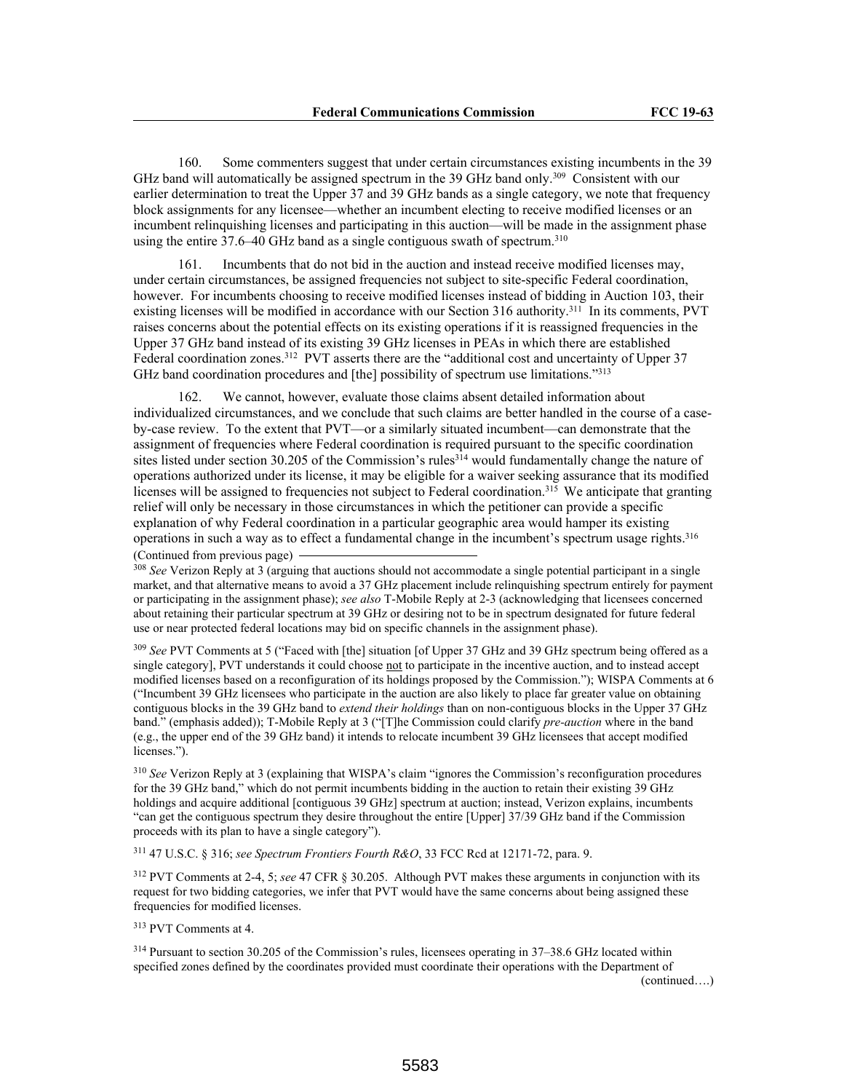160. Some commenters suggest that under certain circumstances existing incumbents in the 39 GHz band will automatically be assigned spectrum in the 39 GHz band only.<sup>309</sup> Consistent with our earlier determination to treat the Upper 37 and 39 GHz bands as a single category, we note that frequency block assignments for any licensee—whether an incumbent electing to receive modified licenses or an incumbent relinquishing licenses and participating in this auction—will be made in the assignment phase using the entire 37.6–40 GHz band as a single contiguous swath of spectrum.<sup>310</sup>

161. Incumbents that do not bid in the auction and instead receive modified licenses may, under certain circumstances, be assigned frequencies not subject to site-specific Federal coordination, however. For incumbents choosing to receive modified licenses instead of bidding in Auction 103, their existing licenses will be modified in accordance with our Section 316 authority.<sup>311</sup> In its comments, PVT raises concerns about the potential effects on its existing operations if it is reassigned frequencies in the Upper 37 GHz band instead of its existing 39 GHz licenses in PEAs in which there are established Federal coordination zones.<sup>312</sup> PVT asserts there are the "additional cost and uncertainty of Upper 37 GHz band coordination procedures and [the] possibility of spectrum use limitations."<sup>313</sup>

162. We cannot, however, evaluate those claims absent detailed information about individualized circumstances, and we conclude that such claims are better handled in the course of a caseby-case review. To the extent that PVT—or a similarly situated incumbent—can demonstrate that the assignment of frequencies where Federal coordination is required pursuant to the specific coordination sites listed under section 30.205 of the Commission's rules<sup>314</sup> would fundamentally change the nature of operations authorized under its license, it may be eligible for a waiver seeking assurance that its modified licenses will be assigned to frequencies not subject to Federal coordination.<sup>315</sup> We anticipate that granting relief will only be necessary in those circumstances in which the petitioner can provide a specific explanation of why Federal coordination in a particular geographic area would hamper its existing operations in such a way as to effect a fundamental change in the incumbent's spectrum usage rights.<sup>316</sup> (Continued from previous page)

<sup>308</sup> *See* Verizon Reply at 3 (arguing that auctions should not accommodate a single potential participant in a single market, and that alternative means to avoid a 37 GHz placement include relinquishing spectrum entirely for payment or participating in the assignment phase); *see also* T-Mobile Reply at 2-3 (acknowledging that licensees concerned about retaining their particular spectrum at 39 GHz or desiring not to be in spectrum designated for future federal use or near protected federal locations may bid on specific channels in the assignment phase).

<sup>309</sup> *See* PVT Comments at 5 ("Faced with [the] situation [of Upper 37 GHz and 39 GHz spectrum being offered as a single category], PVT understands it could choose not to participate in the incentive auction, and to instead accept modified licenses based on a reconfiguration of its holdings proposed by the Commission."); WISPA Comments at 6 ("Incumbent 39 GHz licensees who participate in the auction are also likely to place far greater value on obtaining contiguous blocks in the 39 GHz band to *extend their holdings* than on non-contiguous blocks in the Upper 37 GHz band." (emphasis added)); T-Mobile Reply at 3 ("[T]he Commission could clarify *pre-auction* where in the band (e.g., the upper end of the 39 GHz band) it intends to relocate incumbent 39 GHz licensees that accept modified licenses.").

<sup>310</sup> *See* Verizon Reply at 3 (explaining that WISPA's claim "ignores the Commission's reconfiguration procedures for the 39 GHz band," which do not permit incumbents bidding in the auction to retain their existing 39 GHz holdings and acquire additional [contiguous 39 GHz] spectrum at auction; instead, Verizon explains, incumbents "can get the contiguous spectrum they desire throughout the entire [Upper] 37/39 GHz band if the Commission proceeds with its plan to have a single category").

# <sup>311</sup> 47 U.S.C. § 316; *see Spectrum Frontiers Fourth R&O*, 33 FCC Rcd at 12171-72, para. 9.

<sup>312</sup> PVT Comments at 2-4, 5; *see* 47 CFR § 30.205. Although PVT makes these arguments in conjunction with its request for two bidding categories, we infer that PVT would have the same concerns about being assigned these frequencies for modified licenses.

### <sup>313</sup> PVT Comments at 4.

<sup>314</sup> Pursuant to section 30.205 of the Commission's rules, licensees operating in 37–38.6 GHz located within specified zones defined by the coordinates provided must coordinate their operations with the Department of (continued….)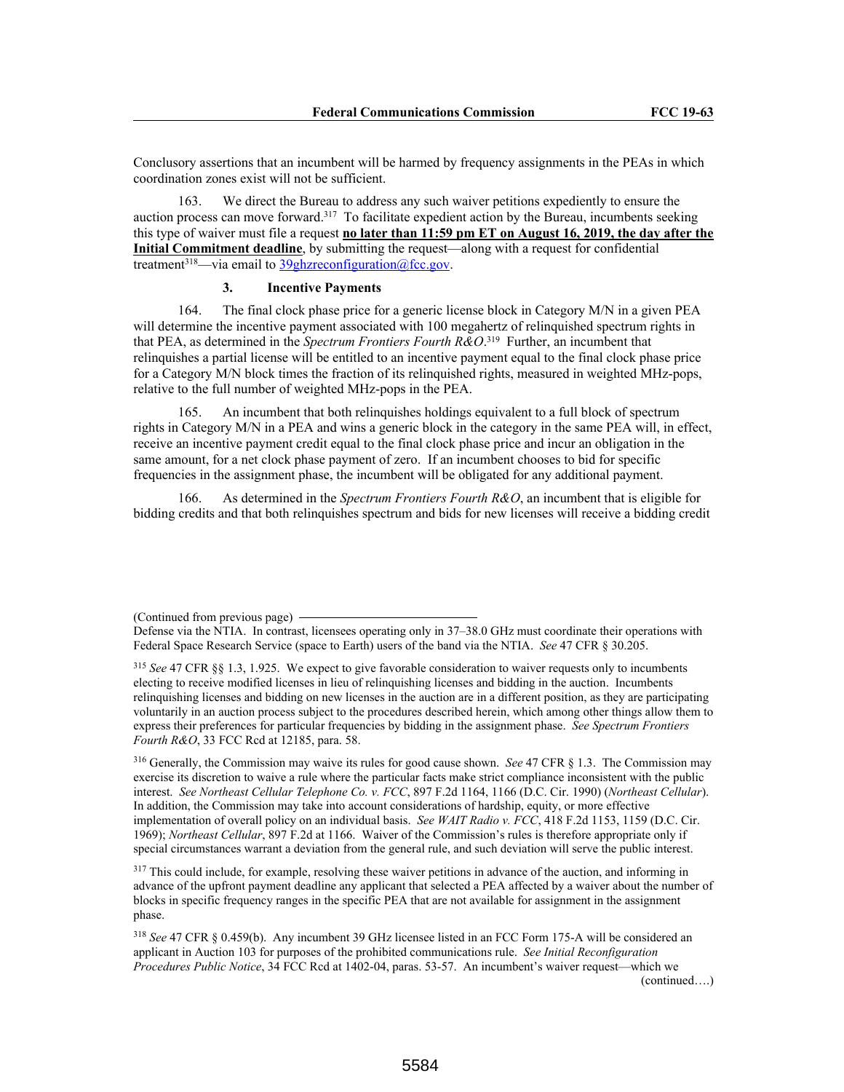Conclusory assertions that an incumbent will be harmed by frequency assignments in the PEAs in which coordination zones exist will not be sufficient.

163. We direct the Bureau to address any such waiver petitions expediently to ensure the auction process can move forward.<sup>317</sup> To facilitate expedient action by the Bureau, incumbents seeking this type of waiver must file a request **no later than 11:59 pm ET on August 16, 2019, the day after the Initial Commitment deadline**, by submitting the request—along with a request for confidential treatment<sup>318</sup>—via email to 39ghzreconfiguration@fcc.gov.

## **3. Incentive Payments**

164. The final clock phase price for a generic license block in Category M/N in a given PEA will determine the incentive payment associated with 100 megahertz of relinquished spectrum rights in that PEA, as determined in the *Spectrum Frontiers Fourth R&O*. <sup>319</sup> Further, an incumbent that relinquishes a partial license will be entitled to an incentive payment equal to the final clock phase price for a Category M/N block times the fraction of its relinquished rights, measured in weighted MHz-pops, relative to the full number of weighted MHz-pops in the PEA.

165. An incumbent that both relinquishes holdings equivalent to a full block of spectrum rights in Category M/N in a PEA and wins a generic block in the category in the same PEA will, in effect, receive an incentive payment credit equal to the final clock phase price and incur an obligation in the same amount, for a net clock phase payment of zero. If an incumbent chooses to bid for specific frequencies in the assignment phase, the incumbent will be obligated for any additional payment.

166. As determined in the *Spectrum Frontiers Fourth R&O*, an incumbent that is eligible for bidding credits and that both relinquishes spectrum and bids for new licenses will receive a bidding credit

<sup>316</sup> Generally, the Commission may waive its rules for good cause shown. *See* 47 CFR § 1.3. The Commission may exercise its discretion to waive a rule where the particular facts make strict compliance inconsistent with the public interest. *See Northeast Cellular Telephone Co. v. FCC*, 897 F.2d 1164, 1166 (D.C. Cir. 1990) (*Northeast Cellular*). In addition, the Commission may take into account considerations of hardship, equity, or more effective implementation of overall policy on an individual basis. *See WAIT Radio v. FCC*, 418 F.2d 1153, 1159 (D.C. Cir. 1969); *Northeast Cellular*, 897 F.2d at 1166. Waiver of the Commission's rules is therefore appropriate only if special circumstances warrant a deviation from the general rule, and such deviation will serve the public interest.

<sup>317</sup> This could include, for example, resolving these waiver petitions in advance of the auction, and informing in advance of the upfront payment deadline any applicant that selected a PEA affected by a waiver about the number of blocks in specific frequency ranges in the specific PEA that are not available for assignment in the assignment phase.

<sup>(</sup>Continued from previous page)

Defense via the NTIA. In contrast, licensees operating only in 37–38.0 GHz must coordinate their operations with Federal Space Research Service (space to Earth) users of the band via the NTIA. *See* 47 CFR § 30.205.

<sup>315</sup> *See* 47 CFR §§ 1.3, 1.925. We expect to give favorable consideration to waiver requests only to incumbents electing to receive modified licenses in lieu of relinquishing licenses and bidding in the auction. Incumbents relinquishing licenses and bidding on new licenses in the auction are in a different position, as they are participating voluntarily in an auction process subject to the procedures described herein, which among other things allow them to express their preferences for particular frequencies by bidding in the assignment phase. *See Spectrum Frontiers Fourth R&O*, 33 FCC Rcd at 12185, para. 58.

<sup>318</sup> *See* 47 CFR § 0.459(b). Any incumbent 39 GHz licensee listed in an FCC Form 175-A will be considered an applicant in Auction 103 for purposes of the prohibited communications rule. *See Initial Reconfiguration Procedures Public Notice*, 34 FCC Rcd at 1402-04, paras. 53-57. An incumbent's waiver request—which we (continued….)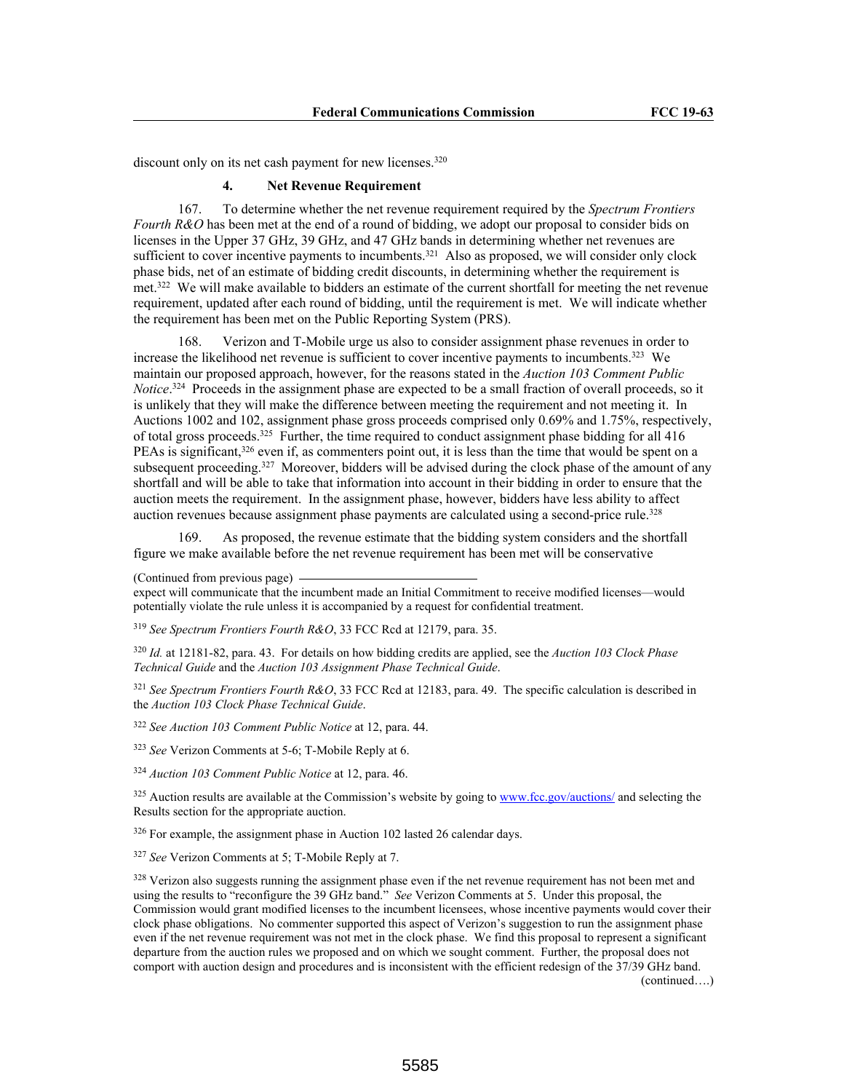discount only on its net cash payment for new licenses.<sup>320</sup>

# **4. Net Revenue Requirement**

167. To determine whether the net revenue requirement required by the *Spectrum Frontiers Fourth R&O* has been met at the end of a round of bidding, we adopt our proposal to consider bids on licenses in the Upper 37 GHz, 39 GHz, and 47 GHz bands in determining whether net revenues are sufficient to cover incentive payments to incumbents.<sup>321</sup> Also as proposed, we will consider only clock phase bids, net of an estimate of bidding credit discounts, in determining whether the requirement is met.<sup>322</sup> We will make available to bidders an estimate of the current shortfall for meeting the net revenue requirement, updated after each round of bidding, until the requirement is met. We will indicate whether the requirement has been met on the Public Reporting System (PRS).

Verizon and T-Mobile urge us also to consider assignment phase revenues in order to increase the likelihood net revenue is sufficient to cover incentive payments to incumbents.<sup>323</sup> We maintain our proposed approach, however, for the reasons stated in the *Auction 103 Comment Public Notice*.<sup>324</sup> Proceeds in the assignment phase are expected to be a small fraction of overall proceeds, so it is unlikely that they will make the difference between meeting the requirement and not meeting it. In Auctions 1002 and 102, assignment phase gross proceeds comprised only 0.69% and 1.75%, respectively, of total gross proceeds.<sup>325</sup> Further, the time required to conduct assignment phase bidding for all 416 PEAs is significant,<sup>326</sup> even if, as commenters point out, it is less than the time that would be spent on a subsequent proceeding.<sup>327</sup> Moreover, bidders will be advised during the clock phase of the amount of any shortfall and will be able to take that information into account in their bidding in order to ensure that the auction meets the requirement. In the assignment phase, however, bidders have less ability to affect auction revenues because assignment phase payments are calculated using a second-price rule.<sup>328</sup>

169. As proposed, the revenue estimate that the bidding system considers and the shortfall figure we make available before the net revenue requirement has been met will be conservative

<sup>319</sup> *See Spectrum Frontiers Fourth R&O*, 33 FCC Rcd at 12179, para. 35.

<sup>320</sup> *Id.* at 12181-82, para. 43. For details on how bidding credits are applied, see the *Auction 103 Clock Phase Technical Guide* and the *Auction 103 Assignment Phase Technical Guide*.

<sup>321</sup> *See Spectrum Frontiers Fourth R&O*, 33 FCC Rcd at 12183, para. 49. The specific calculation is described in the *Auction 103 Clock Phase Technical Guide*.

<sup>322</sup> *See Auction 103 Comment Public Notice* at 12, para. 44.

<sup>323</sup> *See* Verizon Comments at 5-6; T-Mobile Reply at 6.

<sup>324</sup> *Auction 103 Comment Public Notice* at 12, para. 46.

<sup>325</sup> Auction results are available at the Commission's website by going to www.fcc.gov/auctions/ and selecting the Results section for the appropriate auction.

<sup>326</sup> For example, the assignment phase in Auction 102 lasted 26 calendar days.

<sup>327</sup> *See* Verizon Comments at 5; T-Mobile Reply at 7.

<sup>328</sup> Verizon also suggests running the assignment phase even if the net revenue requirement has not been met and using the results to "reconfigure the 39 GHz band." *See* Verizon Comments at 5. Under this proposal, the Commission would grant modified licenses to the incumbent licensees, whose incentive payments would cover their clock phase obligations. No commenter supported this aspect of Verizon's suggestion to run the assignment phase even if the net revenue requirement was not met in the clock phase. We find this proposal to represent a significant departure from the auction rules we proposed and on which we sought comment. Further, the proposal does not comport with auction design and procedures and is inconsistent with the efficient redesign of the 37/39 GHz band. (continued….)

<sup>(</sup>Continued from previous page)

expect will communicate that the incumbent made an Initial Commitment to receive modified licenses—would potentially violate the rule unless it is accompanied by a request for confidential treatment.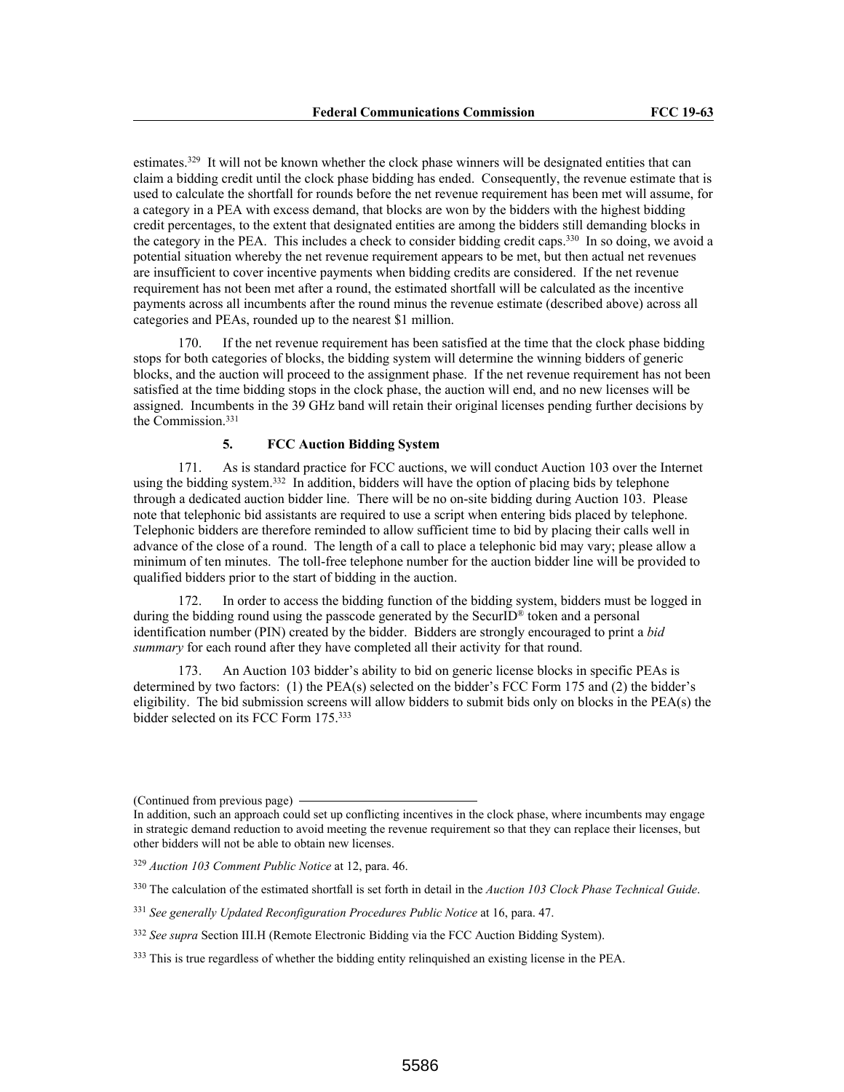estimates.<sup>329</sup> It will not be known whether the clock phase winners will be designated entities that can claim a bidding credit until the clock phase bidding has ended. Consequently, the revenue estimate that is used to calculate the shortfall for rounds before the net revenue requirement has been met will assume, for a category in a PEA with excess demand, that blocks are won by the bidders with the highest bidding credit percentages, to the extent that designated entities are among the bidders still demanding blocks in the category in the PEA. This includes a check to consider bidding credit caps.<sup>330</sup> In so doing, we avoid a potential situation whereby the net revenue requirement appears to be met, but then actual net revenues are insufficient to cover incentive payments when bidding credits are considered. If the net revenue requirement has not been met after a round, the estimated shortfall will be calculated as the incentive payments across all incumbents after the round minus the revenue estimate (described above) across all categories and PEAs, rounded up to the nearest \$1 million.

170. If the net revenue requirement has been satisfied at the time that the clock phase bidding stops for both categories of blocks, the bidding system will determine the winning bidders of generic blocks, and the auction will proceed to the assignment phase. If the net revenue requirement has not been satisfied at the time bidding stops in the clock phase, the auction will end, and no new licenses will be assigned. Incumbents in the 39 GHz band will retain their original licenses pending further decisions by the Commission.<sup>331</sup>

# **5. FCC Auction Bidding System**

171. As is standard practice for FCC auctions, we will conduct Auction 103 over the Internet using the bidding system.<sup>332</sup> In addition, bidders will have the option of placing bids by telephone through a dedicated auction bidder line. There will be no on-site bidding during Auction 103. Please note that telephonic bid assistants are required to use a script when entering bids placed by telephone. Telephonic bidders are therefore reminded to allow sufficient time to bid by placing their calls well in advance of the close of a round. The length of a call to place a telephonic bid may vary; please allow a minimum of ten minutes. The toll-free telephone number for the auction bidder line will be provided to qualified bidders prior to the start of bidding in the auction.

172. In order to access the bidding function of the bidding system, bidders must be logged in during the bidding round using the passcode generated by the SecurID<sup>®</sup> token and a personal identification number (PIN) created by the bidder. Bidders are strongly encouraged to print a *bid summary* for each round after they have completed all their activity for that round.

173. An Auction 103 bidder's ability to bid on generic license blocks in specific PEAs is determined by two factors: (1) the PEA(s) selected on the bidder's FCC Form 175 and (2) the bidder's eligibility. The bid submission screens will allow bidders to submit bids only on blocks in the PEA(s) the bidder selected on its FCC Form 175.<sup>333</sup>

<sup>(</sup>Continued from previous page)

In addition, such an approach could set up conflicting incentives in the clock phase, where incumbents may engage in strategic demand reduction to avoid meeting the revenue requirement so that they can replace their licenses, but other bidders will not be able to obtain new licenses.

<sup>329</sup> *Auction 103 Comment Public Notice* at 12, para. 46.

<sup>330</sup> The calculation of the estimated shortfall is set forth in detail in the *Auction 103 Clock Phase Technical Guide*.

<sup>331</sup> *See generally Updated Reconfiguration Procedures Public Notice* at 16, para. 47.

<sup>332</sup> *See supra* Section III.H (Remote Electronic Bidding via the FCC Auction Bidding System).

<sup>&</sup>lt;sup>333</sup> This is true regardless of whether the bidding entity relinquished an existing license in the PEA.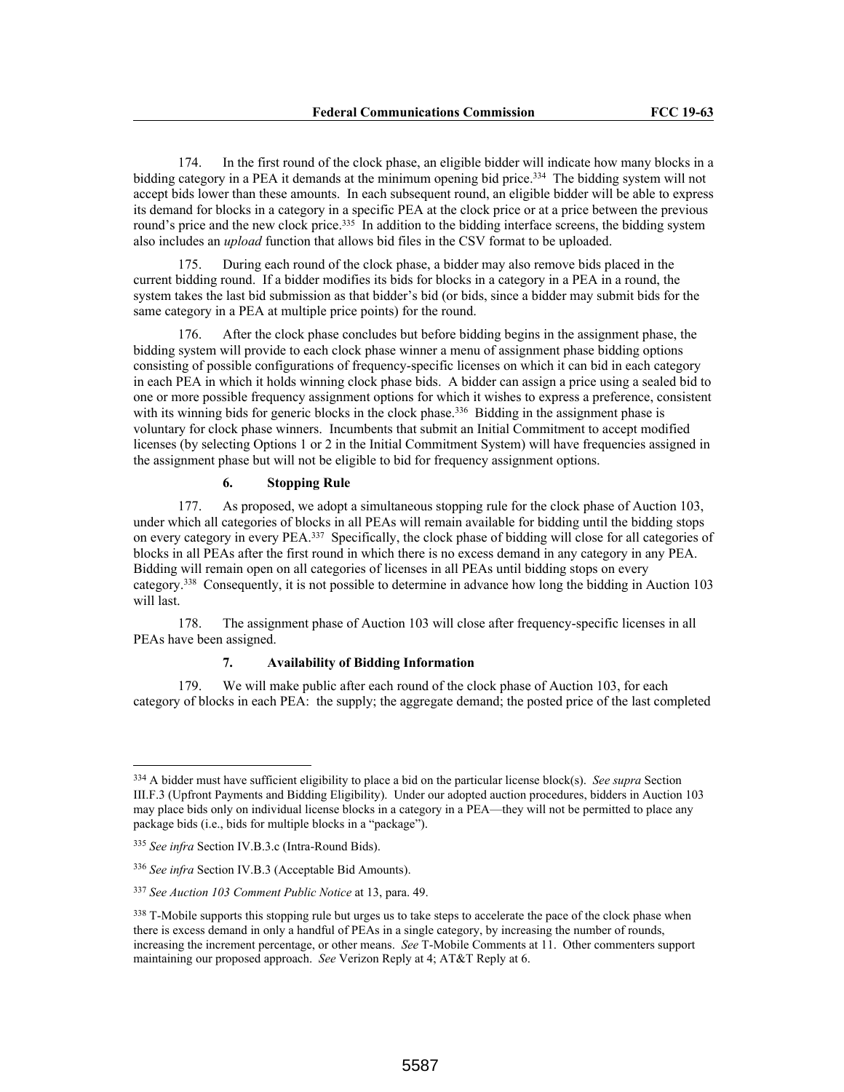174. In the first round of the clock phase, an eligible bidder will indicate how many blocks in a bidding category in a PEA it demands at the minimum opening bid price.<sup>334</sup> The bidding system will not accept bids lower than these amounts. In each subsequent round, an eligible bidder will be able to express its demand for blocks in a category in a specific PEA at the clock price or at a price between the previous round's price and the new clock price.<sup>335</sup> In addition to the bidding interface screens, the bidding system also includes an *upload* function that allows bid files in the CSV format to be uploaded.

175. During each round of the clock phase, a bidder may also remove bids placed in the current bidding round. If a bidder modifies its bids for blocks in a category in a PEA in a round, the system takes the last bid submission as that bidder's bid (or bids, since a bidder may submit bids for the same category in a PEA at multiple price points) for the round.

176. After the clock phase concludes but before bidding begins in the assignment phase, the bidding system will provide to each clock phase winner a menu of assignment phase bidding options consisting of possible configurations of frequency-specific licenses on which it can bid in each category in each PEA in which it holds winning clock phase bids. A bidder can assign a price using a sealed bid to one or more possible frequency assignment options for which it wishes to express a preference, consistent with its winning bids for generic blocks in the clock phase.<sup>336</sup> Bidding in the assignment phase is voluntary for clock phase winners. Incumbents that submit an Initial Commitment to accept modified licenses (by selecting Options 1 or 2 in the Initial Commitment System) will have frequencies assigned in the assignment phase but will not be eligible to bid for frequency assignment options.

### **6. Stopping Rule**

177. As proposed, we adopt a simultaneous stopping rule for the clock phase of Auction 103, under which all categories of blocks in all PEAs will remain available for bidding until the bidding stops on every category in every PEA.<sup>337</sup> Specifically, the clock phase of bidding will close for all categories of blocks in all PEAs after the first round in which there is no excess demand in any category in any PEA. Bidding will remain open on all categories of licenses in all PEAs until bidding stops on every category.<sup>338</sup> Consequently, it is not possible to determine in advance how long the bidding in Auction 103 will last.

178. The assignment phase of Auction 103 will close after frequency-specific licenses in all PEAs have been assigned.

#### **7. Availability of Bidding Information**

179. We will make public after each round of the clock phase of Auction 103, for each category of blocks in each PEA: the supply; the aggregate demand; the posted price of the last completed

<sup>334</sup> A bidder must have sufficient eligibility to place a bid on the particular license block(s). *See supra* Section III.F.3 (Upfront Payments and Bidding Eligibility). Under our adopted auction procedures, bidders in Auction 103 may place bids only on individual license blocks in a category in a PEA—they will not be permitted to place any package bids (i.e., bids for multiple blocks in a "package").

<sup>335</sup> *See infra* Section IV.B.3.c (Intra-Round Bids).

<sup>336</sup> *See infra* Section IV.B.3 (Acceptable Bid Amounts).

<sup>337</sup> *See Auction 103 Comment Public Notice* at 13, para. 49.

<sup>&</sup>lt;sup>338</sup> T-Mobile supports this stopping rule but urges us to take steps to accelerate the pace of the clock phase when there is excess demand in only a handful of PEAs in a single category, by increasing the number of rounds, increasing the increment percentage, or other means. *See* T-Mobile Comments at 11. Other commenters support maintaining our proposed approach. *See* Verizon Reply at 4; AT&T Reply at 6.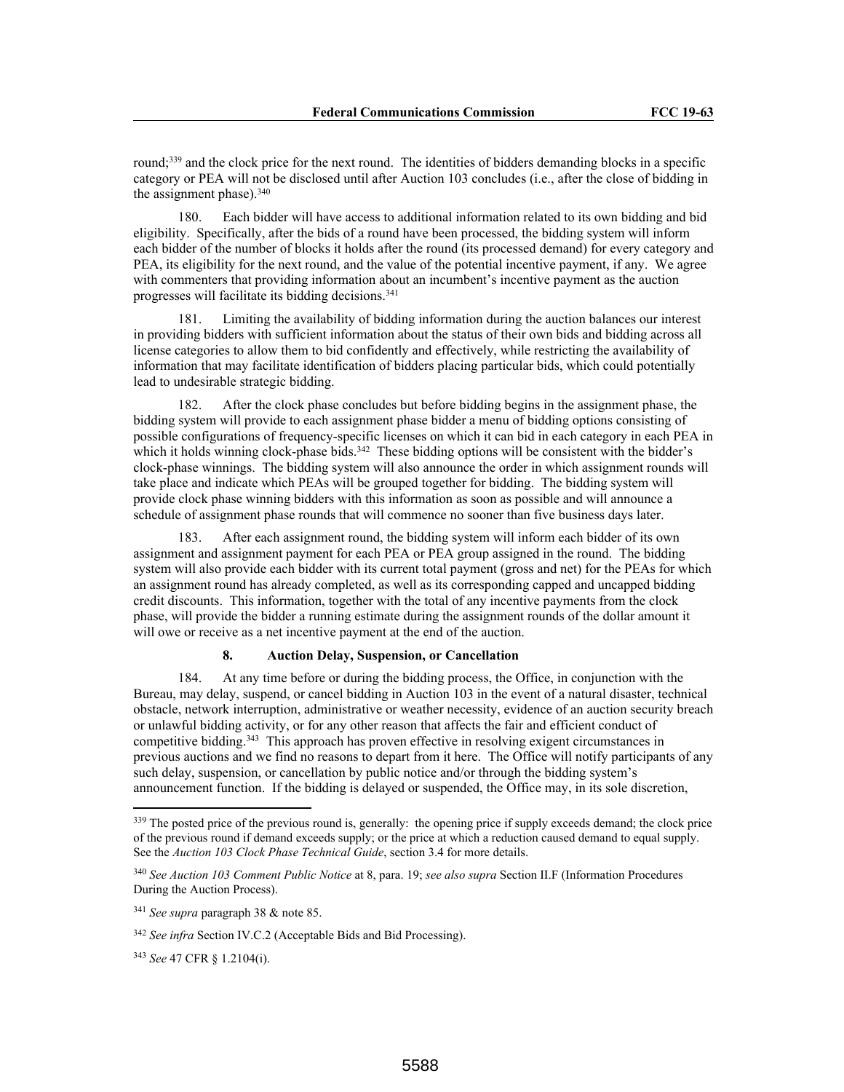round;<sup>339</sup> and the clock price for the next round. The identities of bidders demanding blocks in a specific category or PEA will not be disclosed until after Auction 103 concludes (i.e., after the close of bidding in the assignment phase).<sup>340</sup>

180. Each bidder will have access to additional information related to its own bidding and bid eligibility. Specifically, after the bids of a round have been processed, the bidding system will inform each bidder of the number of blocks it holds after the round (its processed demand) for every category and PEA, its eligibility for the next round, and the value of the potential incentive payment, if any. We agree with commenters that providing information about an incumbent's incentive payment as the auction progresses will facilitate its bidding decisions.<sup>341</sup>

181. Limiting the availability of bidding information during the auction balances our interest in providing bidders with sufficient information about the status of their own bids and bidding across all license categories to allow them to bid confidently and effectively, while restricting the availability of information that may facilitate identification of bidders placing particular bids, which could potentially lead to undesirable strategic bidding.

182. After the clock phase concludes but before bidding begins in the assignment phase, the bidding system will provide to each assignment phase bidder a menu of bidding options consisting of possible configurations of frequency-specific licenses on which it can bid in each category in each PEA in which it holds winning clock-phase bids.<sup>342</sup> These bidding options will be consistent with the bidder's clock-phase winnings. The bidding system will also announce the order in which assignment rounds will take place and indicate which PEAs will be grouped together for bidding. The bidding system will provide clock phase winning bidders with this information as soon as possible and will announce a schedule of assignment phase rounds that will commence no sooner than five business days later.

183. After each assignment round, the bidding system will inform each bidder of its own assignment and assignment payment for each PEA or PEA group assigned in the round. The bidding system will also provide each bidder with its current total payment (gross and net) for the PEAs for which an assignment round has already completed, as well as its corresponding capped and uncapped bidding credit discounts. This information, together with the total of any incentive payments from the clock phase, will provide the bidder a running estimate during the assignment rounds of the dollar amount it will owe or receive as a net incentive payment at the end of the auction.

#### **8. Auction Delay, Suspension, or Cancellation**

184. At any time before or during the bidding process, the Office, in conjunction with the Bureau, may delay, suspend, or cancel bidding in Auction 103 in the event of a natural disaster, technical obstacle, network interruption, administrative or weather necessity, evidence of an auction security breach or unlawful bidding activity, or for any other reason that affects the fair and efficient conduct of competitive bidding.<sup>343</sup> This approach has proven effective in resolving exigent circumstances in previous auctions and we find no reasons to depart from it here. The Office will notify participants of any such delay, suspension, or cancellation by public notice and/or through the bidding system's announcement function. If the bidding is delayed or suspended, the Office may, in its sole discretion,

<sup>&</sup>lt;sup>339</sup> The posted price of the previous round is, generally: the opening price if supply exceeds demand; the clock price of the previous round if demand exceeds supply; or the price at which a reduction caused demand to equal supply. See the *Auction 103 Clock Phase Technical Guide*, section 3.4 for more details.

<sup>340</sup> *See Auction 103 Comment Public Notice* at 8, para. 19; *see also supra* Section II.F (Information Procedures During the Auction Process).

<sup>341</sup> *See supra* paragraph 38 & note 85.

<sup>342</sup> *See infra* Section IV.C.2 (Acceptable Bids and Bid Processing).

<sup>343</sup> *See* 47 CFR § 1.2104(i).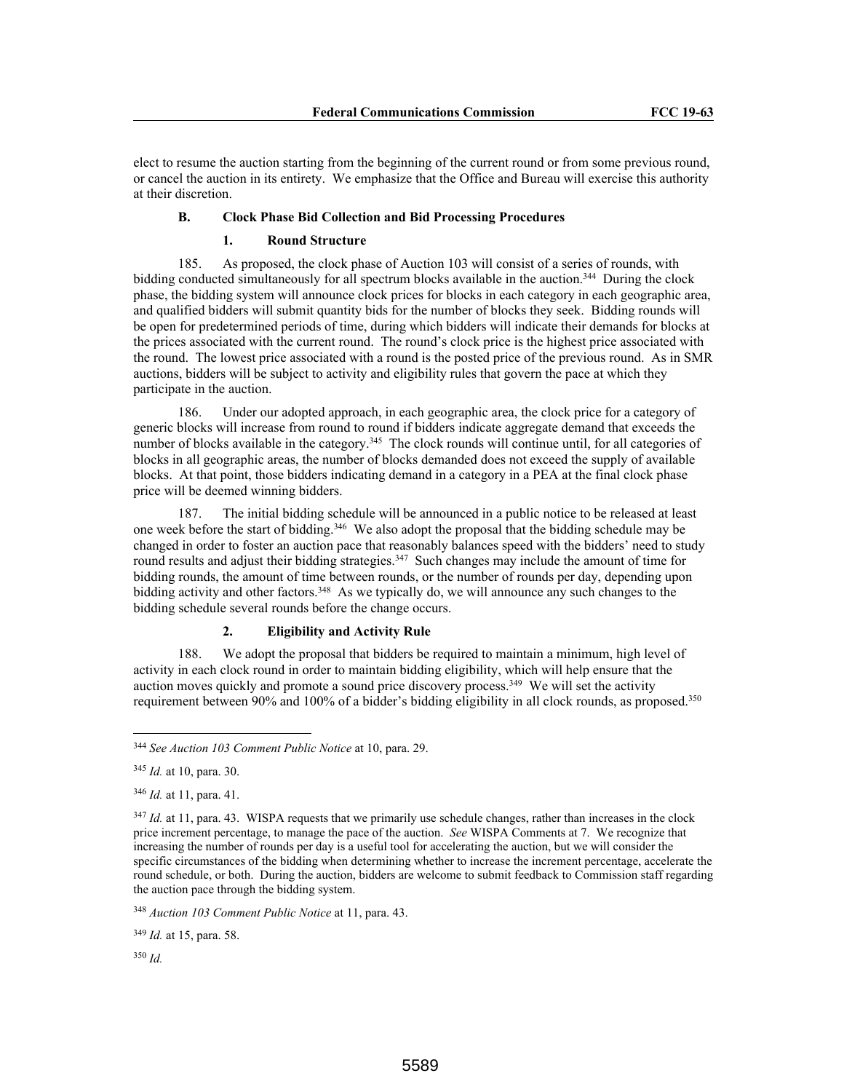elect to resume the auction starting from the beginning of the current round or from some previous round, or cancel the auction in its entirety. We emphasize that the Office and Bureau will exercise this authority at their discretion.

### **B. Clock Phase Bid Collection and Bid Processing Procedures**

#### **1. Round Structure**

185. As proposed, the clock phase of Auction 103 will consist of a series of rounds, with bidding conducted simultaneously for all spectrum blocks available in the auction.<sup>344</sup> During the clock phase, the bidding system will announce clock prices for blocks in each category in each geographic area, and qualified bidders will submit quantity bids for the number of blocks they seek. Bidding rounds will be open for predetermined periods of time, during which bidders will indicate their demands for blocks at the prices associated with the current round. The round's clock price is the highest price associated with the round. The lowest price associated with a round is the posted price of the previous round. As in SMR auctions, bidders will be subject to activity and eligibility rules that govern the pace at which they participate in the auction.

186. Under our adopted approach, in each geographic area, the clock price for a category of generic blocks will increase from round to round if bidders indicate aggregate demand that exceeds the number of blocks available in the category.<sup>345</sup> The clock rounds will continue until, for all categories of blocks in all geographic areas, the number of blocks demanded does not exceed the supply of available blocks. At that point, those bidders indicating demand in a category in a PEA at the final clock phase price will be deemed winning bidders.

187. The initial bidding schedule will be announced in a public notice to be released at least one week before the start of bidding.<sup>346</sup> We also adopt the proposal that the bidding schedule may be changed in order to foster an auction pace that reasonably balances speed with the bidders' need to study round results and adjust their bidding strategies.<sup>347</sup> Such changes may include the amount of time for bidding rounds, the amount of time between rounds, or the number of rounds per day, depending upon bidding activity and other factors.<sup>348</sup> As we typically do, we will announce any such changes to the bidding schedule several rounds before the change occurs.

# **2. Eligibility and Activity Rule**

188. We adopt the proposal that bidders be required to maintain a minimum, high level of activity in each clock round in order to maintain bidding eligibility, which will help ensure that the auction moves quickly and promote a sound price discovery process.<sup>349</sup> We will set the activity requirement between 90% and 100% of a bidder's bidding eligibility in all clock rounds, as proposed.<sup>350</sup>

<sup>349</sup> *Id.* at 15, para. 58.

<sup>350</sup> *Id.*

<sup>344</sup> *See Auction 103 Comment Public Notice* at 10, para. 29.

<sup>345</sup> *Id.* at 10, para. 30.

<sup>346</sup> *Id.* at 11, para. 41.

<sup>&</sup>lt;sup>347</sup> *Id.* at 11, para. 43. WISPA requests that we primarily use schedule changes, rather than increases in the clock price increment percentage, to manage the pace of the auction. *See* WISPA Comments at 7. We recognize that increasing the number of rounds per day is a useful tool for accelerating the auction, but we will consider the specific circumstances of the bidding when determining whether to increase the increment percentage, accelerate the round schedule, or both. During the auction, bidders are welcome to submit feedback to Commission staff regarding the auction pace through the bidding system.

<sup>348</sup> *Auction 103 Comment Public Notice* at 11, para. 43.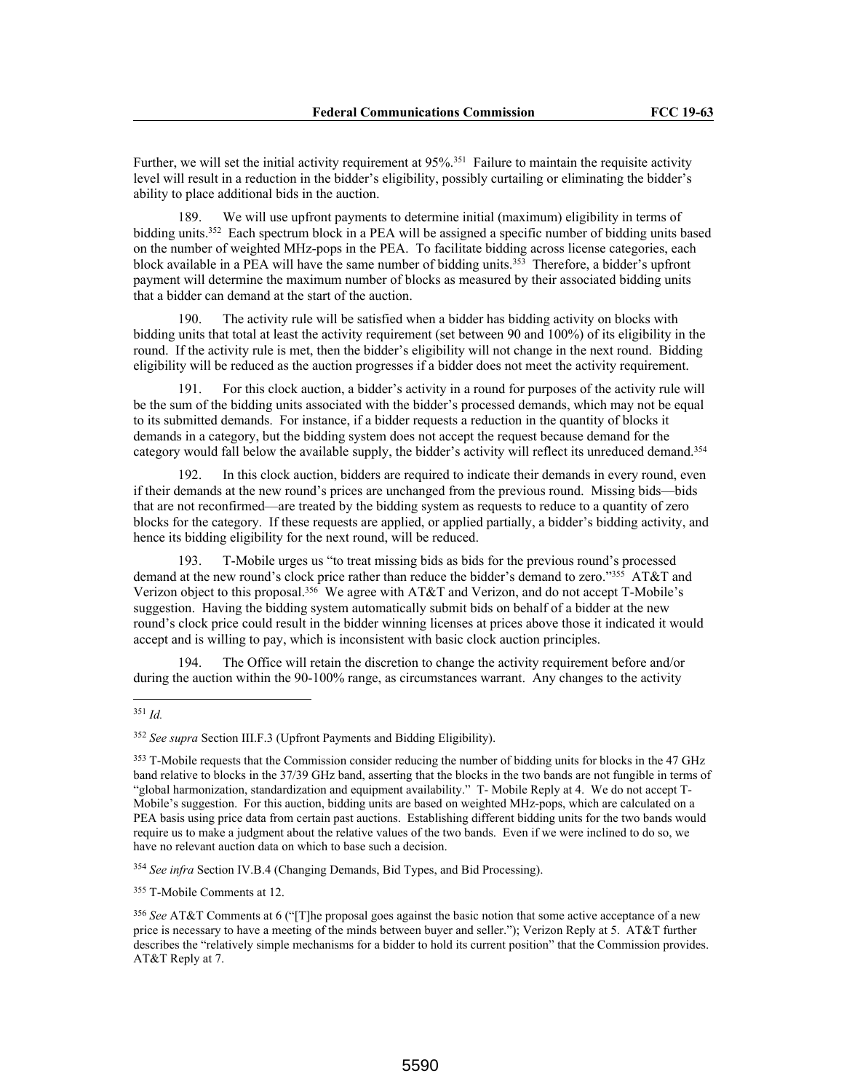Further, we will set the initial activity requirement at 95%.<sup>351</sup> Failure to maintain the requisite activity level will result in a reduction in the bidder's eligibility, possibly curtailing or eliminating the bidder's ability to place additional bids in the auction.

189. We will use upfront payments to determine initial (maximum) eligibility in terms of bidding units.<sup>352</sup> Each spectrum block in a PEA will be assigned a specific number of bidding units based on the number of weighted MHz-pops in the PEA. To facilitate bidding across license categories, each block available in a PEA will have the same number of bidding units.<sup>353</sup> Therefore, a bidder's upfront payment will determine the maximum number of blocks as measured by their associated bidding units that a bidder can demand at the start of the auction.

The activity rule will be satisfied when a bidder has bidding activity on blocks with bidding units that total at least the activity requirement (set between 90 and 100%) of its eligibility in the round. If the activity rule is met, then the bidder's eligibility will not change in the next round. Bidding eligibility will be reduced as the auction progresses if a bidder does not meet the activity requirement.

191. For this clock auction, a bidder's activity in a round for purposes of the activity rule will be the sum of the bidding units associated with the bidder's processed demands, which may not be equal to its submitted demands. For instance, if a bidder requests a reduction in the quantity of blocks it demands in a category, but the bidding system does not accept the request because demand for the category would fall below the available supply, the bidder's activity will reflect its unreduced demand.<sup>354</sup>

192. In this clock auction, bidders are required to indicate their demands in every round, even if their demands at the new round's prices are unchanged from the previous round. Missing bids—bids that are not reconfirmed—are treated by the bidding system as requests to reduce to a quantity of zero blocks for the category. If these requests are applied, or applied partially, a bidder's bidding activity, and hence its bidding eligibility for the next round, will be reduced.

193. T-Mobile urges us "to treat missing bids as bids for the previous round's processed demand at the new round's clock price rather than reduce the bidder's demand to zero."<sup>355</sup> AT&T and Verizon object to this proposal.<sup>356</sup> We agree with AT&T and Verizon, and do not accept T-Mobile's suggestion. Having the bidding system automatically submit bids on behalf of a bidder at the new round's clock price could result in the bidder winning licenses at prices above those it indicated it would accept and is willing to pay, which is inconsistent with basic clock auction principles.

194. The Office will retain the discretion to change the activity requirement before and/or during the auction within the 90-100% range, as circumstances warrant. Any changes to the activity

<sup>354</sup> *See infra* Section IV.B.4 (Changing Demands, Bid Types, and Bid Processing).

<sup>355</sup> T-Mobile Comments at 12.

<sup>351</sup> *Id.*

<sup>352</sup> *See supra* Section III.F.3 (Upfront Payments and Bidding Eligibility).

<sup>&</sup>lt;sup>353</sup> T-Mobile requests that the Commission consider reducing the number of bidding units for blocks in the 47 GHz band relative to blocks in the 37/39 GHz band, asserting that the blocks in the two bands are not fungible in terms of "global harmonization, standardization and equipment availability." T- Mobile Reply at 4. We do not accept T-Mobile's suggestion. For this auction, bidding units are based on weighted MHz-pops, which are calculated on a PEA basis using price data from certain past auctions. Establishing different bidding units for the two bands would require us to make a judgment about the relative values of the two bands. Even if we were inclined to do so, we have no relevant auction data on which to base such a decision.

<sup>356</sup> *See* AT&T Comments at 6 ("[T]he proposal goes against the basic notion that some active acceptance of a new price is necessary to have a meeting of the minds between buyer and seller."); Verizon Reply at 5. AT&T further describes the "relatively simple mechanisms for a bidder to hold its current position" that the Commission provides. AT&T Reply at 7.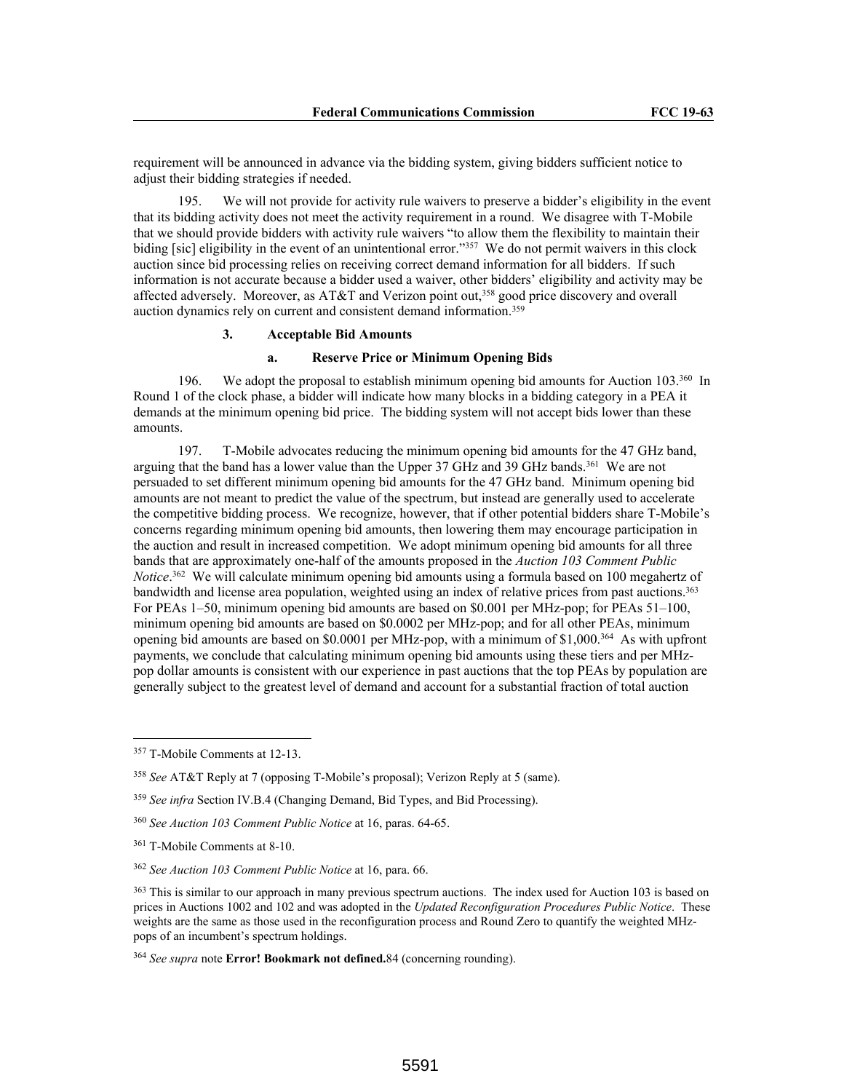requirement will be announced in advance via the bidding system, giving bidders sufficient notice to adjust their bidding strategies if needed.

195. We will not provide for activity rule waivers to preserve a bidder's eligibility in the event that its bidding activity does not meet the activity requirement in a round. We disagree with T-Mobile that we should provide bidders with activity rule waivers "to allow them the flexibility to maintain their biding [sic] eligibility in the event of an unintentional error."<sup>357</sup> We do not permit waivers in this clock auction since bid processing relies on receiving correct demand information for all bidders. If such information is not accurate because a bidder used a waiver, other bidders' eligibility and activity may be affected adversely. Moreover, as AT&T and Verizon point out,<sup>358</sup> good price discovery and overall auction dynamics rely on current and consistent demand information.<sup>359</sup>

#### **3. Acceptable Bid Amounts**

# **a. Reserve Price or Minimum Opening Bids**

196. We adopt the proposal to establish minimum opening bid amounts for Auction 103.<sup>360</sup> In Round 1 of the clock phase, a bidder will indicate how many blocks in a bidding category in a PEA it demands at the minimum opening bid price. The bidding system will not accept bids lower than these amounts.

197. T-Mobile advocates reducing the minimum opening bid amounts for the 47 GHz band, arguing that the band has a lower value than the Upper 37 GHz and 39 GHz bands.<sup>361</sup> We are not persuaded to set different minimum opening bid amounts for the 47 GHz band. Minimum opening bid amounts are not meant to predict the value of the spectrum, but instead are generally used to accelerate the competitive bidding process. We recognize, however, that if other potential bidders share T-Mobile's concerns regarding minimum opening bid amounts, then lowering them may encourage participation in the auction and result in increased competition. We adopt minimum opening bid amounts for all three bands that are approximately one-half of the amounts proposed in the *Auction 103 Comment Public Notice*.<sup>362</sup> We will calculate minimum opening bid amounts using a formula based on 100 megahertz of bandwidth and license area population, weighted using an index of relative prices from past auctions.<sup>363</sup> For PEAs 1–50, minimum opening bid amounts are based on \$0.001 per MHz-pop; for PEAs 51–100, minimum opening bid amounts are based on \$0.0002 per MHz-pop; and for all other PEAs, minimum opening bid amounts are based on \$0.0001 per MHz-pop, with a minimum of \$1,000.<sup>364</sup> As with upfront payments, we conclude that calculating minimum opening bid amounts using these tiers and per MHzpop dollar amounts is consistent with our experience in past auctions that the top PEAs by population are generally subject to the greatest level of demand and account for a substantial fraction of total auction

<sup>357</sup> T-Mobile Comments at 12-13.

<sup>358</sup> *See* AT&T Reply at 7 (opposing T-Mobile's proposal); Verizon Reply at 5 (same).

<sup>359</sup> *See infra* Section IV.B.4 (Changing Demand, Bid Types, and Bid Processing).

<sup>360</sup> *See Auction 103 Comment Public Notice* at 16, paras. 64-65.

<sup>361</sup> T-Mobile Comments at 8-10.

<sup>362</sup> *See Auction 103 Comment Public Notice* at 16, para. 66.

<sup>&</sup>lt;sup>363</sup> This is similar to our approach in many previous spectrum auctions. The index used for Auction 103 is based on prices in Auctions 1002 and 102 and was adopted in the *Updated Reconfiguration Procedures Public Notice*. These weights are the same as those used in the reconfiguration process and Round Zero to quantify the weighted MHzpops of an incumbent's spectrum holdings.

<sup>364</sup> *See supra* note **Error! Bookmark not defined.**84 (concerning rounding).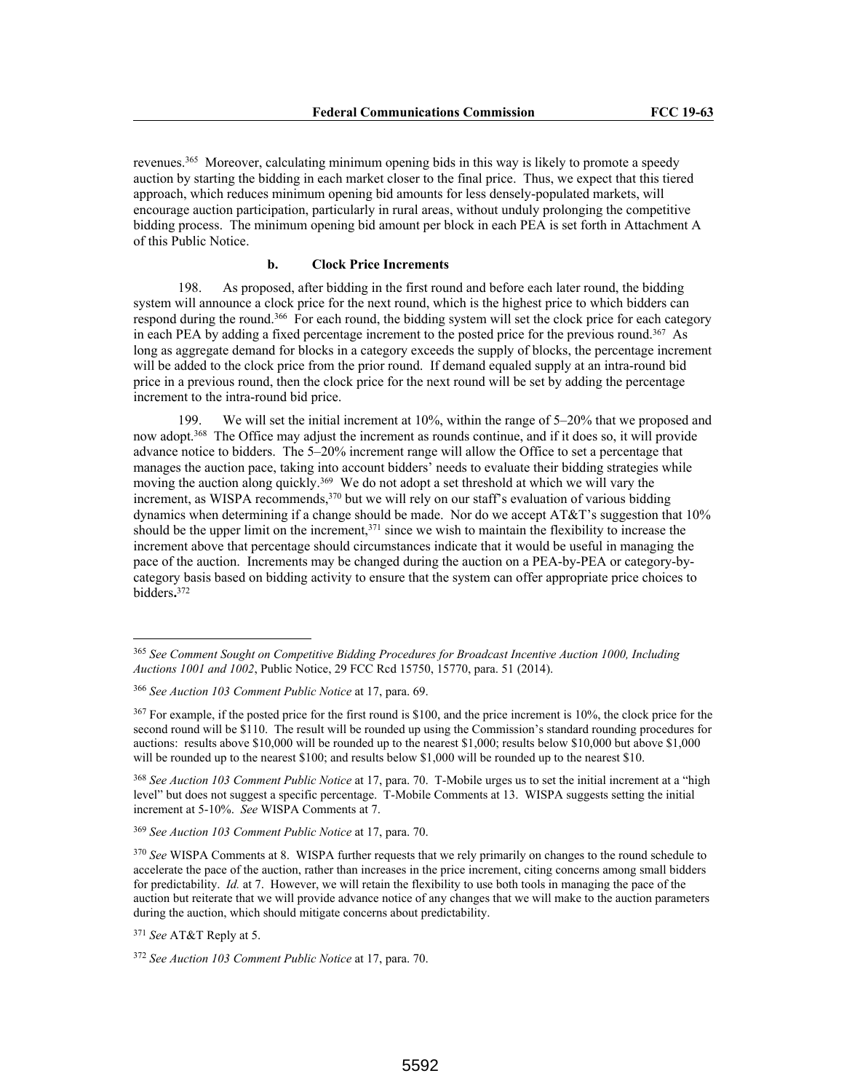revenues.<sup>365</sup> Moreover, calculating minimum opening bids in this way is likely to promote a speedy auction by starting the bidding in each market closer to the final price. Thus, we expect that this tiered approach, which reduces minimum opening bid amounts for less densely-populated markets, will encourage auction participation, particularly in rural areas, without unduly prolonging the competitive bidding process. The minimum opening bid amount per block in each PEA is set forth in Attachment A of this Public Notice.

# **b. Clock Price Increments**

198. As proposed, after bidding in the first round and before each later round, the bidding system will announce a clock price for the next round, which is the highest price to which bidders can respond during the round.<sup>366</sup> For each round, the bidding system will set the clock price for each category in each PEA by adding a fixed percentage increment to the posted price for the previous round.<sup>367</sup> As long as aggregate demand for blocks in a category exceeds the supply of blocks, the percentage increment will be added to the clock price from the prior round. If demand equaled supply at an intra-round bid price in a previous round, then the clock price for the next round will be set by adding the percentage increment to the intra-round bid price.

199. We will set the initial increment at 10%, within the range of 5–20% that we proposed and now adopt.<sup>368</sup> The Office may adjust the increment as rounds continue, and if it does so, it will provide advance notice to bidders. The 5–20% increment range will allow the Office to set a percentage that manages the auction pace, taking into account bidders' needs to evaluate their bidding strategies while moving the auction along quickly.<sup>369</sup> We do not adopt a set threshold at which we will vary the increment, as WISPA recommends,<sup>370</sup> but we will rely on our staff's evaluation of various bidding dynamics when determining if a change should be made. Nor do we accept AT&T's suggestion that 10% should be the upper limit on the increment,<sup>371</sup> since we wish to maintain the flexibility to increase the increment above that percentage should circumstances indicate that it would be useful in managing the pace of the auction. Increments may be changed during the auction on a PEA-by-PEA or category-bycategory basis based on bidding activity to ensure that the system can offer appropriate price choices to bidders**.** 372

<sup>369</sup> *See Auction 103 Comment Public Notice* at 17, para. 70.

<sup>371</sup> *See* AT&T Reply at 5.

<sup>365</sup> *See Comment Sought on Competitive Bidding Procedures for Broadcast Incentive Auction 1000, Including Auctions 1001 and 1002*, Public Notice, 29 FCC Rcd 15750, 15770, para. 51 (2014).

<sup>366</sup> *See Auction 103 Comment Public Notice* at 17, para. 69.

<sup>&</sup>lt;sup>367</sup> For example, if the posted price for the first round is \$100, and the price increment is 10%, the clock price for the second round will be \$110. The result will be rounded up using the Commission's standard rounding procedures for auctions: results above \$10,000 will be rounded up to the nearest \$1,000; results below \$10,000 but above \$1,000 will be rounded up to the nearest \$100; and results below \$1,000 will be rounded up to the nearest \$10.

<sup>368</sup> *See Auction 103 Comment Public Notice* at 17, para. 70. T-Mobile urges us to set the initial increment at a "high level" but does not suggest a specific percentage. T-Mobile Comments at 13. WISPA suggests setting the initial increment at 5-10%. *See* WISPA Comments at 7.

<sup>370</sup> *See* WISPA Comments at 8. WISPA further requests that we rely primarily on changes to the round schedule to accelerate the pace of the auction, rather than increases in the price increment, citing concerns among small bidders for predictability. *Id.* at 7. However, we will retain the flexibility to use both tools in managing the pace of the auction but reiterate that we will provide advance notice of any changes that we will make to the auction parameters during the auction, which should mitigate concerns about predictability.

<sup>372</sup> *See Auction 103 Comment Public Notice* at 17, para. 70.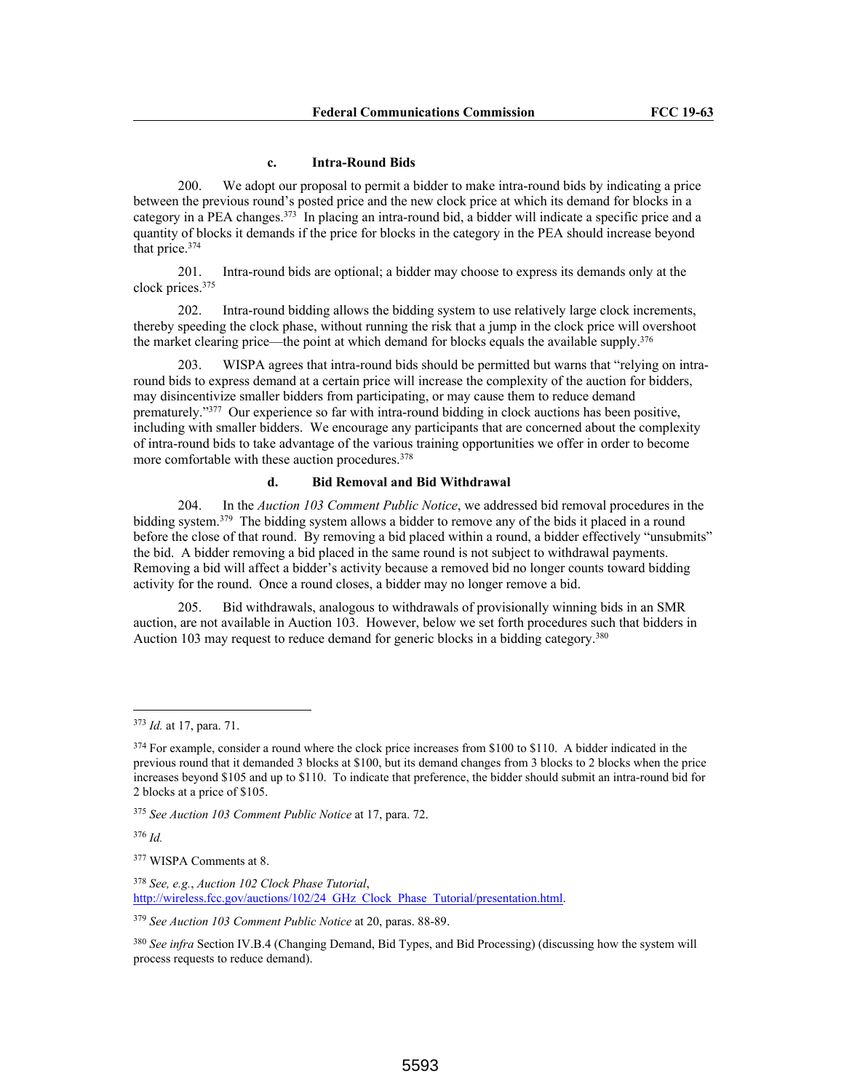#### **c. Intra-Round Bids**

200. We adopt our proposal to permit a bidder to make intra-round bids by indicating a price between the previous round's posted price and the new clock price at which its demand for blocks in a category in a PEA changes.<sup>373</sup> In placing an intra-round bid, a bidder will indicate a specific price and a quantity of blocks it demands if the price for blocks in the category in the PEA should increase beyond that price.<sup>374</sup>

201. Intra-round bids are optional; a bidder may choose to express its demands only at the clock prices.<sup>375</sup>

202. Intra-round bidding allows the bidding system to use relatively large clock increments, thereby speeding the clock phase, without running the risk that a jump in the clock price will overshoot the market clearing price—the point at which demand for blocks equals the available supply.<sup>376</sup>

203. WISPA agrees that intra-round bids should be permitted but warns that "relying on intraround bids to express demand at a certain price will increase the complexity of the auction for bidders, may disincentivize smaller bidders from participating, or may cause them to reduce demand prematurely."<sup>377</sup> Our experience so far with intra-round bidding in clock auctions has been positive, including with smaller bidders. We encourage any participants that are concerned about the complexity of intra-round bids to take advantage of the various training opportunities we offer in order to become more comfortable with these auction procedures.<sup>378</sup>

# **d. Bid Removal and Bid Withdrawal**

204. In the *Auction 103 Comment Public Notice*, we addressed bid removal procedures in the bidding system.<sup>379</sup> The bidding system allows a bidder to remove any of the bids it placed in a round before the close of that round. By removing a bid placed within a round, a bidder effectively "unsubmits" the bid. A bidder removing a bid placed in the same round is not subject to withdrawal payments. Removing a bid will affect a bidder's activity because a removed bid no longer counts toward bidding activity for the round. Once a round closes, a bidder may no longer remove a bid.

205. Bid withdrawals, analogous to withdrawals of provisionally winning bids in an SMR auction, are not available in Auction 103. However, below we set forth procedures such that bidders in Auction 103 may request to reduce demand for generic blocks in a bidding category.<sup>380</sup>

<sup>373</sup> *Id.* at 17, para. 71.

<sup>&</sup>lt;sup>374</sup> For example, consider a round where the clock price increases from \$100 to \$110. A bidder indicated in the previous round that it demanded 3 blocks at \$100, but its demand changes from 3 blocks to 2 blocks when the price increases beyond \$105 and up to \$110. To indicate that preference, the bidder should submit an intra-round bid for 2 blocks at a price of \$105.

<sup>375</sup> *See Auction 103 Comment Public Notice* at 17, para. 72.

<sup>376</sup> *Id.*

<sup>377</sup> WISPA Comments at 8.

<sup>378</sup> *See, e.g.*, *Auction 102 Clock Phase Tutorial*, http://wireless.fcc.gov/auctions/102/24\_GHz\_Clock\_Phase\_Tutorial/presentation.html.

<sup>379</sup> *See Auction 103 Comment Public Notice* at 20, paras. 88-89.

<sup>380</sup> *See infra* Section IV.B.4 (Changing Demand, Bid Types, and Bid Processing) (discussing how the system will process requests to reduce demand).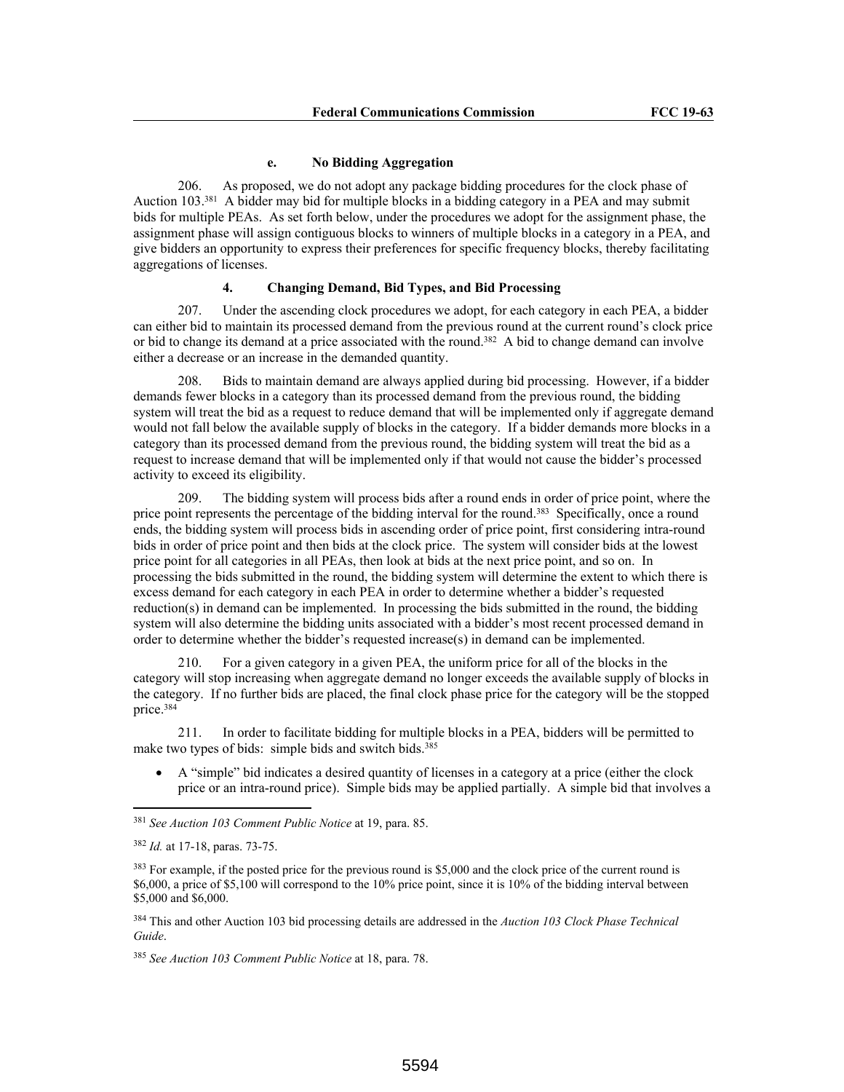## **e. No Bidding Aggregation**

206. As proposed, we do not adopt any package bidding procedures for the clock phase of Auction 103.<sup>381</sup> A bidder may bid for multiple blocks in a bidding category in a PEA and may submit bids for multiple PEAs. As set forth below, under the procedures we adopt for the assignment phase, the assignment phase will assign contiguous blocks to winners of multiple blocks in a category in a PEA, and give bidders an opportunity to express their preferences for specific frequency blocks, thereby facilitating aggregations of licenses.

## **4. Changing Demand, Bid Types, and Bid Processing**

207. Under the ascending clock procedures we adopt, for each category in each PEA, a bidder can either bid to maintain its processed demand from the previous round at the current round's clock price or bid to change its demand at a price associated with the round.<sup>382</sup> A bid to change demand can involve either a decrease or an increase in the demanded quantity.

208. Bids to maintain demand are always applied during bid processing. However, if a bidder demands fewer blocks in a category than its processed demand from the previous round, the bidding system will treat the bid as a request to reduce demand that will be implemented only if aggregate demand would not fall below the available supply of blocks in the category. If a bidder demands more blocks in a category than its processed demand from the previous round, the bidding system will treat the bid as a request to increase demand that will be implemented only if that would not cause the bidder's processed activity to exceed its eligibility.

209. The bidding system will process bids after a round ends in order of price point, where the price point represents the percentage of the bidding interval for the round.<sup>383</sup> Specifically, once a round ends, the bidding system will process bids in ascending order of price point, first considering intra-round bids in order of price point and then bids at the clock price. The system will consider bids at the lowest price point for all categories in all PEAs, then look at bids at the next price point, and so on. In processing the bids submitted in the round, the bidding system will determine the extent to which there is excess demand for each category in each PEA in order to determine whether a bidder's requested reduction(s) in demand can be implemented. In processing the bids submitted in the round, the bidding system will also determine the bidding units associated with a bidder's most recent processed demand in order to determine whether the bidder's requested increase(s) in demand can be implemented.

210. For a given category in a given PEA, the uniform price for all of the blocks in the category will stop increasing when aggregate demand no longer exceeds the available supply of blocks in the category. If no further bids are placed, the final clock phase price for the category will be the stopped price.<sup>384</sup>

211. In order to facilitate bidding for multiple blocks in a PEA, bidders will be permitted to make two types of bids: simple bids and switch bids.<sup>385</sup>

 A "simple" bid indicates a desired quantity of licenses in a category at a price (either the clock price or an intra-round price). Simple bids may be applied partially. A simple bid that involves a

<sup>381</sup> *See Auction 103 Comment Public Notice* at 19, para. 85.

<sup>382</sup> *Id.* at 17-18, paras. 73-75.

<sup>&</sup>lt;sup>383</sup> For example, if the posted price for the previous round is \$5,000 and the clock price of the current round is \$6,000, a price of \$5,100 will correspond to the 10% price point, since it is 10% of the bidding interval between \$5,000 and \$6,000.

<sup>384</sup> This and other Auction 103 bid processing details are addressed in the *Auction 103 Clock Phase Technical Guide*.

<sup>385</sup> *See Auction 103 Comment Public Notice* at 18, para. 78.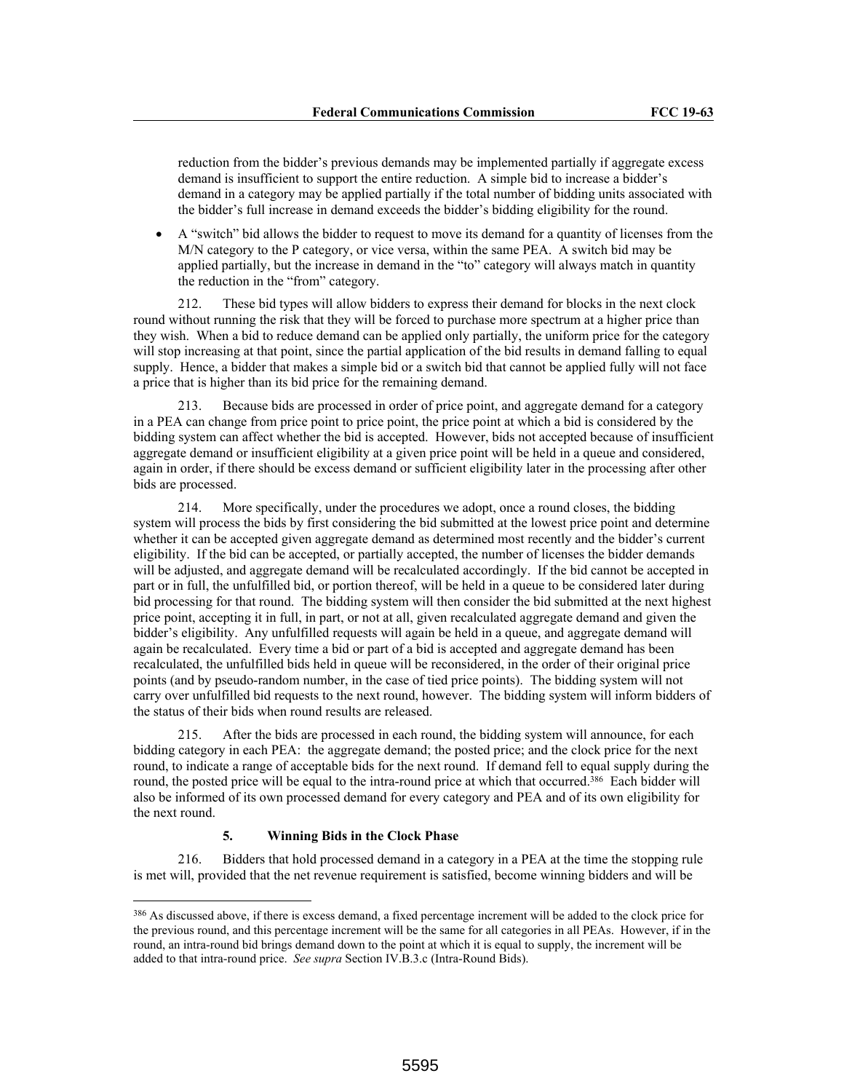reduction from the bidder's previous demands may be implemented partially if aggregate excess demand is insufficient to support the entire reduction. A simple bid to increase a bidder's demand in a category may be applied partially if the total number of bidding units associated with the bidder's full increase in demand exceeds the bidder's bidding eligibility for the round.

 A "switch" bid allows the bidder to request to move its demand for a quantity of licenses from the M/N category to the P category, or vice versa, within the same PEA. A switch bid may be applied partially, but the increase in demand in the "to" category will always match in quantity the reduction in the "from" category.

212. These bid types will allow bidders to express their demand for blocks in the next clock round without running the risk that they will be forced to purchase more spectrum at a higher price than they wish. When a bid to reduce demand can be applied only partially, the uniform price for the category will stop increasing at that point, since the partial application of the bid results in demand falling to equal supply. Hence, a bidder that makes a simple bid or a switch bid that cannot be applied fully will not face a price that is higher than its bid price for the remaining demand.

213. Because bids are processed in order of price point, and aggregate demand for a category in a PEA can change from price point to price point, the price point at which a bid is considered by the bidding system can affect whether the bid is accepted. However, bids not accepted because of insufficient aggregate demand or insufficient eligibility at a given price point will be held in a queue and considered, again in order, if there should be excess demand or sufficient eligibility later in the processing after other bids are processed.

214. More specifically, under the procedures we adopt, once a round closes, the bidding system will process the bids by first considering the bid submitted at the lowest price point and determine whether it can be accepted given aggregate demand as determined most recently and the bidder's current eligibility. If the bid can be accepted, or partially accepted, the number of licenses the bidder demands will be adjusted, and aggregate demand will be recalculated accordingly. If the bid cannot be accepted in part or in full, the unfulfilled bid, or portion thereof, will be held in a queue to be considered later during bid processing for that round. The bidding system will then consider the bid submitted at the next highest price point, accepting it in full, in part, or not at all, given recalculated aggregate demand and given the bidder's eligibility. Any unfulfilled requests will again be held in a queue, and aggregate demand will again be recalculated. Every time a bid or part of a bid is accepted and aggregate demand has been recalculated, the unfulfilled bids held in queue will be reconsidered, in the order of their original price points (and by pseudo-random number, in the case of tied price points). The bidding system will not carry over unfulfilled bid requests to the next round, however. The bidding system will inform bidders of the status of their bids when round results are released.

215. After the bids are processed in each round, the bidding system will announce, for each bidding category in each PEA: the aggregate demand; the posted price; and the clock price for the next round, to indicate a range of acceptable bids for the next round. If demand fell to equal supply during the round, the posted price will be equal to the intra-round price at which that occurred.<sup>386</sup> Each bidder will also be informed of its own processed demand for every category and PEA and of its own eligibility for the next round.

# **5. Winning Bids in the Clock Phase**

216. Bidders that hold processed demand in a category in a PEA at the time the stopping rule is met will, provided that the net revenue requirement is satisfied, become winning bidders and will be

<sup>386</sup> As discussed above, if there is excess demand, a fixed percentage increment will be added to the clock price for the previous round, and this percentage increment will be the same for all categories in all PEAs. However, if in the round, an intra-round bid brings demand down to the point at which it is equal to supply, the increment will be added to that intra-round price. *See supra* Section IV.B.3.c (Intra-Round Bids).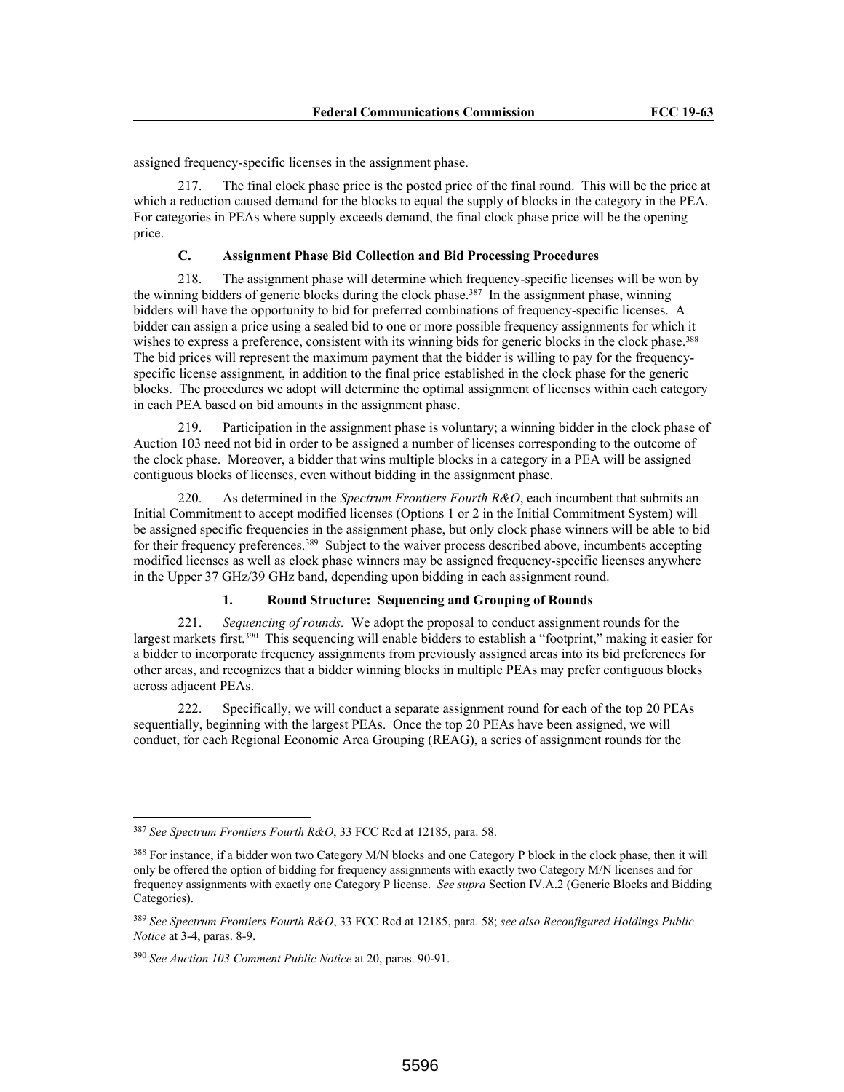assigned frequency-specific licenses in the assignment phase.

217. The final clock phase price is the posted price of the final round. This will be the price at which a reduction caused demand for the blocks to equal the supply of blocks in the category in the PEA. For categories in PEAs where supply exceeds demand, the final clock phase price will be the opening price.

#### **C. Assignment Phase Bid Collection and Bid Processing Procedures**

218. The assignment phase will determine which frequency-specific licenses will be won by the winning bidders of generic blocks during the clock phase.<sup>387</sup> In the assignment phase, winning bidders will have the opportunity to bid for preferred combinations of frequency-specific licenses. A bidder can assign a price using a sealed bid to one or more possible frequency assignments for which it wishes to express a preference, consistent with its winning bids for generic blocks in the clock phase.<sup>388</sup> The bid prices will represent the maximum payment that the bidder is willing to pay for the frequencyspecific license assignment, in addition to the final price established in the clock phase for the generic blocks. The procedures we adopt will determine the optimal assignment of licenses within each category in each PEA based on bid amounts in the assignment phase.

219. Participation in the assignment phase is voluntary; a winning bidder in the clock phase of Auction 103 need not bid in order to be assigned a number of licenses corresponding to the outcome of the clock phase. Moreover, a bidder that wins multiple blocks in a category in a PEA will be assigned contiguous blocks of licenses, even without bidding in the assignment phase.

220. As determined in the *Spectrum Frontiers Fourth R&O*, each incumbent that submits an Initial Commitment to accept modified licenses (Options 1 or 2 in the Initial Commitment System) will be assigned specific frequencies in the assignment phase, but only clock phase winners will be able to bid for their frequency preferences.<sup>389</sup> Subject to the waiver process described above, incumbents accepting modified licenses as well as clock phase winners may be assigned frequency-specific licenses anywhere in the Upper 37 GHz/39 GHz band, depending upon bidding in each assignment round.

# **1. Round Structure: Sequencing and Grouping of Rounds**

221. *Sequencing of rounds.* We adopt the proposal to conduct assignment rounds for the largest markets first.<sup>390</sup> This sequencing will enable bidders to establish a "footprint," making it easier for a bidder to incorporate frequency assignments from previously assigned areas into its bid preferences for other areas, and recognizes that a bidder winning blocks in multiple PEAs may prefer contiguous blocks across adjacent PEAs.

222. Specifically, we will conduct a separate assignment round for each of the top 20 PEAs sequentially, beginning with the largest PEAs. Once the top 20 PEAs have been assigned, we will conduct, for each Regional Economic Area Grouping (REAG), a series of assignment rounds for the

<sup>387</sup> *See Spectrum Frontiers Fourth R&O*, 33 FCC Rcd at 12185, para. 58.

<sup>388</sup> For instance, if a bidder won two Category M/N blocks and one Category P block in the clock phase, then it will only be offered the option of bidding for frequency assignments with exactly two Category M/N licenses and for frequency assignments with exactly one Category P license. *See supra* Section IV.A.2 (Generic Blocks and Bidding Categories).

<sup>389</sup> *See Spectrum Frontiers Fourth R&O*, 33 FCC Rcd at 12185, para. 58; *see also Reconfigured Holdings Public Notice* at 3-4, paras. 8-9.

<sup>390</sup> *See Auction 103 Comment Public Notice* at 20, paras. 90-91.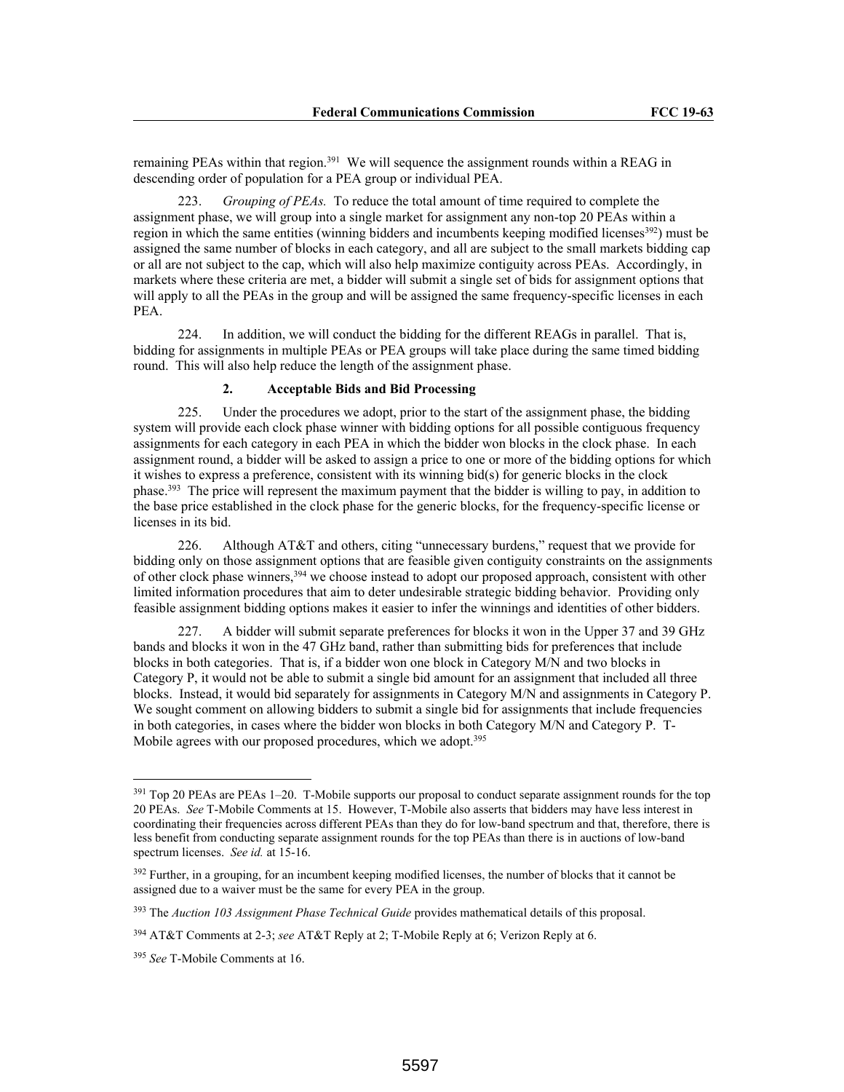remaining PEAs within that region.<sup>391</sup> We will sequence the assignment rounds within a REAG in descending order of population for a PEA group or individual PEA.

Grouping of PEAs. To reduce the total amount of time required to complete the assignment phase, we will group into a single market for assignment any non-top 20 PEAs within a region in which the same entities (winning bidders and incumbents keeping modified licenses<sup>392</sup>) must be assigned the same number of blocks in each category, and all are subject to the small markets bidding cap or all are not subject to the cap, which will also help maximize contiguity across PEAs. Accordingly, in markets where these criteria are met, a bidder will submit a single set of bids for assignment options that will apply to all the PEAs in the group and will be assigned the same frequency-specific licenses in each PEA.

224. In addition, we will conduct the bidding for the different REAGs in parallel. That is, bidding for assignments in multiple PEAs or PEA groups will take place during the same timed bidding round. This will also help reduce the length of the assignment phase.

# **2. Acceptable Bids and Bid Processing**

225. Under the procedures we adopt, prior to the start of the assignment phase, the bidding system will provide each clock phase winner with bidding options for all possible contiguous frequency assignments for each category in each PEA in which the bidder won blocks in the clock phase. In each assignment round, a bidder will be asked to assign a price to one or more of the bidding options for which it wishes to express a preference, consistent with its winning bid(s) for generic blocks in the clock phase.<sup>393</sup> The price will represent the maximum payment that the bidder is willing to pay, in addition to the base price established in the clock phase for the generic blocks, for the frequency-specific license or licenses in its bid.

226. Although AT&T and others, citing "unnecessary burdens," request that we provide for bidding only on those assignment options that are feasible given contiguity constraints on the assignments of other clock phase winners,<sup>394</sup> we choose instead to adopt our proposed approach, consistent with other limited information procedures that aim to deter undesirable strategic bidding behavior. Providing only feasible assignment bidding options makes it easier to infer the winnings and identities of other bidders.

227. A bidder will submit separate preferences for blocks it won in the Upper 37 and 39 GHz bands and blocks it won in the 47 GHz band, rather than submitting bids for preferences that include blocks in both categories. That is, if a bidder won one block in Category M/N and two blocks in Category P, it would not be able to submit a single bid amount for an assignment that included all three blocks. Instead, it would bid separately for assignments in Category M/N and assignments in Category P. We sought comment on allowing bidders to submit a single bid for assignments that include frequencies in both categories, in cases where the bidder won blocks in both Category M/N and Category P. T-Mobile agrees with our proposed procedures, which we adopt.<sup>395</sup>

<sup>&</sup>lt;sup>391</sup> Top 20 PEAs are PEAs 1–20. T-Mobile supports our proposal to conduct separate assignment rounds for the top 20 PEAs. *See* T-Mobile Comments at 15. However, T-Mobile also asserts that bidders may have less interest in coordinating their frequencies across different PEAs than they do for low-band spectrum and that, therefore, there is less benefit from conducting separate assignment rounds for the top PEAs than there is in auctions of low-band spectrum licenses. *See id.* at 15-16.

<sup>&</sup>lt;sup>392</sup> Further, in a grouping, for an incumbent keeping modified licenses, the number of blocks that it cannot be assigned due to a waiver must be the same for every PEA in the group.

<sup>393</sup> The *Auction 103 Assignment Phase Technical Guide* provides mathematical details of this proposal.

<sup>394</sup> AT&T Comments at 2-3; *see* AT&T Reply at 2; T-Mobile Reply at 6; Verizon Reply at 6.

<sup>395</sup> *See* T-Mobile Comments at 16.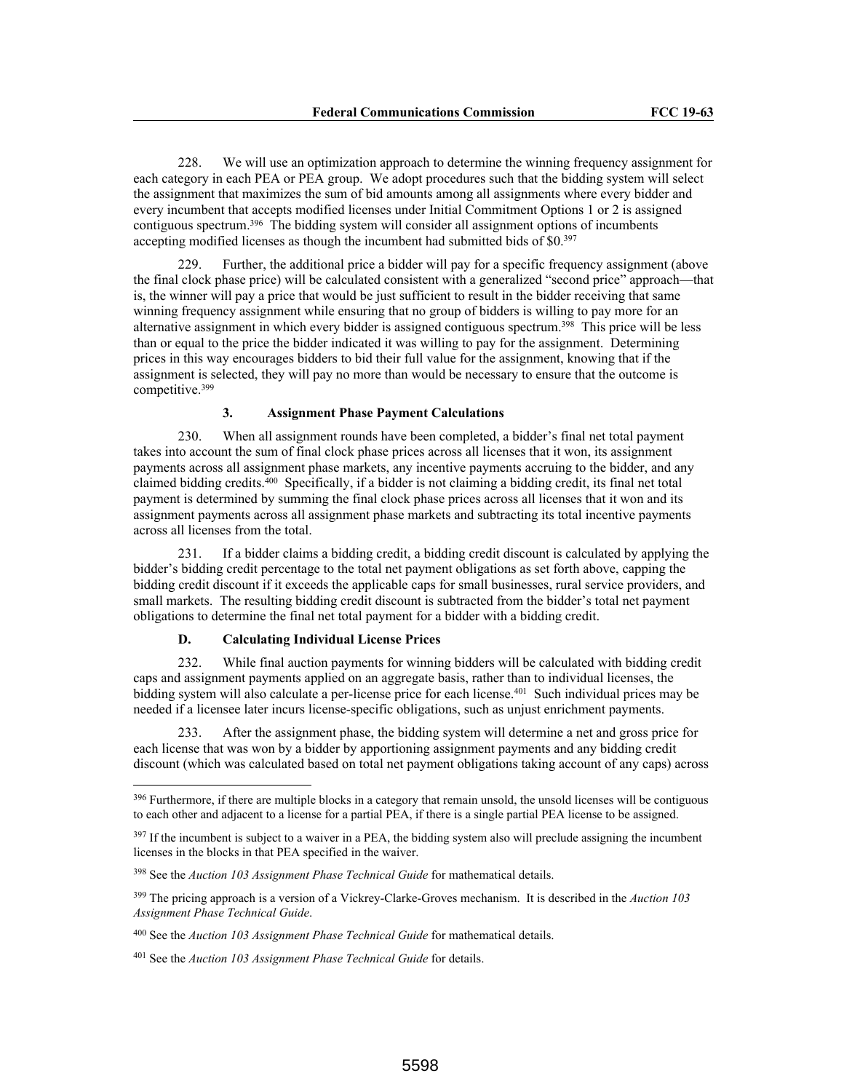228. We will use an optimization approach to determine the winning frequency assignment for each category in each PEA or PEA group. We adopt procedures such that the bidding system will select the assignment that maximizes the sum of bid amounts among all assignments where every bidder and every incumbent that accepts modified licenses under Initial Commitment Options 1 or 2 is assigned contiguous spectrum.<sup>396</sup> The bidding system will consider all assignment options of incumbents accepting modified licenses as though the incumbent had submitted bids of \$0.397

229. Further, the additional price a bidder will pay for a specific frequency assignment (above the final clock phase price) will be calculated consistent with a generalized "second price" approach—that is, the winner will pay a price that would be just sufficient to result in the bidder receiving that same winning frequency assignment while ensuring that no group of bidders is willing to pay more for an alternative assignment in which every bidder is assigned contiguous spectrum.<sup>398</sup> This price will be less than or equal to the price the bidder indicated it was willing to pay for the assignment. Determining prices in this way encourages bidders to bid their full value for the assignment, knowing that if the assignment is selected, they will pay no more than would be necessary to ensure that the outcome is competitive.<sup>399</sup>

# **3. Assignment Phase Payment Calculations**

230. When all assignment rounds have been completed, a bidder's final net total payment takes into account the sum of final clock phase prices across all licenses that it won, its assignment payments across all assignment phase markets, any incentive payments accruing to the bidder, and any claimed bidding credits.<sup>400</sup> Specifically, if a bidder is not claiming a bidding credit, its final net total payment is determined by summing the final clock phase prices across all licenses that it won and its assignment payments across all assignment phase markets and subtracting its total incentive payments across all licenses from the total.

231. If a bidder claims a bidding credit, a bidding credit discount is calculated by applying the bidder's bidding credit percentage to the total net payment obligations as set forth above, capping the bidding credit discount if it exceeds the applicable caps for small businesses, rural service providers, and small markets. The resulting bidding credit discount is subtracted from the bidder's total net payment obligations to determine the final net total payment for a bidder with a bidding credit.

#### **D. Calculating Individual License Prices**

232. While final auction payments for winning bidders will be calculated with bidding credit caps and assignment payments applied on an aggregate basis, rather than to individual licenses, the bidding system will also calculate a per-license price for each license.<sup>401</sup> Such individual prices may be needed if a licensee later incurs license-specific obligations, such as unjust enrichment payments.

233. After the assignment phase, the bidding system will determine a net and gross price for each license that was won by a bidder by apportioning assignment payments and any bidding credit discount (which was calculated based on total net payment obligations taking account of any caps) across

<sup>&</sup>lt;sup>396</sup> Furthermore, if there are multiple blocks in a category that remain unsold, the unsold licenses will be contiguous to each other and adjacent to a license for a partial PEA, if there is a single partial PEA license to be assigned.

 $397$  If the incumbent is subject to a waiver in a PEA, the bidding system also will preclude assigning the incumbent licenses in the blocks in that PEA specified in the waiver.

<sup>398</sup> See the *Auction 103 Assignment Phase Technical Guide* for mathematical details.

<sup>399</sup> The pricing approach is a version of a Vickrey-Clarke-Groves mechanism. It is described in the *Auction 103 Assignment Phase Technical Guide*.

<sup>400</sup> See the *Auction 103 Assignment Phase Technical Guide* for mathematical details.

<sup>401</sup> See the *Auction 103 Assignment Phase Technical Guide* for details.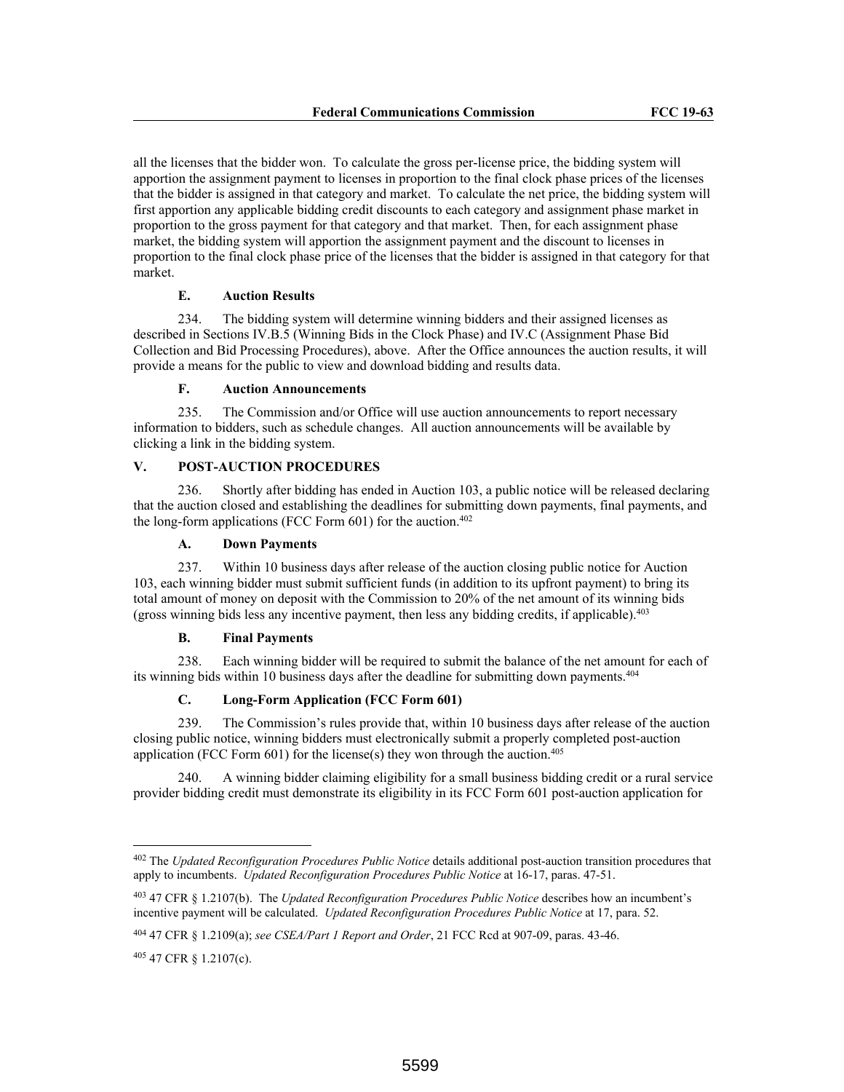all the licenses that the bidder won. To calculate the gross per-license price, the bidding system will apportion the assignment payment to licenses in proportion to the final clock phase prices of the licenses that the bidder is assigned in that category and market. To calculate the net price, the bidding system will first apportion any applicable bidding credit discounts to each category and assignment phase market in proportion to the gross payment for that category and that market. Then, for each assignment phase market, the bidding system will apportion the assignment payment and the discount to licenses in proportion to the final clock phase price of the licenses that the bidder is assigned in that category for that market.

## **E. Auction Results**

234. The bidding system will determine winning bidders and their assigned licenses as described in Sections IV.B.5 (Winning Bids in the Clock Phase) and IV.C (Assignment Phase Bid Collection and Bid Processing Procedures), above. After the Office announces the auction results, it will provide a means for the public to view and download bidding and results data.

#### **F. Auction Announcements**

235. The Commission and/or Office will use auction announcements to report necessary information to bidders, such as schedule changes. All auction announcements will be available by clicking a link in the bidding system.

# **V. POST-AUCTION PROCEDURES**

236. Shortly after bidding has ended in Auction 103, a public notice will be released declaring that the auction closed and establishing the deadlines for submitting down payments, final payments, and the long-form applications (FCC Form  $601$ ) for the auction.<sup>402</sup>

# **A. Down Payments**

237. Within 10 business days after release of the auction closing public notice for Auction 103, each winning bidder must submit sufficient funds (in addition to its upfront payment) to bring its total amount of money on deposit with the Commission to 20% of the net amount of its winning bids (gross winning bids less any incentive payment, then less any bidding credits, if applicable).<sup>403</sup>

## **B. Final Payments**

238. Each winning bidder will be required to submit the balance of the net amount for each of its winning bids within 10 business days after the deadline for submitting down payments.<sup>404</sup>

#### **C. Long-Form Application (FCC Form 601)**

239. The Commission's rules provide that, within 10 business days after release of the auction closing public notice, winning bidders must electronically submit a properly completed post-auction application (FCC Form  $601$ ) for the license(s) they won through the auction.<sup>405</sup>

240. A winning bidder claiming eligibility for a small business bidding credit or a rural service provider bidding credit must demonstrate its eligibility in its FCC Form 601 post-auction application for

<sup>405</sup> 47 CFR § 1.2107(c).

<sup>402</sup> The *Updated Reconfiguration Procedures Public Notice* details additional post-auction transition procedures that apply to incumbents. *Updated Reconfiguration Procedures Public Notice* at 16-17, paras. 47-51.

<sup>403</sup> 47 CFR § 1.2107(b). The *Updated Reconfiguration Procedures Public Notice* describes how an incumbent's incentive payment will be calculated. *Updated Reconfiguration Procedures Public Notice* at 17, para. 52.

<sup>404</sup> 47 CFR § 1.2109(a); *see CSEA/Part 1 Report and Order*, 21 FCC Rcd at 907-09, paras. 43-46.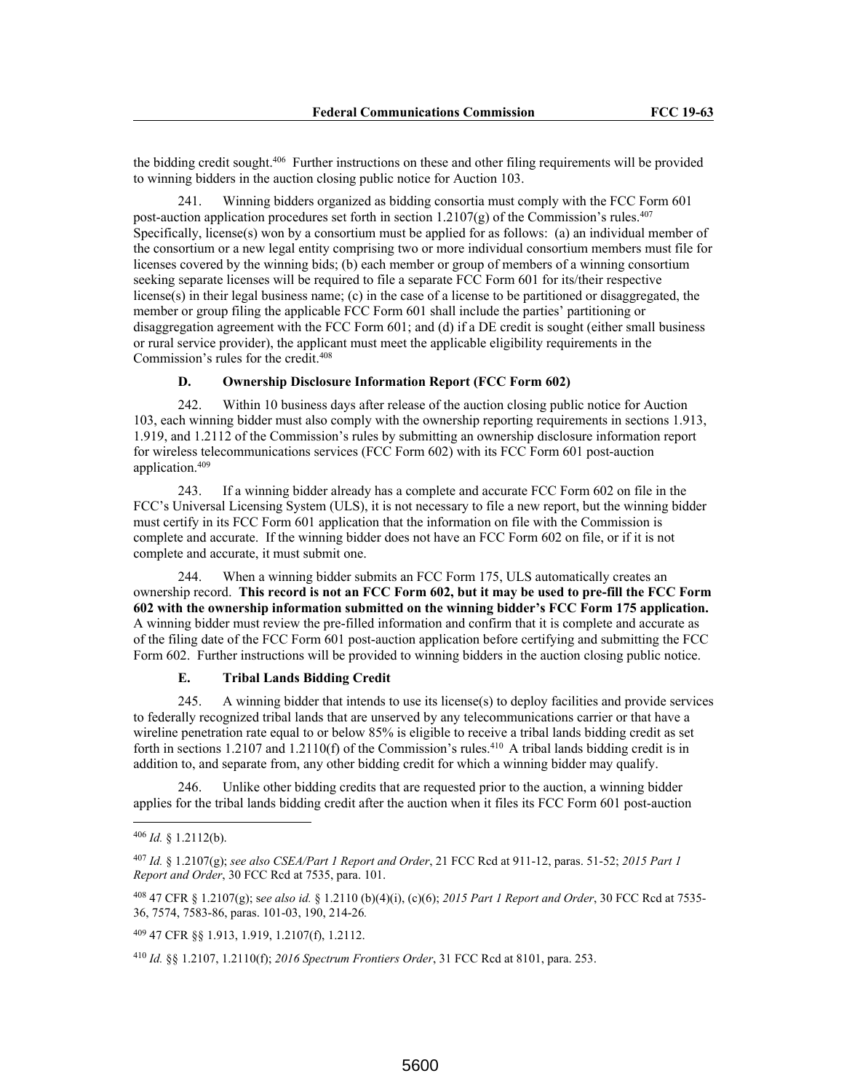the bidding credit sought.<sup>406</sup> Further instructions on these and other filing requirements will be provided to winning bidders in the auction closing public notice for Auction 103.

241. Winning bidders organized as bidding consortia must comply with the FCC Form 601 post-auction application procedures set forth in section 1.2107(g) of the Commission's rules.<sup>407</sup> Specifically, license(s) won by a consortium must be applied for as follows: (a) an individual member of the consortium or a new legal entity comprising two or more individual consortium members must file for licenses covered by the winning bids; (b) each member or group of members of a winning consortium seeking separate licenses will be required to file a separate FCC Form 601 for its/their respective license(s) in their legal business name; (c) in the case of a license to be partitioned or disaggregated, the member or group filing the applicable FCC Form 601 shall include the parties' partitioning or disaggregation agreement with the FCC Form 601; and (d) if a DE credit is sought (either small business or rural service provider), the applicant must meet the applicable eligibility requirements in the Commission's rules for the credit.<sup>408</sup>

#### **D. Ownership Disclosure Information Report (FCC Form 602)**

242. Within 10 business days after release of the auction closing public notice for Auction 103, each winning bidder must also comply with the ownership reporting requirements in sections 1.913, 1.919, and 1.2112 of the Commission's rules by submitting an ownership disclosure information report for wireless telecommunications services (FCC Form 602) with its FCC Form 601 post-auction application.<sup>409</sup>

243. If a winning bidder already has a complete and accurate FCC Form 602 on file in the FCC's Universal Licensing System (ULS), it is not necessary to file a new report, but the winning bidder must certify in its FCC Form 601 application that the information on file with the Commission is complete and accurate. If the winning bidder does not have an FCC Form 602 on file, or if it is not complete and accurate, it must submit one.

244. When a winning bidder submits an FCC Form 175, ULS automatically creates an ownership record. **This record is not an FCC Form 602, but it may be used to pre-fill the FCC Form 602 with the ownership information submitted on the winning bidder's FCC Form 175 application.** A winning bidder must review the pre-filled information and confirm that it is complete and accurate as of the filing date of the FCC Form 601 post-auction application before certifying and submitting the FCC Form 602. Further instructions will be provided to winning bidders in the auction closing public notice.

## **E. Tribal Lands Bidding Credit**

245. A winning bidder that intends to use its license(s) to deploy facilities and provide services to federally recognized tribal lands that are unserved by any telecommunications carrier or that have a wireline penetration rate equal to or below 85% is eligible to receive a tribal lands bidding credit as set forth in sections 1.2107 and 1.2110(f) of the Commission's rules.<sup>410</sup> A tribal lands bidding credit is in addition to, and separate from, any other bidding credit for which a winning bidder may qualify.

246. Unlike other bidding credits that are requested prior to the auction, a winning bidder applies for the tribal lands bidding credit after the auction when it files its FCC Form 601 post-auction

<sup>408</sup> 47 CFR § 1.2107(g); s*ee also id.* § 1.2110 (b)(4)(i), (c)(6); *2015 Part 1 Report and Order*, 30 FCC Rcd at 7535- 36, 7574, 7583-86, paras. 101-03, 190, 214-26*.*

<sup>409</sup> 47 CFR §§ 1.913, 1.919, 1.2107(f), 1.2112.

<sup>410</sup> *Id.* §§ 1.2107, 1.2110(f); *2016 Spectrum Frontiers Order*, 31 FCC Rcd at 8101, para. 253.

<sup>406</sup> *Id.* § 1.2112(b).

<sup>407</sup> *Id.* § 1.2107(g); *see also CSEA/Part 1 Report and Order*, 21 FCC Rcd at 911-12, paras. 51-52; *2015 Part 1 Report and Order*, 30 FCC Rcd at 7535, para. 101.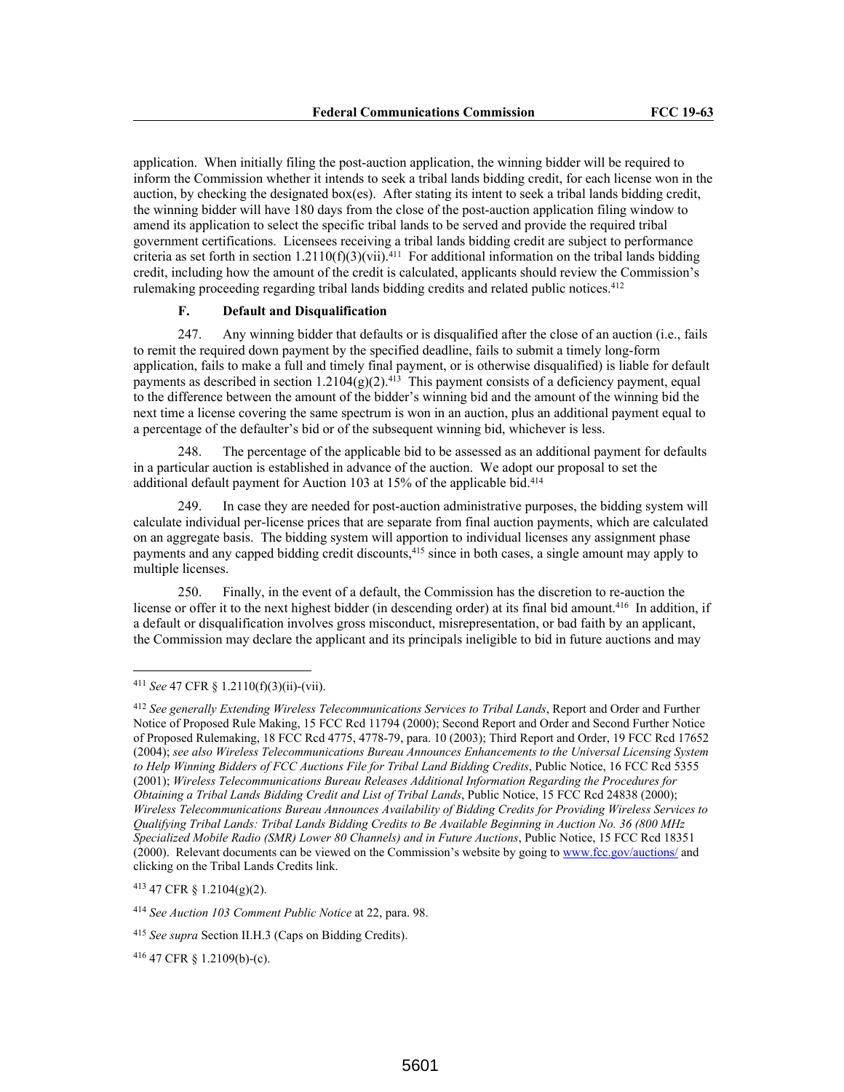application. When initially filing the post-auction application, the winning bidder will be required to inform the Commission whether it intends to seek a tribal lands bidding credit, for each license won in the auction, by checking the designated box(es). After stating its intent to seek a tribal lands bidding credit, the winning bidder will have 180 days from the close of the post-auction application filing window to amend its application to select the specific tribal lands to be served and provide the required tribal government certifications. Licensees receiving a tribal lands bidding credit are subject to performance criteria as set forth in section  $1.2110(f)(3)(vi)$ .<sup>411</sup> For additional information on the tribal lands bidding credit, including how the amount of the credit is calculated, applicants should review the Commission's rulemaking proceeding regarding tribal lands bidding credits and related public notices.<sup>412</sup>

## **F. Default and Disqualification**

247. Any winning bidder that defaults or is disqualified after the close of an auction (i.e., fails to remit the required down payment by the specified deadline, fails to submit a timely long-form application, fails to make a full and timely final payment, or is otherwise disqualified) is liable for default payments as described in section  $1.2104(g)(2)$ .<sup>413</sup> This payment consists of a deficiency payment, equal to the difference between the amount of the bidder's winning bid and the amount of the winning bid the next time a license covering the same spectrum is won in an auction, plus an additional payment equal to a percentage of the defaulter's bid or of the subsequent winning bid, whichever is less.

The percentage of the applicable bid to be assessed as an additional payment for defaults in a particular auction is established in advance of the auction. We adopt our proposal to set the additional default payment for Auction 103 at 15% of the applicable bid.<sup>414</sup>

249. In case they are needed for post-auction administrative purposes, the bidding system will calculate individual per-license prices that are separate from final auction payments, which are calculated on an aggregate basis. The bidding system will apportion to individual licenses any assignment phase payments and any capped bidding credit discounts,<sup>415</sup> since in both cases, a single amount may apply to multiple licenses.

250. Finally, in the event of a default, the Commission has the discretion to re-auction the license or offer it to the next highest bidder (in descending order) at its final bid amount.<sup>416</sup> In addition, if a default or disqualification involves gross misconduct, misrepresentation, or bad faith by an applicant, the Commission may declare the applicant and its principals ineligible to bid in future auctions and may

<sup>413</sup> 47 CFR § 1.2104(g)(2).

<sup>414</sup> *See Auction 103 Comment Public Notice* at 22, para. 98.

<sup>411</sup> *See* 47 CFR § 1.2110(f)(3)(ii)-(vii).

<sup>412</sup> *See generally Extending Wireless Telecommunications Services to Tribal Lands*, Report and Order and Further Notice of Proposed Rule Making, 15 FCC Rcd 11794 (2000); Second Report and Order and Second Further Notice of Proposed Rulemaking, 18 FCC Rcd 4775, 4778-79, para. 10 (2003); Third Report and Order, 19 FCC Rcd 17652 (2004); *see also Wireless Telecommunications Bureau Announces Enhancements to the Universal Licensing System to Help Winning Bidders of FCC Auctions File for Tribal Land Bidding Credits*, Public Notice, 16 FCC Rcd 5355 (2001); *Wireless Telecommunications Bureau Releases Additional Information Regarding the Procedures for Obtaining a Tribal Lands Bidding Credit and List of Tribal Lands*, Public Notice, 15 FCC Rcd 24838 (2000); *Wireless Telecommunications Bureau Announces Availability of Bidding Credits for Providing Wireless Services to Qualifying Tribal Lands: Tribal Lands Bidding Credits to Be Available Beginning in Auction No. 36 (800 MHz Specialized Mobile Radio (SMR) Lower 80 Channels) and in Future Auctions*, Public Notice, 15 FCC Rcd 18351 (2000). Relevant documents can be viewed on the Commission's website by going to www.fcc.gov/auctions/ and clicking on the Tribal Lands Credits link.

<sup>415</sup> *See supra* Section II.H.3 (Caps on Bidding Credits).

<sup>416</sup> 47 CFR § 1.2109(b)-(c).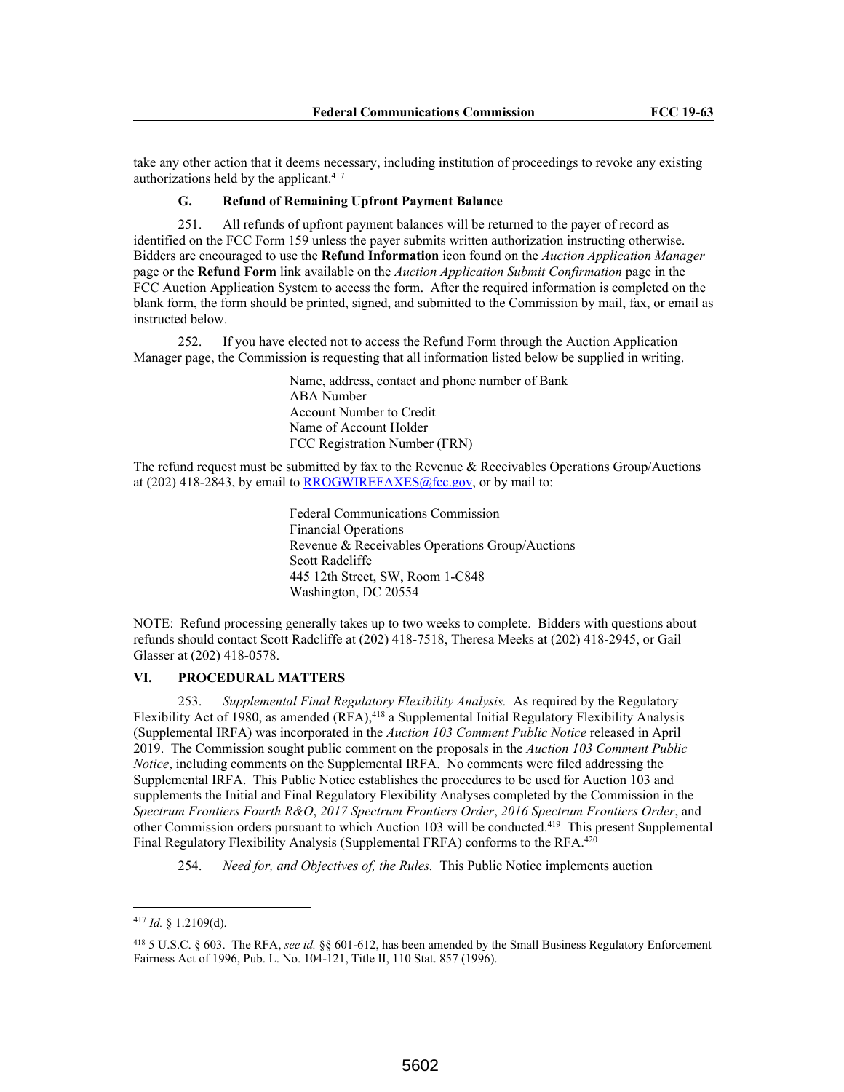take any other action that it deems necessary, including institution of proceedings to revoke any existing authorizations held by the applicant.<sup>417</sup>

#### **G. Refund of Remaining Upfront Payment Balance**

251. All refunds of upfront payment balances will be returned to the payer of record as identified on the FCC Form 159 unless the payer submits written authorization instructing otherwise. Bidders are encouraged to use the **Refund Information** icon found on the *Auction Application Manager* page or the **Refund Form** link available on the *Auction Application Submit Confirmation* page in the FCC Auction Application System to access the form.After the required information is completed on the blank form, the form should be printed, signed, and submitted to the Commission by mail, fax, or email as instructed below.

252. If you have elected not to access the Refund Form through the Auction Application Manager page, the Commission is requesting that all information listed below be supplied in writing.

> Name, address, contact and phone number of Bank ABA Number Account Number to Credit Name of Account Holder FCC Registration Number (FRN)

The refund request must be submitted by fax to the Revenue & Receivables Operations Group/Auctions at (202) 418-2843, by email to RROGWIREFAXES@fcc.gov, or by mail to:

> Federal Communications Commission Financial Operations Revenue & Receivables Operations Group/Auctions Scott Radcliffe 445 12th Street, SW, Room 1-C848 Washington, DC 20554

NOTE: Refund processing generally takes up to two weeks to complete. Bidders with questions about refunds should contact Scott Radcliffe at (202) 418-7518, Theresa Meeks at (202) 418-2945, or Gail Glasser at (202) 418-0578.

#### **VI. PROCEDURAL MATTERS**

253. *Supplemental Final Regulatory Flexibility Analysis.* As required by the Regulatory Flexibility Act of 1980, as amended (RFA),<sup>418</sup> a Supplemental Initial Regulatory Flexibility Analysis (Supplemental IRFA) was incorporated in the *Auction 103 Comment Public Notice* released in April 2019. The Commission sought public comment on the proposals in the *Auction 103 Comment Public Notice*, including comments on the Supplemental IRFA. No comments were filed addressing the Supplemental IRFA. This Public Notice establishes the procedures to be used for Auction 103 and supplements the Initial and Final Regulatory Flexibility Analyses completed by the Commission in the *Spectrum Frontiers Fourth R&O*, *2017 Spectrum Frontiers Order*, *2016 Spectrum Frontiers Order*, and other Commission orders pursuant to which Auction 103 will be conducted.<sup>419</sup> This present Supplemental Final Regulatory Flexibility Analysis (Supplemental FRFA) conforms to the RFA.<sup>420</sup>

254. *Need for, and Objectives of, the Rules.* This Public Notice implements auction

<sup>417</sup> *Id.* § 1.2109(d).

<sup>418</sup> 5 U.S.C. § 603. The RFA, *see id.* §§ 601-612, has been amended by the Small Business Regulatory Enforcement Fairness Act of 1996, Pub. L. No. 104-121, Title II, 110 Stat. 857 (1996).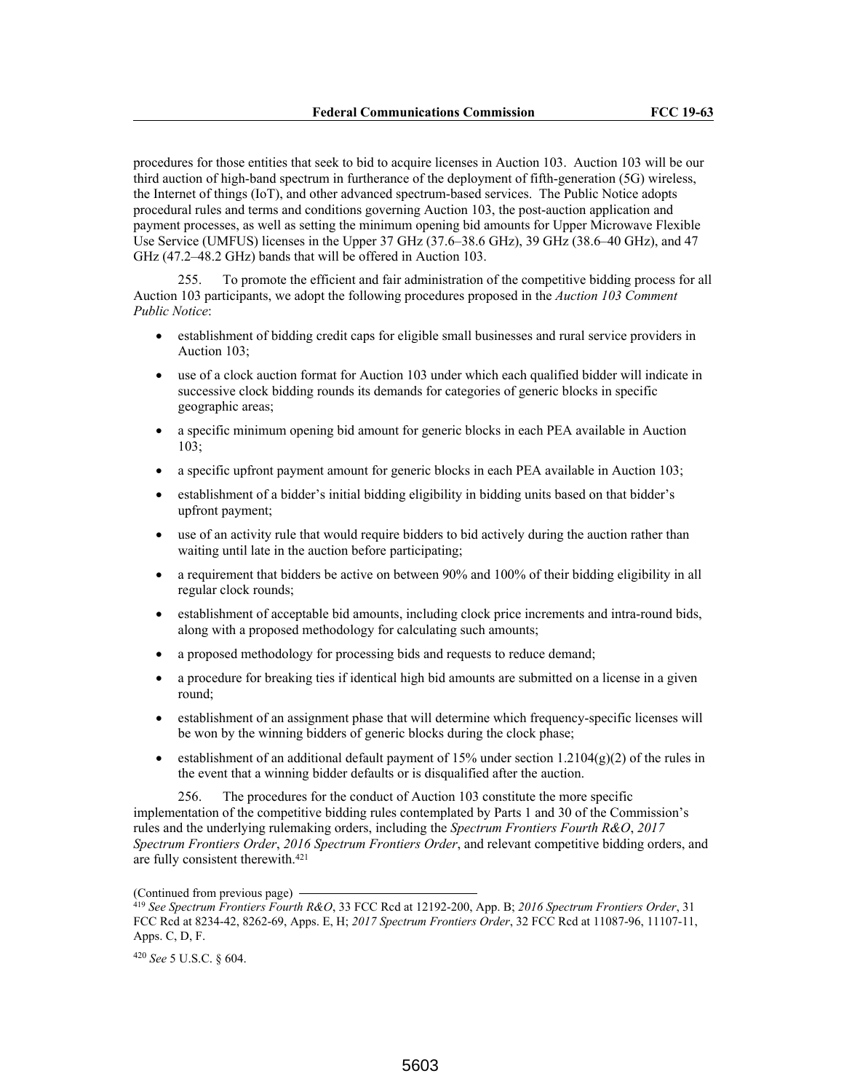procedures for those entities that seek to bid to acquire licenses in Auction 103. Auction 103 will be our third auction of high-band spectrum in furtherance of the deployment of fifth-generation (5G) wireless, the Internet of things (IoT), and other advanced spectrum-based services. The Public Notice adopts procedural rules and terms and conditions governing Auction 103, the post-auction application and payment processes, as well as setting the minimum opening bid amounts for Upper Microwave Flexible Use Service (UMFUS) licenses in the Upper 37 GHz (37.6–38.6 GHz), 39 GHz (38.6–40 GHz), and 47 GHz (47.2–48.2 GHz) bands that will be offered in Auction 103.

255. To promote the efficient and fair administration of the competitive bidding process for all Auction 103 participants, we adopt the following procedures proposed in the *Auction 103 Comment Public Notice*:

- establishment of bidding credit caps for eligible small businesses and rural service providers in Auction 103;
- use of a clock auction format for Auction 103 under which each qualified bidder will indicate in successive clock bidding rounds its demands for categories of generic blocks in specific geographic areas;
- a specific minimum opening bid amount for generic blocks in each PEA available in Auction 103;
- a specific upfront payment amount for generic blocks in each PEA available in Auction 103;
- establishment of a bidder's initial bidding eligibility in bidding units based on that bidder's upfront payment;
- use of an activity rule that would require bidders to bid actively during the auction rather than waiting until late in the auction before participating;
- a requirement that bidders be active on between 90% and 100% of their bidding eligibility in all regular clock rounds;
- establishment of acceptable bid amounts, including clock price increments and intra-round bids, along with a proposed methodology for calculating such amounts;
- a proposed methodology for processing bids and requests to reduce demand;
- a procedure for breaking ties if identical high bid amounts are submitted on a license in a given round;
- establishment of an assignment phase that will determine which frequency-specific licenses will be won by the winning bidders of generic blocks during the clock phase;
- establishment of an additional default payment of 15% under section 1.2104(g)(2) of the rules in the event that a winning bidder defaults or is disqualified after the auction.

256. The procedures for the conduct of Auction 103 constitute the more specific implementation of the competitive bidding rules contemplated by Parts 1 and 30 of the Commission's rules and the underlying rulemaking orders, including the *Spectrum Frontiers Fourth R&O*, *2017 Spectrum Frontiers Order*, *2016 Spectrum Frontiers Order*, and relevant competitive bidding orders, and are fully consistent therewith.<sup>421</sup>

<sup>(</sup>Continued from previous page)

<sup>419</sup> *See Spectrum Frontiers Fourth R&O*, 33 FCC Rcd at 12192-200, App. B; *2016 Spectrum Frontiers Order*, 31 FCC Rcd at 8234-42, 8262-69, Apps. E, H; *2017 Spectrum Frontiers Order*, 32 FCC Rcd at 11087-96, 11107-11, Apps. C, D, F.

<sup>420</sup> *See* 5 U.S.C. § 604.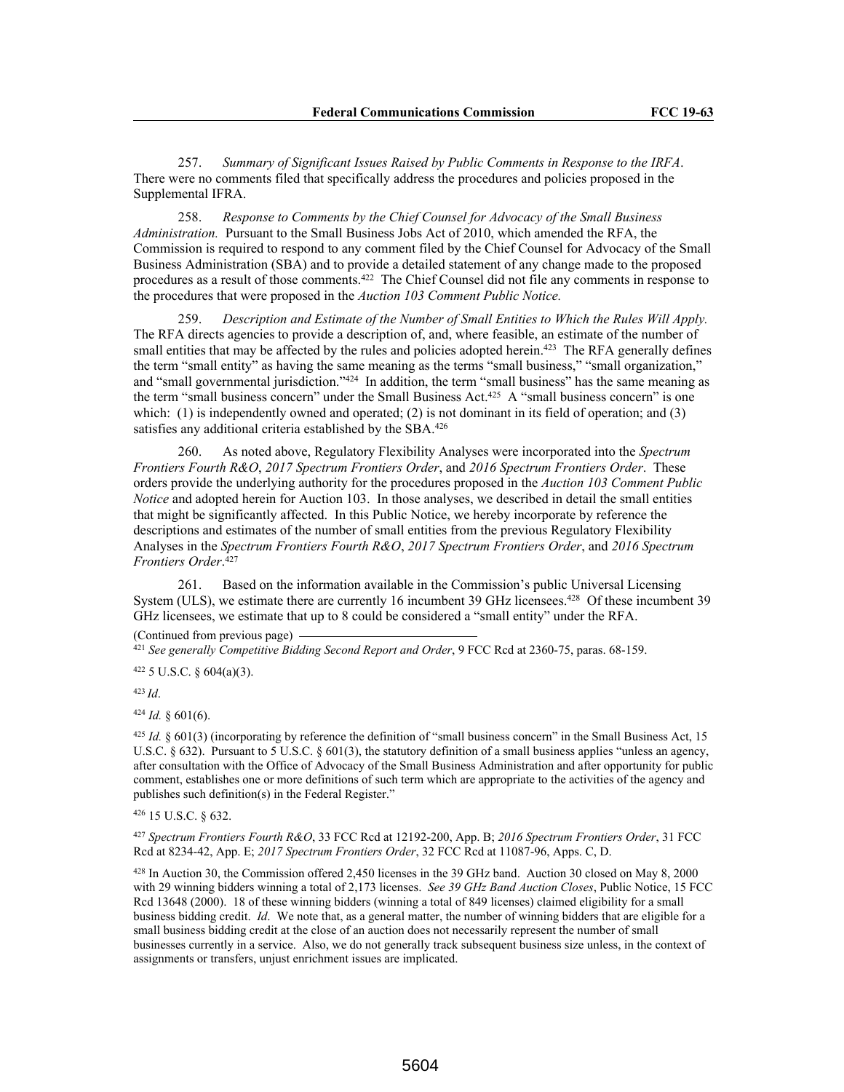257. *Summary of Significant Issues Raised by Public Comments in Response to the IRFA*. There were no comments filed that specifically address the procedures and policies proposed in the Supplemental IFRA.

258. *Response to Comments by the Chief Counsel for Advocacy of the Small Business Administration.* Pursuant to the Small Business Jobs Act of 2010, which amended the RFA, the Commission is required to respond to any comment filed by the Chief Counsel for Advocacy of the Small Business Administration (SBA) and to provide a detailed statement of any change made to the proposed procedures as a result of those comments.<sup>422</sup> The Chief Counsel did not file any comments in response to the procedures that were proposed in the *Auction 103 Comment Public Notice.*

259. *Description and Estimate of the Number of Small Entities to Which the Rules Will Apply.* The RFA directs agencies to provide a description of, and, where feasible, an estimate of the number of small entities that may be affected by the rules and policies adopted herein.<sup>423</sup> The RFA generally defines the term "small entity" as having the same meaning as the terms "small business," "small organization," and "small governmental jurisdiction."<sup>424</sup> In addition, the term "small business" has the same meaning as the term "small business concern" under the Small Business Act.<sup>425</sup> A "small business concern" is one which: (1) is independently owned and operated; (2) is not dominant in its field of operation; and (3) satisfies any additional criteria established by the SBA.<sup>426</sup>

260. As noted above, Regulatory Flexibility Analyses were incorporated into the *Spectrum Frontiers Fourth R&O*, *2017 Spectrum Frontiers Order*, and *2016 Spectrum Frontiers Order*. These orders provide the underlying authority for the procedures proposed in the *Auction 103 Comment Public Notice* and adopted herein for Auction 103. In those analyses, we described in detail the small entities that might be significantly affected. In this Public Notice, we hereby incorporate by reference the descriptions and estimates of the number of small entities from the previous Regulatory Flexibility Analyses in the *Spectrum Frontiers Fourth R&O*, *2017 Spectrum Frontiers Order*, and *2016 Spectrum Frontiers Order*. 427

261. Based on the information available in the Commission's public Universal Licensing System (ULS), we estimate there are currently 16 incumbent 39 GHz licensees.<sup>428</sup> Of these incumbent 39 GHz licensees, we estimate that up to 8 could be considered a "small entity" under the RFA.

(Continued from previous page)

<sup>421</sup> *See generally Competitive Bidding Second Report and Order*, 9 FCC Rcd at 2360-75, paras. 68-159.

 $422$  5 U.S.C. § 604(a)(3).

<sup>423</sup>*Id*.

 $424$  *Id.* § 601(6).

<sup>425</sup> *Id.* § 601(3) (incorporating by reference the definition of "small business concern" in the Small Business Act, 15 U.S.C. § 632). Pursuant to 5 U.S.C. § 601(3), the statutory definition of a small business applies "unless an agency, after consultation with the Office of Advocacy of the Small Business Administration and after opportunity for public comment, establishes one or more definitions of such term which are appropriate to the activities of the agency and publishes such definition(s) in the Federal Register."

## <sup>426</sup> 15 U.S.C. § 632.

<sup>427</sup> *Spectrum Frontiers Fourth R&O*, 33 FCC Rcd at 12192-200, App. B; *2016 Spectrum Frontiers Order*, 31 FCC Rcd at 8234-42, App. E; *2017 Spectrum Frontiers Order*, 32 FCC Rcd at 11087-96, Apps. C, D.

<sup>428</sup> In Auction 30, the Commission offered 2,450 licenses in the 39 GHz band. Auction 30 closed on May 8, 2000 with 29 winning bidders winning a total of 2,173 licenses. *See 39 GHz Band Auction Closes*, Public Notice, 15 FCC Rcd 13648 (2000). 18 of these winning bidders (winning a total of 849 licenses) claimed eligibility for a small business bidding credit. *Id*. We note that, as a general matter, the number of winning bidders that are eligible for a small business bidding credit at the close of an auction does not necessarily represent the number of small businesses currently in a service. Also, we do not generally track subsequent business size unless, in the context of assignments or transfers, unjust enrichment issues are implicated.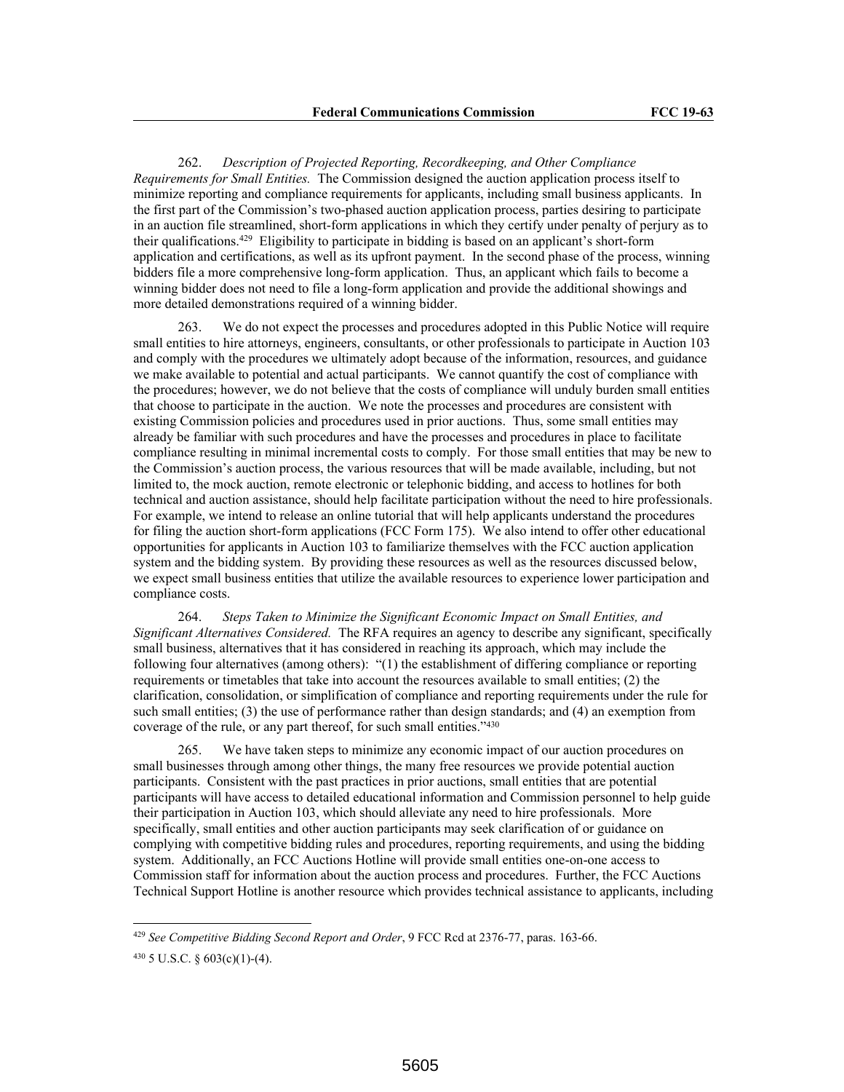262. *Description of Projected Reporting, Recordkeeping, and Other Compliance Requirements for Small Entities.* The Commission designed the auction application process itself to minimize reporting and compliance requirements for applicants, including small business applicants. In the first part of the Commission's two-phased auction application process, parties desiring to participate in an auction file streamlined, short-form applications in which they certify under penalty of perjury as to their qualifications.<sup>429</sup> Eligibility to participate in bidding is based on an applicant's short-form application and certifications, as well as its upfront payment. In the second phase of the process, winning bidders file a more comprehensive long-form application. Thus, an applicant which fails to become a winning bidder does not need to file a long-form application and provide the additional showings and more detailed demonstrations required of a winning bidder.

263. We do not expect the processes and procedures adopted in this Public Notice will require small entities to hire attorneys, engineers, consultants, or other professionals to participate in Auction 103 and comply with the procedures we ultimately adopt because of the information, resources, and guidance we make available to potential and actual participants. We cannot quantify the cost of compliance with the procedures; however, we do not believe that the costs of compliance will unduly burden small entities that choose to participate in the auction. We note the processes and procedures are consistent with existing Commission policies and procedures used in prior auctions. Thus, some small entities may already be familiar with such procedures and have the processes and procedures in place to facilitate compliance resulting in minimal incremental costs to comply. For those small entities that may be new to the Commission's auction process, the various resources that will be made available, including, but not limited to, the mock auction, remote electronic or telephonic bidding, and access to hotlines for both technical and auction assistance, should help facilitate participation without the need to hire professionals. For example, we intend to release an online tutorial that will help applicants understand the procedures for filing the auction short-form applications (FCC Form 175). We also intend to offer other educational opportunities for applicants in Auction 103 to familiarize themselves with the FCC auction application system and the bidding system. By providing these resources as well as the resources discussed below, we expect small business entities that utilize the available resources to experience lower participation and compliance costs.

264. *Steps Taken to Minimize the Significant Economic Impact on Small Entities, and Significant Alternatives Considered.* The RFA requires an agency to describe any significant, specifically small business, alternatives that it has considered in reaching its approach, which may include the following four alternatives (among others): "(1) the establishment of differing compliance or reporting requirements or timetables that take into account the resources available to small entities; (2) the clarification, consolidation, or simplification of compliance and reporting requirements under the rule for such small entities; (3) the use of performance rather than design standards; and (4) an exemption from coverage of the rule, or any part thereof, for such small entities."<sup>430</sup>

265. We have taken steps to minimize any economic impact of our auction procedures on small businesses through among other things, the many free resources we provide potential auction participants. Consistent with the past practices in prior auctions, small entities that are potential participants will have access to detailed educational information and Commission personnel to help guide their participation in Auction 103, which should alleviate any need to hire professionals. More specifically, small entities and other auction participants may seek clarification of or guidance on complying with competitive bidding rules and procedures, reporting requirements, and using the bidding system. Additionally, an FCC Auctions Hotline will provide small entities one-on-one access to Commission staff for information about the auction process and procedures. Further, the FCC Auctions Technical Support Hotline is another resource which provides technical assistance to applicants, including

<sup>429</sup> *See Competitive Bidding Second Report and Order*, 9 FCC Rcd at 2376-77, paras. 163-66.

 $430$  5 U.S.C. § 603(c)(1)-(4).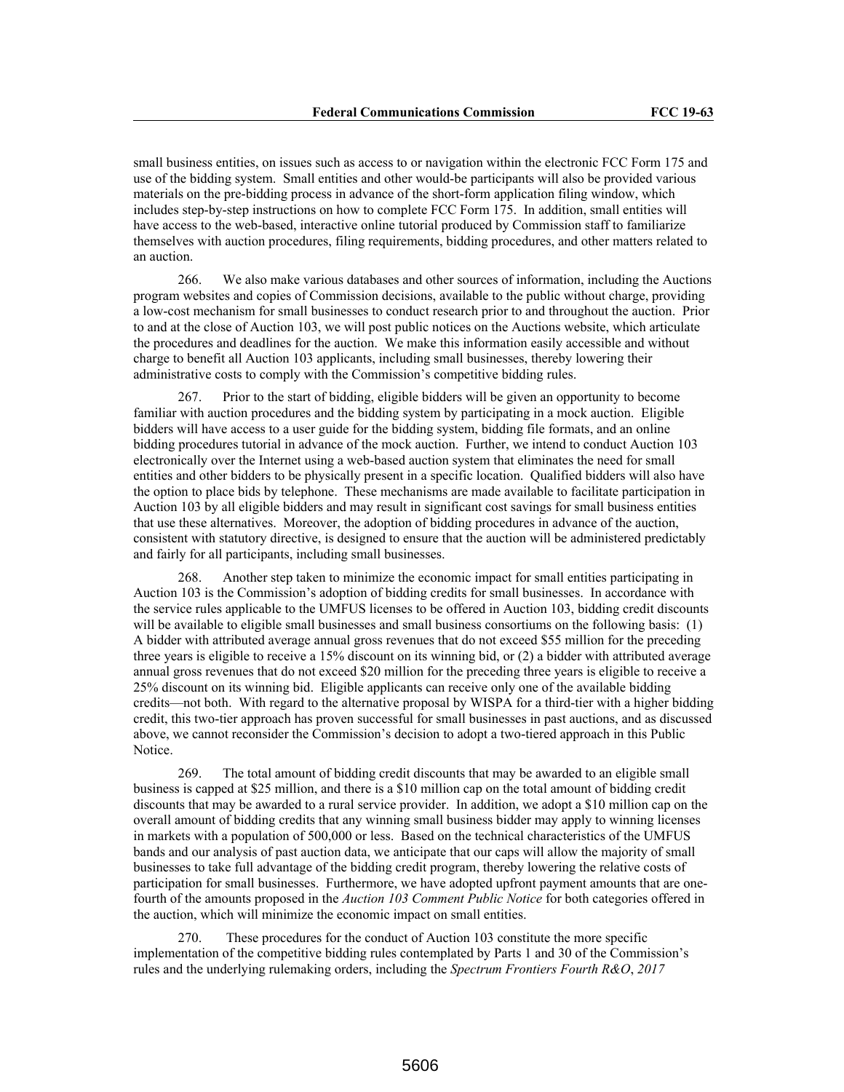small business entities, on issues such as access to or navigation within the electronic FCC Form 175 and use of the bidding system. Small entities and other would-be participants will also be provided various materials on the pre-bidding process in advance of the short-form application filing window, which includes step-by-step instructions on how to complete FCC Form 175. In addition, small entities will have access to the web-based, interactive online tutorial produced by Commission staff to familiarize themselves with auction procedures, filing requirements, bidding procedures, and other matters related to an auction.

266. We also make various databases and other sources of information, including the Auctions program websites and copies of Commission decisions, available to the public without charge, providing a low-cost mechanism for small businesses to conduct research prior to and throughout the auction. Prior to and at the close of Auction 103, we will post public notices on the Auctions website, which articulate the procedures and deadlines for the auction. We make this information easily accessible and without charge to benefit all Auction 103 applicants, including small businesses, thereby lowering their administrative costs to comply with the Commission's competitive bidding rules.

267. Prior to the start of bidding, eligible bidders will be given an opportunity to become familiar with auction procedures and the bidding system by participating in a mock auction. Eligible bidders will have access to a user guide for the bidding system, bidding file formats, and an online bidding procedures tutorial in advance of the mock auction. Further, we intend to conduct Auction 103 electronically over the Internet using a web-based auction system that eliminates the need for small entities and other bidders to be physically present in a specific location. Qualified bidders will also have the option to place bids by telephone. These mechanisms are made available to facilitate participation in Auction 103 by all eligible bidders and may result in significant cost savings for small business entities that use these alternatives. Moreover, the adoption of bidding procedures in advance of the auction, consistent with statutory directive, is designed to ensure that the auction will be administered predictably and fairly for all participants, including small businesses.

268. Another step taken to minimize the economic impact for small entities participating in Auction 103 is the Commission's adoption of bidding credits for small businesses. In accordance with the service rules applicable to the UMFUS licenses to be offered in Auction 103, bidding credit discounts will be available to eligible small businesses and small business consortiums on the following basis: (1) A bidder with attributed average annual gross revenues that do not exceed \$55 million for the preceding three years is eligible to receive a 15% discount on its winning bid, or (2) a bidder with attributed average annual gross revenues that do not exceed \$20 million for the preceding three years is eligible to receive a 25% discount on its winning bid. Eligible applicants can receive only one of the available bidding credits—not both. With regard to the alternative proposal by WISPA for a third-tier with a higher bidding credit, this two-tier approach has proven successful for small businesses in past auctions, and as discussed above, we cannot reconsider the Commission's decision to adopt a two-tiered approach in this Public Notice.

269. The total amount of bidding credit discounts that may be awarded to an eligible small business is capped at \$25 million, and there is a \$10 million cap on the total amount of bidding credit discounts that may be awarded to a rural service provider. In addition, we adopt a \$10 million cap on the overall amount of bidding credits that any winning small business bidder may apply to winning licenses in markets with a population of 500,000 or less. Based on the technical characteristics of the UMFUS bands and our analysis of past auction data, we anticipate that our caps will allow the majority of small businesses to take full advantage of the bidding credit program, thereby lowering the relative costs of participation for small businesses. Furthermore, we have adopted upfront payment amounts that are onefourth of the amounts proposed in the *Auction 103 Comment Public Notice* for both categories offered in the auction, which will minimize the economic impact on small entities.

270. These procedures for the conduct of Auction 103 constitute the more specific implementation of the competitive bidding rules contemplated by Parts 1 and 30 of the Commission's rules and the underlying rulemaking orders, including the *Spectrum Frontiers Fourth R&O*, *2017*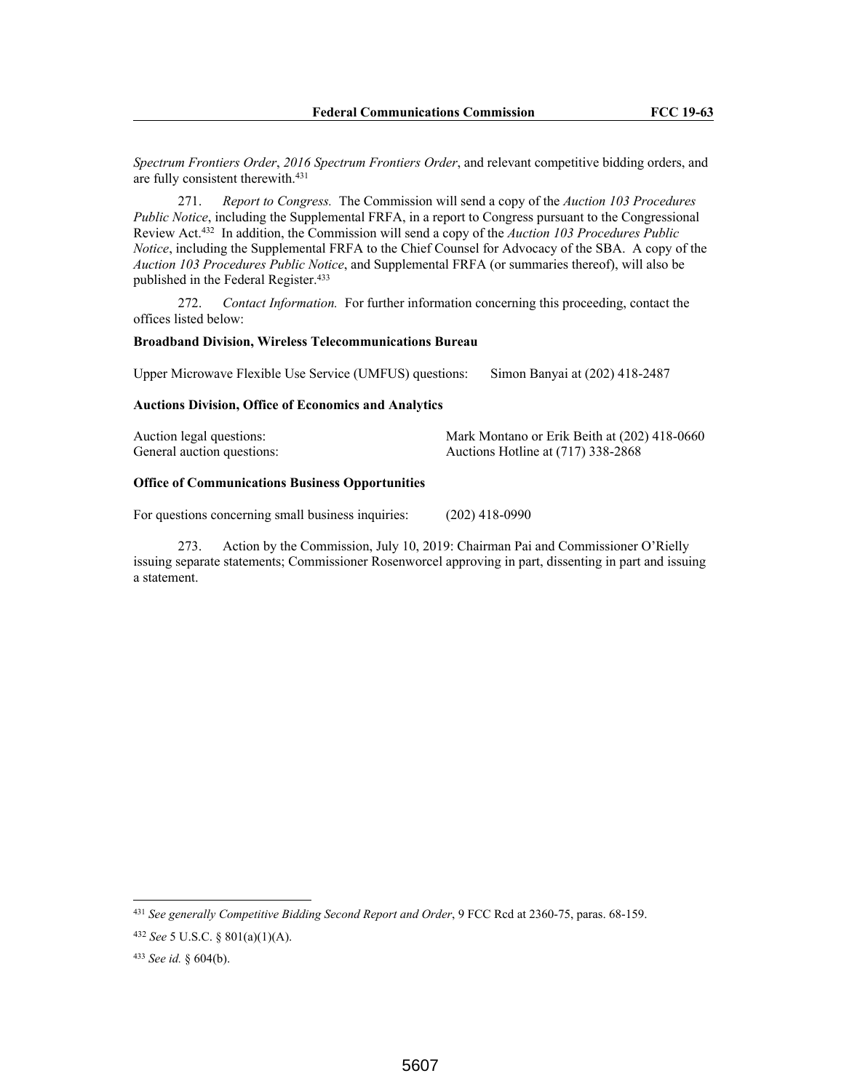*Spectrum Frontiers Order*, *2016 Spectrum Frontiers Order*, and relevant competitive bidding orders, and are fully consistent therewith.<sup>431</sup>

271. *Report to Congress.* The Commission will send a copy of the *Auction 103 Procedures Public Notice*, including the Supplemental FRFA, in a report to Congress pursuant to the Congressional Review Act.<sup>432</sup> In addition, the Commission will send a copy of the *Auction 103 Procedures Public Notice*, including the Supplemental FRFA to the Chief Counsel for Advocacy of the SBA. A copy of the *Auction 103 Procedures Public Notice*, and Supplemental FRFA (or summaries thereof), will also be published in the Federal Register.<sup>433</sup>

272. *Contact Information.* For further information concerning this proceeding, contact the offices listed below:

## **Broadband Division, Wireless Telecommunications Bureau**

Upper Microwave Flexible Use Service (UMFUS) questions: Simon Banyai at (202) 418-2487

### **Auctions Division, Office of Economics and Analytics**

| Auction legal questions:   | Mark Montano or Erik Beith at (202) 418-0660 |
|----------------------------|----------------------------------------------|
| General auction questions: | Auctions Hotline at (717) 338-2868           |

### **Office of Communications Business Opportunities**

For questions concerning small business inquiries: (202) 418-0990

273. Action by the Commission, July 10, 2019: Chairman Pai and Commissioner O'Rielly issuing separate statements; Commissioner Rosenworcel approving in part, dissenting in part and issuing a statement.

<sup>431</sup> *See generally Competitive Bidding Second Report and Order*, 9 FCC Rcd at 2360-75, paras. 68-159.

<sup>432</sup> *See* 5 U.S.C. § 801(a)(1)(A).

<sup>433</sup> *See id.* § 604(b).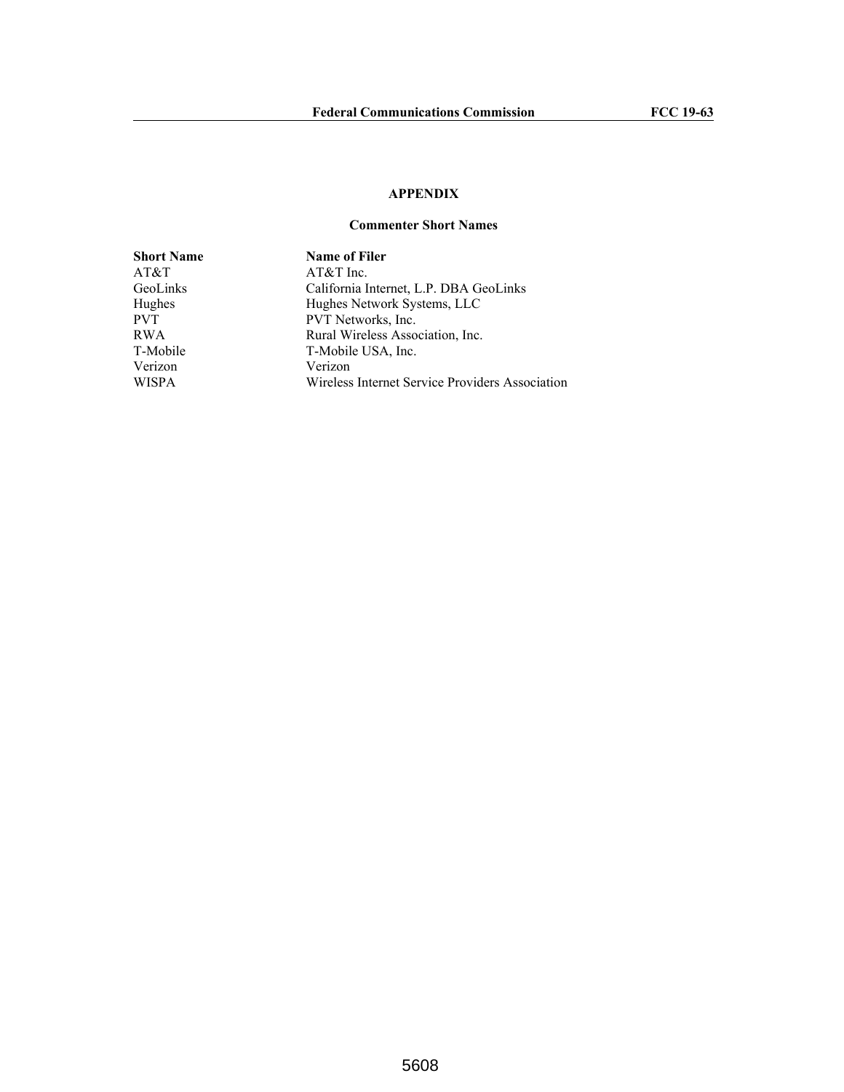# **APPENDIX**

# **Commenter Short Names**

| <b>Short Name</b> | <b>Name of Filer</b>                            |
|-------------------|-------------------------------------------------|
| AT&T              | $AT&T$ Inc.                                     |
| GeoLinks          | California Internet, L.P. DBA GeoLinks          |
| Hughes            | Hughes Network Systems, LLC                     |
| <b>PVT</b>        | PVT Networks, Inc.                              |
| <b>RWA</b>        | Rural Wireless Association, Inc.                |
| T-Mobile          | T-Mobile USA, Inc.                              |
| Verizon           | Verizon                                         |
| WISPA             | Wireless Internet Service Providers Association |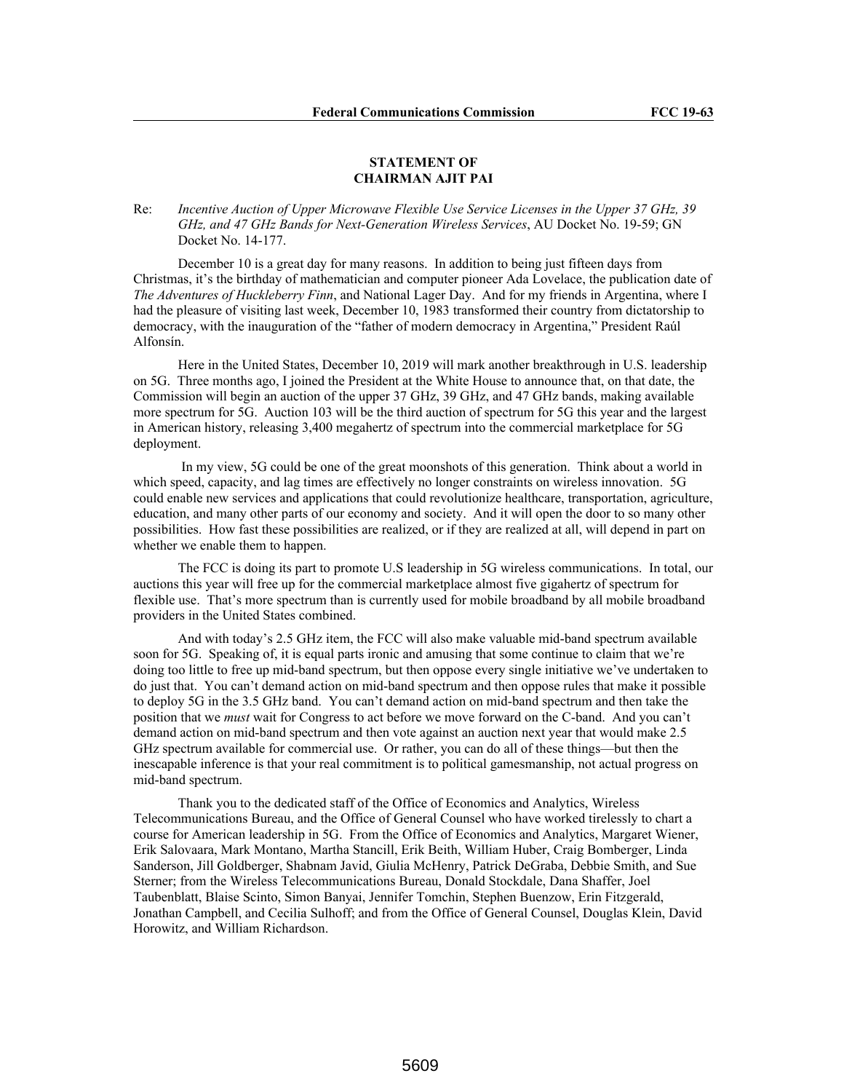## **STATEMENT OF CHAIRMAN AJIT PAI**

Re: *Incentive Auction of Upper Microwave Flexible Use Service Licenses in the Upper 37 GHz, 39 GHz, and 47 GHz Bands for Next-Generation Wireless Services*, AU Docket No. 19-59; GN Docket No. 14-177.

December 10 is a great day for many reasons. In addition to being just fifteen days from Christmas, it's the birthday of mathematician and computer pioneer Ada Lovelace, the publication date of *The Adventures of Huckleberry Finn*, and National Lager Day. And for my friends in Argentina, where I had the pleasure of visiting last week, December 10, 1983 transformed their country from dictatorship to democracy, with the inauguration of the "father of modern democracy in Argentina," President Raúl Alfonsín.

Here in the United States, December 10, 2019 will mark another breakthrough in U.S. leadership on 5G. Three months ago, I joined the President at the White House to announce that, on that date, the Commission will begin an auction of the upper 37 GHz, 39 GHz, and 47 GHz bands, making available more spectrum for 5G. Auction 103 will be the third auction of spectrum for 5G this year and the largest in American history, releasing 3,400 megahertz of spectrum into the commercial marketplace for 5G deployment.

 In my view, 5G could be one of the great moonshots of this generation. Think about a world in which speed, capacity, and lag times are effectively no longer constraints on wireless innovation. 5G could enable new services and applications that could revolutionize healthcare, transportation, agriculture, education, and many other parts of our economy and society. And it will open the door to so many other possibilities. How fast these possibilities are realized, or if they are realized at all, will depend in part on whether we enable them to happen.

The FCC is doing its part to promote U.S leadership in 5G wireless communications. In total, our auctions this year will free up for the commercial marketplace almost five gigahertz of spectrum for flexible use. That's more spectrum than is currently used for mobile broadband by all mobile broadband providers in the United States combined.

And with today's 2.5 GHz item, the FCC will also make valuable mid-band spectrum available soon for 5G. Speaking of, it is equal parts ironic and amusing that some continue to claim that we're doing too little to free up mid-band spectrum, but then oppose every single initiative we've undertaken to do just that. You can't demand action on mid-band spectrum and then oppose rules that make it possible to deploy 5G in the 3.5 GHz band. You can't demand action on mid-band spectrum and then take the position that we *must* wait for Congress to act before we move forward on the C-band. And you can't demand action on mid-band spectrum and then vote against an auction next year that would make 2.5 GHz spectrum available for commercial use. Or rather, you can do all of these things—but then the inescapable inference is that your real commitment is to political gamesmanship, not actual progress on mid-band spectrum.

Thank you to the dedicated staff of the Office of Economics and Analytics, Wireless Telecommunications Bureau, and the Office of General Counsel who have worked tirelessly to chart a course for American leadership in 5G. From the Office of Economics and Analytics, Margaret Wiener, Erik Salovaara, Mark Montano, Martha Stancill, Erik Beith, William Huber, Craig Bomberger, Linda Sanderson, Jill Goldberger, Shabnam Javid, Giulia McHenry, Patrick DeGraba, Debbie Smith, and Sue Sterner; from the Wireless Telecommunications Bureau, Donald Stockdale, Dana Shaffer, Joel Taubenblatt, Blaise Scinto, Simon Banyai, Jennifer Tomchin, Stephen Buenzow, Erin Fitzgerald, Jonathan Campbell, and Cecilia Sulhoff; and from the Office of General Counsel, Douglas Klein, David Horowitz, and William Richardson.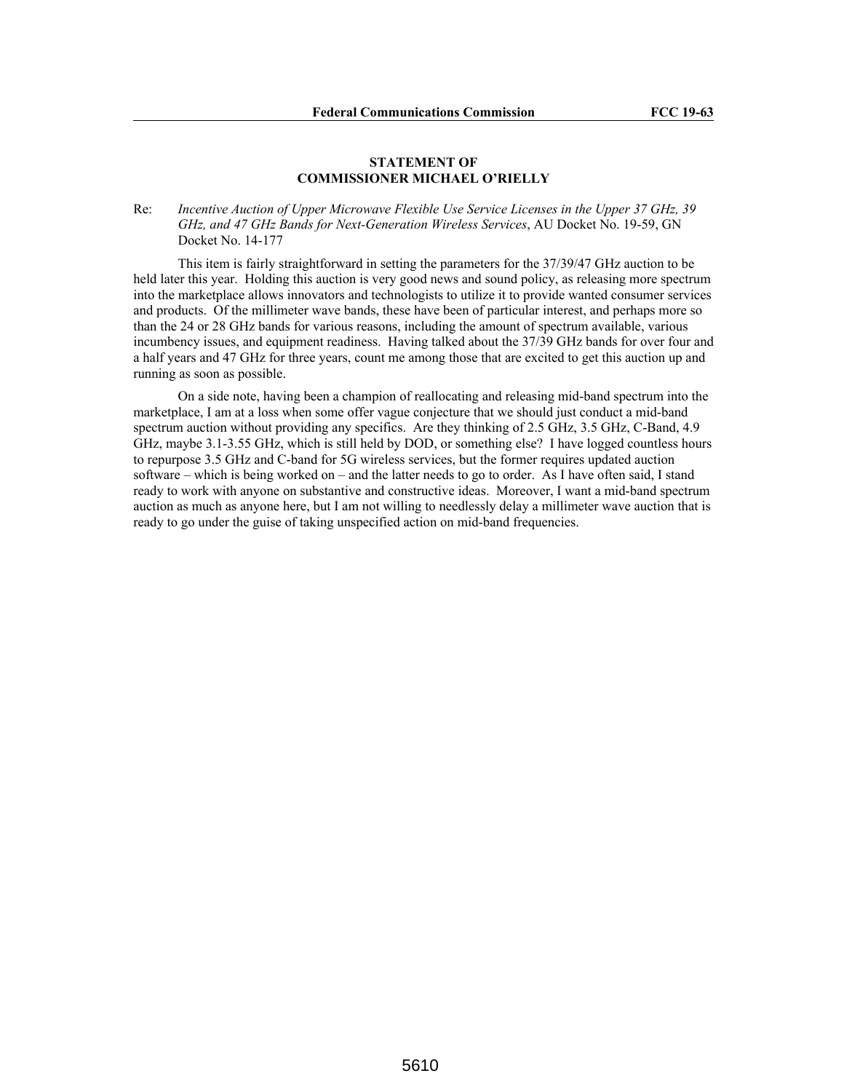## **STATEMENT OF COMMISSIONER MICHAEL O'RIELLY**

Re: *Incentive Auction of Upper Microwave Flexible Use Service Licenses in the Upper 37 GHz, 39 GHz, and 47 GHz Bands for Next-Generation Wireless Services*, AU Docket No. 19-59, GN Docket No. 14-177

This item is fairly straightforward in setting the parameters for the 37/39/47 GHz auction to be held later this year. Holding this auction is very good news and sound policy, as releasing more spectrum into the marketplace allows innovators and technologists to utilize it to provide wanted consumer services and products. Of the millimeter wave bands, these have been of particular interest, and perhaps more so than the 24 or 28 GHz bands for various reasons, including the amount of spectrum available, various incumbency issues, and equipment readiness. Having talked about the 37/39 GHz bands for over four and a half years and 47 GHz for three years, count me among those that are excited to get this auction up and running as soon as possible.

On a side note, having been a champion of reallocating and releasing mid-band spectrum into the marketplace, I am at a loss when some offer vague conjecture that we should just conduct a mid-band spectrum auction without providing any specifics. Are they thinking of 2.5 GHz, 3.5 GHz, C-Band, 4.9 GHz, maybe 3.1-3.55 GHz, which is still held by DOD, or something else? I have logged countless hours to repurpose 3.5 GHz and C-band for 5G wireless services, but the former requires updated auction software – which is being worked on – and the latter needs to go to order. As I have often said, I stand ready to work with anyone on substantive and constructive ideas. Moreover, I want a mid-band spectrum auction as much as anyone here, but I am not willing to needlessly delay a millimeter wave auction that is ready to go under the guise of taking unspecified action on mid-band frequencies.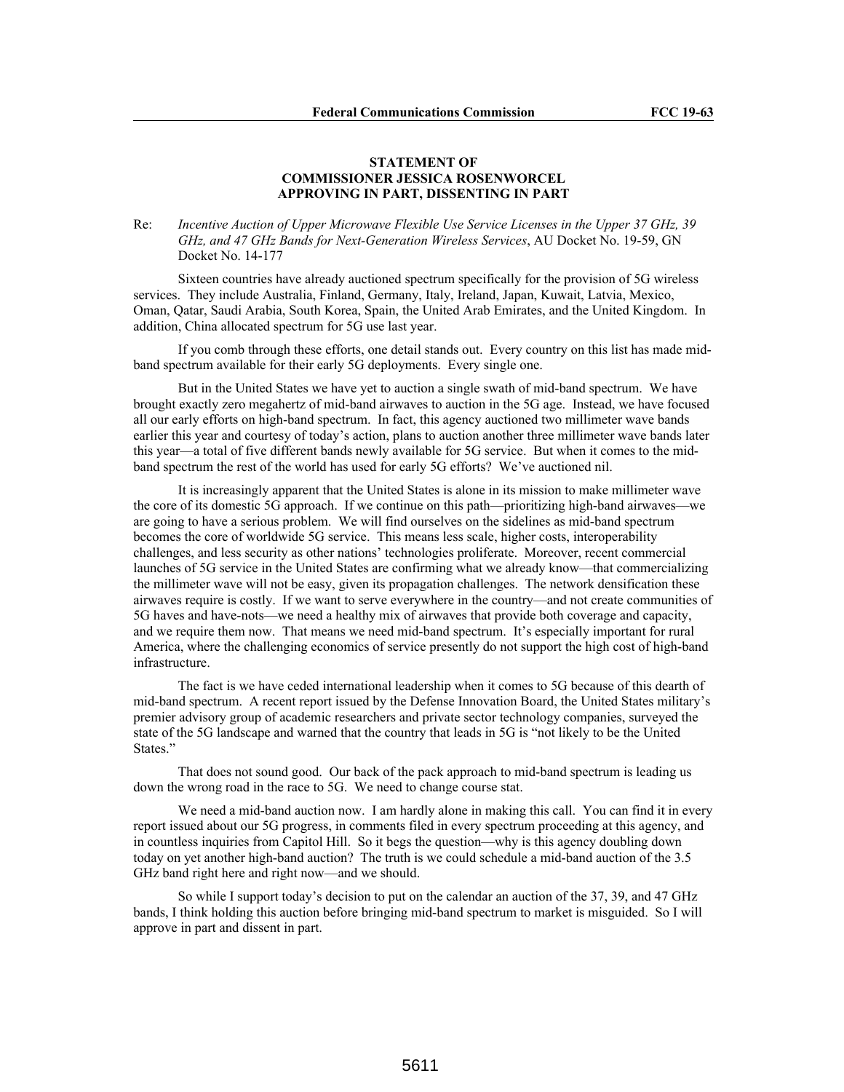## **STATEMENT OF COMMISSIONER JESSICA ROSENWORCEL APPROVING IN PART, DISSENTING IN PART**

Re: *Incentive Auction of Upper Microwave Flexible Use Service Licenses in the Upper 37 GHz, 39 GHz, and 47 GHz Bands for Next-Generation Wireless Services*, AU Docket No. 19-59, GN Docket No. 14-177

Sixteen countries have already auctioned spectrum specifically for the provision of 5G wireless services. They include Australia, Finland, Germany, Italy, Ireland, Japan, Kuwait, Latvia, Mexico, Oman, Qatar, Saudi Arabia, South Korea, Spain, the United Arab Emirates, and the United Kingdom. In addition, China allocated spectrum for 5G use last year.

If you comb through these efforts, one detail stands out. Every country on this list has made midband spectrum available for their early 5G deployments. Every single one.

But in the United States we have yet to auction a single swath of mid-band spectrum. We have brought exactly zero megahertz of mid-band airwaves to auction in the 5G age. Instead, we have focused all our early efforts on high-band spectrum. In fact, this agency auctioned two millimeter wave bands earlier this year and courtesy of today's action, plans to auction another three millimeter wave bands later this year—a total of five different bands newly available for 5G service. But when it comes to the midband spectrum the rest of the world has used for early 5G efforts? We've auctioned nil.

It is increasingly apparent that the United States is alone in its mission to make millimeter wave the core of its domestic 5G approach. If we continue on this path—prioritizing high-band airwaves—we are going to have a serious problem. We will find ourselves on the sidelines as mid-band spectrum becomes the core of worldwide 5G service. This means less scale, higher costs, interoperability challenges, and less security as other nations' technologies proliferate. Moreover, recent commercial launches of 5G service in the United States are confirming what we already know—that commercializing the millimeter wave will not be easy, given its propagation challenges. The network densification these airwaves require is costly. If we want to serve everywhere in the country—and not create communities of 5G haves and have-nots—we need a healthy mix of airwaves that provide both coverage and capacity, and we require them now. That means we need mid-band spectrum. It's especially important for rural America, where the challenging economics of service presently do not support the high cost of high-band infrastructure.

The fact is we have ceded international leadership when it comes to 5G because of this dearth of mid-band spectrum. A recent report issued by the Defense Innovation Board, the United States military's premier advisory group of academic researchers and private sector technology companies, surveyed the state of the 5G landscape and warned that the country that leads in 5G is "not likely to be the United States."

That does not sound good. Our back of the pack approach to mid-band spectrum is leading us down the wrong road in the race to 5G. We need to change course stat.

We need a mid-band auction now. I am hardly alone in making this call. You can find it in every report issued about our 5G progress, in comments filed in every spectrum proceeding at this agency, and in countless inquiries from Capitol Hill. So it begs the question—why is this agency doubling down today on yet another high-band auction? The truth is we could schedule a mid-band auction of the 3.5 GHz band right here and right now—and we should.

So while I support today's decision to put on the calendar an auction of the 37, 39, and 47 GHz bands, I think holding this auction before bringing mid-band spectrum to market is misguided. So I will approve in part and dissent in part.